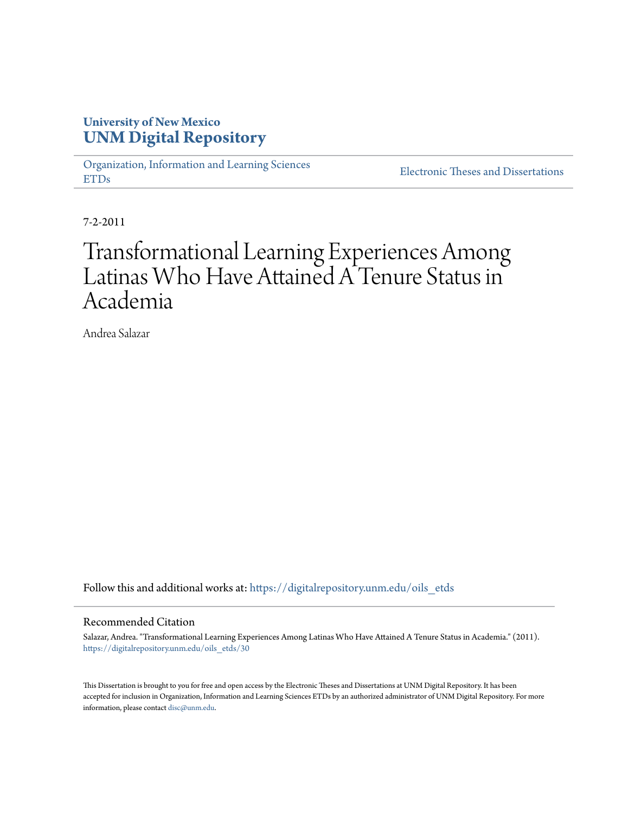## **University of New Mexico [UNM Digital Repository](https://digitalrepository.unm.edu?utm_source=digitalrepository.unm.edu%2Foils_etds%2F30&utm_medium=PDF&utm_campaign=PDFCoverPages)**

[Organization, Information and Learning Sciences](https://digitalrepository.unm.edu/oils_etds?utm_source=digitalrepository.unm.edu%2Foils_etds%2F30&utm_medium=PDF&utm_campaign=PDFCoverPages) [ETDs](https://digitalrepository.unm.edu/oils_etds?utm_source=digitalrepository.unm.edu%2Foils_etds%2F30&utm_medium=PDF&utm_campaign=PDFCoverPages)

[Electronic Theses and Dissertations](https://digitalrepository.unm.edu/etds?utm_source=digitalrepository.unm.edu%2Foils_etds%2F30&utm_medium=PDF&utm_campaign=PDFCoverPages)

7-2-2011

## Transformational Learning Experiences Among Latinas Who Have Attained A Tenure Status in Academia

Andrea Salazar

Follow this and additional works at: [https://digitalrepository.unm.edu/oils\\_etds](https://digitalrepository.unm.edu/oils_etds?utm_source=digitalrepository.unm.edu%2Foils_etds%2F30&utm_medium=PDF&utm_campaign=PDFCoverPages)

### Recommended Citation

Salazar, Andrea. "Transformational Learning Experiences Among Latinas Who Have Attained A Tenure Status in Academia." (2011). [https://digitalrepository.unm.edu/oils\\_etds/30](https://digitalrepository.unm.edu/oils_etds/30?utm_source=digitalrepository.unm.edu%2Foils_etds%2F30&utm_medium=PDF&utm_campaign=PDFCoverPages)

This Dissertation is brought to you for free and open access by the Electronic Theses and Dissertations at UNM Digital Repository. It has been accepted for inclusion in Organization, Information and Learning Sciences ETDs by an authorized administrator of UNM Digital Repository. For more information, please contact [disc@unm.edu.](mailto:disc@unm.edu)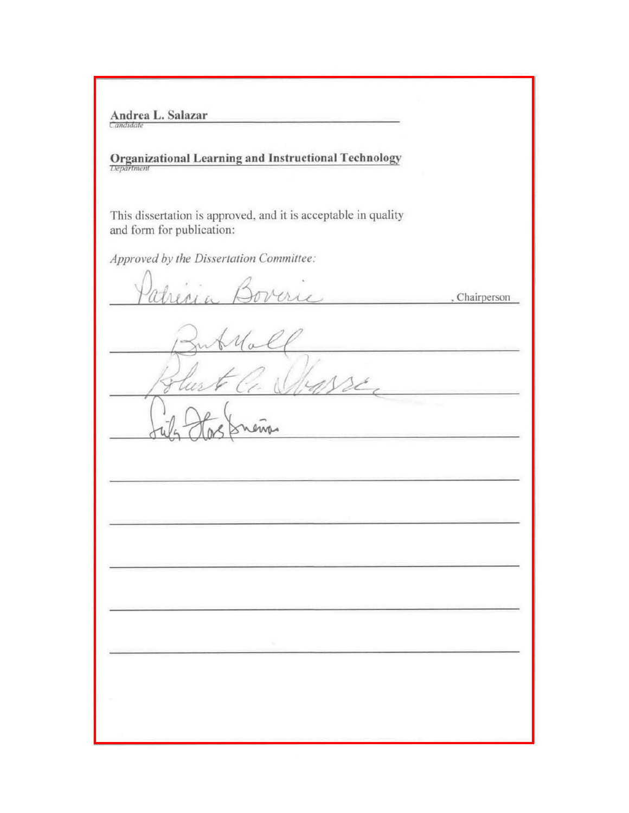Andrea L. Salazar

# **Organizational Learning and Instructional Technology**

This dissertation is approved, and it is acceptable in quality and form for publication:

Approved by the Dissertation Committee:

, Chairperson  $\frac{1}{2}$ w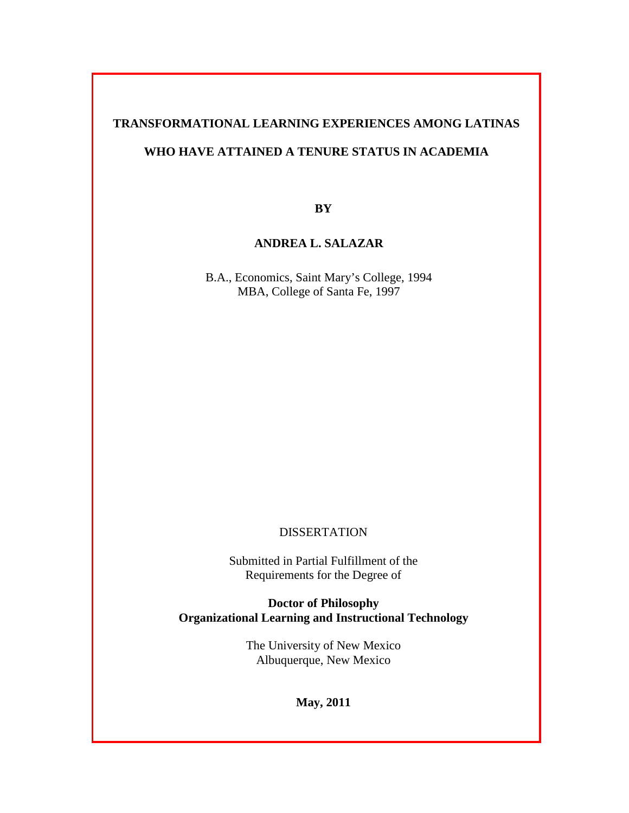## **TRANSFORMATIONAL LEARNING EXPERIENCES AMONG LATINAS**

## **WHO HAVE ATTAINED A TENURE STATUS IN ACADEMIA**

**BY**

## **ANDREA L. SALAZAR**

B.A., Economics, Saint Mary's College, 1994 MBA, College of Santa Fe, 1997

## **DISSERTATION**

Submitted in Partial Fulfillment of the Requirements for the Degree of

**Doctor of Philosophy Organizational Learning and Instructional Technology**

> The University of New Mexico Albuquerque, New Mexico

> > **May, 2011**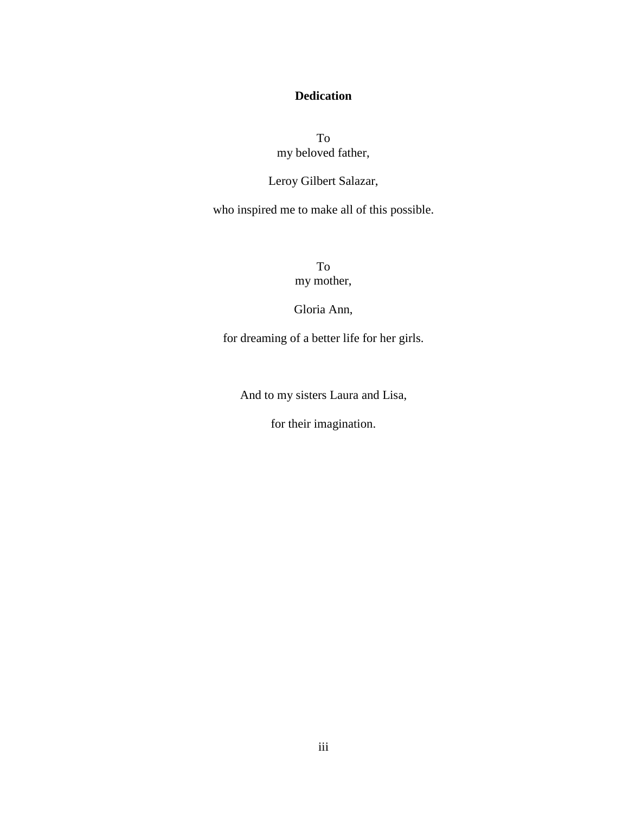## **Dedication**

To my beloved father,

## Leroy Gilbert Salazar,

who inspired me to make all of this possible.

To my mother,

Gloria Ann,

for dreaming of a better life for her girls.

And to my sisters Laura and Lisa,

for their imagination.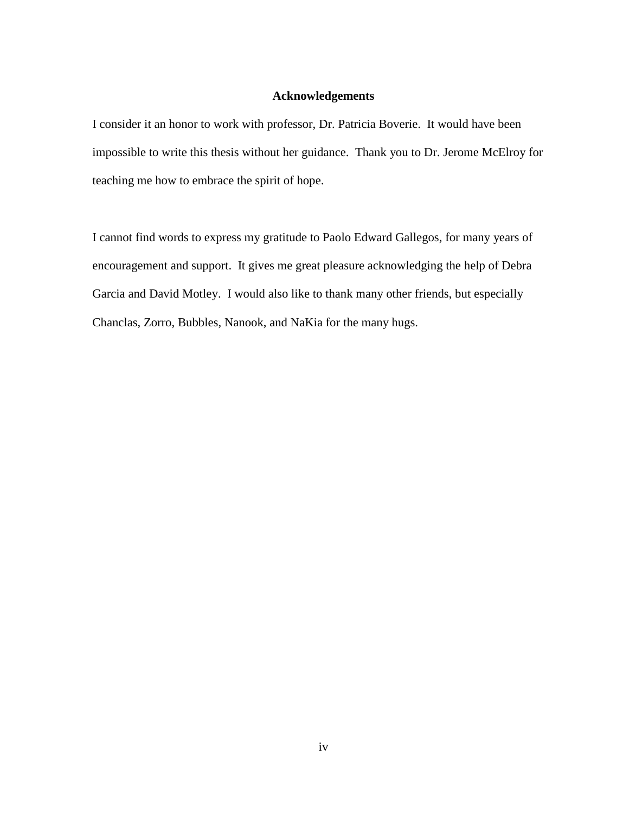## **Acknowledgements**

I consider it an honor to work with professor, Dr. Patricia Boverie. It would have been impossible to write this thesis without her guidance. Thank you to Dr. Jerome McElroy for teaching me how to embrace the spirit of hope.

I cannot find words to express my gratitude to Paolo Edward Gallegos, for many years of encouragement and support. It gives me great pleasure acknowledging the help of Debra Garcia and David Motley. I would also like to thank many other friends, but especially Chanclas, Zorro, Bubbles, Nanook, and NaKia for the many hugs.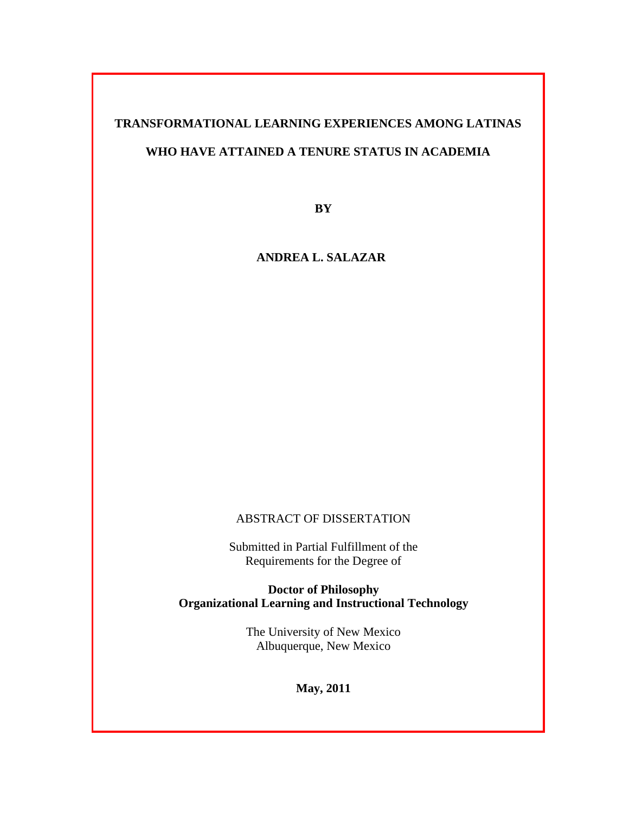## **TRANSFORMATIONAL LEARNING EXPERIENCES AMONG LATINAS**

## **WHO HAVE ATTAINED A TENURE STATUS IN ACADEMIA**

**BY**

**ANDREA L. SALAZAR**

## ABSTRACT OF DISSERTATION

Submitted in Partial Fulfillment of the Requirements for the Degree of

**Doctor of Philosophy Organizational Learning and Instructional Technology**

> The University of New Mexico Albuquerque, New Mexico

> > **May, 2011**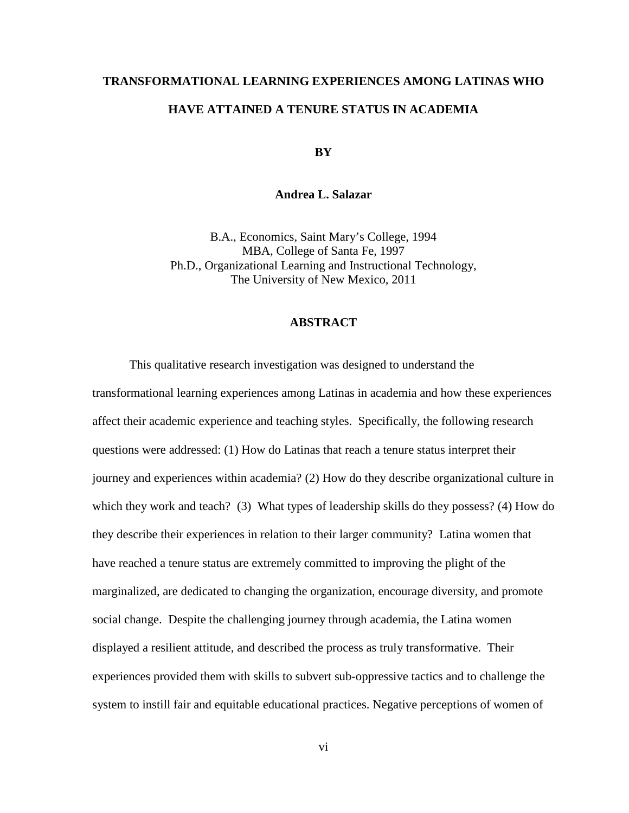## **TRANSFORMATIONAL LEARNING EXPERIENCES AMONG LATINAS WHO HAVE ATTAINED A TENURE STATUS IN ACADEMIA**

**BY**

## **Andrea L. Salazar**

B.A., Economics, Saint Mary's College, 1994 MBA, College of Santa Fe, 1997 Ph.D., Organizational Learning and Instructional Technology, The University of New Mexico, 2011

## **ABSTRACT**

This qualitative research investigation was designed to understand the transformational learning experiences among Latinas in academia and how these experiences affect their academic experience and teaching styles. Specifically, the following research questions were addressed: (1) How do Latinas that reach a tenure status interpret their journey and experiences within academia? (2) How do they describe organizational culture in which they work and teach? (3) What types of leadership skills do they possess? (4) How do they describe their experiences in relation to their larger community? Latina women that have reached a tenure status are extremely committed to improving the plight of the marginalized, are dedicated to changing the organization, encourage diversity, and promote social change. Despite the challenging journey through academia, the Latina women displayed a resilient attitude, and described the process as truly transformative. Their experiences provided them with skills to subvert sub-oppressive tactics and to challenge the system to instill fair and equitable educational practices. Negative perceptions of women of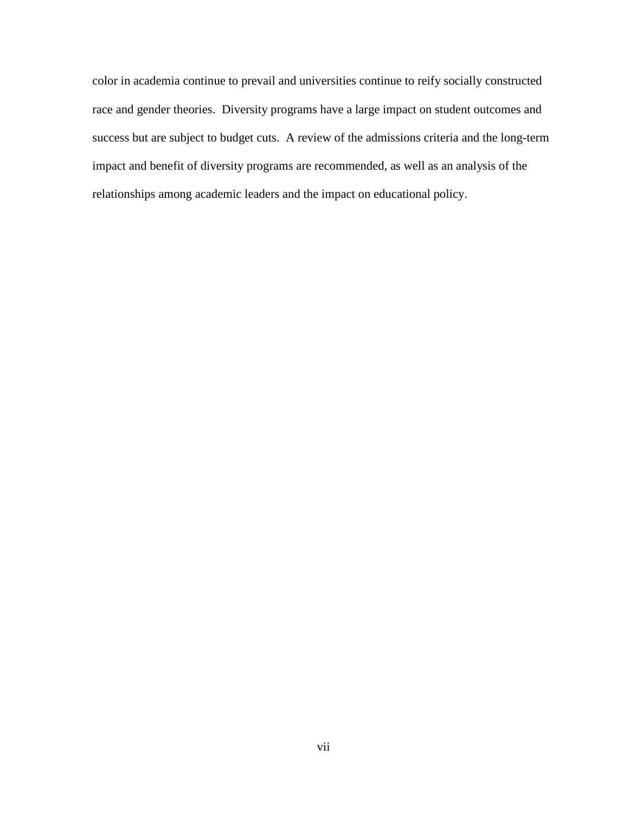color in academia continue to prevail and universities continue to reify socially constructed race and gender theories. Diversity programs have a large impact on student outcomes and success but are subject to budget cuts. A review of the admissions criteria and the long-term impact and benefit of diversity programs are recommended, as well as an analysis of the relationships among academic leaders and the impact on educational policy.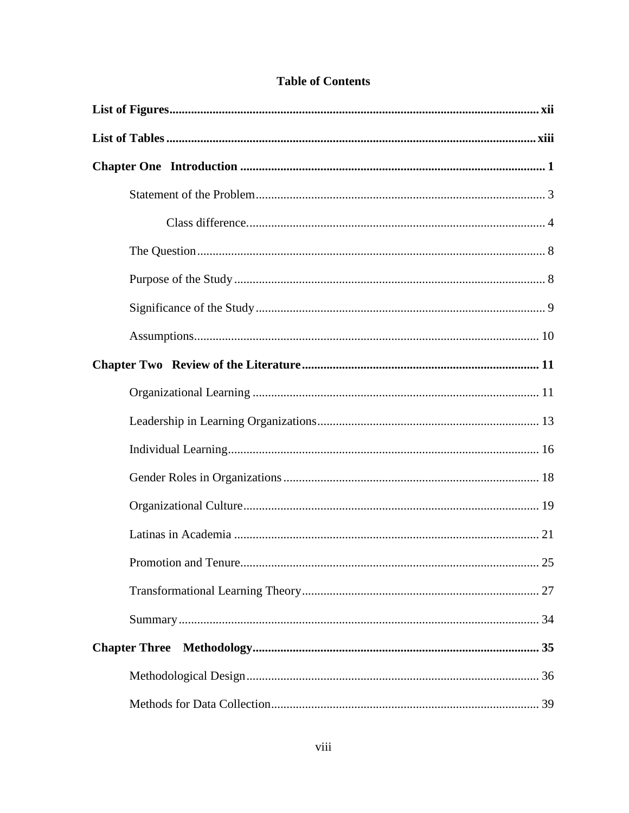## **Table of Contents**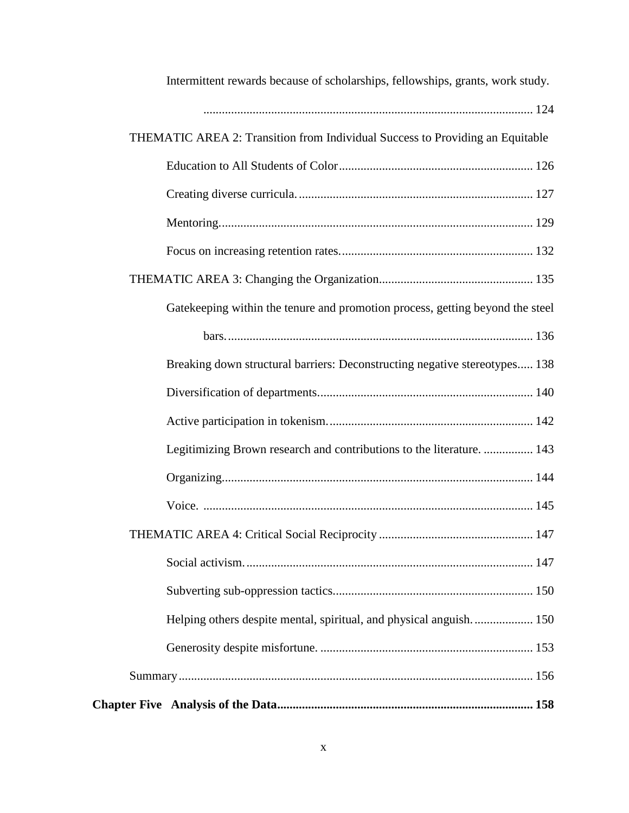| Intermittent rewards because of scholarships, fellowships, grants, work study. |
|--------------------------------------------------------------------------------|
|                                                                                |
| THEMATIC AREA 2: Transition from Individual Success to Providing an Equitable  |
|                                                                                |
|                                                                                |
|                                                                                |
|                                                                                |
|                                                                                |
| Gatekeeping within the tenure and promotion process, getting beyond the steel  |
|                                                                                |
| Breaking down structural barriers: Deconstructing negative stereotypes 138     |
|                                                                                |
|                                                                                |
| Legitimizing Brown research and contributions to the literature.  143          |
|                                                                                |
|                                                                                |
|                                                                                |
|                                                                                |
|                                                                                |
| Helping others despite mental, spiritual, and physical anguish 150             |
|                                                                                |
|                                                                                |
|                                                                                |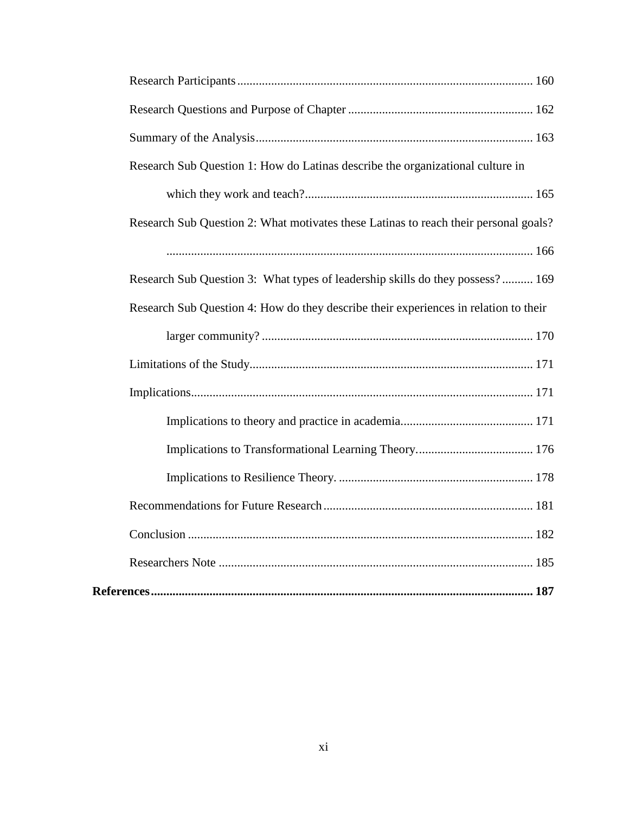| Research Sub Question 1: How do Latinas describe the organizational culture in       |
|--------------------------------------------------------------------------------------|
|                                                                                      |
| Research Sub Question 2: What motivates these Latinas to reach their personal goals? |
|                                                                                      |
| Research Sub Question 3: What types of leadership skills do they possess? 169        |
| Research Sub Question 4: How do they describe their experiences in relation to their |
|                                                                                      |
|                                                                                      |
|                                                                                      |
|                                                                                      |
|                                                                                      |
|                                                                                      |
|                                                                                      |
|                                                                                      |
|                                                                                      |
|                                                                                      |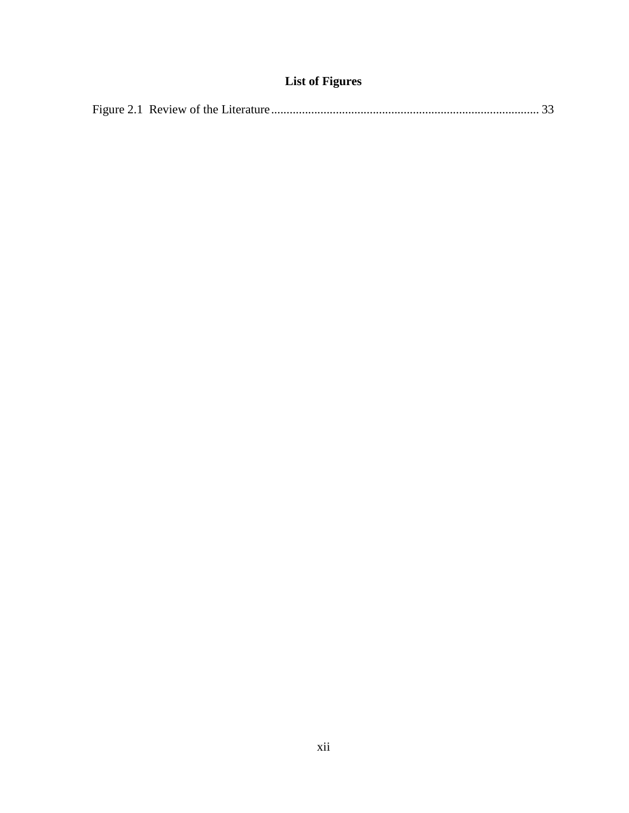## **List of Figures**

<span id="page-12-0"></span>

|--|--|--|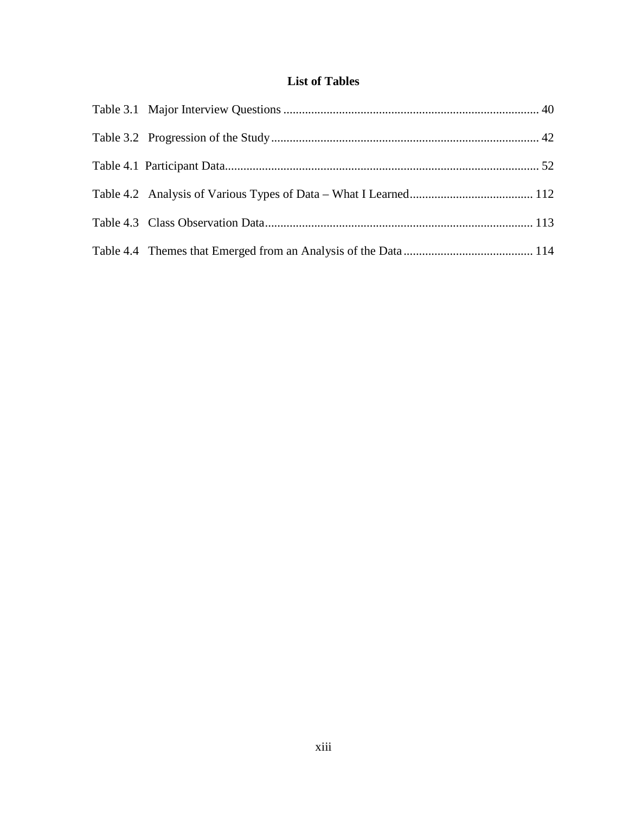## **List of Tables**

<span id="page-13-0"></span>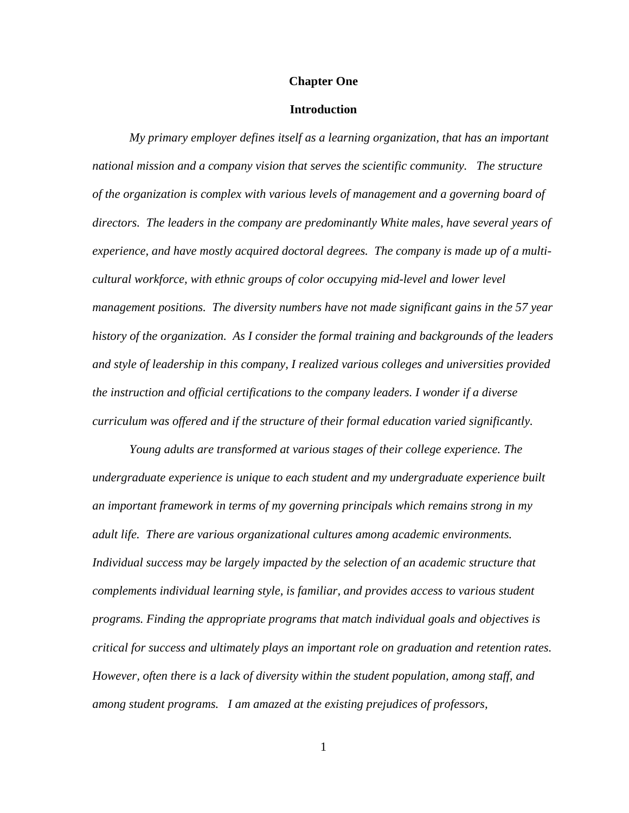#### **Chapter One**

### **Introduction**

<span id="page-14-0"></span>*My primary employer defines itself as a learning organization, that has an important national mission and a company vision that serves the scientific community. The structure of the organization is complex with various levels of management and a governing board of directors. The leaders in the company are predominantly White males, have several years of experience, and have mostly acquired doctoral degrees. The company is made up of a multicultural workforce, with ethnic groups of color occupying mid-level and lower level management positions. The diversity numbers have not made significant gains in the 57 year history of the organization. As I consider the formal training and backgrounds of the leaders and style of leadership in this company, I realized various colleges and universities provided the instruction and official certifications to the company leaders. I wonder if a diverse curriculum was offered and if the structure of their formal education varied significantly.* 

*Young adults are transformed at various stages of their college experience. The undergraduate experience is unique to each student and my undergraduate experience built an important framework in terms of my governing principals which remains strong in my adult life. There are various organizational cultures among academic environments. Individual success may be largely impacted by the selection of an academic structure that complements individual learning style, is familiar, and provides access to various student programs. Finding the appropriate programs that match individual goals and objectives is critical for success and ultimately plays an important role on graduation and retention rates. However, often there is a lack of diversity within the student population, among staff, and among student programs. I am amazed at the existing prejudices of professors,*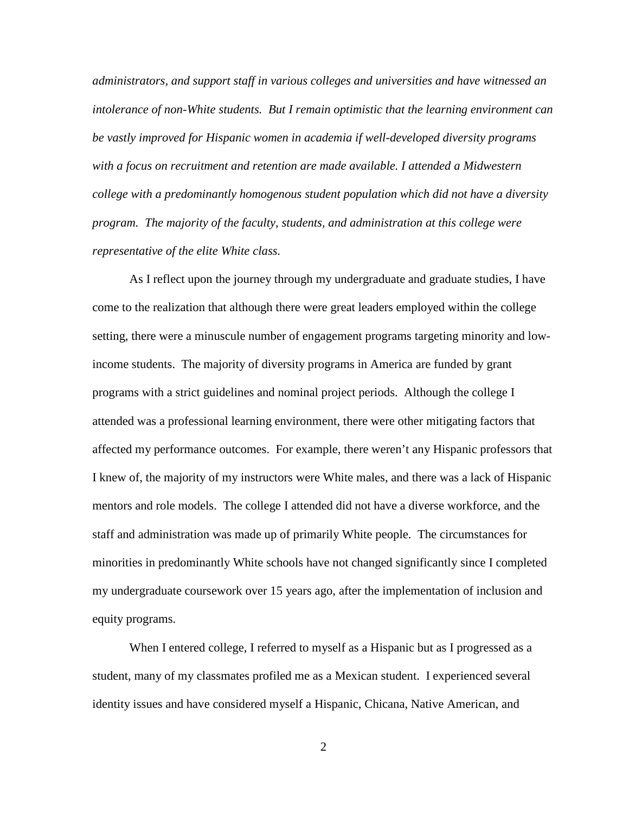*administrators, and support staff in various colleges and universities and have witnessed an intolerance of non-White students. But I remain optimistic that the learning environment can be vastly improved for Hispanic women in academia if well-developed diversity programs with a focus on recruitment and retention are made available. I attended a Midwestern college with a predominantly homogenous student population which did not have a diversity program. The majority of the faculty, students, and administration at this college were representative of the elite White class.* 

As I reflect upon the journey through my undergraduate and graduate studies, I have come to the realization that although there were great leaders employed within the college setting, there were a minuscule number of engagement programs targeting minority and lowincome students. The majority of diversity programs in America are funded by grant programs with a strict guidelines and nominal project periods. Although the college I attended was a professional learning environment, there were other mitigating factors that affected my performance outcomes. For example, there weren't any Hispanic professors that I knew of, the majority of my instructors were White males, and there was a lack of Hispanic mentors and role models. The college I attended did not have a diverse workforce, and the staff and administration was made up of primarily White people. The circumstances for minorities in predominantly White schools have not changed significantly since I completed my undergraduate coursework over 15 years ago, after the implementation of inclusion and equity programs.

When I entered college, I referred to myself as a Hispanic but as I progressed as a student, many of my classmates profiled me as a Mexican student. I experienced several identity issues and have considered myself a Hispanic, Chicana, Native American, and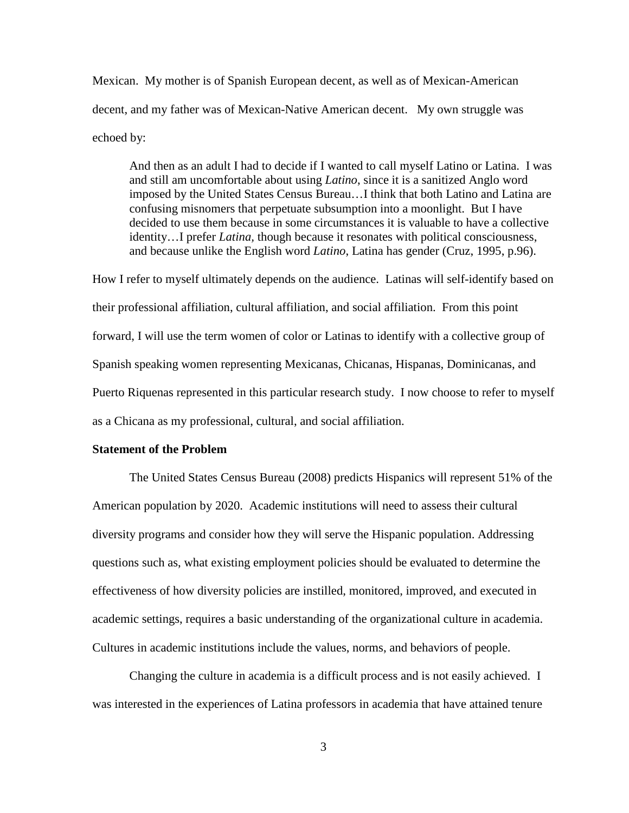Mexican. My mother is of Spanish European decent, as well as of Mexican-American decent, and my father was of Mexican-Native American decent. My own struggle was echoed by:

And then as an adult I had to decide if I wanted to call myself Latino or Latina. I was and still am uncomfortable about using *Latino*, since it is a sanitized Anglo word imposed by the United States Census Bureau…I think that both Latino and Latina are confusing misnomers that perpetuate subsumption into a moonlight. But I have decided to use them because in some circumstances it is valuable to have a collective identity…I prefer *Latina,* though because it resonates with political consciousness, and because unlike the English word *Latino*, Latina has gender (Cruz, 1995, p.96).

How I refer to myself ultimately depends on the audience. Latinas will self-identify based on their professional affiliation, cultural affiliation, and social affiliation. From this point forward, I will use the term women of color or Latinas to identify with a collective group of Spanish speaking women representing Mexicanas, Chicanas, Hispanas, Dominicanas, and Puerto Riquenas represented in this particular research study. I now choose to refer to myself as a Chicana as my professional, cultural, and social affiliation.

## <span id="page-16-0"></span>**Statement of the Problem**

The United States Census Bureau (2008) predicts Hispanics will represent 51% of the American population by 2020. Academic institutions will need to assess their cultural diversity programs and consider how they will serve the Hispanic population. Addressing questions such as, what existing employment policies should be evaluated to determine the effectiveness of how diversity policies are instilled, monitored, improved, and executed in academic settings, requires a basic understanding of the organizational culture in academia. Cultures in academic institutions include the values, norms, and behaviors of people.

Changing the culture in academia is a difficult process and is not easily achieved. I was interested in the experiences of Latina professors in academia that have attained tenure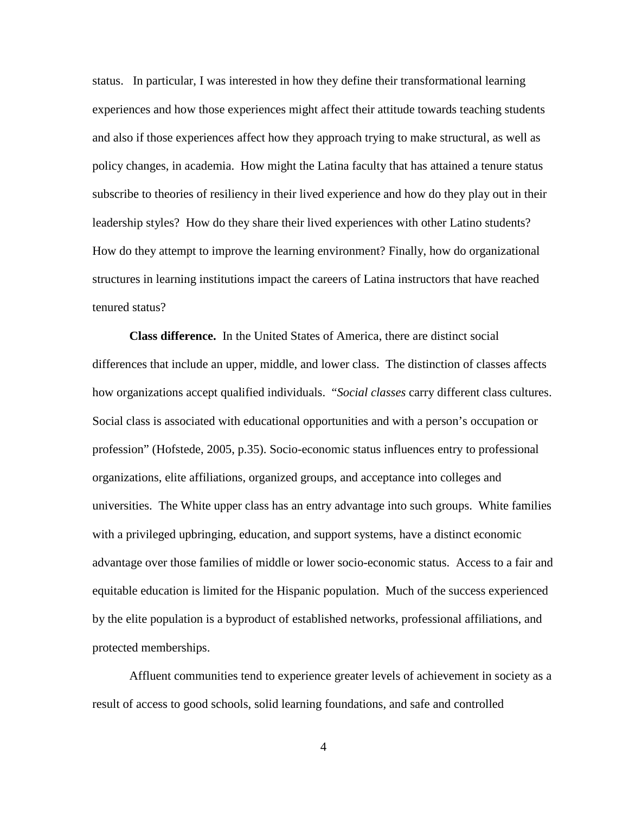status. In particular, I was interested in how they define their transformational learning experiences and how those experiences might affect their attitude towards teaching students and also if those experiences affect how they approach trying to make structural, as well as policy changes, in academia. How might the Latina faculty that has attained a tenure status subscribe to theories of resiliency in their lived experience and how do they play out in their leadership styles? How do they share their lived experiences with other Latino students? How do they attempt to improve the learning environment? Finally, how do organizational structures in learning institutions impact the careers of Latina instructors that have reached tenured status?

<span id="page-17-0"></span>**Class difference.** In the United States of America, there are distinct social differences that include an upper, middle, and lower class. The distinction of classes affects how organizations accept qualified individuals. "*Social classes* carry different class cultures. Social class is associated with educational opportunities and with a person's occupation or profession" (Hofstede, 2005, p.35). Socio-economic status influences entry to professional organizations, elite affiliations, organized groups, and acceptance into colleges and universities. The White upper class has an entry advantage into such groups. White families with a privileged upbringing, education, and support systems, have a distinct economic advantage over those families of middle or lower socio-economic status. Access to a fair and equitable education is limited for the Hispanic population. Much of the success experienced by the elite population is a byproduct of established networks, professional affiliations, and protected memberships.

Affluent communities tend to experience greater levels of achievement in society as a result of access to good schools, solid learning foundations, and safe and controlled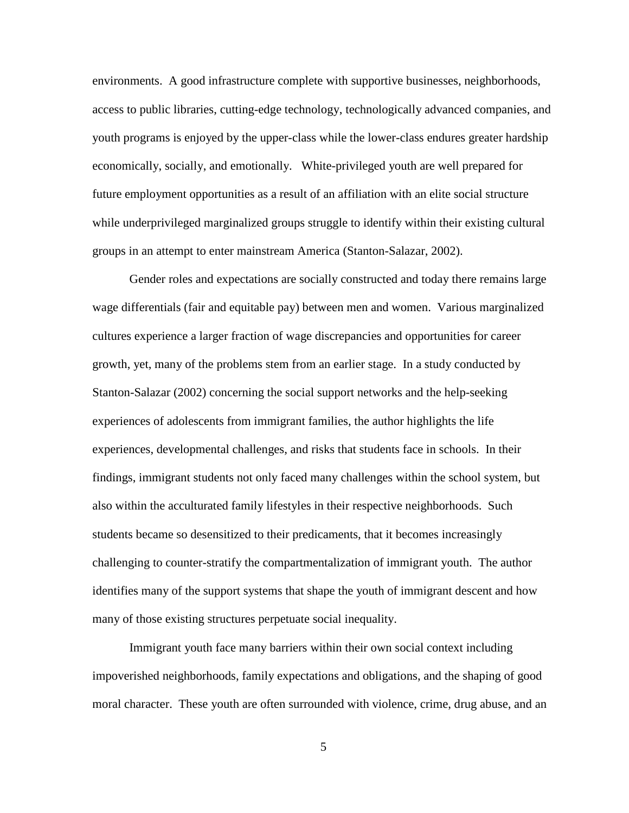environments. A good infrastructure complete with supportive businesses, neighborhoods, access to public libraries, cutting-edge technology, technologically advanced companies, and youth programs is enjoyed by the upper-class while the lower-class endures greater hardship economically, socially, and emotionally. White-privileged youth are well prepared for future employment opportunities as a result of an affiliation with an elite social structure while underprivileged marginalized groups struggle to identify within their existing cultural groups in an attempt to enter mainstream America (Stanton-Salazar, 2002).

Gender roles and expectations are socially constructed and today there remains large wage differentials (fair and equitable pay) between men and women. Various marginalized cultures experience a larger fraction of wage discrepancies and opportunities for career growth, yet, many of the problems stem from an earlier stage. In a study conducted by Stanton-Salazar (2002) concerning the social support networks and the help-seeking experiences of adolescents from immigrant families, the author highlights the life experiences, developmental challenges, and risks that students face in schools. In their findings, immigrant students not only faced many challenges within the school system, but also within the acculturated family lifestyles in their respective neighborhoods. Such students became so desensitized to their predicaments, that it becomes increasingly challenging to counter-stratify the compartmentalization of immigrant youth. The author identifies many of the support systems that shape the youth of immigrant descent and how many of those existing structures perpetuate social inequality.

Immigrant youth face many barriers within their own social context including impoverished neighborhoods, family expectations and obligations, and the shaping of good moral character. These youth are often surrounded with violence, crime, drug abuse, and an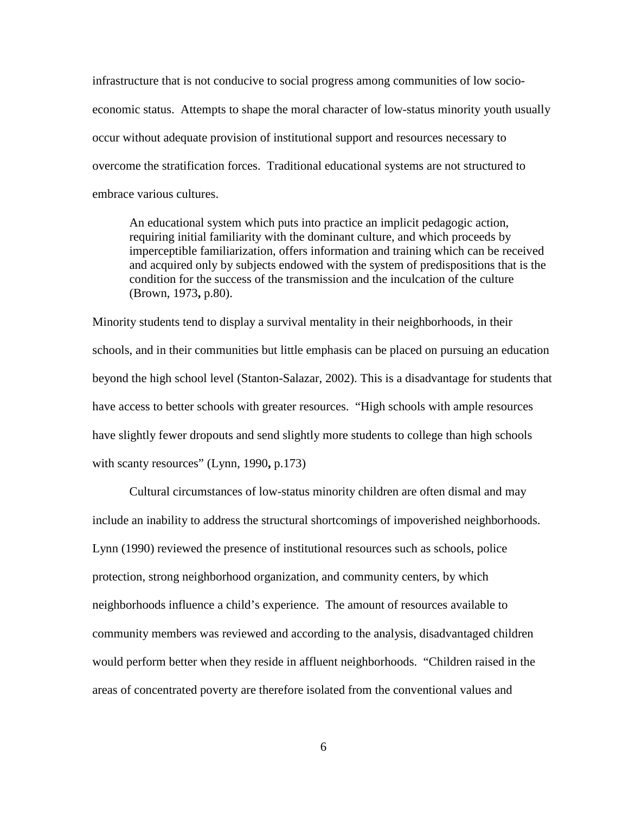infrastructure that is not conducive to social progress among communities of low socioeconomic status. Attempts to shape the moral character of low-status minority youth usually occur without adequate provision of institutional support and resources necessary to overcome the stratification forces. Traditional educational systems are not structured to embrace various cultures.

An educational system which puts into practice an implicit pedagogic action, requiring initial familiarity with the dominant culture, and which proceeds by imperceptible familiarization, offers information and training which can be received and acquired only by subjects endowed with the system of predispositions that is the condition for the success of the transmission and the inculcation of the culture (Brown, 1973**,** p.80).

Minority students tend to display a survival mentality in their neighborhoods, in their schools, and in their communities but little emphasis can be placed on pursuing an education beyond the high school level (Stanton-Salazar, 2002). This is a disadvantage for students that have access to better schools with greater resources. "High schools with ample resources have slightly fewer dropouts and send slightly more students to college than high schools with scanty resources" (Lynn, 1990**,** p.173)

Cultural circumstances of low-status minority children are often dismal and may include an inability to address the structural shortcomings of impoverished neighborhoods. Lynn (1990) reviewed the presence of institutional resources such as schools, police protection, strong neighborhood organization, and community centers, by which neighborhoods influence a child's experience. The amount of resources available to community members was reviewed and according to the analysis, disadvantaged children would perform better when they reside in affluent neighborhoods. "Children raised in the areas of concentrated poverty are therefore isolated from the conventional values and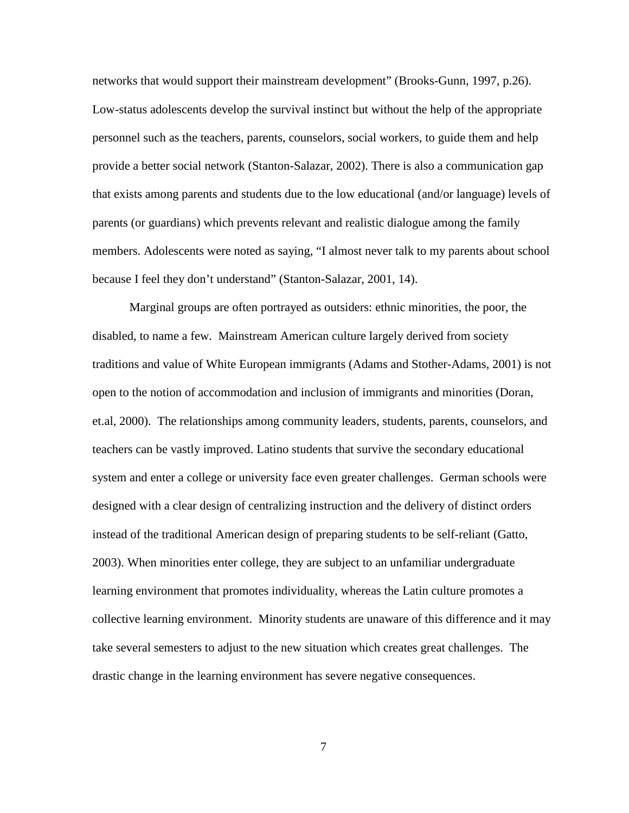networks that would support their mainstream development" (Brooks-Gunn, 1997, p.26). Low-status adolescents develop the survival instinct but without the help of the appropriate personnel such as the teachers, parents, counselors, social workers, to guide them and help provide a better social network (Stanton-Salazar, 2002). There is also a communication gap that exists among parents and students due to the low educational (and/or language) levels of parents (or guardians) which prevents relevant and realistic dialogue among the family members. Adolescents were noted as saying, "I almost never talk to my parents about school because I feel they don't understand" (Stanton-Salazar, 2001, 14).

Marginal groups are often portrayed as outsiders: ethnic minorities, the poor, the disabled, to name a few. Mainstream American culture largely derived from society traditions and value of White European immigrants (Adams and Stother-Adams, 2001) is not open to the notion of accommodation and inclusion of immigrants and minorities (Doran, et.al, 2000). The relationships among community leaders, students, parents, counselors, and teachers can be vastly improved. Latino students that survive the secondary educational system and enter a college or university face even greater challenges. German schools were designed with a clear design of centralizing instruction and the delivery of distinct orders instead of the traditional American design of preparing students to be self-reliant (Gatto, 2003). When minorities enter college, they are subject to an unfamiliar undergraduate learning environment that promotes individuality, whereas the Latin culture promotes a collective learning environment. Minority students are unaware of this difference and it may take several semesters to adjust to the new situation which creates great challenges. The drastic change in the learning environment has severe negative consequences.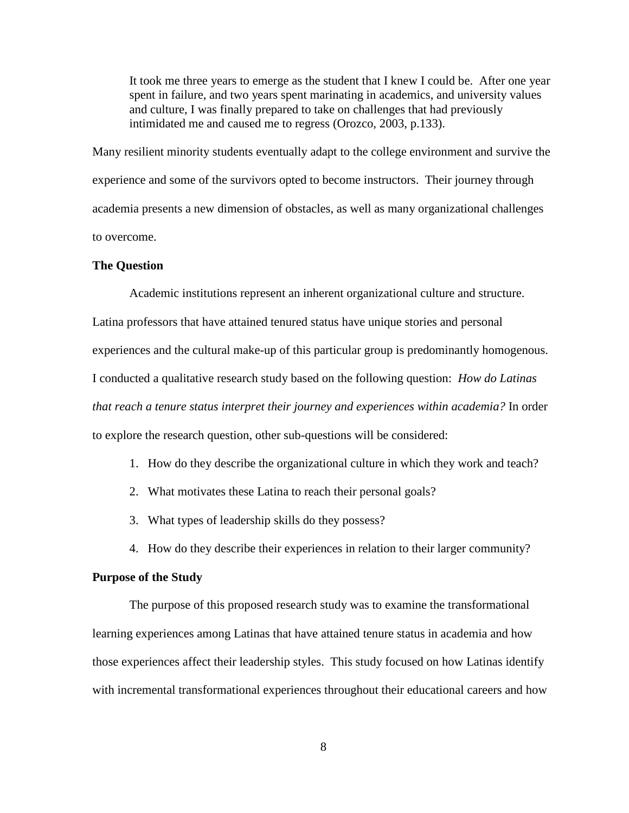It took me three years to emerge as the student that I knew I could be. After one year spent in failure, and two years spent marinating in academics, and university values and culture, I was finally prepared to take on challenges that had previously intimidated me and caused me to regress (Orozco, 2003, p.133).

Many resilient minority students eventually adapt to the college environment and survive the experience and some of the survivors opted to become instructors. Their journey through academia presents a new dimension of obstacles, as well as many organizational challenges to overcome.

## <span id="page-21-0"></span>**The Question**

Academic institutions represent an inherent organizational culture and structure. Latina professors that have attained tenured status have unique stories and personal experiences and the cultural make-up of this particular group is predominantly homogenous. I conducted a qualitative research study based on the following question: *How do Latinas that reach a tenure status interpret their journey and experiences within academia?* In order to explore the research question, other sub-questions will be considered:

- 1. How do they describe the organizational culture in which they work and teach?
- 2. What motivates these Latina to reach their personal goals?
- 3. What types of leadership skills do they possess?
- 4. How do they describe their experiences in relation to their larger community?

### <span id="page-21-1"></span>**Purpose of the Study**

The purpose of this proposed research study was to examine the transformational learning experiences among Latinas that have attained tenure status in academia and how those experiences affect their leadership styles. This study focused on how Latinas identify with incremental transformational experiences throughout their educational careers and how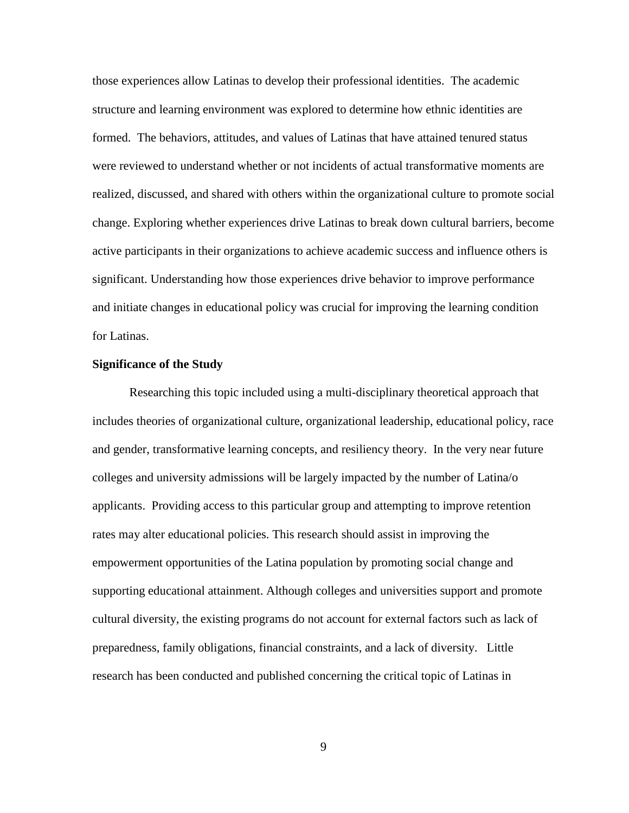those experiences allow Latinas to develop their professional identities. The academic structure and learning environment was explored to determine how ethnic identities are formed. The behaviors, attitudes, and values of Latinas that have attained tenured status were reviewed to understand whether or not incidents of actual transformative moments are realized, discussed, and shared with others within the organizational culture to promote social change. Exploring whether experiences drive Latinas to break down cultural barriers, become active participants in their organizations to achieve academic success and influence others is significant. Understanding how those experiences drive behavior to improve performance and initiate changes in educational policy was crucial for improving the learning condition for Latinas.

## <span id="page-22-0"></span>**Significance of the Study**

Researching this topic included using a multi-disciplinary theoretical approach that includes theories of organizational culture, organizational leadership, educational policy, race and gender, transformative learning concepts, and resiliency theory. In the very near future colleges and university admissions will be largely impacted by the number of Latina/o applicants. Providing access to this particular group and attempting to improve retention rates may alter educational policies. This research should assist in improving the empowerment opportunities of the Latina population by promoting social change and supporting educational attainment. Although colleges and universities support and promote cultural diversity, the existing programs do not account for external factors such as lack of preparedness, family obligations, financial constraints, and a lack of diversity. Little research has been conducted and published concerning the critical topic of Latinas in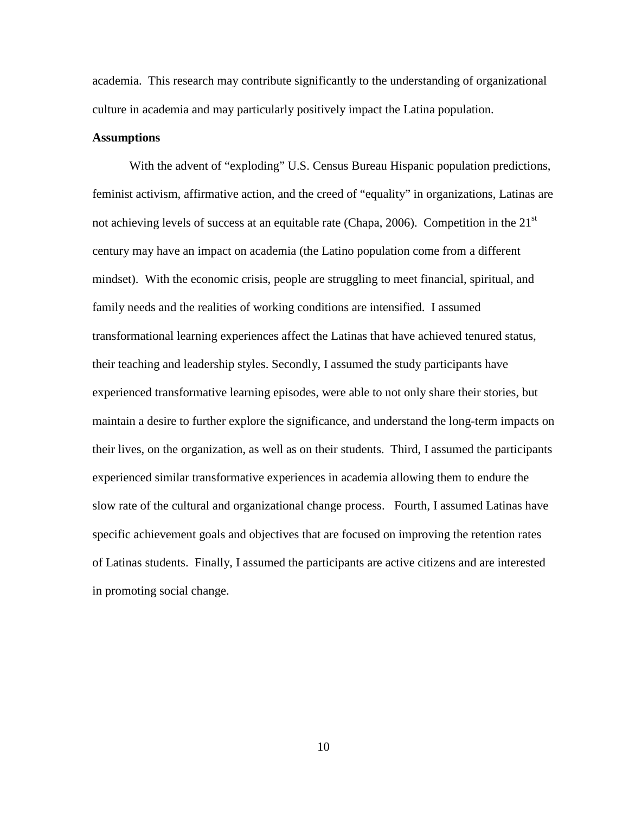academia. This research may contribute significantly to the understanding of organizational culture in academia and may particularly positively impact the Latina population.

## <span id="page-23-0"></span>**Assumptions**

With the advent of "exploding" U.S. Census Bureau Hispanic population predictions, feminist activism, affirmative action, and the creed of "equality" in organizations, Latinas are not achieving levels of success at an equitable rate (Chapa, 2006). Competition in the 21<sup>st</sup> century may have an impact on academia (the Latino population come from a different mindset). With the economic crisis, people are struggling to meet financial, spiritual, and family needs and the realities of working conditions are intensified. I assumed transformational learning experiences affect the Latinas that have achieved tenured status, their teaching and leadership styles. Secondly, I assumed the study participants have experienced transformative learning episodes, were able to not only share their stories, but maintain a desire to further explore the significance, and understand the long-term impacts on their lives, on the organization, as well as on their students. Third, I assumed the participants experienced similar transformative experiences in academia allowing them to endure the slow rate of the cultural and organizational change process. Fourth, I assumed Latinas have specific achievement goals and objectives that are focused on improving the retention rates of Latinas students. Finally, I assumed the participants are active citizens and are interested in promoting social change.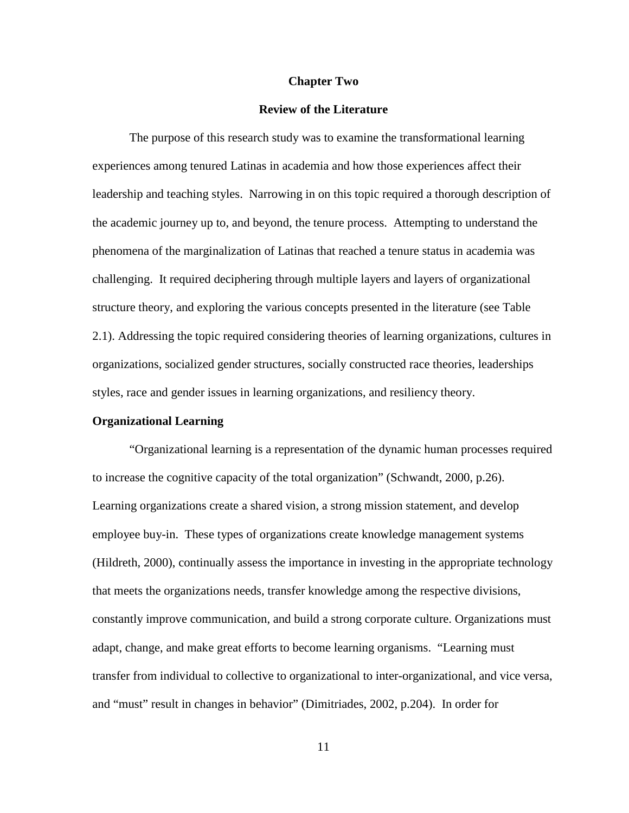#### **Chapter Two**

### **Review of the Literature**

<span id="page-24-0"></span>The purpose of this research study was to examine the transformational learning experiences among tenured Latinas in academia and how those experiences affect their leadership and teaching styles. Narrowing in on this topic required a thorough description of the academic journey up to, and beyond, the tenure process. Attempting to understand the phenomena of the marginalization of Latinas that reached a tenure status in academia was challenging. It required deciphering through multiple layers and layers of organizational structure theory, and exploring the various concepts presented in the literature (see Table 2.1). Addressing the topic required considering theories of learning organizations, cultures in organizations, socialized gender structures, socially constructed race theories, leaderships styles, race and gender issues in learning organizations, and resiliency theory.

### <span id="page-24-1"></span>**Organizational Learning**

"Organizational learning is a representation of the dynamic human processes required to increase the cognitive capacity of the total organization" (Schwandt, 2000, p.26). Learning organizations create a shared vision, a strong mission statement, and develop employee buy-in. These types of organizations create knowledge management systems (Hildreth, 2000), continually assess the importance in investing in the appropriate technology that meets the organizations needs, transfer knowledge among the respective divisions, constantly improve communication, and build a strong corporate culture. Organizations must adapt, change, and make great efforts to become learning organisms. "Learning must transfer from individual to collective to organizational to inter-organizational, and vice versa, and "must" result in changes in behavior" (Dimitriades, 2002, p.204). In order for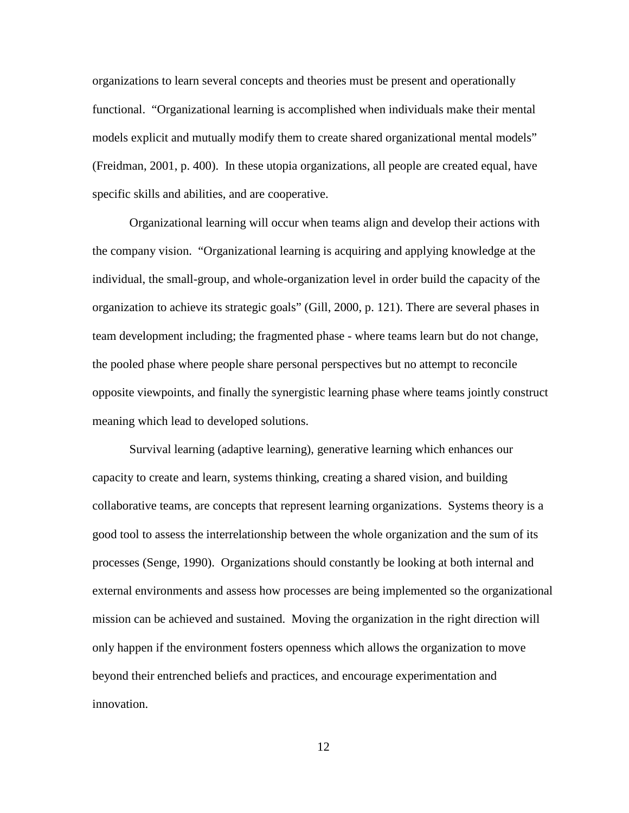organizations to learn several concepts and theories must be present and operationally functional. "Organizational learning is accomplished when individuals make their mental models explicit and mutually modify them to create shared organizational mental models" (Freidman, 2001, p. 400). In these utopia organizations, all people are created equal, have specific skills and abilities, and are cooperative.

Organizational learning will occur when teams align and develop their actions with the company vision. "Organizational learning is acquiring and applying knowledge at the individual, the small-group, and whole-organization level in order build the capacity of the organization to achieve its strategic goals" (Gill, 2000, p. 121). There are several phases in team development including; the fragmented phase - where teams learn but do not change, the pooled phase where people share personal perspectives but no attempt to reconcile opposite viewpoints, and finally the synergistic learning phase where teams jointly construct meaning which lead to developed solutions.

Survival learning (adaptive learning), generative learning which enhances our capacity to create and learn, systems thinking, creating a shared vision, and building collaborative teams, are concepts that represent learning organizations. Systems theory is a good tool to assess the interrelationship between the whole organization and the sum of its processes (Senge, 1990). Organizations should constantly be looking at both internal and external environments and assess how processes are being implemented so the organizational mission can be achieved and sustained. Moving the organization in the right direction will only happen if the environment fosters openness which allows the organization to move beyond their entrenched beliefs and practices, and encourage experimentation and innovation.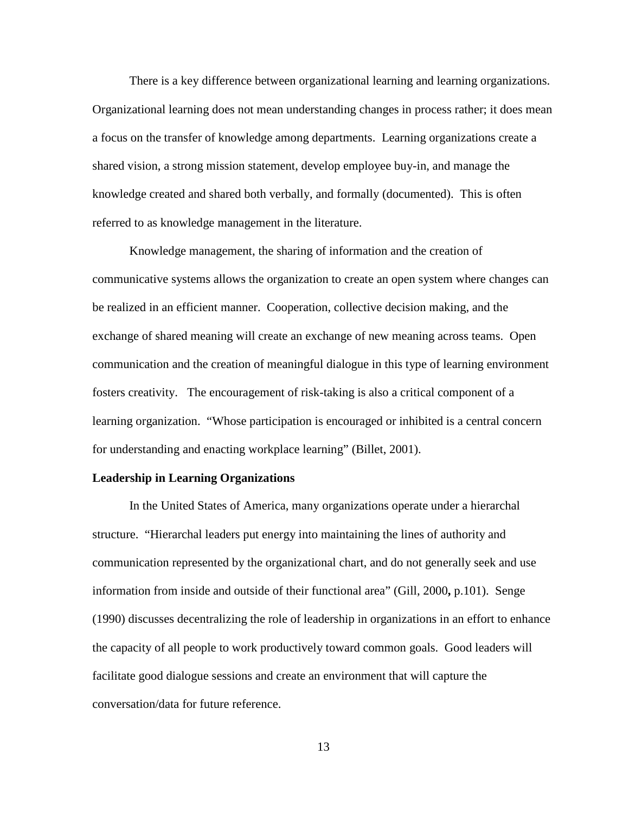There is a key difference between organizational learning and learning organizations. Organizational learning does not mean understanding changes in process rather; it does mean a focus on the transfer of knowledge among departments. Learning organizations create a shared vision, a strong mission statement, develop employee buy-in, and manage the knowledge created and shared both verbally, and formally (documented). This is often referred to as knowledge management in the literature.

Knowledge management, the sharing of information and the creation of communicative systems allows the organization to create an open system where changes can be realized in an efficient manner. Cooperation, collective decision making, and the exchange of shared meaning will create an exchange of new meaning across teams. Open communication and the creation of meaningful dialogue in this type of learning environment fosters creativity. The encouragement of risk-taking is also a critical component of a learning organization. "Whose participation is encouraged or inhibited is a central concern for understanding and enacting workplace learning" (Billet, 2001).

## <span id="page-26-0"></span>**Leadership in Learning Organizations**

In the United States of America, many organizations operate under a hierarchal structure. "Hierarchal leaders put energy into maintaining the lines of authority and communication represented by the organizational chart, and do not generally seek and use information from inside and outside of their functional area" (Gill, 2000**,** p.101). Senge (1990) discusses decentralizing the role of leadership in organizations in an effort to enhance the capacity of all people to work productively toward common goals. Good leaders will facilitate good dialogue sessions and create an environment that will capture the conversation/data for future reference.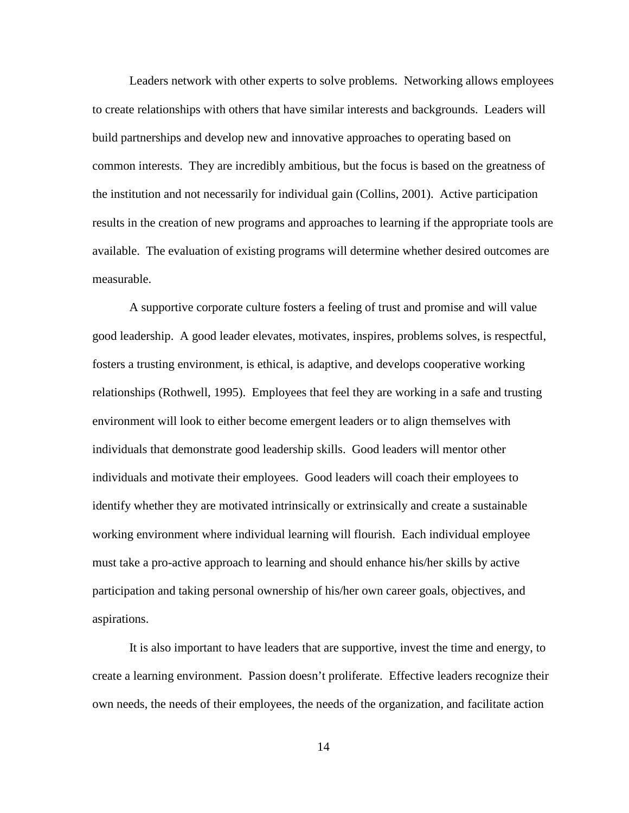Leaders network with other experts to solve problems. Networking allows employees to create relationships with others that have similar interests and backgrounds. Leaders will build partnerships and develop new and innovative approaches to operating based on common interests. They are incredibly ambitious, but the focus is based on the greatness of the institution and not necessarily for individual gain (Collins, 2001). Active participation results in the creation of new programs and approaches to learning if the appropriate tools are available. The evaluation of existing programs will determine whether desired outcomes are measurable.

A supportive corporate culture fosters a feeling of trust and promise and will value good leadership. A good leader elevates, motivates, inspires, problems solves, is respectful, fosters a trusting environment, is ethical, is adaptive, and develops cooperative working relationships (Rothwell, 1995). Employees that feel they are working in a safe and trusting environment will look to either become emergent leaders or to align themselves with individuals that demonstrate good leadership skills. Good leaders will mentor other individuals and motivate their employees. Good leaders will coach their employees to identify whether they are motivated intrinsically or extrinsically and create a sustainable working environment where individual learning will flourish. Each individual employee must take a pro-active approach to learning and should enhance his/her skills by active participation and taking personal ownership of his/her own career goals, objectives, and aspirations.

It is also important to have leaders that are supportive, invest the time and energy, to create a learning environment. Passion doesn't proliferate. Effective leaders recognize their own needs, the needs of their employees, the needs of the organization, and facilitate action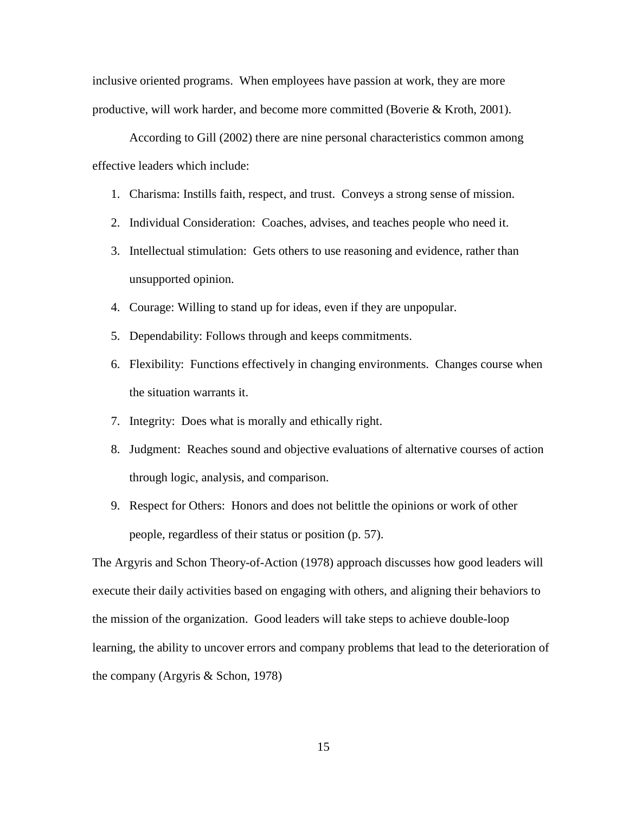inclusive oriented programs. When employees have passion at work, they are more productive, will work harder, and become more committed (Boverie & Kroth, 2001).

According to Gill (2002) there are nine personal characteristics common among effective leaders which include:

- 1. Charisma: Instills faith, respect, and trust. Conveys a strong sense of mission.
- 2. Individual Consideration: Coaches, advises, and teaches people who need it.
- 3. Intellectual stimulation: Gets others to use reasoning and evidence, rather than unsupported opinion.
- 4. Courage: Willing to stand up for ideas, even if they are unpopular.
- 5. Dependability: Follows through and keeps commitments.
- 6. Flexibility: Functions effectively in changing environments. Changes course when the situation warrants it.
- 7. Integrity: Does what is morally and ethically right.
- 8. Judgment: Reaches sound and objective evaluations of alternative courses of action through logic, analysis, and comparison.
- 9. Respect for Others: Honors and does not belittle the opinions or work of other people, regardless of their status or position (p. 57).

The Argyris and Schon Theory-of-Action (1978) approach discusses how good leaders will execute their daily activities based on engaging with others, and aligning their behaviors to the mission of the organization. Good leaders will take steps to achieve double-loop learning, the ability to uncover errors and company problems that lead to the deterioration of the company (Argyris & Schon, 1978)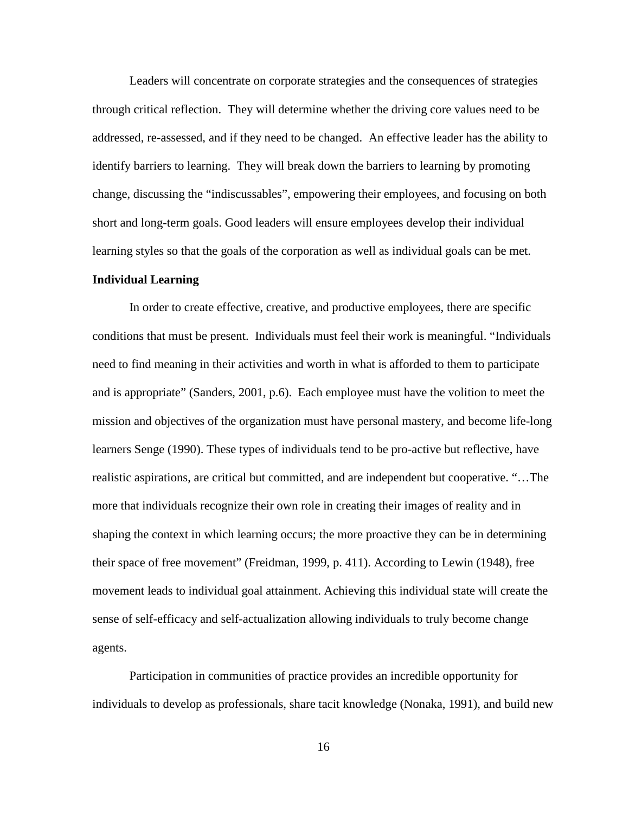Leaders will concentrate on corporate strategies and the consequences of strategies through critical reflection. They will determine whether the driving core values need to be addressed, re-assessed, and if they need to be changed. An effective leader has the ability to identify barriers to learning. They will break down the barriers to learning by promoting change, discussing the "indiscussables", empowering their employees, and focusing on both short and long-term goals. Good leaders will ensure employees develop their individual learning styles so that the goals of the corporation as well as individual goals can be met.

#### <span id="page-29-0"></span>**Individual Learning**

In order to create effective, creative, and productive employees, there are specific conditions that must be present. Individuals must feel their work is meaningful. "Individuals need to find meaning in their activities and worth in what is afforded to them to participate and is appropriate" (Sanders, 2001, p.6). Each employee must have the volition to meet the mission and objectives of the organization must have personal mastery, and become life-long learners Senge (1990). These types of individuals tend to be pro-active but reflective, have realistic aspirations, are critical but committed, and are independent but cooperative. "…The more that individuals recognize their own role in creating their images of reality and in shaping the context in which learning occurs; the more proactive they can be in determining their space of free movement" (Freidman, 1999, p. 411). According to Lewin (1948), free movement leads to individual goal attainment. Achieving this individual state will create the sense of self-efficacy and self-actualization allowing individuals to truly become change agents.

Participation in communities of practice provides an incredible opportunity for individuals to develop as professionals, share tacit knowledge (Nonaka, 1991), and build new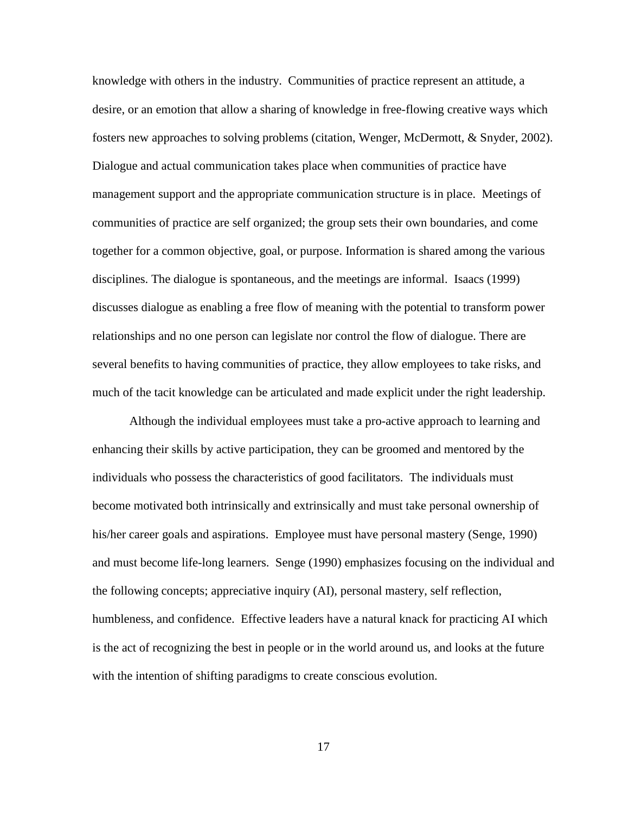knowledge with others in the industry. Communities of practice represent an attitude, a desire, or an emotion that allow a sharing of knowledge in free-flowing creative ways which fosters new approaches to solving problems (citation, Wenger, McDermott, & Snyder, 2002). Dialogue and actual communication takes place when communities of practice have management support and the appropriate communication structure is in place. Meetings of communities of practice are self organized; the group sets their own boundaries, and come together for a common objective, goal, or purpose. Information is shared among the various disciplines. The dialogue is spontaneous, and the meetings are informal. Isaacs (1999) discusses dialogue as enabling a free flow of meaning with the potential to transform power relationships and no one person can legislate nor control the flow of dialogue. There are several benefits to having communities of practice, they allow employees to take risks, and much of the tacit knowledge can be articulated and made explicit under the right leadership.

 Although the individual employees must take a pro-active approach to learning and enhancing their skills by active participation, they can be groomed and mentored by the individuals who possess the characteristics of good facilitators. The individuals must become motivated both intrinsically and extrinsically and must take personal ownership of his/her career goals and aspirations. Employee must have personal mastery (Senge, 1990) and must become life-long learners. Senge (1990) emphasizes focusing on the individual and the following concepts; appreciative inquiry (AI), personal mastery, self reflection, humbleness, and confidence. Effective leaders have a natural knack for practicing AI which is the act of recognizing the best in people or in the world around us, and looks at the future with the intention of shifting paradigms to create conscious evolution.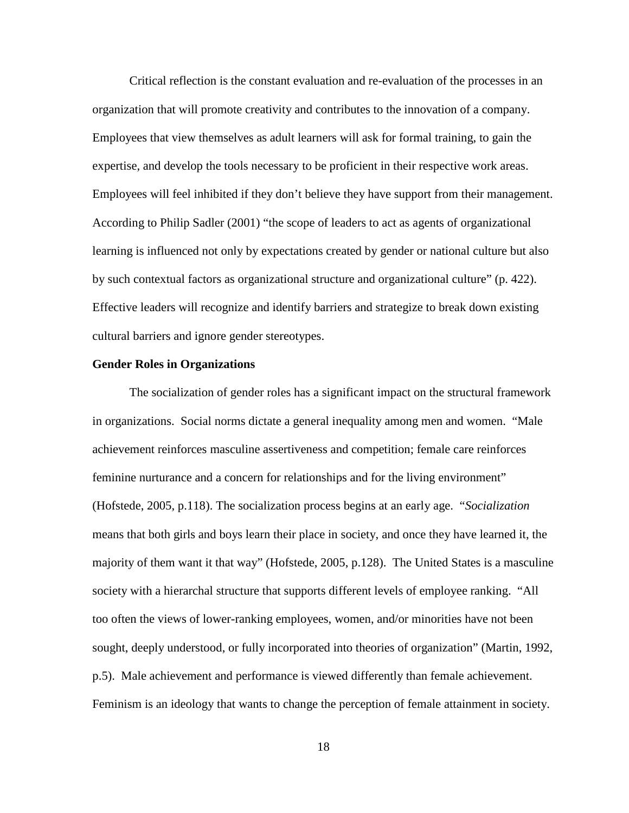Critical reflection is the constant evaluation and re-evaluation of the processes in an organization that will promote creativity and contributes to the innovation of a company. Employees that view themselves as adult learners will ask for formal training, to gain the expertise, and develop the tools necessary to be proficient in their respective work areas. Employees will feel inhibited if they don't believe they have support from their management. According to Philip Sadler (2001) "the scope of leaders to act as agents of organizational learning is influenced not only by expectations created by gender or national culture but also by such contextual factors as organizational structure and organizational culture" (p. 422). Effective leaders will recognize and identify barriers and strategize to break down existing cultural barriers and ignore gender stereotypes.

#### <span id="page-31-0"></span>**Gender Roles in Organizations**

The socialization of gender roles has a significant impact on the structural framework in organizations. Social norms dictate a general inequality among men and women. "Male achievement reinforces masculine assertiveness and competition; female care reinforces feminine nurturance and a concern for relationships and for the living environment" (Hofstede, 2005, p.118). The socialization process begins at an early age. "*Socialization*  means that both girls and boys learn their place in society, and once they have learned it, the majority of them want it that way" (Hofstede, 2005, p.128). The United States is a masculine society with a hierarchal structure that supports different levels of employee ranking. "All too often the views of lower-ranking employees, women, and/or minorities have not been sought, deeply understood, or fully incorporated into theories of organization" (Martin, 1992, p.5). Male achievement and performance is viewed differently than female achievement. Feminism is an ideology that wants to change the perception of female attainment in society.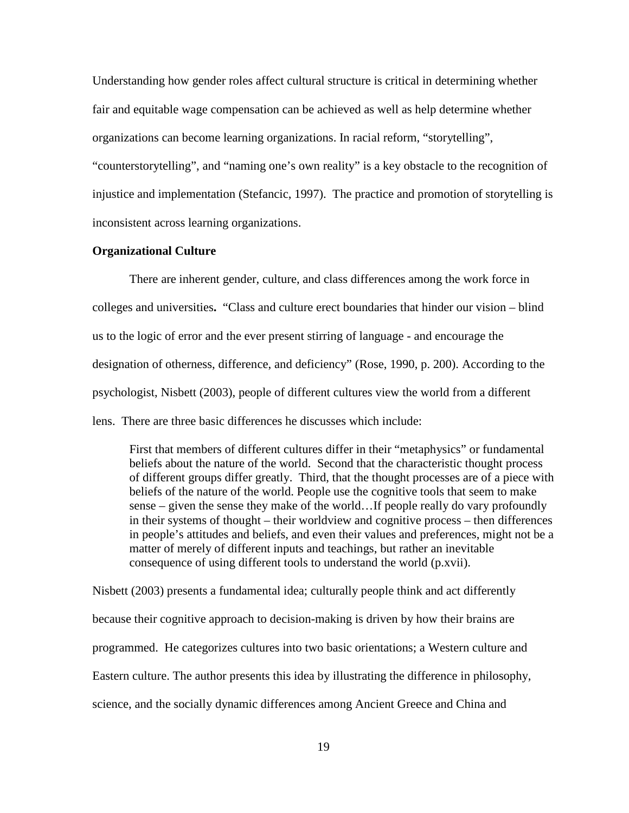Understanding how gender roles affect cultural structure is critical in determining whether fair and equitable wage compensation can be achieved as well as help determine whether organizations can become learning organizations. In racial reform, "storytelling",

"counterstorytelling", and "naming one's own reality" is a key obstacle to the recognition of injustice and implementation (Stefancic, 1997). The practice and promotion of storytelling is inconsistent across learning organizations.

## <span id="page-32-0"></span>**Organizational Culture**

There are inherent gender, culture, and class differences among the work force in colleges and universities**.** "Class and culture erect boundaries that hinder our vision – blind us to the logic of error and the ever present stirring of language - and encourage the designation of otherness, difference, and deficiency" (Rose, 1990, p. 200). According to the psychologist, Nisbett (2003), people of different cultures view the world from a different lens. There are three basic differences he discusses which include:

First that members of different cultures differ in their "metaphysics" or fundamental beliefs about the nature of the world. Second that the characteristic thought process of different groups differ greatly. Third, that the thought processes are of a piece with beliefs of the nature of the world. People use the cognitive tools that seem to make sense – given the sense they make of the world…If people really do vary profoundly in their systems of thought – their worldview and cognitive process – then differences in people's attitudes and beliefs, and even their values and preferences, might not be a matter of merely of different inputs and teachings, but rather an inevitable consequence of using different tools to understand the world (p.xvii).

Nisbett (2003) presents a fundamental idea; culturally people think and act differently because their cognitive approach to decision-making is driven by how their brains are programmed. He categorizes cultures into two basic orientations; a Western culture and Eastern culture. The author presents this idea by illustrating the difference in philosophy, science, and the socially dynamic differences among Ancient Greece and China and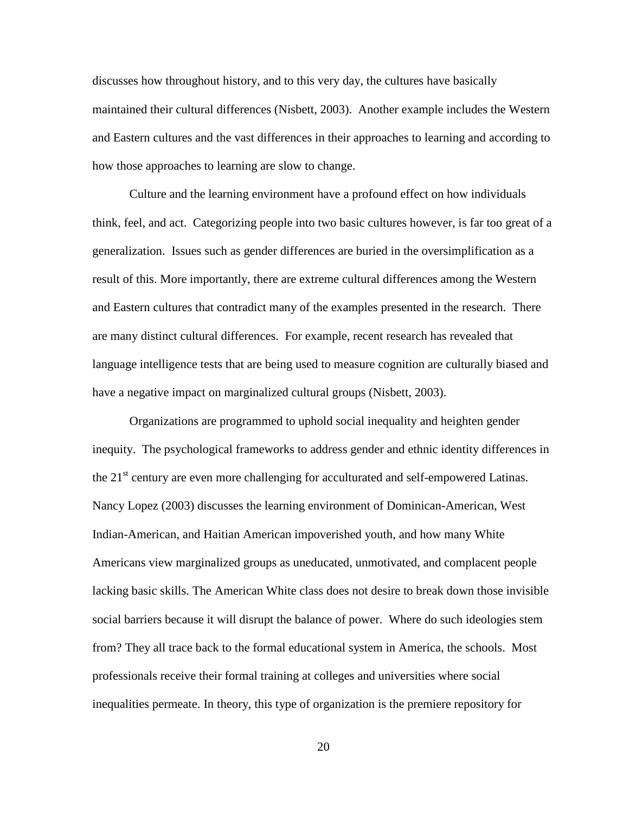discusses how throughout history, and to this very day, the cultures have basically maintained their cultural differences (Nisbett, 2003). Another example includes the Western and Eastern cultures and the vast differences in their approaches to learning and according to how those approaches to learning are slow to change.

Culture and the learning environment have a profound effect on how individuals think, feel, and act. Categorizing people into two basic cultures however, is far too great of a generalization. Issues such as gender differences are buried in the oversimplification as a result of this. More importantly, there are extreme cultural differences among the Western and Eastern cultures that contradict many of the examples presented in the research. There are many distinct cultural differences. For example, recent research has revealed that language intelligence tests that are being used to measure cognition are culturally biased and have a negative impact on marginalized cultural groups (Nisbett, 2003).

Organizations are programmed to uphold social inequality and heighten gender inequity. The psychological frameworks to address gender and ethnic identity differences in the  $21<sup>st</sup>$  century are even more challenging for acculturated and self-empowered Latinas. Nancy Lopez (2003) discusses the learning environment of Dominican-American, West Indian-American, and Haitian American impoverished youth, and how many White Americans view marginalized groups as uneducated, unmotivated, and complacent people lacking basic skills. The American White class does not desire to break down those invisible social barriers because it will disrupt the balance of power. Where do such ideologies stem from? They all trace back to the formal educational system in America, the schools. Most professionals receive their formal training at colleges and universities where social inequalities permeate. In theory, this type of organization is the premiere repository for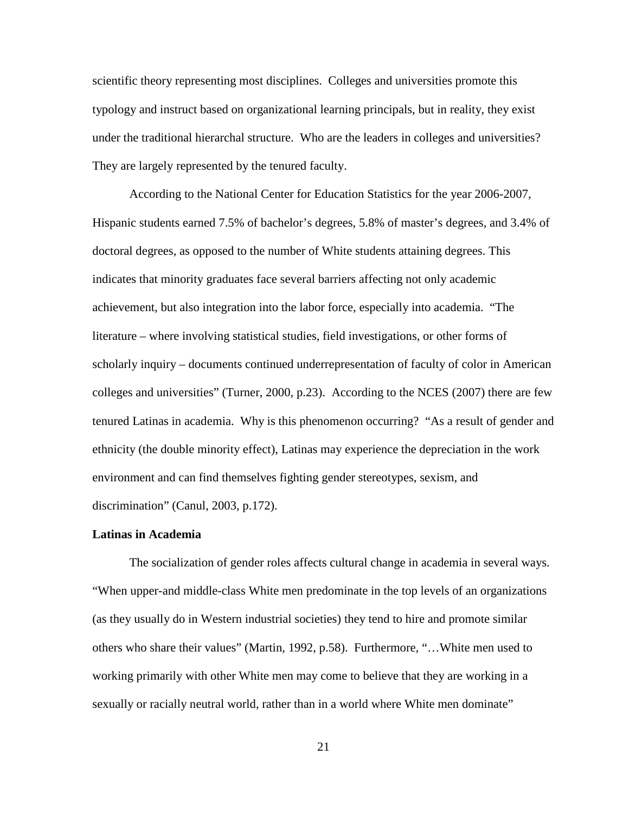scientific theory representing most disciplines. Colleges and universities promote this typology and instruct based on organizational learning principals, but in reality, they exist under the traditional hierarchal structure. Who are the leaders in colleges and universities? They are largely represented by the tenured faculty.

According to the National Center for Education Statistics for the year 2006-2007, Hispanic students earned 7.5% of bachelor's degrees, 5.8% of master's degrees, and 3.4% of doctoral degrees, as opposed to the number of White students attaining degrees. This indicates that minority graduates face several barriers affecting not only academic achievement, but also integration into the labor force, especially into academia. "The literature – where involving statistical studies, field investigations, or other forms of scholarly inquiry – documents continued underrepresentation of faculty of color in American colleges and universities" (Turner, 2000, p.23). According to the NCES (2007) there are few tenured Latinas in academia. Why is this phenomenon occurring? "As a result of gender and ethnicity (the double minority effect), Latinas may experience the depreciation in the work environment and can find themselves fighting gender stereotypes, sexism, and discrimination" (Canul, 2003, p.172).

### <span id="page-34-0"></span>**Latinas in Academia**

The socialization of gender roles affects cultural change in academia in several ways. "When upper-and middle-class White men predominate in the top levels of an organizations (as they usually do in Western industrial societies) they tend to hire and promote similar others who share their values" (Martin, 1992, p.58). Furthermore, "…White men used to working primarily with other White men may come to believe that they are working in a sexually or racially neutral world, rather than in a world where White men dominate"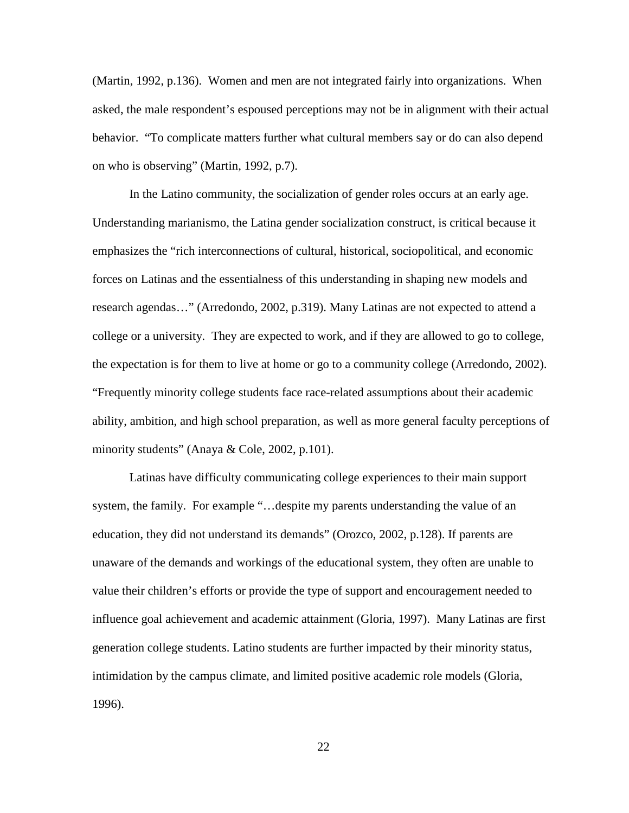(Martin, 1992, p.136). Women and men are not integrated fairly into organizations. When asked, the male respondent's espoused perceptions may not be in alignment with their actual behavior. "To complicate matters further what cultural members say or do can also depend on who is observing" (Martin, 1992, p.7).

In the Latino community, the socialization of gender roles occurs at an early age. Understanding marianismo, the Latina gender socialization construct, is critical because it emphasizes the "rich interconnections of cultural, historical, sociopolitical, and economic forces on Latinas and the essentialness of this understanding in shaping new models and research agendas…" (Arredondo, 2002, p.319). Many Latinas are not expected to attend a college or a university. They are expected to work, and if they are allowed to go to college, the expectation is for them to live at home or go to a community college (Arredondo, 2002). "Frequently minority college students face race-related assumptions about their academic ability, ambition, and high school preparation, as well as more general faculty perceptions of minority students" (Anaya & Cole, 2002, p.101).

Latinas have difficulty communicating college experiences to their main support system, the family. For example "…despite my parents understanding the value of an education, they did not understand its demands" (Orozco, 2002, p.128). If parents are unaware of the demands and workings of the educational system, they often are unable to value their children's efforts or provide the type of support and encouragement needed to influence goal achievement and academic attainment (Gloria, 1997). Many Latinas are first generation college students. Latino students are further impacted by their minority status, intimidation by the campus climate, and limited positive academic role models (Gloria, 1996).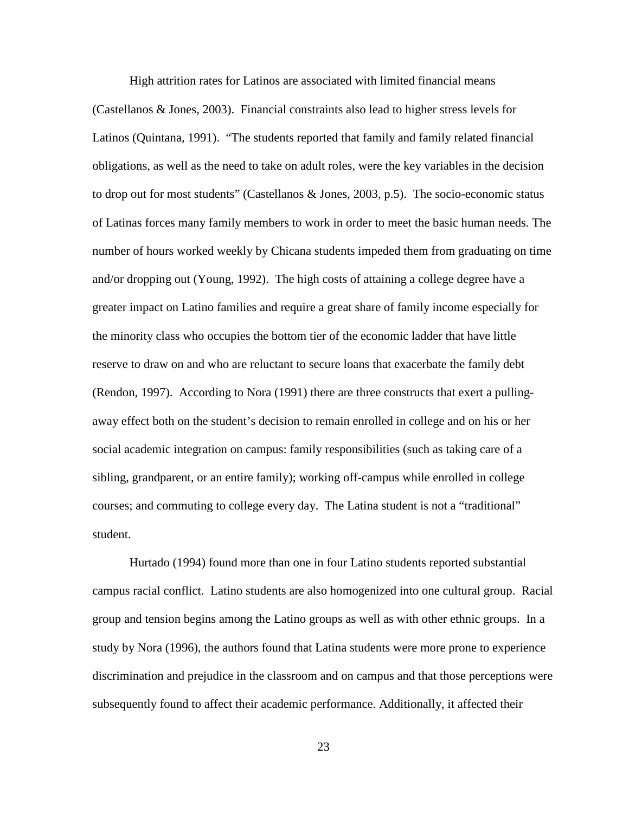High attrition rates for Latinos are associated with limited financial means (Castellanos & Jones, 2003). Financial constraints also lead to higher stress levels for Latinos (Quintana, 1991). "The students reported that family and family related financial obligations, as well as the need to take on adult roles, were the key variables in the decision to drop out for most students" (Castellanos & Jones, 2003, p.5). The socio-economic status of Latinas forces many family members to work in order to meet the basic human needs. The number of hours worked weekly by Chicana students impeded them from graduating on time and/or dropping out (Young, 1992). The high costs of attaining a college degree have a greater impact on Latino families and require a great share of family income especially for the minority class who occupies the bottom tier of the economic ladder that have little reserve to draw on and who are reluctant to secure loans that exacerbate the family debt (Rendon, 1997). According to Nora (1991) there are three constructs that exert a pullingaway effect both on the student's decision to remain enrolled in college and on his or her social academic integration on campus: family responsibilities (such as taking care of a sibling, grandparent, or an entire family); working off-campus while enrolled in college courses; and commuting to college every day. The Latina student is not a "traditional" student.

Hurtado (1994) found more than one in four Latino students reported substantial campus racial conflict. Latino students are also homogenized into one cultural group. Racial group and tension begins among the Latino groups as well as with other ethnic groups. In a study by Nora (1996), the authors found that Latina students were more prone to experience discrimination and prejudice in the classroom and on campus and that those perceptions were subsequently found to affect their academic performance. Additionally, it affected their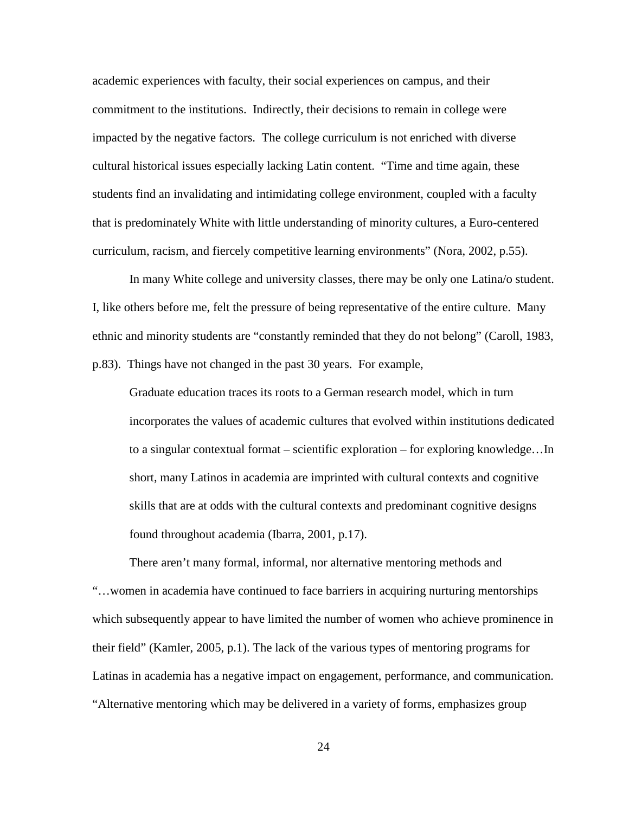academic experiences with faculty, their social experiences on campus, and their commitment to the institutions. Indirectly, their decisions to remain in college were impacted by the negative factors. The college curriculum is not enriched with diverse cultural historical issues especially lacking Latin content. "Time and time again, these students find an invalidating and intimidating college environment, coupled with a faculty that is predominately White with little understanding of minority cultures, a Euro-centered curriculum, racism, and fiercely competitive learning environments" (Nora, 2002, p.55).

In many White college and university classes, there may be only one Latina/o student. I, like others before me, felt the pressure of being representative of the entire culture. Many ethnic and minority students are "constantly reminded that they do not belong" (Caroll, 1983, p.83). Things have not changed in the past 30 years. For example,

Graduate education traces its roots to a German research model, which in turn incorporates the values of academic cultures that evolved within institutions dedicated to a singular contextual format – scientific exploration – for exploring knowledge…In short, many Latinos in academia are imprinted with cultural contexts and cognitive skills that are at odds with the cultural contexts and predominant cognitive designs found throughout academia (Ibarra, 2001, p.17).

There aren't many formal, informal, nor alternative mentoring methods and "…women in academia have continued to face barriers in acquiring nurturing mentorships which subsequently appear to have limited the number of women who achieve prominence in their field" (Kamler, 2005, p.1). The lack of the various types of mentoring programs for Latinas in academia has a negative impact on engagement, performance, and communication. "Alternative mentoring which may be delivered in a variety of forms, emphasizes group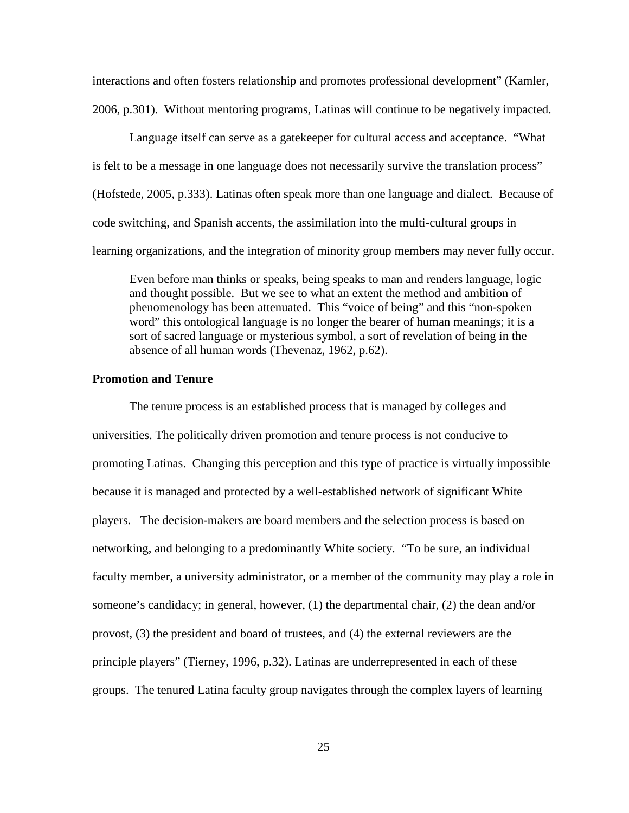interactions and often fosters relationship and promotes professional development" (Kamler, 2006, p.301). Without mentoring programs, Latinas will continue to be negatively impacted.

Language itself can serve as a gatekeeper for cultural access and acceptance. "What is felt to be a message in one language does not necessarily survive the translation process" (Hofstede, 2005, p.333). Latinas often speak more than one language and dialect. Because of code switching, and Spanish accents, the assimilation into the multi-cultural groups in learning organizations, and the integration of minority group members may never fully occur.

Even before man thinks or speaks, being speaks to man and renders language, logic and thought possible. But we see to what an extent the method and ambition of phenomenology has been attenuated. This "voice of being" and this "non-spoken word" this ontological language is no longer the bearer of human meanings; it is a sort of sacred language or mysterious symbol, a sort of revelation of being in the absence of all human words (Thevenaz, 1962, p.62).

## **Promotion and Tenure**

The tenure process is an established process that is managed by colleges and universities. The politically driven promotion and tenure process is not conducive to promoting Latinas. Changing this perception and this type of practice is virtually impossible because it is managed and protected by a well-established network of significant White players. The decision-makers are board members and the selection process is based on networking, and belonging to a predominantly White society. "To be sure, an individual faculty member, a university administrator, or a member of the community may play a role in someone's candidacy; in general, however, (1) the departmental chair, (2) the dean and/or provost, (3) the president and board of trustees, and (4) the external reviewers are the principle players" (Tierney, 1996, p.32). Latinas are underrepresented in each of these groups. The tenured Latina faculty group navigates through the complex layers of learning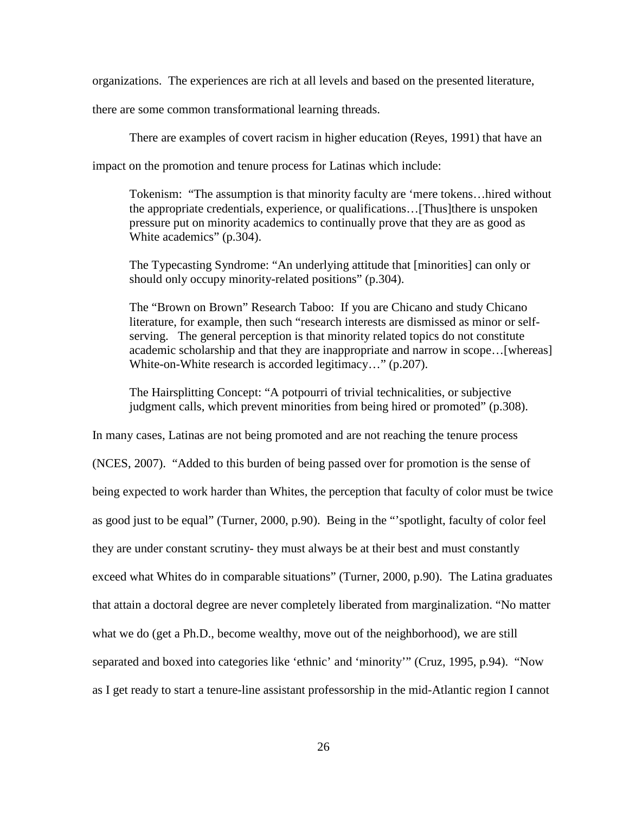organizations. The experiences are rich at all levels and based on the presented literature,

there are some common transformational learning threads.

There are examples of covert racism in higher education (Reyes, 1991) that have an

impact on the promotion and tenure process for Latinas which include:

Tokenism: "The assumption is that minority faculty are 'mere tokens…hired without the appropriate credentials, experience, or qualifications…[Thus]there is unspoken pressure put on minority academics to continually prove that they are as good as White academics" (p.304).

The Typecasting Syndrome: "An underlying attitude that [minorities] can only or should only occupy minority-related positions" (p.304).

The "Brown on Brown" Research Taboo: If you are Chicano and study Chicano literature, for example, then such "research interests are dismissed as minor or selfserving. The general perception is that minority related topics do not constitute academic scholarship and that they are inappropriate and narrow in scope…[whereas] White-on-White research is accorded legitimacy…" (p.207).

The Hairsplitting Concept: "A potpourri of trivial technicalities, or subjective judgment calls, which prevent minorities from being hired or promoted" (p.308).

In many cases, Latinas are not being promoted and are not reaching the tenure process (NCES, 2007). "Added to this burden of being passed over for promotion is the sense of being expected to work harder than Whites, the perception that faculty of color must be twice as good just to be equal" (Turner, 2000, p.90). Being in the "'spotlight, faculty of color feel they are under constant scrutiny- they must always be at their best and must constantly exceed what Whites do in comparable situations" (Turner, 2000, p.90). The Latina graduates that attain a doctoral degree are never completely liberated from marginalization. "No matter what we do (get a Ph.D., become wealthy, move out of the neighborhood), we are still separated and boxed into categories like 'ethnic' and 'minority'" (Cruz, 1995, p.94). "Now as I get ready to start a tenure-line assistant professorship in the mid-Atlantic region I cannot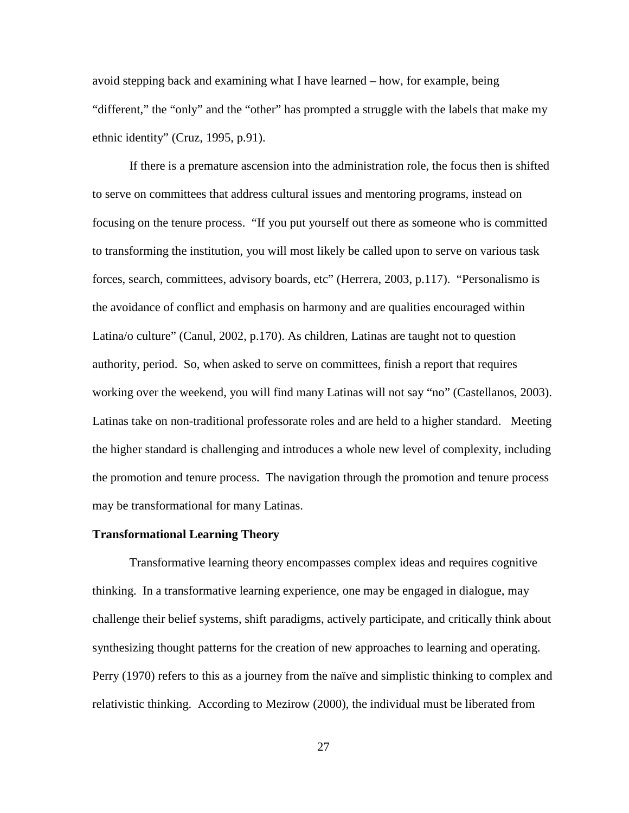avoid stepping back and examining what I have learned – how, for example, being "different," the "only" and the "other" has prompted a struggle with the labels that make my ethnic identity" (Cruz, 1995, p.91).

If there is a premature ascension into the administration role, the focus then is shifted to serve on committees that address cultural issues and mentoring programs, instead on focusing on the tenure process. "If you put yourself out there as someone who is committed to transforming the institution, you will most likely be called upon to serve on various task forces, search, committees, advisory boards, etc" (Herrera, 2003, p.117). "Personalismo is the avoidance of conflict and emphasis on harmony and are qualities encouraged within Latina/o culture" (Canul, 2002, p.170). As children, Latinas are taught not to question authority, period. So, when asked to serve on committees, finish a report that requires working over the weekend, you will find many Latinas will not say "no" (Castellanos, 2003). Latinas take on non-traditional professorate roles and are held to a higher standard. Meeting the higher standard is challenging and introduces a whole new level of complexity, including the promotion and tenure process. The navigation through the promotion and tenure process may be transformational for many Latinas.

#### **Transformational Learning Theory**

Transformative learning theory encompasses complex ideas and requires cognitive thinking. In a transformative learning experience, one may be engaged in dialogue, may challenge their belief systems, shift paradigms, actively participate, and critically think about synthesizing thought patterns for the creation of new approaches to learning and operating. Perry (1970) refers to this as a journey from the naïve and simplistic thinking to complex and relativistic thinking. According to Mezirow (2000), the individual must be liberated from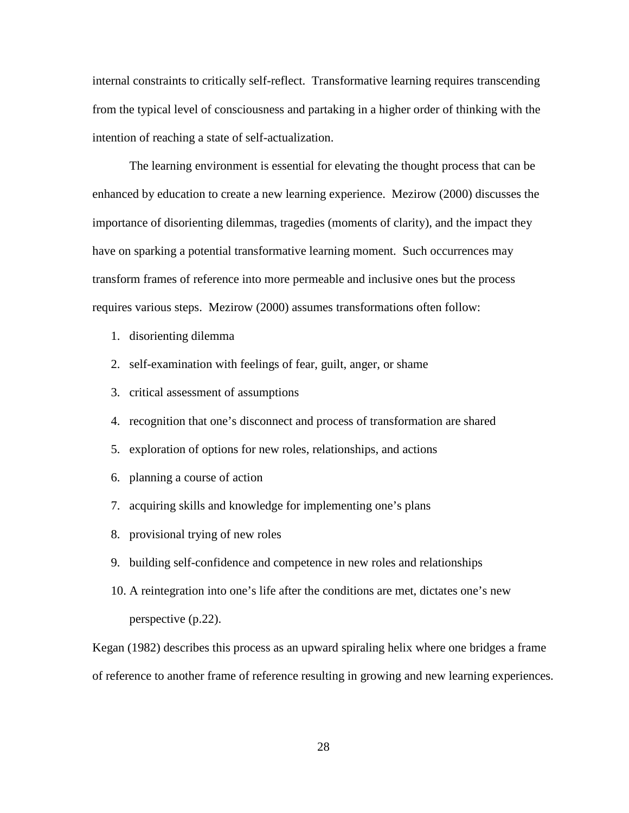internal constraints to critically self-reflect. Transformative learning requires transcending from the typical level of consciousness and partaking in a higher order of thinking with the intention of reaching a state of self-actualization.

The learning environment is essential for elevating the thought process that can be enhanced by education to create a new learning experience. Mezirow (2000) discusses the importance of disorienting dilemmas, tragedies (moments of clarity), and the impact they have on sparking a potential transformative learning moment. Such occurrences may transform frames of reference into more permeable and inclusive ones but the process requires various steps. Mezirow (2000) assumes transformations often follow:

- 1. disorienting dilemma
- 2. self-examination with feelings of fear, guilt, anger, or shame
- 3. critical assessment of assumptions
- 4. recognition that one's disconnect and process of transformation are shared
- 5. exploration of options for new roles, relationships, and actions
- 6. planning a course of action
- 7. acquiring skills and knowledge for implementing one's plans
- 8. provisional trying of new roles
- 9. building self-confidence and competence in new roles and relationships
- 10. A reintegration into one's life after the conditions are met, dictates one's new perspective (p.22).

Kegan (1982) describes this process as an upward spiraling helix where one bridges a frame of reference to another frame of reference resulting in growing and new learning experiences.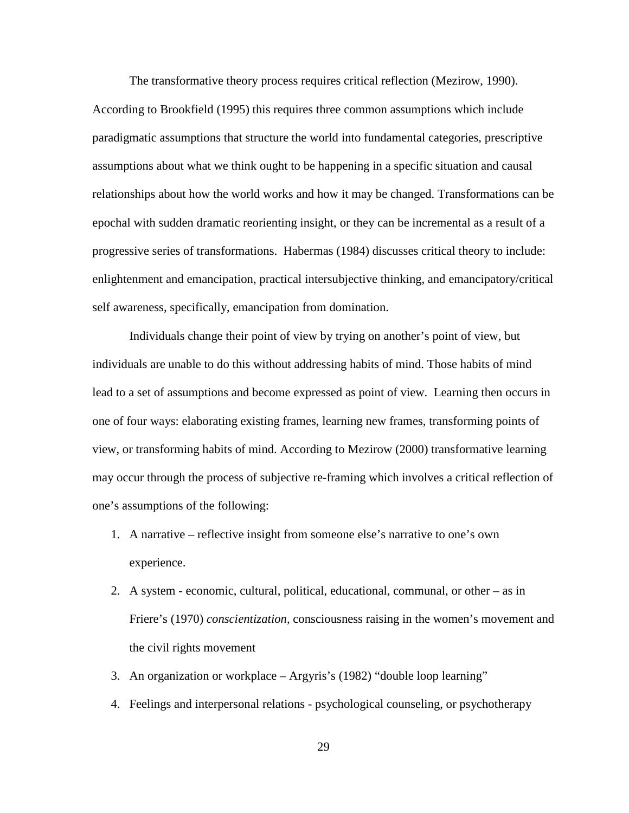The transformative theory process requires critical reflection (Mezirow, 1990). According to Brookfield (1995) this requires three common assumptions which include paradigmatic assumptions that structure the world into fundamental categories, prescriptive assumptions about what we think ought to be happening in a specific situation and causal relationships about how the world works and how it may be changed. Transformations can be epochal with sudden dramatic reorienting insight, or they can be incremental as a result of a progressive series of transformations. Habermas (1984) discusses critical theory to include: enlightenment and emancipation, practical intersubjective thinking, and emancipatory/critical self awareness, specifically, emancipation from domination.

Individuals change their point of view by trying on another's point of view, but individuals are unable to do this without addressing habits of mind. Those habits of mind lead to a set of assumptions and become expressed as point of view. Learning then occurs in one of four ways: elaborating existing frames, learning new frames, transforming points of view, or transforming habits of mind. According to Mezirow (2000) transformative learning may occur through the process of subjective re-framing which involves a critical reflection of one's assumptions of the following:

- 1. A narrative reflective insight from someone else's narrative to one's own experience.
- 2. A system economic, cultural, political, educational, communal, or other as in Friere's (1970) *conscientization,* consciousness raising in the women's movement and the civil rights movement
- 3. An organization or workplace Argyris's (1982) "double loop learning"
- 4. Feelings and interpersonal relations psychological counseling, or psychotherapy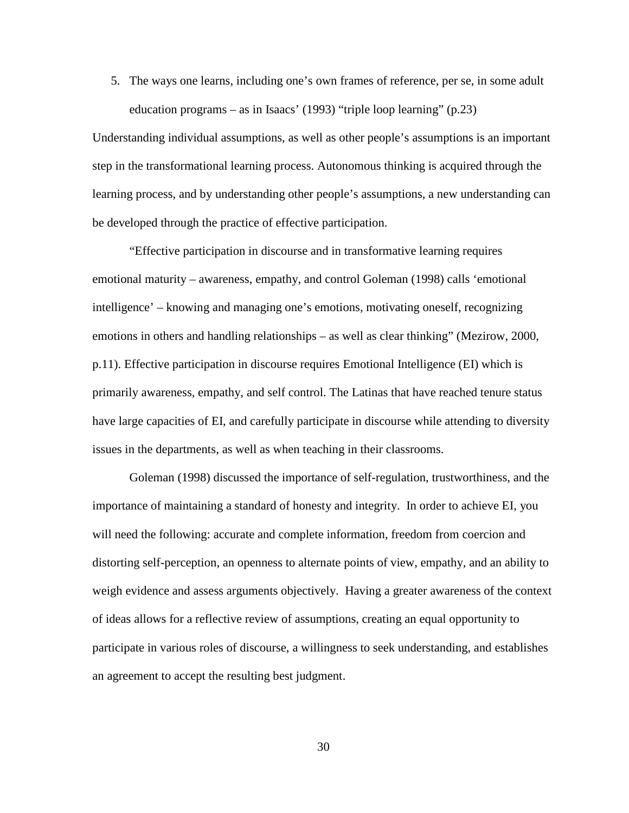5. The ways one learns, including one's own frames of reference, per se, in some adult education programs – as in Isaacs' (1993) "triple loop learning" (p.23)

Understanding individual assumptions, as well as other people's assumptions is an important step in the transformational learning process. Autonomous thinking is acquired through the learning process, and by understanding other people's assumptions, a new understanding can be developed through the practice of effective participation.

"Effective participation in discourse and in transformative learning requires emotional maturity – awareness, empathy, and control Goleman (1998) calls 'emotional intelligence' – knowing and managing one's emotions, motivating oneself, recognizing emotions in others and handling relationships – as well as clear thinking" (Mezirow, 2000, p.11). Effective participation in discourse requires Emotional Intelligence (EI) which is primarily awareness, empathy, and self control. The Latinas that have reached tenure status have large capacities of EI, and carefully participate in discourse while attending to diversity issues in the departments, as well as when teaching in their classrooms.

Goleman (1998) discussed the importance of self-regulation, trustworthiness, and the importance of maintaining a standard of honesty and integrity. In order to achieve EI, you will need the following: accurate and complete information, freedom from coercion and distorting self-perception, an openness to alternate points of view, empathy, and an ability to weigh evidence and assess arguments objectively. Having a greater awareness of the context of ideas allows for a reflective review of assumptions, creating an equal opportunity to participate in various roles of discourse, a willingness to seek understanding, and establishes an agreement to accept the resulting best judgment.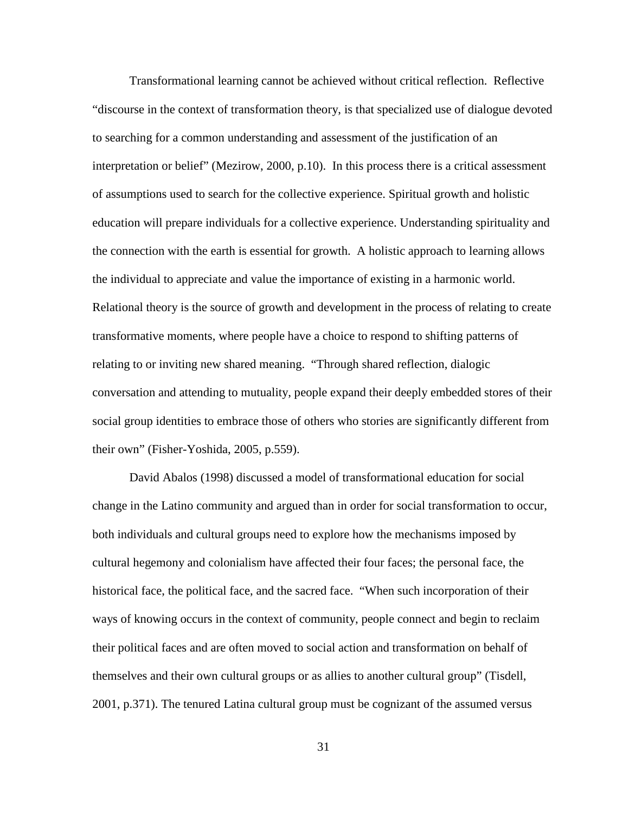Transformational learning cannot be achieved without critical reflection. Reflective "discourse in the context of transformation theory, is that specialized use of dialogue devoted to searching for a common understanding and assessment of the justification of an interpretation or belief" (Mezirow, 2000, p.10). In this process there is a critical assessment of assumptions used to search for the collective experience. Spiritual growth and holistic education will prepare individuals for a collective experience. Understanding spirituality and the connection with the earth is essential for growth. A holistic approach to learning allows the individual to appreciate and value the importance of existing in a harmonic world. Relational theory is the source of growth and development in the process of relating to create transformative moments, where people have a choice to respond to shifting patterns of relating to or inviting new shared meaning. "Through shared reflection, dialogic conversation and attending to mutuality, people expand their deeply embedded stores of their social group identities to embrace those of others who stories are significantly different from their own" (Fisher-Yoshida, 2005, p.559).

David Abalos (1998) discussed a model of transformational education for social change in the Latino community and argued than in order for social transformation to occur, both individuals and cultural groups need to explore how the mechanisms imposed by cultural hegemony and colonialism have affected their four faces; the personal face, the historical face, the political face, and the sacred face. "When such incorporation of their ways of knowing occurs in the context of community, people connect and begin to reclaim their political faces and are often moved to social action and transformation on behalf of themselves and their own cultural groups or as allies to another cultural group" (Tisdell, 2001, p.371). The tenured Latina cultural group must be cognizant of the assumed versus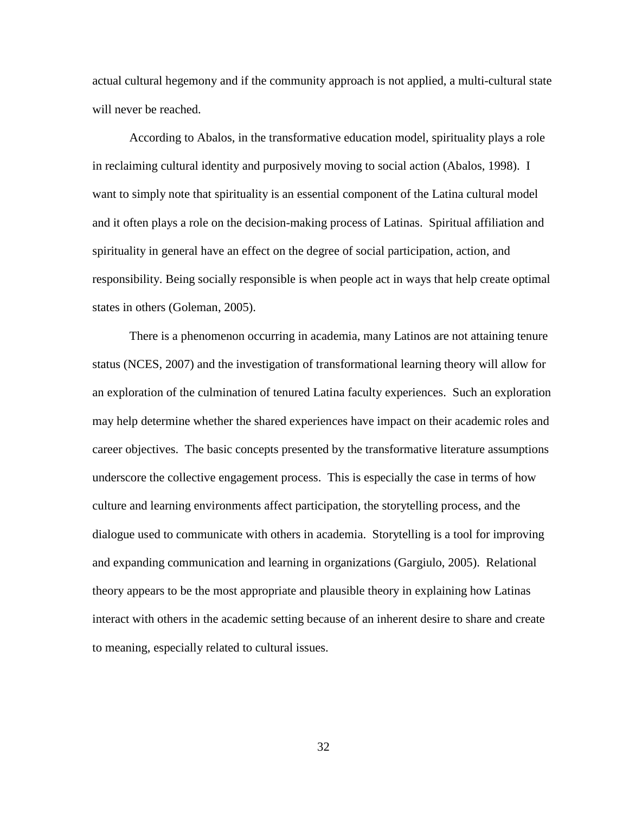actual cultural hegemony and if the community approach is not applied, a multi-cultural state will never be reached.

According to Abalos, in the transformative education model, spirituality plays a role in reclaiming cultural identity and purposively moving to social action (Abalos, 1998). I want to simply note that spirituality is an essential component of the Latina cultural model and it often plays a role on the decision-making process of Latinas. Spiritual affiliation and spirituality in general have an effect on the degree of social participation, action, and responsibility. Being socially responsible is when people act in ways that help create optimal states in others (Goleman, 2005).

There is a phenomenon occurring in academia, many Latinos are not attaining tenure status (NCES, 2007) and the investigation of transformational learning theory will allow for an exploration of the culmination of tenured Latina faculty experiences. Such an exploration may help determine whether the shared experiences have impact on their academic roles and career objectives. The basic concepts presented by the transformative literature assumptions underscore the collective engagement process. This is especially the case in terms of how culture and learning environments affect participation, the storytelling process, and the dialogue used to communicate with others in academia. Storytelling is a tool for improving and expanding communication and learning in organizations (Gargiulo, 2005). Relational theory appears to be the most appropriate and plausible theory in explaining how Latinas interact with others in the academic setting because of an inherent desire to share and create to meaning, especially related to cultural issues.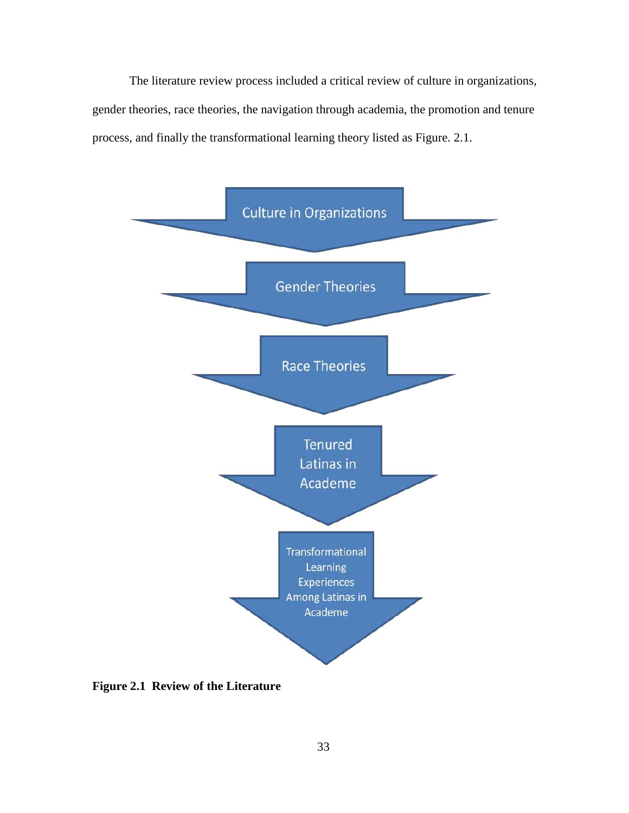The literature review process included a critical review of culture in organizations, gender theories, race theories, the navigation through academia, the promotion and tenure process, and finally the transformational learning theory listed as Figure. 2.1.



**Figure 2.1 Review of the Literature**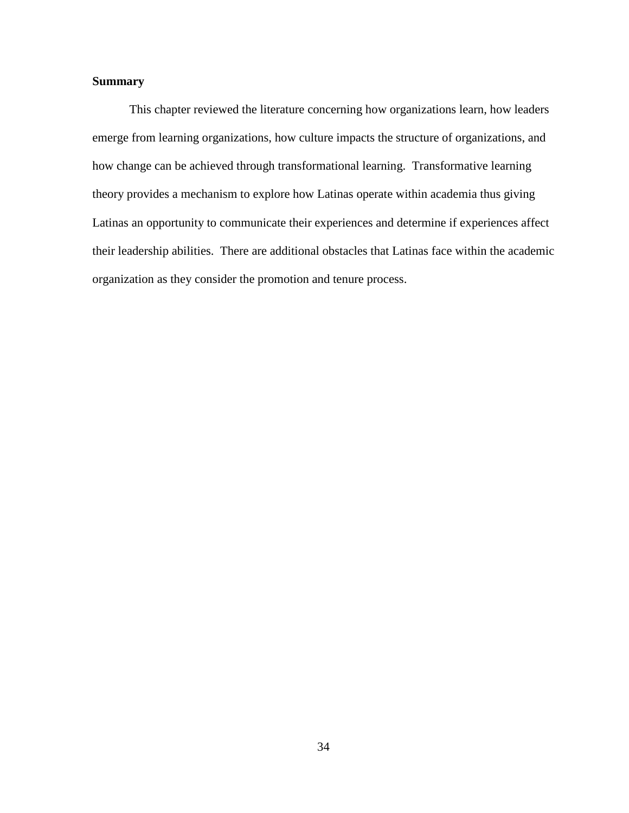# **Summary**

This chapter reviewed the literature concerning how organizations learn, how leaders emerge from learning organizations, how culture impacts the structure of organizations, and how change can be achieved through transformational learning. Transformative learning theory provides a mechanism to explore how Latinas operate within academia thus giving Latinas an opportunity to communicate their experiences and determine if experiences affect their leadership abilities. There are additional obstacles that Latinas face within the academic organization as they consider the promotion and tenure process.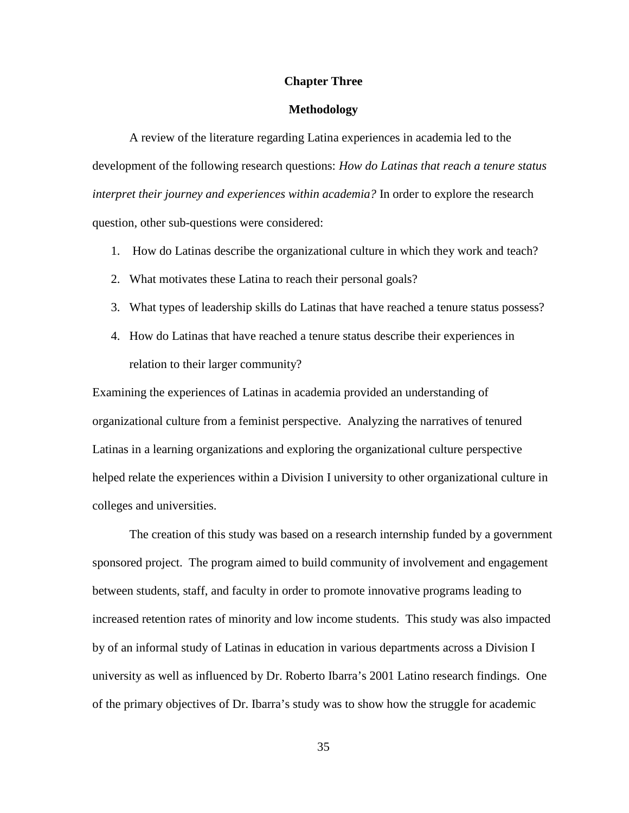### **Chapter Three**

### **Methodology**

A review of the literature regarding Latina experiences in academia led to the development of the following research questions: *How do Latinas that reach a tenure status interpret their journey and experiences within academia?* In order to explore the research question, other sub-questions were considered:

- 1. How do Latinas describe the organizational culture in which they work and teach?
- 2. What motivates these Latina to reach their personal goals?
- 3. What types of leadership skills do Latinas that have reached a tenure status possess?
- 4. How do Latinas that have reached a tenure status describe their experiences in relation to their larger community?

Examining the experiences of Latinas in academia provided an understanding of organizational culture from a feminist perspective. Analyzing the narratives of tenured Latinas in a learning organizations and exploring the organizational culture perspective helped relate the experiences within a Division I university to other organizational culture in colleges and universities.

The creation of this study was based on a research internship funded by a government sponsored project. The program aimed to build community of involvement and engagement between students, staff, and faculty in order to promote innovative programs leading to increased retention rates of minority and low income students. This study was also impacted by of an informal study of Latinas in education in various departments across a Division I university as well as influenced by Dr. Roberto Ibarra's 2001 Latino research findings. One of the primary objectives of Dr. Ibarra's study was to show how the struggle for academic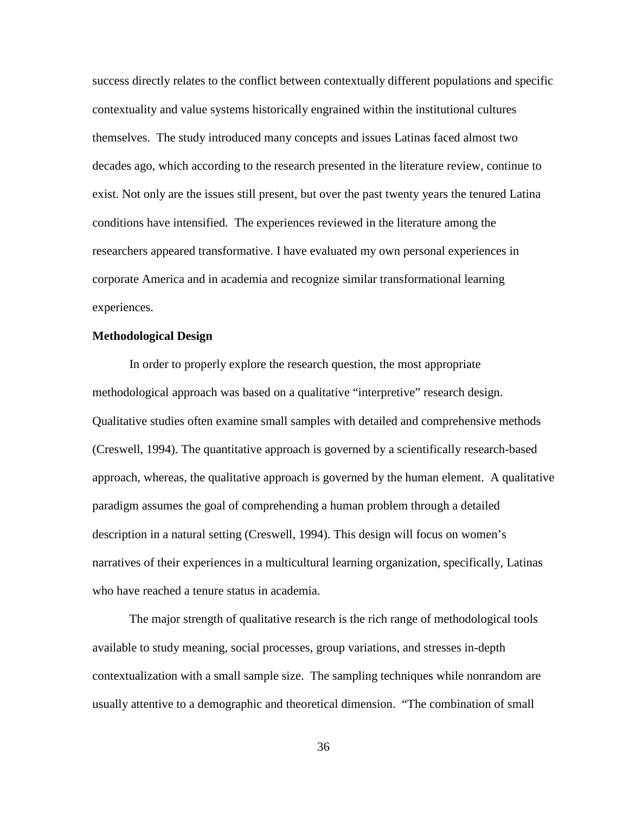success directly relates to the conflict between contextually different populations and specific contextuality and value systems historically engrained within the institutional cultures themselves. The study introduced many concepts and issues Latinas faced almost two decades ago, which according to the research presented in the literature review, continue to exist. Not only are the issues still present, but over the past twenty years the tenured Latina conditions have intensified. The experiences reviewed in the literature among the researchers appeared transformative. I have evaluated my own personal experiences in corporate America and in academia and recognize similar transformational learning experiences.

# **Methodological Design**

In order to properly explore the research question, the most appropriate methodological approach was based on a qualitative "interpretive" research design. Qualitative studies often examine small samples with detailed and comprehensive methods (Creswell, 1994). The quantitative approach is governed by a scientifically research-based approach, whereas, the qualitative approach is governed by the human element. A qualitative paradigm assumes the goal of comprehending a human problem through a detailed description in a natural setting (Creswell, 1994). This design will focus on women's narratives of their experiences in a multicultural learning organization, specifically, Latinas who have reached a tenure status in academia.

The major strength of qualitative research is the rich range of methodological tools available to study meaning, social processes, group variations, and stresses in-depth contextualization with a small sample size. The sampling techniques while nonrandom are usually attentive to a demographic and theoretical dimension. "The combination of small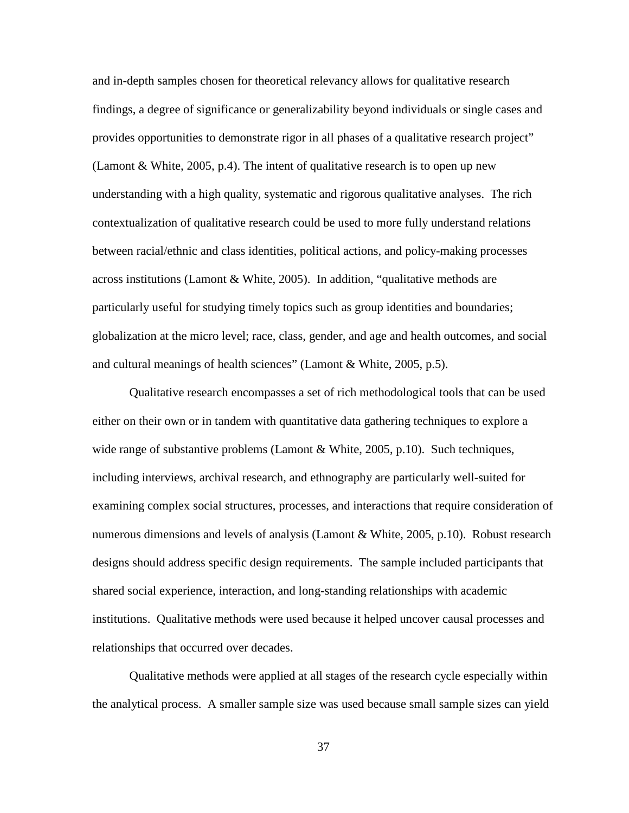and in-depth samples chosen for theoretical relevancy allows for qualitative research findings, a degree of significance or generalizability beyond individuals or single cases and provides opportunities to demonstrate rigor in all phases of a qualitative research project" (Lamont & White, 2005, p.4). The intent of qualitative research is to open up new understanding with a high quality, systematic and rigorous qualitative analyses. The rich contextualization of qualitative research could be used to more fully understand relations between racial/ethnic and class identities, political actions, and policy-making processes across institutions (Lamont & White, 2005). In addition, "qualitative methods are particularly useful for studying timely topics such as group identities and boundaries; globalization at the micro level; race, class, gender, and age and health outcomes, and social and cultural meanings of health sciences" (Lamont & White, 2005, p.5).

Qualitative research encompasses a set of rich methodological tools that can be used either on their own or in tandem with quantitative data gathering techniques to explore a wide range of substantive problems (Lamont & White, 2005, p.10). Such techniques, including interviews, archival research, and ethnography are particularly well-suited for examining complex social structures, processes, and interactions that require consideration of numerous dimensions and levels of analysis (Lamont & White, 2005, p.10). Robust research designs should address specific design requirements. The sample included participants that shared social experience, interaction, and long-standing relationships with academic institutions. Qualitative methods were used because it helped uncover causal processes and relationships that occurred over decades.

Qualitative methods were applied at all stages of the research cycle especially within the analytical process. A smaller sample size was used because small sample sizes can yield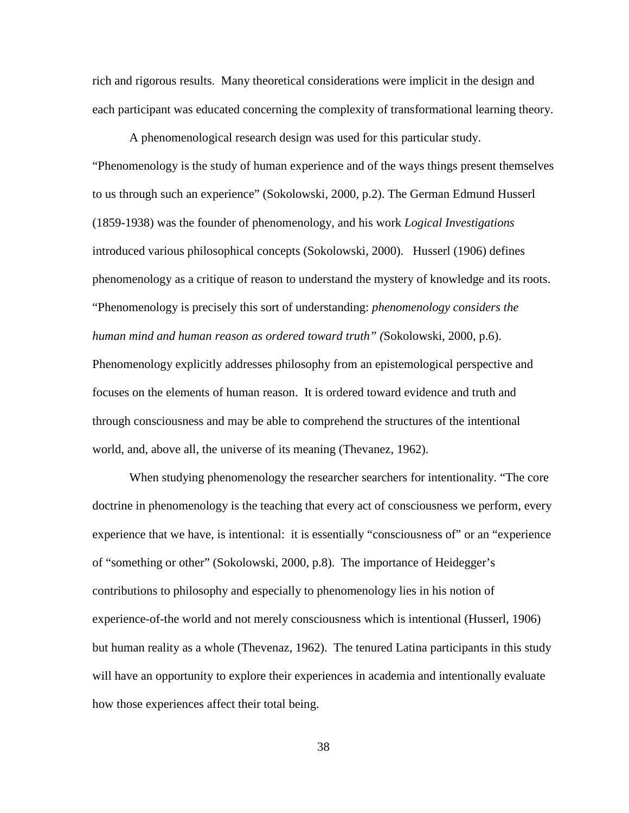rich and rigorous results. Many theoretical considerations were implicit in the design and each participant was educated concerning the complexity of transformational learning theory.

 A phenomenological research design was used for this particular study. "Phenomenology is the study of human experience and of the ways things present themselves to us through such an experience" (Sokolowski, 2000, p.2). The German Edmund Husserl (1859-1938) was the founder of phenomenology, and his work *Logical Investigations* introduced various philosophical concepts (Sokolowski, 2000). Husserl (1906) defines phenomenology as a critique of reason to understand the mystery of knowledge and its roots. "Phenomenology is precisely this sort of understanding: *phenomenology considers the human mind and human reason as ordered toward truth" (*Sokolowski, 2000, p.6). Phenomenology explicitly addresses philosophy from an epistemological perspective and focuses on the elements of human reason. It is ordered toward evidence and truth and through consciousness and may be able to comprehend the structures of the intentional world, and, above all, the universe of its meaning (Thevanez, 1962).

When studying phenomenology the researcher searchers for intentionality. "The core doctrine in phenomenology is the teaching that every act of consciousness we perform, every experience that we have, is intentional: it is essentially "consciousness of" or an "experience of "something or other" (Sokolowski, 2000, p.8). The importance of Heidegger's contributions to philosophy and especially to phenomenology lies in his notion of experience-of-the world and not merely consciousness which is intentional (Husserl, 1906) but human reality as a whole (Thevenaz, 1962). The tenured Latina participants in this study will have an opportunity to explore their experiences in academia and intentionally evaluate how those experiences affect their total being.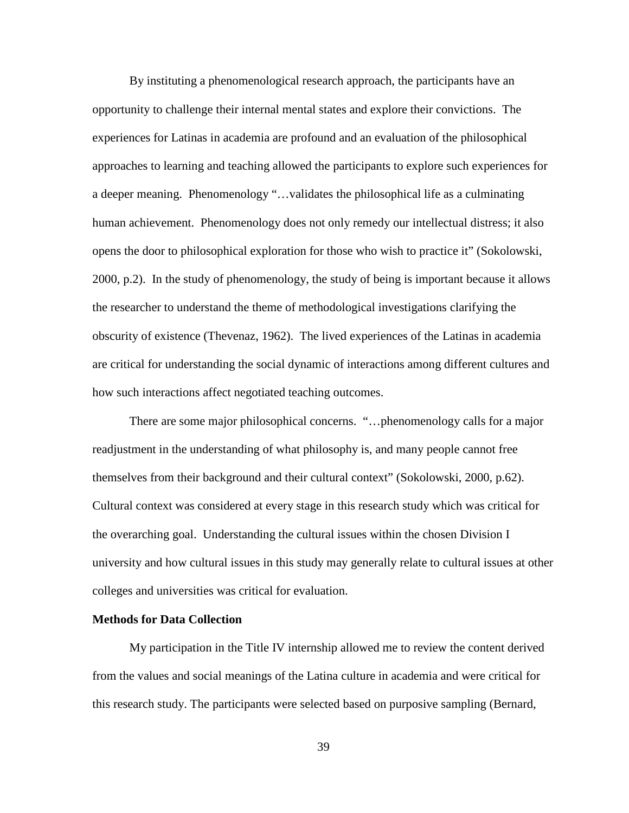By instituting a phenomenological research approach, the participants have an opportunity to challenge their internal mental states and explore their convictions. The experiences for Latinas in academia are profound and an evaluation of the philosophical approaches to learning and teaching allowed the participants to explore such experiences for a deeper meaning. Phenomenology "…validates the philosophical life as a culminating human achievement. Phenomenology does not only remedy our intellectual distress; it also opens the door to philosophical exploration for those who wish to practice it" (Sokolowski, 2000, p.2). In the study of phenomenology, the study of being is important because it allows the researcher to understand the theme of methodological investigations clarifying the obscurity of existence (Thevenaz, 1962). The lived experiences of the Latinas in academia are critical for understanding the social dynamic of interactions among different cultures and how such interactions affect negotiated teaching outcomes.

There are some major philosophical concerns. "…phenomenology calls for a major readjustment in the understanding of what philosophy is, and many people cannot free themselves from their background and their cultural context" (Sokolowski, 2000, p.62). Cultural context was considered at every stage in this research study which was critical for the overarching goal. Understanding the cultural issues within the chosen Division I university and how cultural issues in this study may generally relate to cultural issues at other colleges and universities was critical for evaluation.

#### **Methods for Data Collection**

My participation in the Title IV internship allowed me to review the content derived from the values and social meanings of the Latina culture in academia and were critical for this research study. The participants were selected based on purposive sampling (Bernard,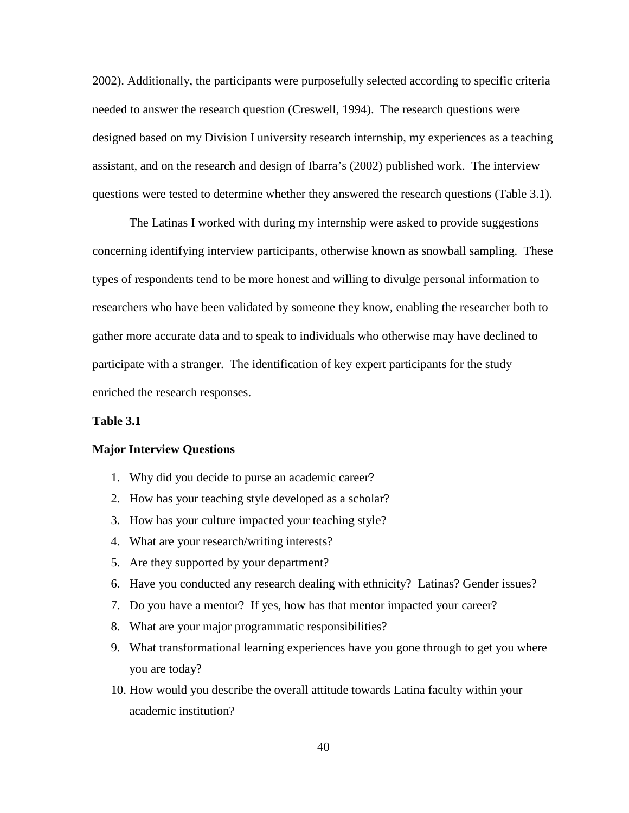2002). Additionally, the participants were purposefully selected according to specific criteria needed to answer the research question (Creswell, 1994). The research questions were designed based on my Division I university research internship, my experiences as a teaching assistant, and on the research and design of Ibarra's (2002) published work. The interview questions were tested to determine whether they answered the research questions (Table 3.1).

The Latinas I worked with during my internship were asked to provide suggestions concerning identifying interview participants, otherwise known as snowball sampling. These types of respondents tend to be more honest and willing to divulge personal information to researchers who have been validated by someone they know, enabling the researcher both to gather more accurate data and to speak to individuals who otherwise may have declined to participate with a stranger. The identification of key expert participants for the study enriched the research responses.

#### **Table 3.1**

### **Major Interview Questions**

- 1. Why did you decide to purse an academic career?
- 2. How has your teaching style developed as a scholar?
- 3. How has your culture impacted your teaching style?
- 4. What are your research/writing interests?
- 5. Are they supported by your department?
- 6. Have you conducted any research dealing with ethnicity? Latinas? Gender issues?
- 7. Do you have a mentor? If yes, how has that mentor impacted your career?
- 8. What are your major programmatic responsibilities?
- 9. What transformational learning experiences have you gone through to get you where you are today?
- 10. How would you describe the overall attitude towards Latina faculty within your academic institution?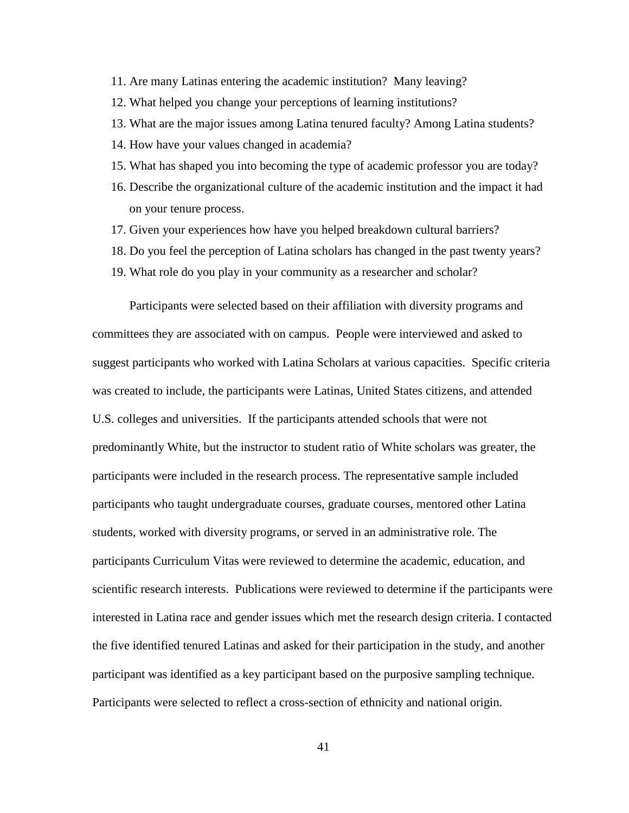- 11. Are many Latinas entering the academic institution? Many leaving?
- 12. What helped you change your perceptions of learning institutions?
- 13. What are the major issues among Latina tenured faculty? Among Latina students?
- 14. How have your values changed in academia?
- 15. What has shaped you into becoming the type of academic professor you are today?
- 16. Describe the organizational culture of the academic institution and the impact it had on your tenure process.
- 17. Given your experiences how have you helped breakdown cultural barriers?
- 18. Do you feel the perception of Latina scholars has changed in the past twenty years?
- 19. What role do you play in your community as a researcher and scholar?

Participants were selected based on their affiliation with diversity programs and committees they are associated with on campus. People were interviewed and asked to suggest participants who worked with Latina Scholars at various capacities. Specific criteria was created to include, the participants were Latinas, United States citizens, and attended U.S. colleges and universities. If the participants attended schools that were not predominantly White, but the instructor to student ratio of White scholars was greater, the participants were included in the research process. The representative sample included participants who taught undergraduate courses, graduate courses, mentored other Latina students, worked with diversity programs, or served in an administrative role. The participants Curriculum Vitas were reviewed to determine the academic, education, and scientific research interests. Publications were reviewed to determine if the participants were interested in Latina race and gender issues which met the research design criteria. I contacted the five identified tenured Latinas and asked for their participation in the study, and another participant was identified as a key participant based on the purposive sampling technique. Participants were selected to reflect a cross-section of ethnicity and national origin.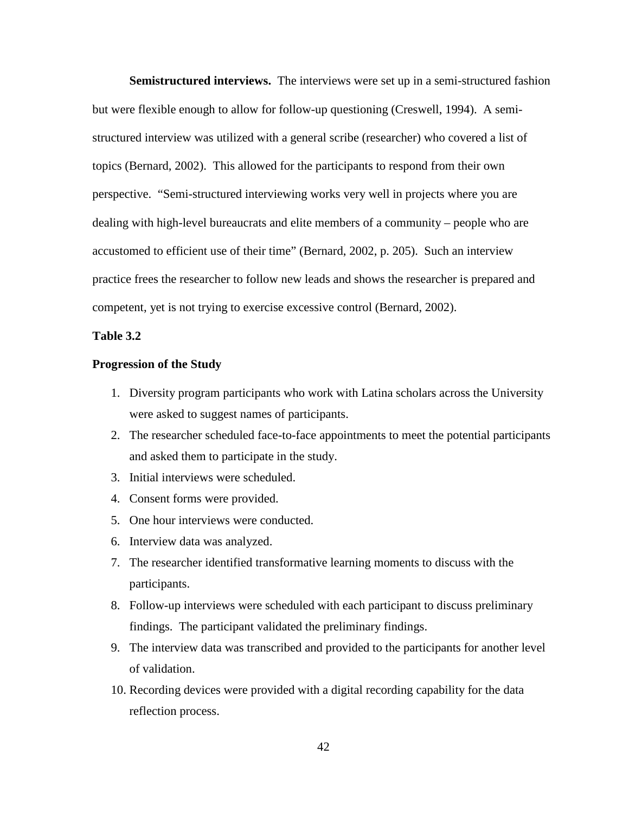**Semistructured interviews.** The interviews were set up in a semi-structured fashion but were flexible enough to allow for follow-up questioning (Creswell, 1994). A semistructured interview was utilized with a general scribe (researcher) who covered a list of topics (Bernard, 2002). This allowed for the participants to respond from their own perspective. "Semi-structured interviewing works very well in projects where you are dealing with high-level bureaucrats and elite members of a community – people who are accustomed to efficient use of their time" (Bernard, 2002, p. 205). Such an interview practice frees the researcher to follow new leads and shows the researcher is prepared and competent, yet is not trying to exercise excessive control (Bernard, 2002).

# **Table 3.2**

### **Progression of the Study**

- 1. Diversity program participants who work with Latina scholars across the University were asked to suggest names of participants.
- 2. The researcher scheduled face-to-face appointments to meet the potential participants and asked them to participate in the study.
- 3. Initial interviews were scheduled.
- 4. Consent forms were provided.
- 5. One hour interviews were conducted.
- 6. Interview data was analyzed.
- 7. The researcher identified transformative learning moments to discuss with the participants.
- 8. Follow-up interviews were scheduled with each participant to discuss preliminary findings. The participant validated the preliminary findings.
- 9. The interview data was transcribed and provided to the participants for another level of validation.
- 10. Recording devices were provided with a digital recording capability for the data reflection process.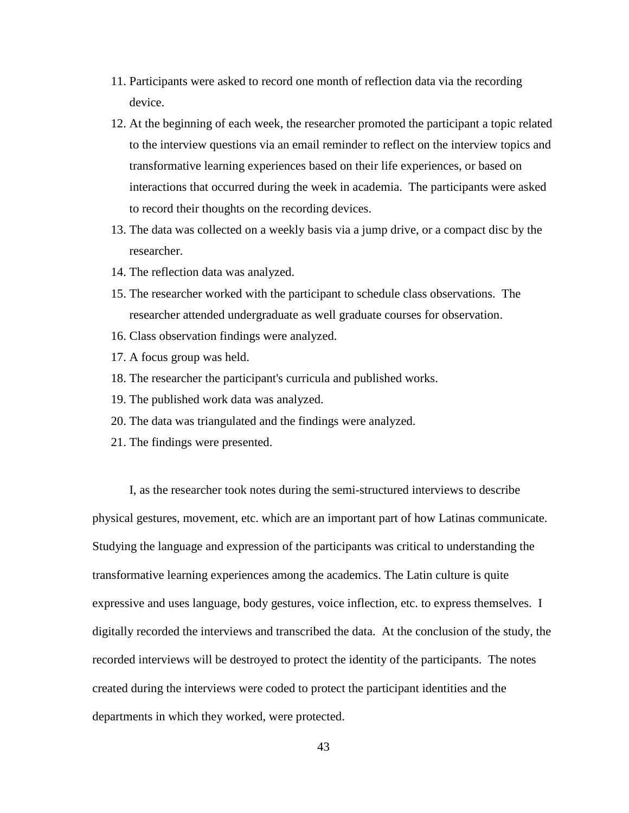- 11. Participants were asked to record one month of reflection data via the recording device.
- 12. At the beginning of each week, the researcher promoted the participant a topic related to the interview questions via an email reminder to reflect on the interview topics and transformative learning experiences based on their life experiences, or based on interactions that occurred during the week in academia. The participants were asked to record their thoughts on the recording devices.
- 13. The data was collected on a weekly basis via a jump drive, or a compact disc by the researcher.
- 14. The reflection data was analyzed.
- 15. The researcher worked with the participant to schedule class observations. The researcher attended undergraduate as well graduate courses for observation.
- 16. Class observation findings were analyzed.
- 17. A focus group was held.
- 18. The researcher the participant's curricula and published works.
- 19. The published work data was analyzed.
- 20. The data was triangulated and the findings were analyzed.
- 21. The findings were presented.

I, as the researcher took notes during the semi-structured interviews to describe physical gestures, movement, etc. which are an important part of how Latinas communicate. Studying the language and expression of the participants was critical to understanding the transformative learning experiences among the academics. The Latin culture is quite expressive and uses language, body gestures, voice inflection, etc. to express themselves. I digitally recorded the interviews and transcribed the data. At the conclusion of the study, the recorded interviews will be destroyed to protect the identity of the participants. The notes created during the interviews were coded to protect the participant identities and the departments in which they worked, were protected.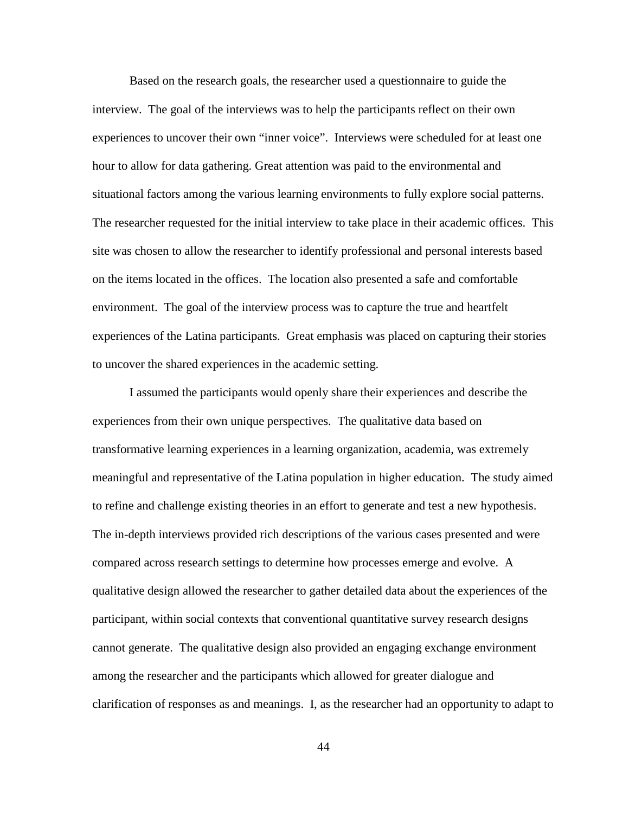Based on the research goals, the researcher used a questionnaire to guide the interview. The goal of the interviews was to help the participants reflect on their own experiences to uncover their own "inner voice". Interviews were scheduled for at least one hour to allow for data gathering. Great attention was paid to the environmental and situational factors among the various learning environments to fully explore social patterns. The researcher requested for the initial interview to take place in their academic offices. This site was chosen to allow the researcher to identify professional and personal interests based on the items located in the offices. The location also presented a safe and comfortable environment. The goal of the interview process was to capture the true and heartfelt experiences of the Latina participants. Great emphasis was placed on capturing their stories to uncover the shared experiences in the academic setting.

I assumed the participants would openly share their experiences and describe the experiences from their own unique perspectives. The qualitative data based on transformative learning experiences in a learning organization, academia, was extremely meaningful and representative of the Latina population in higher education. The study aimed to refine and challenge existing theories in an effort to generate and test a new hypothesis. The in-depth interviews provided rich descriptions of the various cases presented and were compared across research settings to determine how processes emerge and evolve. A qualitative design allowed the researcher to gather detailed data about the experiences of the participant, within social contexts that conventional quantitative survey research designs cannot generate. The qualitative design also provided an engaging exchange environment among the researcher and the participants which allowed for greater dialogue and clarification of responses as and meanings. I, as the researcher had an opportunity to adapt to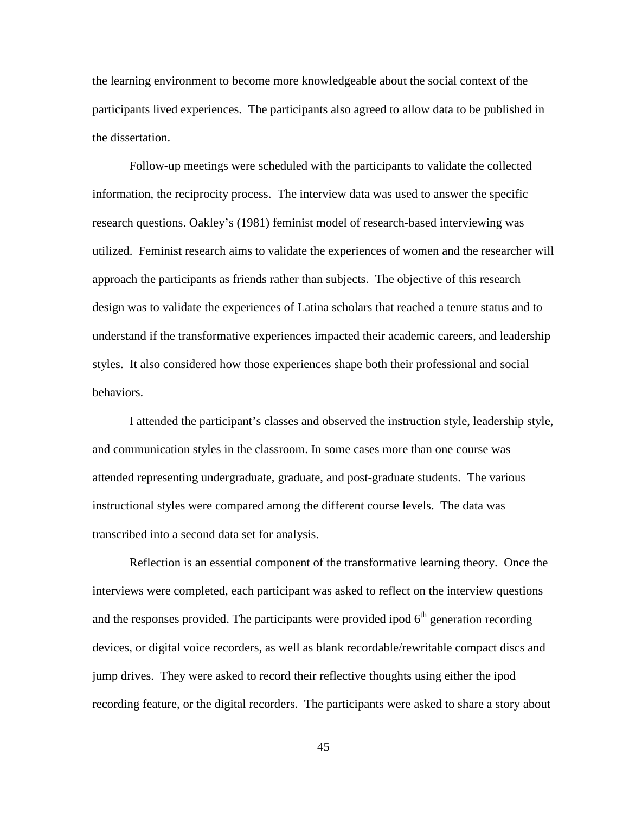the learning environment to become more knowledgeable about the social context of the participants lived experiences. The participants also agreed to allow data to be published in the dissertation.

Follow-up meetings were scheduled with the participants to validate the collected information, the reciprocity process. The interview data was used to answer the specific research questions. Oakley's (1981) feminist model of research-based interviewing was utilized. Feminist research aims to validate the experiences of women and the researcher will approach the participants as friends rather than subjects. The objective of this research design was to validate the experiences of Latina scholars that reached a tenure status and to understand if the transformative experiences impacted their academic careers, and leadership styles. It also considered how those experiences shape both their professional and social behaviors.

I attended the participant's classes and observed the instruction style, leadership style, and communication styles in the classroom. In some cases more than one course was attended representing undergraduate, graduate, and post-graduate students. The various instructional styles were compared among the different course levels. The data was transcribed into a second data set for analysis.

Reflection is an essential component of the transformative learning theory. Once the interviews were completed, each participant was asked to reflect on the interview questions and the responses provided. The participants were provided ipod  $6<sup>th</sup>$  generation recording devices, or digital voice recorders, as well as blank recordable/rewritable compact discs and jump drives. They were asked to record their reflective thoughts using either the ipod recording feature, or the digital recorders. The participants were asked to share a story about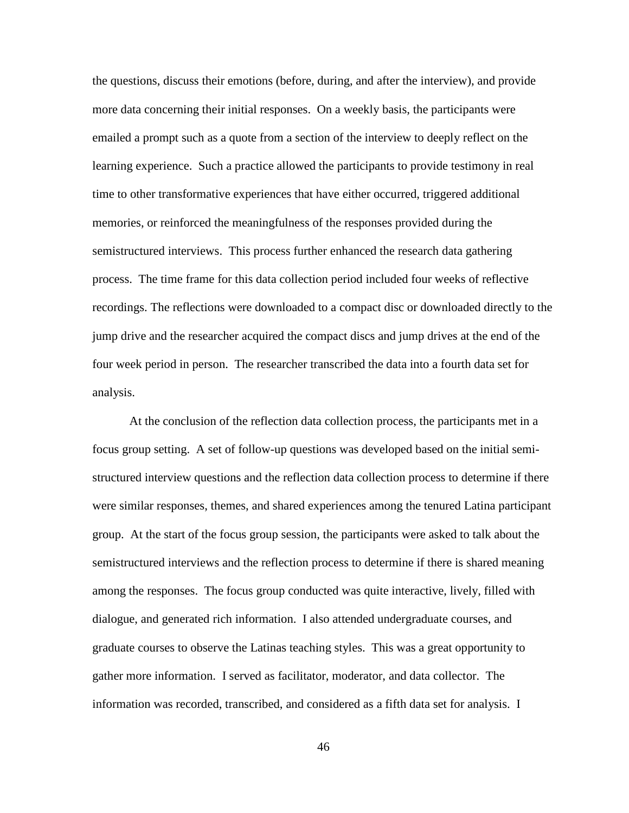the questions, discuss their emotions (before, during, and after the interview), and provide more data concerning their initial responses. On a weekly basis, the participants were emailed a prompt such as a quote from a section of the interview to deeply reflect on the learning experience. Such a practice allowed the participants to provide testimony in real time to other transformative experiences that have either occurred, triggered additional memories, or reinforced the meaningfulness of the responses provided during the semistructured interviews. This process further enhanced the research data gathering process. The time frame for this data collection period included four weeks of reflective recordings. The reflections were downloaded to a compact disc or downloaded directly to the jump drive and the researcher acquired the compact discs and jump drives at the end of the four week period in person. The researcher transcribed the data into a fourth data set for analysis.

At the conclusion of the reflection data collection process, the participants met in a focus group setting. A set of follow-up questions was developed based on the initial semistructured interview questions and the reflection data collection process to determine if there were similar responses, themes, and shared experiences among the tenured Latina participant group. At the start of the focus group session, the participants were asked to talk about the semistructured interviews and the reflection process to determine if there is shared meaning among the responses. The focus group conducted was quite interactive, lively, filled with dialogue, and generated rich information. I also attended undergraduate courses, and graduate courses to observe the Latinas teaching styles. This was a great opportunity to gather more information. I served as facilitator, moderator, and data collector. The information was recorded, transcribed, and considered as a fifth data set for analysis. I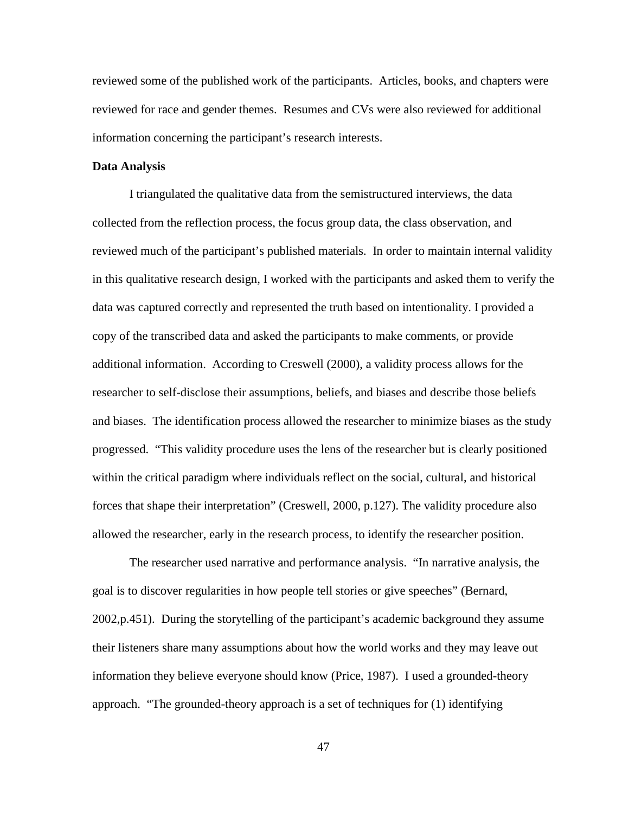reviewed some of the published work of the participants. Articles, books, and chapters were reviewed for race and gender themes. Resumes and CVs were also reviewed for additional information concerning the participant's research interests.

### **Data Analysis**

 I triangulated the qualitative data from the semistructured interviews, the data collected from the reflection process, the focus group data, the class observation, and reviewed much of the participant's published materials. In order to maintain internal validity in this qualitative research design, I worked with the participants and asked them to verify the data was captured correctly and represented the truth based on intentionality. I provided a copy of the transcribed data and asked the participants to make comments, or provide additional information. According to Creswell (2000), a validity process allows for the researcher to self-disclose their assumptions, beliefs, and biases and describe those beliefs and biases. The identification process allowed the researcher to minimize biases as the study progressed. "This validity procedure uses the lens of the researcher but is clearly positioned within the critical paradigm where individuals reflect on the social, cultural, and historical forces that shape their interpretation" (Creswell, 2000, p.127). The validity procedure also allowed the researcher, early in the research process, to identify the researcher position.

The researcher used narrative and performance analysis. "In narrative analysis, the goal is to discover regularities in how people tell stories or give speeches" (Bernard, 2002,p.451). During the storytelling of the participant's academic background they assume their listeners share many assumptions about how the world works and they may leave out information they believe everyone should know (Price, 1987). I used a grounded-theory approach. "The grounded-theory approach is a set of techniques for (1) identifying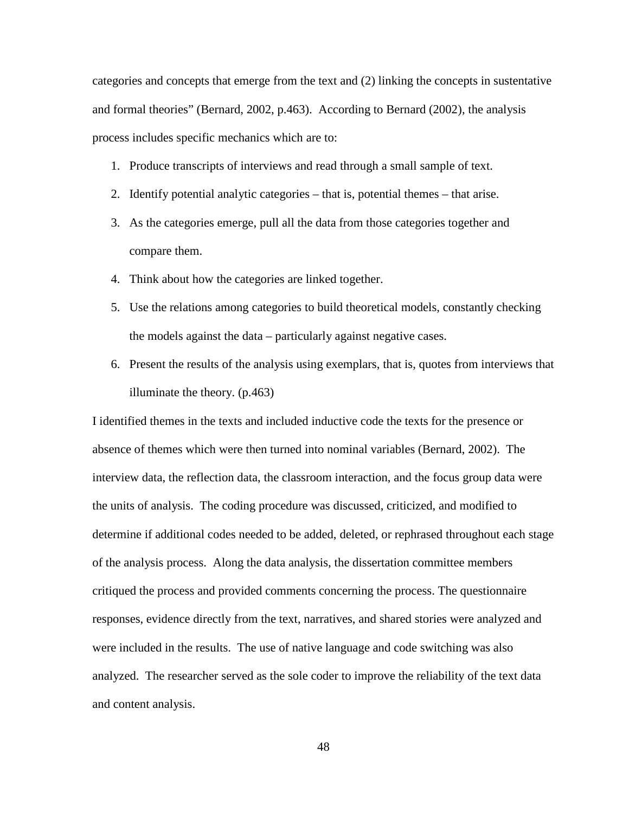categories and concepts that emerge from the text and (2) linking the concepts in sustentative and formal theories" (Bernard, 2002, p.463). According to Bernard (2002), the analysis process includes specific mechanics which are to:

- 1. Produce transcripts of interviews and read through a small sample of text.
- 2. Identify potential analytic categories that is, potential themes that arise.
- 3. As the categories emerge, pull all the data from those categories together and compare them.
- 4. Think about how the categories are linked together.
- 5. Use the relations among categories to build theoretical models, constantly checking the models against the data – particularly against negative cases.
- 6. Present the results of the analysis using exemplars, that is, quotes from interviews that illuminate the theory. (p.463)

I identified themes in the texts and included inductive code the texts for the presence or absence of themes which were then turned into nominal variables (Bernard, 2002). The interview data, the reflection data, the classroom interaction, and the focus group data were the units of analysis. The coding procedure was discussed, criticized, and modified to determine if additional codes needed to be added, deleted, or rephrased throughout each stage of the analysis process. Along the data analysis, the dissertation committee members critiqued the process and provided comments concerning the process. The questionnaire responses, evidence directly from the text, narratives, and shared stories were analyzed and were included in the results. The use of native language and code switching was also analyzed. The researcher served as the sole coder to improve the reliability of the text data and content analysis.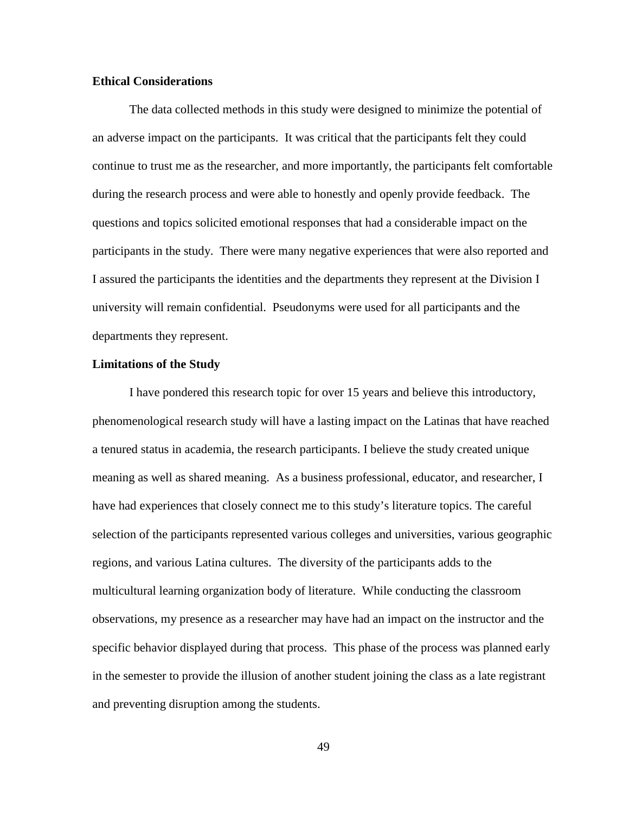### **Ethical Considerations**

The data collected methods in this study were designed to minimize the potential of an adverse impact on the participants. It was critical that the participants felt they could continue to trust me as the researcher, and more importantly, the participants felt comfortable during the research process and were able to honestly and openly provide feedback. The questions and topics solicited emotional responses that had a considerable impact on the participants in the study. There were many negative experiences that were also reported and I assured the participants the identities and the departments they represent at the Division I university will remain confidential. Pseudonyms were used for all participants and the departments they represent.

#### **Limitations of the Study**

I have pondered this research topic for over 15 years and believe this introductory, phenomenological research study will have a lasting impact on the Latinas that have reached a tenured status in academia, the research participants. I believe the study created unique meaning as well as shared meaning. As a business professional, educator, and researcher, I have had experiences that closely connect me to this study's literature topics. The careful selection of the participants represented various colleges and universities, various geographic regions, and various Latina cultures. The diversity of the participants adds to the multicultural learning organization body of literature. While conducting the classroom observations, my presence as a researcher may have had an impact on the instructor and the specific behavior displayed during that process. This phase of the process was planned early in the semester to provide the illusion of another student joining the class as a late registrant and preventing disruption among the students.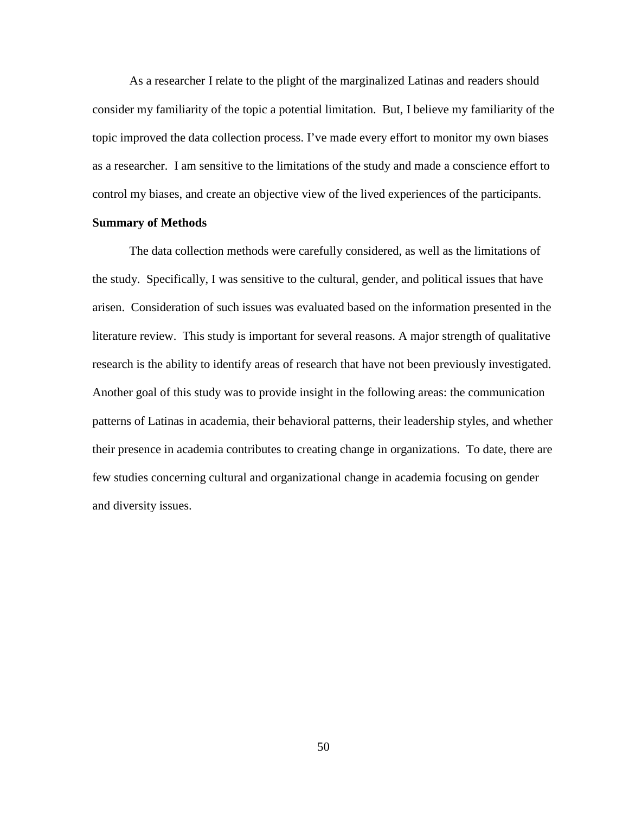As a researcher I relate to the plight of the marginalized Latinas and readers should consider my familiarity of the topic a potential limitation. But, I believe my familiarity of the topic improved the data collection process. I've made every effort to monitor my own biases as a researcher. I am sensitive to the limitations of the study and made a conscience effort to control my biases, and create an objective view of the lived experiences of the participants.

### **Summary of Methods**

The data collection methods were carefully considered, as well as the limitations of the study. Specifically, I was sensitive to the cultural, gender, and political issues that have arisen. Consideration of such issues was evaluated based on the information presented in the literature review. This study is important for several reasons. A major strength of qualitative research is the ability to identify areas of research that have not been previously investigated. Another goal of this study was to provide insight in the following areas: the communication patterns of Latinas in academia, their behavioral patterns, their leadership styles, and whether their presence in academia contributes to creating change in organizations. To date, there are few studies concerning cultural and organizational change in academia focusing on gender and diversity issues.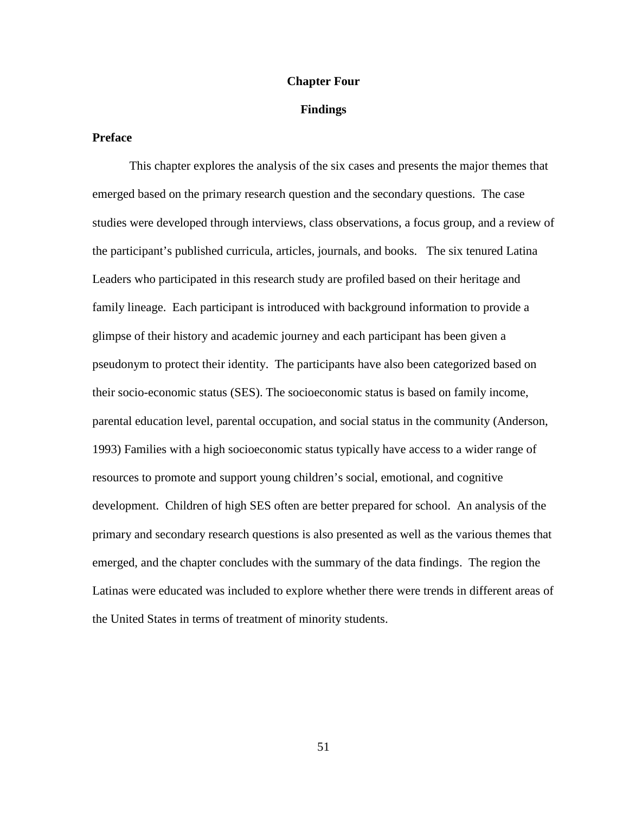## **Chapter Four**

## **Findings**

# **Preface**

This chapter explores the analysis of the six cases and presents the major themes that emerged based on the primary research question and the secondary questions. The case studies were developed through interviews, class observations, a focus group, and a review of the participant's published curricula, articles, journals, and books. The six tenured Latina Leaders who participated in this research study are profiled based on their heritage and family lineage. Each participant is introduced with background information to provide a glimpse of their history and academic journey and each participant has been given a pseudonym to protect their identity. The participants have also been categorized based on their socio-economic status (SES). The socioeconomic status is based on family income, parental education level, parental occupation, and social status in the community (Anderson, 1993) Families with a high socioeconomic status typically have access to a wider range of resources to promote and support young children's social, emotional, and cognitive development. Children of high SES often are better prepared for school. An analysis of the primary and secondary research questions is also presented as well as the various themes that emerged, and the chapter concludes with the summary of the data findings. The region the Latinas were educated was included to explore whether there were trends in different areas of the United States in terms of treatment of minority students.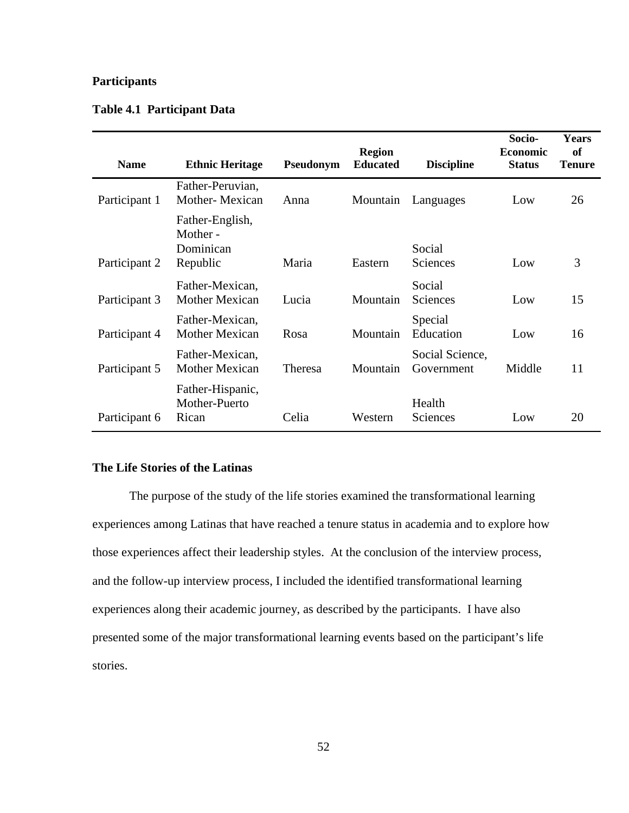# **Participants**

| <b>Name</b>   | <b>Ethnic Heritage</b>                               | Pseudonym | <b>Region</b><br><b>Educated</b> | <b>Discipline</b>             | Socio-<br><b>Economic</b><br><b>Status</b> | <b>Years</b><br><b>of</b><br><b>Tenure</b> |
|---------------|------------------------------------------------------|-----------|----------------------------------|-------------------------------|--------------------------------------------|--------------------------------------------|
| Participant 1 | Father-Peruvian,<br>Mother-Mexican                   | Anna      | Mountain                         | Languages                     | Low                                        | 26                                         |
| Participant 2 | Father-English,<br>Mother -<br>Dominican<br>Republic | Maria     | Eastern                          | Social<br>Sciences            | Low                                        | 3                                          |
| Participant 3 | Father-Mexican,<br><b>Mother Mexican</b>             | Lucia     | Mountain                         | Social<br>Sciences            | Low                                        | 15                                         |
| Participant 4 | Father-Mexican,<br><b>Mother Mexican</b>             | Rosa      | Mountain                         | Special<br>Education          | Low                                        | 16                                         |
| Participant 5 | Father-Mexican,<br><b>Mother Mexican</b>             | Theresa   | Mountain                         | Social Science,<br>Government | Middle                                     | 11                                         |
| Participant 6 | Father-Hispanic,<br>Mother-Puerto<br>Rican           | Celia     | Western                          | Health<br>Sciences            | Low                                        | 20                                         |

## **Table 4.1 Participant Data**

# **The Life Stories of the Latinas**

The purpose of the study of the life stories examined the transformational learning experiences among Latinas that have reached a tenure status in academia and to explore how those experiences affect their leadership styles. At the conclusion of the interview process, and the follow-up interview process, I included the identified transformational learning experiences along their academic journey, as described by the participants. I have also presented some of the major transformational learning events based on the participant's life stories.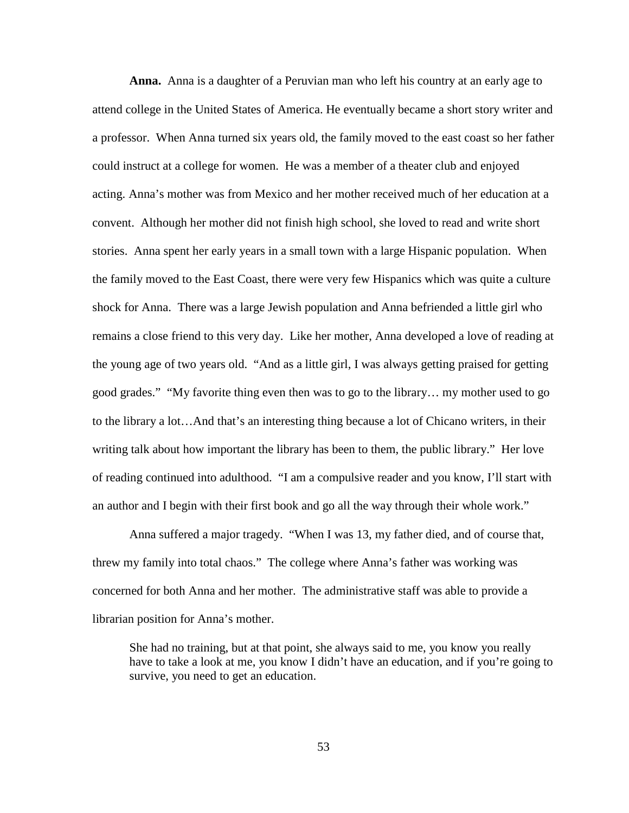**Anna.** Anna is a daughter of a Peruvian man who left his country at an early age to attend college in the United States of America. He eventually became a short story writer and a professor. When Anna turned six years old, the family moved to the east coast so her father could instruct at a college for women. He was a member of a theater club and enjoyed acting. Anna's mother was from Mexico and her mother received much of her education at a convent. Although her mother did not finish high school, she loved to read and write short stories. Anna spent her early years in a small town with a large Hispanic population. When the family moved to the East Coast, there were very few Hispanics which was quite a culture shock for Anna. There was a large Jewish population and Anna befriended a little girl who remains a close friend to this very day. Like her mother, Anna developed a love of reading at the young age of two years old. "And as a little girl, I was always getting praised for getting good grades." "My favorite thing even then was to go to the library… my mother used to go to the library a lot…And that's an interesting thing because a lot of Chicano writers, in their writing talk about how important the library has been to them, the public library." Her love of reading continued into adulthood. "I am a compulsive reader and you know, I'll start with an author and I begin with their first book and go all the way through their whole work."

Anna suffered a major tragedy. "When I was 13, my father died, and of course that, threw my family into total chaos." The college where Anna's father was working was concerned for both Anna and her mother. The administrative staff was able to provide a librarian position for Anna's mother.

She had no training, but at that point, she always said to me, you know you really have to take a look at me, you know I didn't have an education, and if you're going to survive, you need to get an education.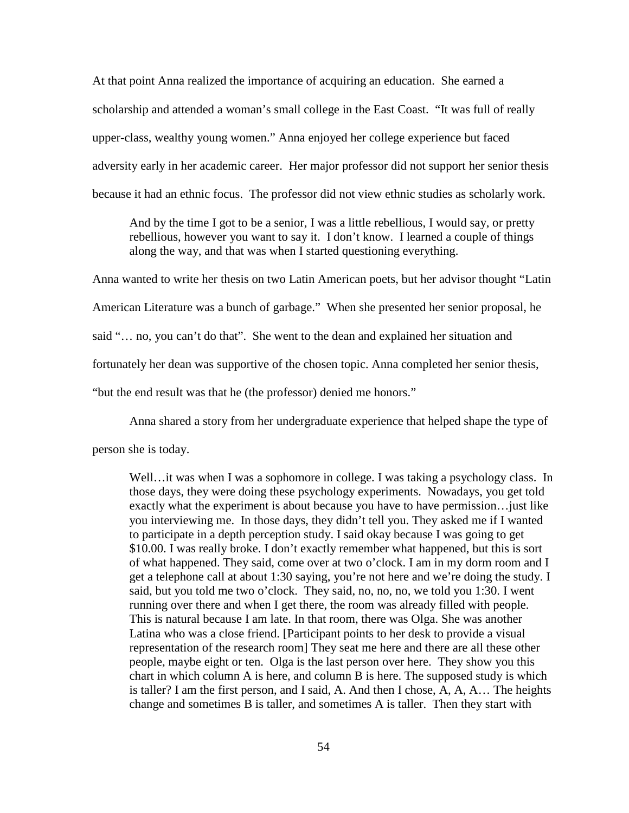At that point Anna realized the importance of acquiring an education. She earned a scholarship and attended a woman's small college in the East Coast. "It was full of really upper-class, wealthy young women." Anna enjoyed her college experience but faced adversity early in her academic career. Her major professor did not support her senior thesis because it had an ethnic focus. The professor did not view ethnic studies as scholarly work.

And by the time I got to be a senior, I was a little rebellious, I would say, or pretty rebellious, however you want to say it. I don't know. I learned a couple of things along the way, and that was when I started questioning everything.

Anna wanted to write her thesis on two Latin American poets, but her advisor thought "Latin American Literature was a bunch of garbage." When she presented her senior proposal, he said "… no, you can't do that". She went to the dean and explained her situation and fortunately her dean was supportive of the chosen topic. Anna completed her senior thesis, "but the end result was that he (the professor) denied me honors."

Anna shared a story from her undergraduate experience that helped shape the type of

person she is today.

Well... it was when I was a sophomore in college. I was taking a psychology class. In those days, they were doing these psychology experiments. Nowadays, you get told exactly what the experiment is about because you have to have permission…just like you interviewing me. In those days, they didn't tell you. They asked me if I wanted to participate in a depth perception study. I said okay because I was going to get \$10.00. I was really broke. I don't exactly remember what happened, but this is sort of what happened. They said, come over at two o'clock. I am in my dorm room and I get a telephone call at about 1:30 saying, you're not here and we're doing the study. I said, but you told me two o'clock. They said, no, no, no, we told you 1:30. I went running over there and when I get there, the room was already filled with people. This is natural because I am late. In that room, there was Olga. She was another Latina who was a close friend. [Participant points to her desk to provide a visual representation of the research room] They seat me here and there are all these other people, maybe eight or ten. Olga is the last person over here. They show you this chart in which column A is here, and column B is here. The supposed study is which is taller? I am the first person, and I said, A. And then I chose, A, A, A… The heights change and sometimes B is taller, and sometimes A is taller. Then they start with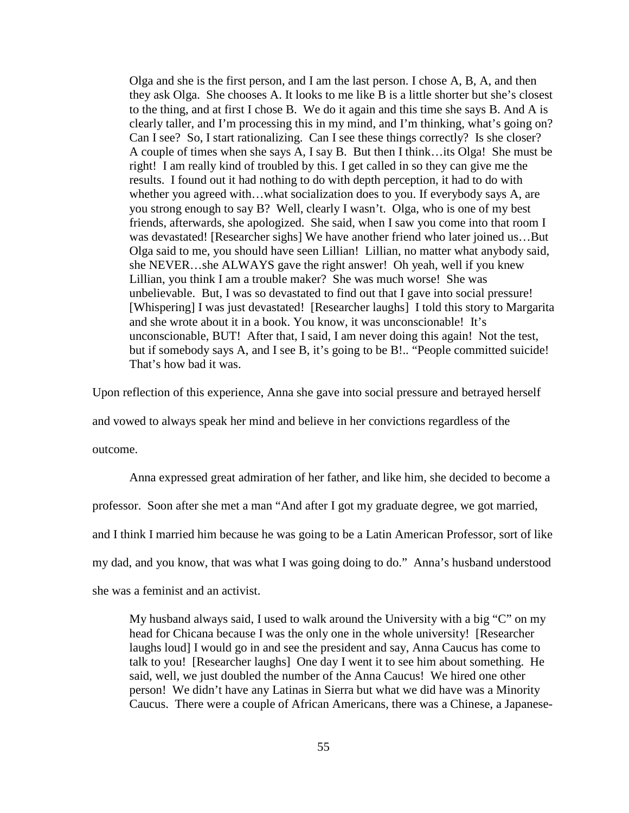Olga and she is the first person, and I am the last person. I chose A, B, A, and then they ask Olga. She chooses A. It looks to me like B is a little shorter but she's closest to the thing, and at first I chose B. We do it again and this time she says B. And A is clearly taller, and I'm processing this in my mind, and I'm thinking, what's going on? Can I see? So, I start rationalizing. Can I see these things correctly? Is she closer? A couple of times when she says A, I say B. But then I think…its Olga! She must be right! I am really kind of troubled by this. I get called in so they can give me the results. I found out it had nothing to do with depth perception, it had to do with whether you agreed with...what socialization does to you. If everybody says A, are you strong enough to say B? Well, clearly I wasn't. Olga, who is one of my best friends, afterwards, she apologized. She said, when I saw you come into that room I was devastated! [Researcher sighs] We have another friend who later joined us…But Olga said to me, you should have seen Lillian! Lillian, no matter what anybody said, she NEVER…she ALWAYS gave the right answer! Oh yeah, well if you knew Lillian, you think I am a trouble maker? She was much worse! She was unbelievable. But, I was so devastated to find out that I gave into social pressure! [Whispering] I was just devastated! [Researcher laughs] I told this story to Margarita and she wrote about it in a book. You know, it was unconscionable! It's unconscionable, BUT! After that, I said, I am never doing this again! Not the test, but if somebody says A, and I see B, it's going to be B!.. "People committed suicide! That's how bad it was.

Upon reflection of this experience, Anna she gave into social pressure and betrayed herself

and vowed to always speak her mind and believe in her convictions regardless of the

outcome.

Anna expressed great admiration of her father, and like him, she decided to become a professor. Soon after she met a man "And after I got my graduate degree, we got married, and I think I married him because he was going to be a Latin American Professor, sort of like my dad, and you know, that was what I was going doing to do." Anna's husband understood she was a feminist and an activist.

My husband always said, I used to walk around the University with a big "C" on my head for Chicana because I was the only one in the whole university! [Researcher laughs loud] I would go in and see the president and say, Anna Caucus has come to talk to you! [Researcher laughs] One day I went it to see him about something. He said, well, we just doubled the number of the Anna Caucus! We hired one other person! We didn't have any Latinas in Sierra but what we did have was a Minority Caucus. There were a couple of African Americans, there was a Chinese, a Japanese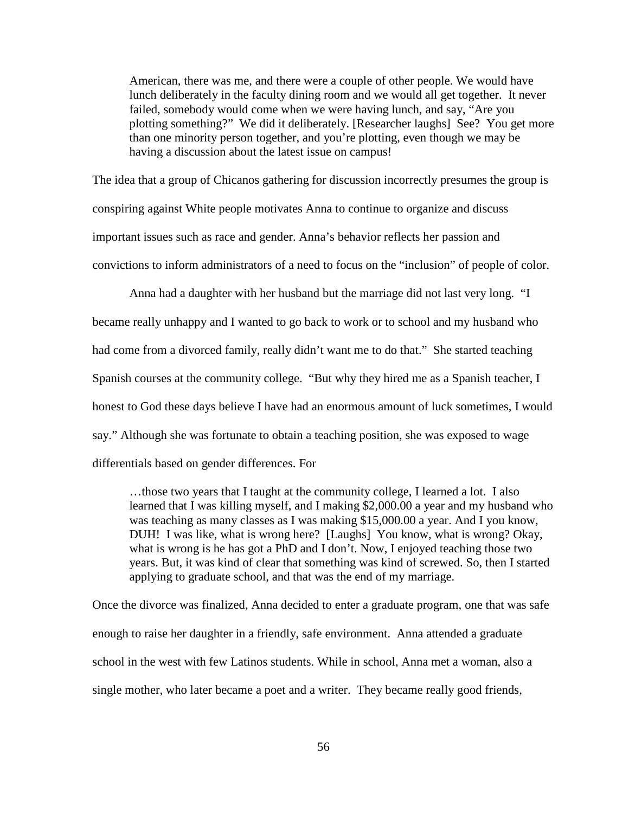American, there was me, and there were a couple of other people. We would have lunch deliberately in the faculty dining room and we would all get together. It never failed, somebody would come when we were having lunch, and say, "Are you plotting something?" We did it deliberately. [Researcher laughs] See? You get more than one minority person together, and you're plotting, even though we may be having a discussion about the latest issue on campus!

The idea that a group of Chicanos gathering for discussion incorrectly presumes the group is conspiring against White people motivates Anna to continue to organize and discuss important issues such as race and gender. Anna's behavior reflects her passion and convictions to inform administrators of a need to focus on the "inclusion" of people of color.

Anna had a daughter with her husband but the marriage did not last very long. "I became really unhappy and I wanted to go back to work or to school and my husband who had come from a divorced family, really didn't want me to do that." She started teaching Spanish courses at the community college. "But why they hired me as a Spanish teacher, I honest to God these days believe I have had an enormous amount of luck sometimes, I would say." Although she was fortunate to obtain a teaching position, she was exposed to wage differentials based on gender differences. For

…those two years that I taught at the community college, I learned a lot. I also learned that I was killing myself, and I making \$2,000.00 a year and my husband who was teaching as many classes as I was making \$15,000.00 a year. And I you know, DUH! I was like, what is wrong here? [Laughs] You know, what is wrong? Okay, what is wrong is he has got a PhD and I don't. Now, I enjoyed teaching those two years. But, it was kind of clear that something was kind of screwed. So, then I started applying to graduate school, and that was the end of my marriage.

Once the divorce was finalized, Anna decided to enter a graduate program, one that was safe enough to raise her daughter in a friendly, safe environment. Anna attended a graduate school in the west with few Latinos students. While in school, Anna met a woman, also a single mother, who later became a poet and a writer. They became really good friends,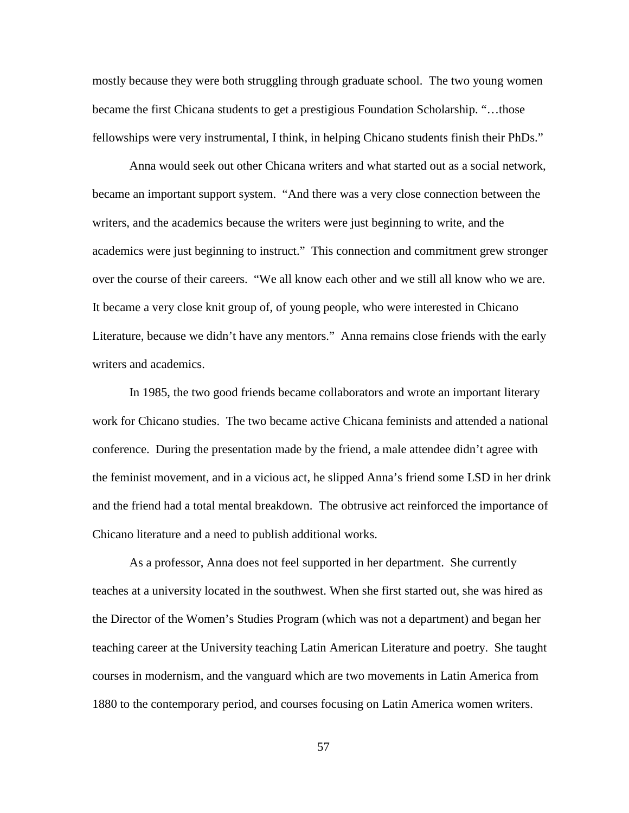mostly because they were both struggling through graduate school. The two young women became the first Chicana students to get a prestigious Foundation Scholarship. "…those fellowships were very instrumental, I think, in helping Chicano students finish their PhDs."

Anna would seek out other Chicana writers and what started out as a social network, became an important support system. "And there was a very close connection between the writers, and the academics because the writers were just beginning to write, and the academics were just beginning to instruct." This connection and commitment grew stronger over the course of their careers. "We all know each other and we still all know who we are. It became a very close knit group of, of young people, who were interested in Chicano Literature, because we didn't have any mentors." Anna remains close friends with the early writers and academics.

In 1985, the two good friends became collaborators and wrote an important literary work for Chicano studies. The two became active Chicana feminists and attended a national conference. During the presentation made by the friend, a male attendee didn't agree with the feminist movement, and in a vicious act, he slipped Anna's friend some LSD in her drink and the friend had a total mental breakdown. The obtrusive act reinforced the importance of Chicano literature and a need to publish additional works.

As a professor, Anna does not feel supported in her department. She currently teaches at a university located in the southwest. When she first started out, she was hired as the Director of the Women's Studies Program (which was not a department) and began her teaching career at the University teaching Latin American Literature and poetry. She taught courses in modernism, and the vanguard which are two movements in Latin America from 1880 to the contemporary period, and courses focusing on Latin America women writers.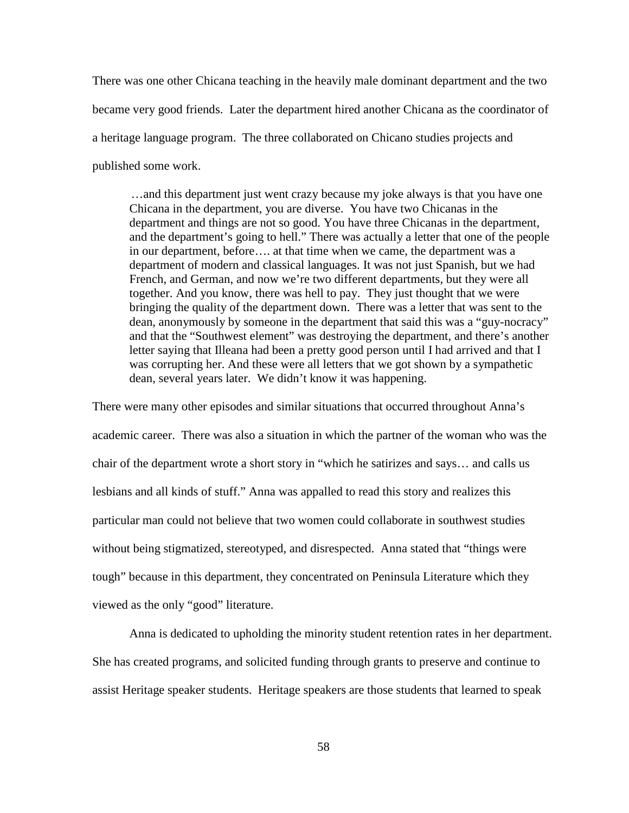There was one other Chicana teaching in the heavily male dominant department and the two became very good friends. Later the department hired another Chicana as the coordinator of a heritage language program. The three collaborated on Chicano studies projects and published some work.

…and this department just went crazy because my joke always is that you have one Chicana in the department, you are diverse. You have two Chicanas in the department and things are not so good. You have three Chicanas in the department, and the department's going to hell." There was actually a letter that one of the people in our department, before…. at that time when we came, the department was a department of modern and classical languages. It was not just Spanish, but we had French, and German, and now we're two different departments, but they were all together. And you know, there was hell to pay. They just thought that we were bringing the quality of the department down. There was a letter that was sent to the dean, anonymously by someone in the department that said this was a "guy-nocracy" and that the "Southwest element" was destroying the department, and there's another letter saying that Illeana had been a pretty good person until I had arrived and that I was corrupting her. And these were all letters that we got shown by a sympathetic dean, several years later. We didn't know it was happening.

There were many other episodes and similar situations that occurred throughout Anna's academic career. There was also a situation in which the partner of the woman who was the chair of the department wrote a short story in "which he satirizes and says… and calls us lesbians and all kinds of stuff." Anna was appalled to read this story and realizes this particular man could not believe that two women could collaborate in southwest studies without being stigmatized, stereotyped, and disrespected. Anna stated that "things were tough" because in this department, they concentrated on Peninsula Literature which they viewed as the only "good" literature.

Anna is dedicated to upholding the minority student retention rates in her department. She has created programs, and solicited funding through grants to preserve and continue to assist Heritage speaker students. Heritage speakers are those students that learned to speak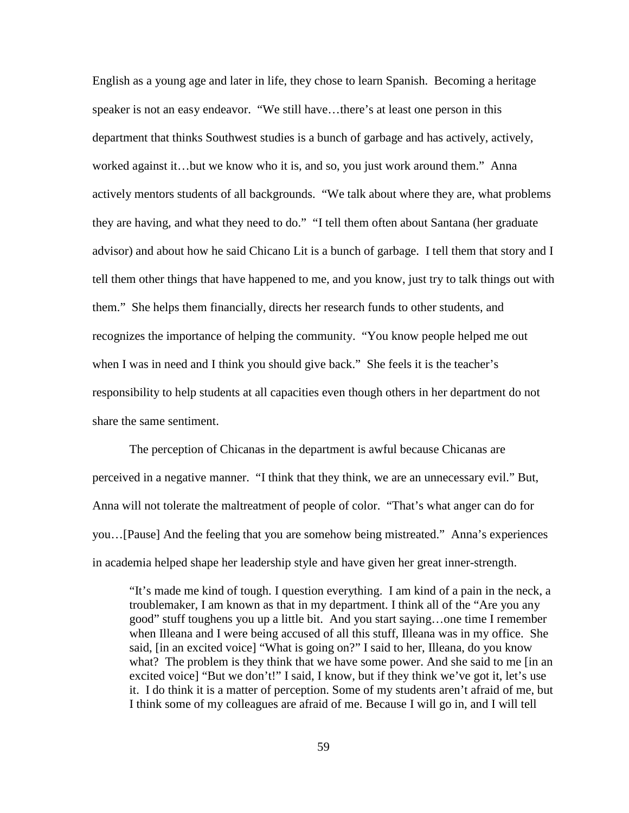English as a young age and later in life, they chose to learn Spanish. Becoming a heritage speaker is not an easy endeavor. "We still have…there's at least one person in this department that thinks Southwest studies is a bunch of garbage and has actively, actively, worked against it…but we know who it is, and so, you just work around them." Anna actively mentors students of all backgrounds. "We talk about where they are, what problems they are having, and what they need to do." "I tell them often about Santana (her graduate advisor) and about how he said Chicano Lit is a bunch of garbage. I tell them that story and I tell them other things that have happened to me, and you know, just try to talk things out with them." She helps them financially, directs her research funds to other students, and recognizes the importance of helping the community. "You know people helped me out when I was in need and I think you should give back." She feels it is the teacher's responsibility to help students at all capacities even though others in her department do not share the same sentiment.

The perception of Chicanas in the department is awful because Chicanas are perceived in a negative manner. "I think that they think, we are an unnecessary evil." But, Anna will not tolerate the maltreatment of people of color. "That's what anger can do for you…[Pause] And the feeling that you are somehow being mistreated." Anna's experiences in academia helped shape her leadership style and have given her great inner-strength.

"It's made me kind of tough. I question everything. I am kind of a pain in the neck, a troublemaker, I am known as that in my department. I think all of the "Are you any good" stuff toughens you up a little bit. And you start saying…one time I remember when Illeana and I were being accused of all this stuff, Illeana was in my office. She said, [in an excited voice] "What is going on?" I said to her, Illeana, do you know what? The problem is they think that we have some power. And she said to me [in an excited voice] "But we don't!" I said, I know, but if they think we've got it, let's use it. I do think it is a matter of perception. Some of my students aren't afraid of me, but I think some of my colleagues are afraid of me. Because I will go in, and I will tell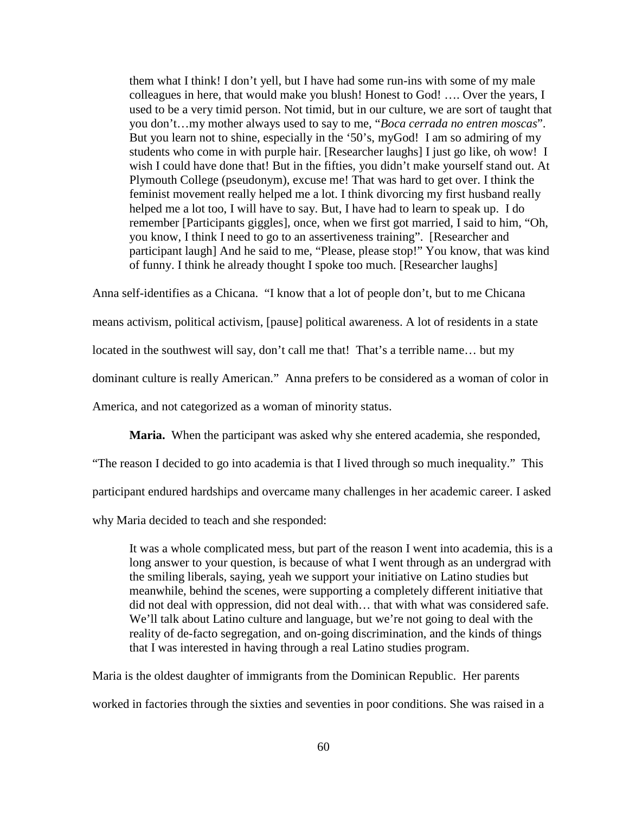them what I think! I don't yell, but I have had some run-ins with some of my male colleagues in here, that would make you blush! Honest to God! …. Over the years, I used to be a very timid person. Not timid, but in our culture, we are sort of taught that you don't…my mother always used to say to me, "*Boca cerrada no entren moscas*". But you learn not to shine, especially in the '50's, myGod! I am so admiring of my students who come in with purple hair. [Researcher laughs] I just go like, oh wow! I wish I could have done that! But in the fifties, you didn't make yourself stand out. At Plymouth College (pseudonym), excuse me! That was hard to get over. I think the feminist movement really helped me a lot. I think divorcing my first husband really helped me a lot too, I will have to say. But, I have had to learn to speak up. I do remember [Participants giggles], once, when we first got married, I said to him, "Oh, you know, I think I need to go to an assertiveness training". [Researcher and participant laugh] And he said to me, "Please, please stop!" You know, that was kind of funny. I think he already thought I spoke too much. [Researcher laughs]

Anna self-identifies as a Chicana. "I know that a lot of people don't, but to me Chicana means activism, political activism, [pause] political awareness. A lot of residents in a state located in the southwest will say, don't call me that! That's a terrible name... but my dominant culture is really American." Anna prefers to be considered as a woman of color in America, and not categorized as a woman of minority status.

**Maria.** When the participant was asked why she entered academia, she responded,

"The reason I decided to go into academia is that I lived through so much inequality." This

participant endured hardships and overcame many challenges in her academic career. I asked

why Maria decided to teach and she responded:

It was a whole complicated mess, but part of the reason I went into academia, this is a long answer to your question, is because of what I went through as an undergrad with the smiling liberals, saying, yeah we support your initiative on Latino studies but meanwhile, behind the scenes, were supporting a completely different initiative that did not deal with oppression, did not deal with… that with what was considered safe. We'll talk about Latino culture and language, but we're not going to deal with the reality of de-facto segregation, and on-going discrimination, and the kinds of things that I was interested in having through a real Latino studies program.

Maria is the oldest daughter of immigrants from the Dominican Republic. Her parents worked in factories through the sixties and seventies in poor conditions. She was raised in a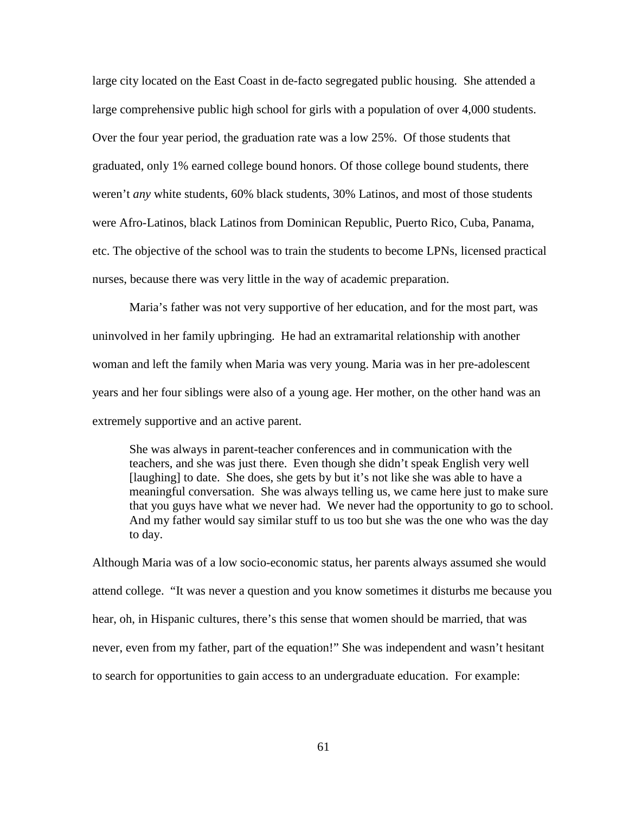large city located on the East Coast in de-facto segregated public housing. She attended a large comprehensive public high school for girls with a population of over 4,000 students. Over the four year period, the graduation rate was a low 25%. Of those students that graduated, only 1% earned college bound honors. Of those college bound students, there weren't *any* white students, 60% black students, 30% Latinos, and most of those students were Afro-Latinos, black Latinos from Dominican Republic, Puerto Rico, Cuba, Panama, etc. The objective of the school was to train the students to become LPNs, licensed practical nurses, because there was very little in the way of academic preparation.

Maria's father was not very supportive of her education, and for the most part, was uninvolved in her family upbringing. He had an extramarital relationship with another woman and left the family when Maria was very young. Maria was in her pre-adolescent years and her four siblings were also of a young age. Her mother, on the other hand was an extremely supportive and an active parent.

She was always in parent-teacher conferences and in communication with the teachers, and she was just there. Even though she didn't speak English very well [laughing] to date. She does, she gets by but it's not like she was able to have a meaningful conversation. She was always telling us, we came here just to make sure that you guys have what we never had. We never had the opportunity to go to school. And my father would say similar stuff to us too but she was the one who was the day to day.

Although Maria was of a low socio-economic status, her parents always assumed she would attend college. "It was never a question and you know sometimes it disturbs me because you hear, oh, in Hispanic cultures, there's this sense that women should be married, that was never, even from my father, part of the equation!" She was independent and wasn't hesitant to search for opportunities to gain access to an undergraduate education. For example: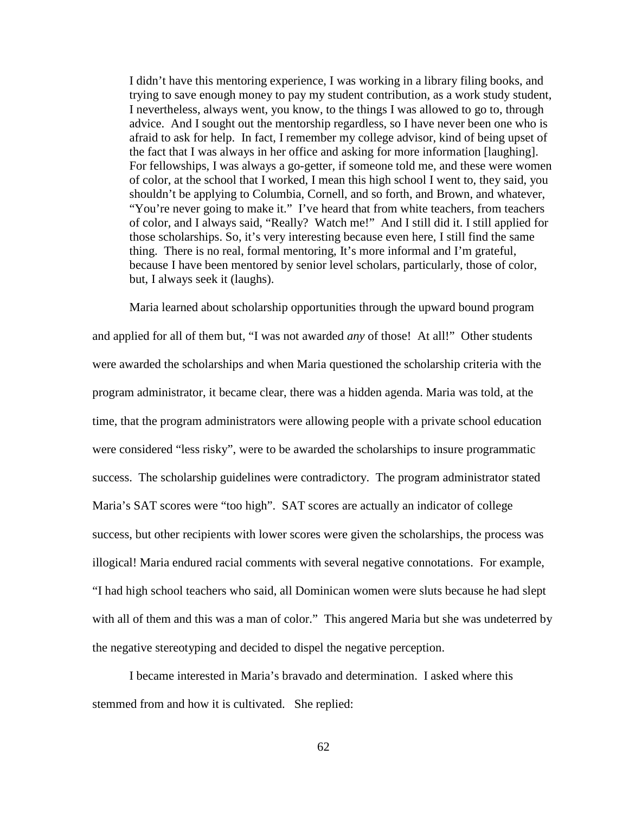I didn't have this mentoring experience, I was working in a library filing books, and trying to save enough money to pay my student contribution, as a work study student, I nevertheless, always went, you know, to the things I was allowed to go to, through advice. And I sought out the mentorship regardless, so I have never been one who is afraid to ask for help. In fact, I remember my college advisor, kind of being upset of the fact that I was always in her office and asking for more information [laughing]. For fellowships, I was always a go-getter, if someone told me, and these were women of color, at the school that I worked, I mean this high school I went to, they said, you shouldn't be applying to Columbia, Cornell, and so forth, and Brown, and whatever, "You're never going to make it." I've heard that from white teachers, from teachers of color, and I always said, "Really? Watch me!" And I still did it. I still applied for those scholarships. So, it's very interesting because even here, I still find the same thing. There is no real, formal mentoring, It's more informal and I'm grateful, because I have been mentored by senior level scholars, particularly, those of color, but, I always seek it (laughs).

Maria learned about scholarship opportunities through the upward bound program and applied for all of them but, "I was not awarded *any* of those! At all!" Other students were awarded the scholarships and when Maria questioned the scholarship criteria with the program administrator, it became clear, there was a hidden agenda. Maria was told, at the time, that the program administrators were allowing people with a private school education were considered "less risky", were to be awarded the scholarships to insure programmatic success. The scholarship guidelines were contradictory. The program administrator stated Maria's SAT scores were "too high". SAT scores are actually an indicator of college success, but other recipients with lower scores were given the scholarships, the process was illogical! Maria endured racial comments with several negative connotations. For example, "I had high school teachers who said, all Dominican women were sluts because he had slept with all of them and this was a man of color." This angered Maria but she was undeterred by the negative stereotyping and decided to dispel the negative perception.

I became interested in Maria's bravado and determination. I asked where this stemmed from and how it is cultivated. She replied: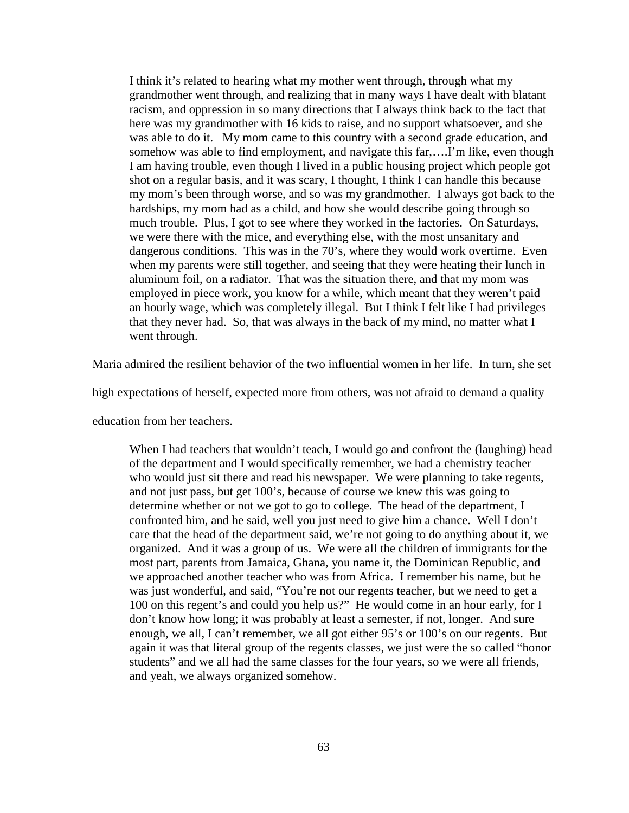I think it's related to hearing what my mother went through, through what my grandmother went through, and realizing that in many ways I have dealt with blatant racism, and oppression in so many directions that I always think back to the fact that here was my grandmother with 16 kids to raise, and no support whatsoever, and she was able to do it. My mom came to this country with a second grade education, and somehow was able to find employment, and navigate this far,….I'm like, even though I am having trouble, even though I lived in a public housing project which people got shot on a regular basis, and it was scary, I thought, I think I can handle this because my mom's been through worse, and so was my grandmother. I always got back to the hardships, my mom had as a child, and how she would describe going through so much trouble. Plus, I got to see where they worked in the factories. On Saturdays, we were there with the mice, and everything else, with the most unsanitary and dangerous conditions. This was in the 70's, where they would work overtime. Even when my parents were still together, and seeing that they were heating their lunch in aluminum foil, on a radiator. That was the situation there, and that my mom was employed in piece work, you know for a while, which meant that they weren't paid an hourly wage, which was completely illegal. But I think I felt like I had privileges that they never had. So, that was always in the back of my mind, no matter what I went through.

Maria admired the resilient behavior of the two influential women in her life. In turn, she set

high expectations of herself, expected more from others, was not afraid to demand a quality

education from her teachers.

When I had teachers that wouldn't teach, I would go and confront the (laughing) head of the department and I would specifically remember, we had a chemistry teacher who would just sit there and read his newspaper. We were planning to take regents, and not just pass, but get 100's, because of course we knew this was going to determine whether or not we got to go to college. The head of the department, I confronted him, and he said, well you just need to give him a chance. Well I don't care that the head of the department said, we're not going to do anything about it, we organized. And it was a group of us. We were all the children of immigrants for the most part, parents from Jamaica, Ghana, you name it, the Dominican Republic, and we approached another teacher who was from Africa. I remember his name, but he was just wonderful, and said, "You're not our regents teacher, but we need to get a 100 on this regent's and could you help us?" He would come in an hour early, for I don't know how long; it was probably at least a semester, if not, longer. And sure enough, we all, I can't remember, we all got either 95's or 100's on our regents. But again it was that literal group of the regents classes, we just were the so called "honor students" and we all had the same classes for the four years, so we were all friends, and yeah, we always organized somehow.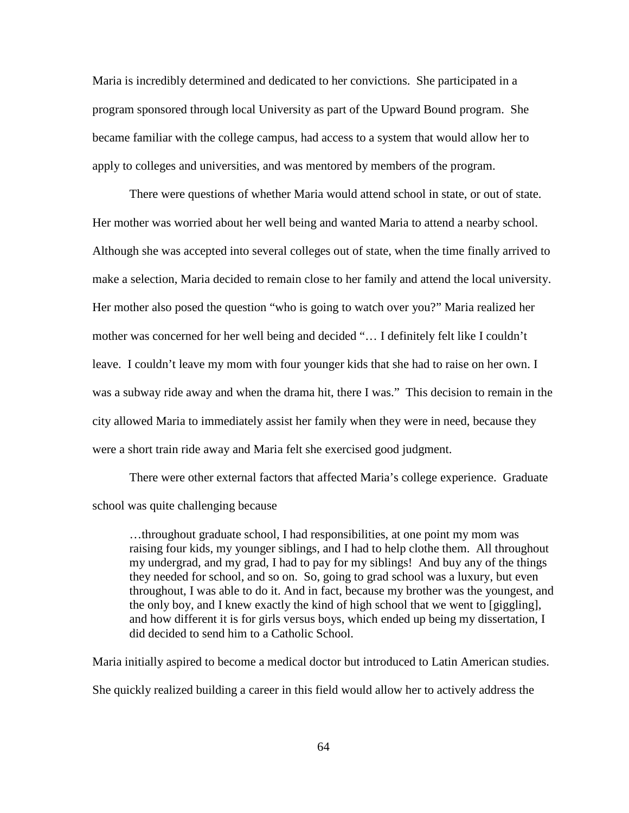Maria is incredibly determined and dedicated to her convictions. She participated in a program sponsored through local University as part of the Upward Bound program. She became familiar with the college campus, had access to a system that would allow her to apply to colleges and universities, and was mentored by members of the program.

There were questions of whether Maria would attend school in state, or out of state. Her mother was worried about her well being and wanted Maria to attend a nearby school. Although she was accepted into several colleges out of state, when the time finally arrived to make a selection, Maria decided to remain close to her family and attend the local university. Her mother also posed the question "who is going to watch over you?" Maria realized her mother was concerned for her well being and decided "… I definitely felt like I couldn't leave. I couldn't leave my mom with four younger kids that she had to raise on her own. I was a subway ride away and when the drama hit, there I was." This decision to remain in the city allowed Maria to immediately assist her family when they were in need, because they were a short train ride away and Maria felt she exercised good judgment.

There were other external factors that affected Maria's college experience. Graduate school was quite challenging because

…throughout graduate school, I had responsibilities, at one point my mom was raising four kids, my younger siblings, and I had to help clothe them. All throughout my undergrad, and my grad, I had to pay for my siblings! And buy any of the things they needed for school, and so on. So, going to grad school was a luxury, but even throughout, I was able to do it. And in fact, because my brother was the youngest, and the only boy, and I knew exactly the kind of high school that we went to [giggling], and how different it is for girls versus boys, which ended up being my dissertation, I did decided to send him to a Catholic School.

Maria initially aspired to become a medical doctor but introduced to Latin American studies. She quickly realized building a career in this field would allow her to actively address the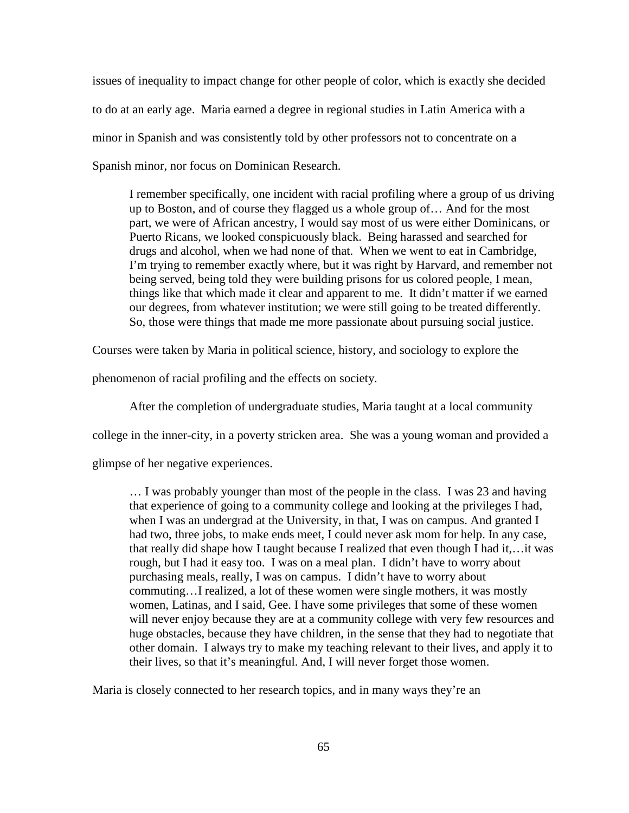issues of inequality to impact change for other people of color, which is exactly she decided to do at an early age. Maria earned a degree in regional studies in Latin America with a minor in Spanish and was consistently told by other professors not to concentrate on a Spanish minor, nor focus on Dominican Research.

I remember specifically, one incident with racial profiling where a group of us driving up to Boston, and of course they flagged us a whole group of… And for the most part, we were of African ancestry, I would say most of us were either Dominicans, or Puerto Ricans, we looked conspicuously black. Being harassed and searched for drugs and alcohol, when we had none of that. When we went to eat in Cambridge, I'm trying to remember exactly where, but it was right by Harvard, and remember not being served, being told they were building prisons for us colored people, I mean, things like that which made it clear and apparent to me. It didn't matter if we earned our degrees, from whatever institution; we were still going to be treated differently. So, those were things that made me more passionate about pursuing social justice.

Courses were taken by Maria in political science, history, and sociology to explore the

phenomenon of racial profiling and the effects on society.

After the completion of undergraduate studies, Maria taught at a local community

college in the inner-city, in a poverty stricken area. She was a young woman and provided a

glimpse of her negative experiences.

… I was probably younger than most of the people in the class. I was 23 and having that experience of going to a community college and looking at the privileges I had, when I was an undergrad at the University, in that, I was on campus. And granted I had two, three jobs, to make ends meet, I could never ask mom for help. In any case, that really did shape how I taught because I realized that even though I had it,…it was rough, but I had it easy too. I was on a meal plan. I didn't have to worry about purchasing meals, really, I was on campus. I didn't have to worry about commuting…I realized, a lot of these women were single mothers, it was mostly women, Latinas, and I said, Gee. I have some privileges that some of these women will never enjoy because they are at a community college with very few resources and huge obstacles, because they have children, in the sense that they had to negotiate that other domain. I always try to make my teaching relevant to their lives, and apply it to their lives, so that it's meaningful. And, I will never forget those women.

Maria is closely connected to her research topics, and in many ways they're an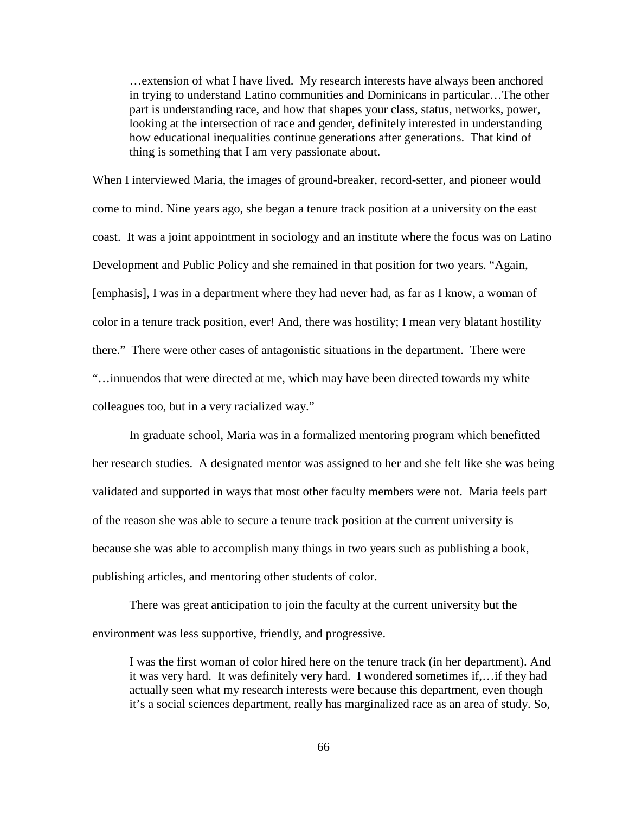…extension of what I have lived. My research interests have always been anchored in trying to understand Latino communities and Dominicans in particular…The other part is understanding race, and how that shapes your class, status, networks, power, looking at the intersection of race and gender, definitely interested in understanding how educational inequalities continue generations after generations. That kind of thing is something that I am very passionate about.

When I interviewed Maria, the images of ground-breaker, record-setter, and pioneer would come to mind. Nine years ago, she began a tenure track position at a university on the east coast. It was a joint appointment in sociology and an institute where the focus was on Latino Development and Public Policy and she remained in that position for two years. "Again, [emphasis], I was in a department where they had never had, as far as I know, a woman of color in a tenure track position, ever! And, there was hostility; I mean very blatant hostility there." There were other cases of antagonistic situations in the department. There were "…innuendos that were directed at me, which may have been directed towards my white colleagues too, but in a very racialized way."

In graduate school, Maria was in a formalized mentoring program which benefitted her research studies. A designated mentor was assigned to her and she felt like she was being validated and supported in ways that most other faculty members were not. Maria feels part of the reason she was able to secure a tenure track position at the current university is because she was able to accomplish many things in two years such as publishing a book, publishing articles, and mentoring other students of color.

There was great anticipation to join the faculty at the current university but the environment was less supportive, friendly, and progressive.

I was the first woman of color hired here on the tenure track (in her department). And it was very hard. It was definitely very hard. I wondered sometimes if,…if they had actually seen what my research interests were because this department, even though it's a social sciences department, really has marginalized race as an area of study. So,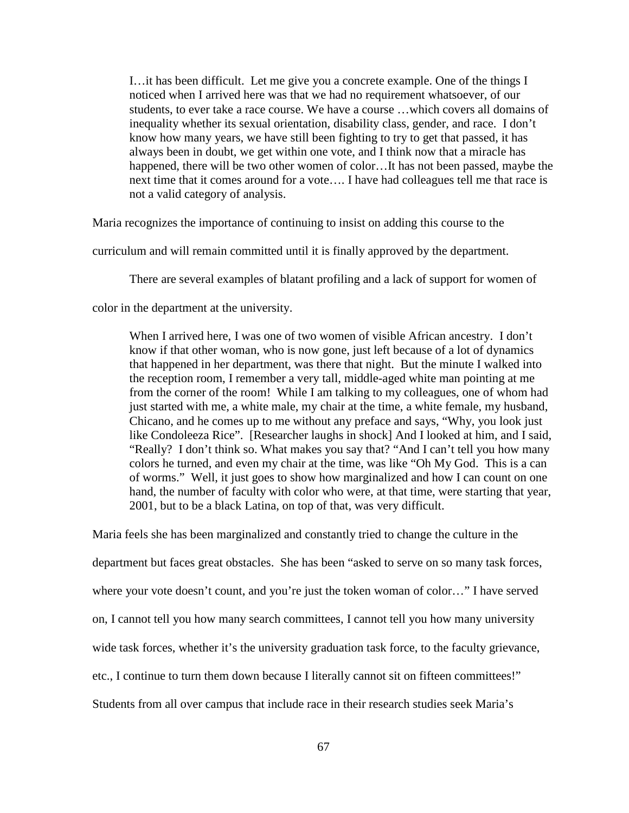I…it has been difficult. Let me give you a concrete example. One of the things I noticed when I arrived here was that we had no requirement whatsoever, of our students, to ever take a race course. We have a course …which covers all domains of inequality whether its sexual orientation, disability class, gender, and race. I don't know how many years, we have still been fighting to try to get that passed, it has always been in doubt, we get within one vote, and I think now that a miracle has happened, there will be two other women of color…It has not been passed, maybe the next time that it comes around for a vote…. I have had colleagues tell me that race is not a valid category of analysis.

Maria recognizes the importance of continuing to insist on adding this course to the

curriculum and will remain committed until it is finally approved by the department.

There are several examples of blatant profiling and a lack of support for women of

color in the department at the university.

When I arrived here, I was one of two women of visible African ancestry. I don't know if that other woman, who is now gone, just left because of a lot of dynamics that happened in her department, was there that night. But the minute I walked into the reception room, I remember a very tall, middle-aged white man pointing at me from the corner of the room! While I am talking to my colleagues, one of whom had just started with me, a white male, my chair at the time, a white female, my husband, Chicano, and he comes up to me without any preface and says, "Why, you look just like Condoleeza Rice". [Researcher laughs in shock] And I looked at him, and I said, "Really? I don't think so. What makes you say that? "And I can't tell you how many colors he turned, and even my chair at the time, was like "Oh My God. This is a can of worms." Well, it just goes to show how marginalized and how I can count on one hand, the number of faculty with color who were, at that time, were starting that year, 2001, but to be a black Latina, on top of that, was very difficult.

Maria feels she has been marginalized and constantly tried to change the culture in the

department but faces great obstacles. She has been "asked to serve on so many task forces,

where your vote doesn't count, and you're just the token woman of color..." I have served

on, I cannot tell you how many search committees, I cannot tell you how many university

wide task forces, whether it's the university graduation task force, to the faculty grievance,

etc., I continue to turn them down because I literally cannot sit on fifteen committees!"

Students from all over campus that include race in their research studies seek Maria's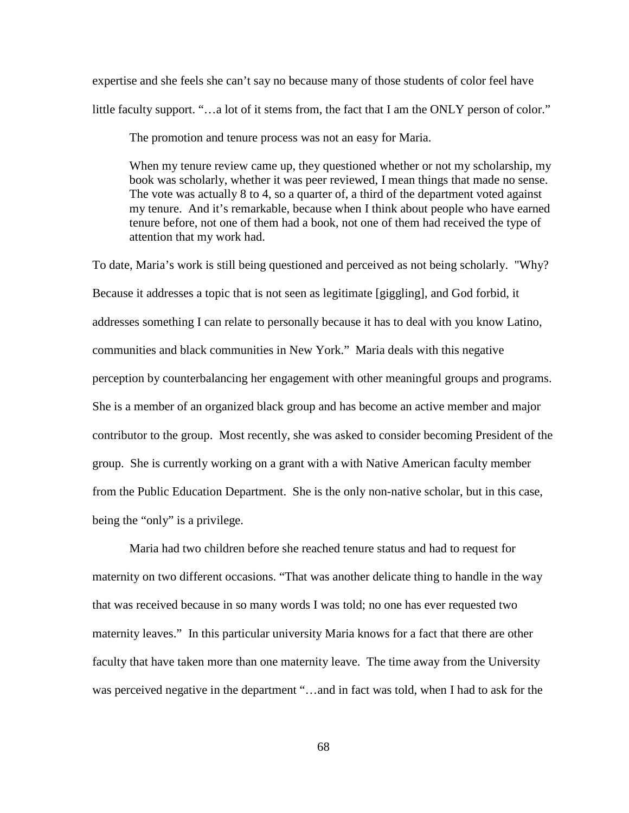expertise and she feels she can't say no because many of those students of color feel have little faculty support. "...a lot of it stems from, the fact that I am the ONLY person of color."

The promotion and tenure process was not an easy for Maria.

When my tenure review came up, they questioned whether or not my scholarship, my book was scholarly, whether it was peer reviewed, I mean things that made no sense. The vote was actually 8 to 4, so a quarter of, a third of the department voted against my tenure. And it's remarkable, because when I think about people who have earned tenure before, not one of them had a book, not one of them had received the type of attention that my work had.

To date, Maria's work is still being questioned and perceived as not being scholarly. "Why? Because it addresses a topic that is not seen as legitimate [giggling], and God forbid, it addresses something I can relate to personally because it has to deal with you know Latino, communities and black communities in New York." Maria deals with this negative perception by counterbalancing her engagement with other meaningful groups and programs. She is a member of an organized black group and has become an active member and major contributor to the group. Most recently, she was asked to consider becoming President of the group. She is currently working on a grant with a with Native American faculty member from the Public Education Department. She is the only non-native scholar, but in this case, being the "only" is a privilege.

Maria had two children before she reached tenure status and had to request for maternity on two different occasions. "That was another delicate thing to handle in the way that was received because in so many words I was told; no one has ever requested two maternity leaves." In this particular university Maria knows for a fact that there are other faculty that have taken more than one maternity leave. The time away from the University was perceived negative in the department "...and in fact was told, when I had to ask for the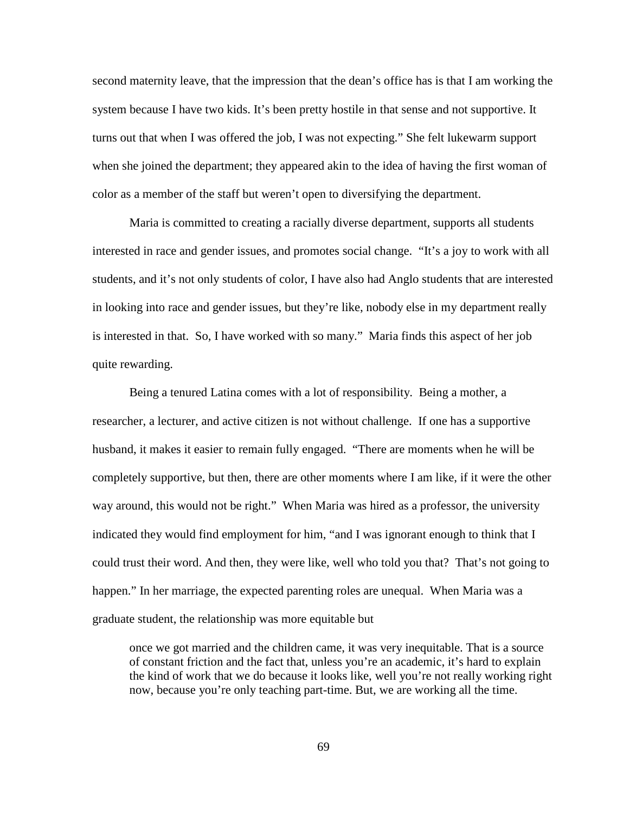second maternity leave, that the impression that the dean's office has is that I am working the system because I have two kids. It's been pretty hostile in that sense and not supportive. It turns out that when I was offered the job, I was not expecting." She felt lukewarm support when she joined the department; they appeared akin to the idea of having the first woman of color as a member of the staff but weren't open to diversifying the department.

Maria is committed to creating a racially diverse department, supports all students interested in race and gender issues, and promotes social change. "It's a joy to work with all students, and it's not only students of color, I have also had Anglo students that are interested in looking into race and gender issues, but they're like, nobody else in my department really is interested in that. So, I have worked with so many." Maria finds this aspect of her job quite rewarding.

Being a tenured Latina comes with a lot of responsibility. Being a mother, a researcher, a lecturer, and active citizen is not without challenge. If one has a supportive husband, it makes it easier to remain fully engaged. "There are moments when he will be completely supportive, but then, there are other moments where I am like, if it were the other way around, this would not be right." When Maria was hired as a professor, the university indicated they would find employment for him, "and I was ignorant enough to think that I could trust their word. And then, they were like, well who told you that? That's not going to happen." In her marriage, the expected parenting roles are unequal. When Maria was a graduate student, the relationship was more equitable but

once we got married and the children came, it was very inequitable. That is a source of constant friction and the fact that, unless you're an academic, it's hard to explain the kind of work that we do because it looks like, well you're not really working right now, because you're only teaching part-time. But, we are working all the time.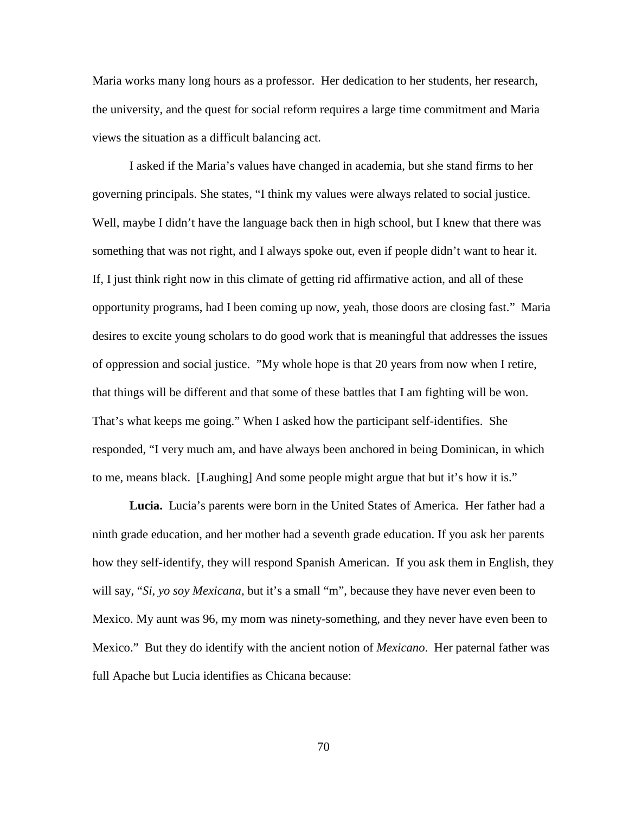Maria works many long hours as a professor. Her dedication to her students, her research, the university, and the quest for social reform requires a large time commitment and Maria views the situation as a difficult balancing act.

I asked if the Maria's values have changed in academia, but she stand firms to her governing principals. She states, "I think my values were always related to social justice. Well, maybe I didn't have the language back then in high school, but I knew that there was something that was not right, and I always spoke out, even if people didn't want to hear it. If, I just think right now in this climate of getting rid affirmative action, and all of these opportunity programs, had I been coming up now, yeah, those doors are closing fast." Maria desires to excite young scholars to do good work that is meaningful that addresses the issues of oppression and social justice. "My whole hope is that 20 years from now when I retire, that things will be different and that some of these battles that I am fighting will be won. That's what keeps me going." When I asked how the participant self-identifies. She responded, "I very much am, and have always been anchored in being Dominican, in which to me, means black. [Laughing] And some people might argue that but it's how it is."

**Lucia.** Lucia's parents were born in the United States of America. Her father had a ninth grade education, and her mother had a seventh grade education. If you ask her parents how they self-identify, they will respond Spanish American. If you ask them in English, they will say, "*Si, yo soy Mexicana,* but it's a small "m", because they have never even been to Mexico. My aunt was 96, my mom was ninety-something, and they never have even been to Mexico." But they do identify with the ancient notion of *Mexicano*. Her paternal father was full Apache but Lucia identifies as Chicana because: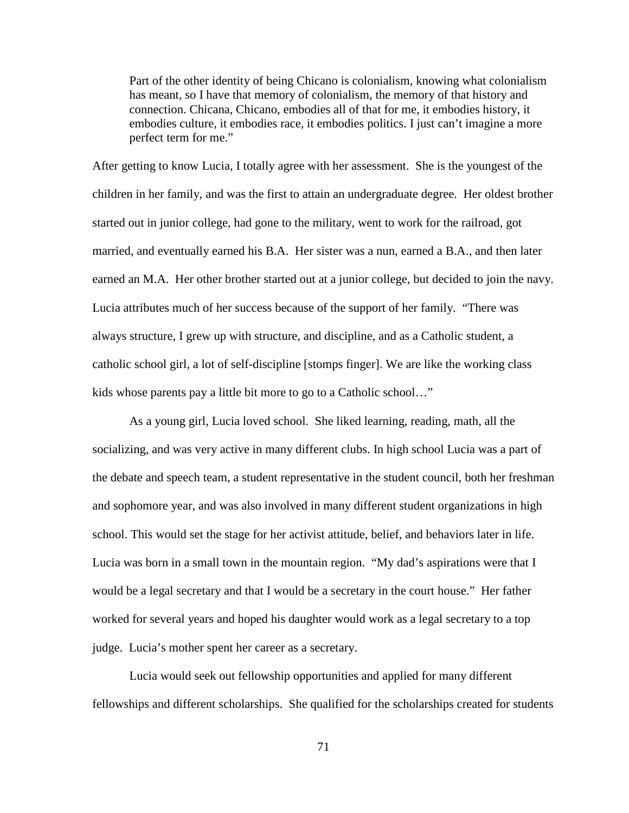Part of the other identity of being Chicano is colonialism, knowing what colonialism has meant, so I have that memory of colonialism, the memory of that history and connection. Chicana, Chicano, embodies all of that for me, it embodies history, it embodies culture, it embodies race, it embodies politics. I just can't imagine a more perfect term for me."

After getting to know Lucia, I totally agree with her assessment. She is the youngest of the children in her family, and was the first to attain an undergraduate degree. Her oldest brother started out in junior college, had gone to the military, went to work for the railroad, got married, and eventually earned his B.A. Her sister was a nun, earned a B.A., and then later earned an M.A. Her other brother started out at a junior college, but decided to join the navy. Lucia attributes much of her success because of the support of her family. "There was always structure, I grew up with structure, and discipline, and as a Catholic student, a catholic school girl, a lot of self-discipline [stomps finger]. We are like the working class kids whose parents pay a little bit more to go to a Catholic school…"

As a young girl, Lucia loved school. She liked learning, reading, math, all the socializing, and was very active in many different clubs. In high school Lucia was a part of the debate and speech team, a student representative in the student council, both her freshman and sophomore year, and was also involved in many different student organizations in high school. This would set the stage for her activist attitude, belief, and behaviors later in life. Lucia was born in a small town in the mountain region. "My dad's aspirations were that I would be a legal secretary and that I would be a secretary in the court house." Her father worked for several years and hoped his daughter would work as a legal secretary to a top judge. Lucia's mother spent her career as a secretary.

Lucia would seek out fellowship opportunities and applied for many different fellowships and different scholarships. She qualified for the scholarships created for students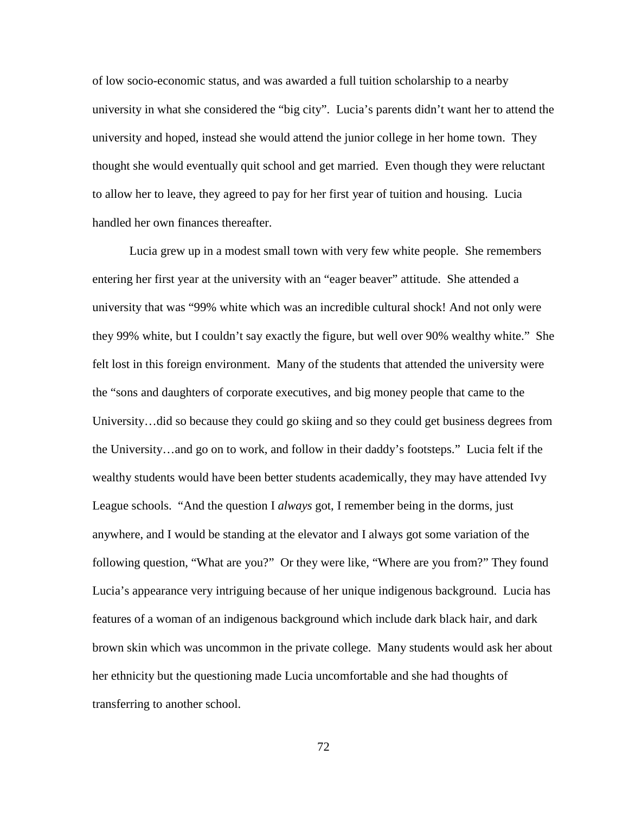of low socio-economic status, and was awarded a full tuition scholarship to a nearby university in what she considered the "big city". Lucia's parents didn't want her to attend the university and hoped, instead she would attend the junior college in her home town. They thought she would eventually quit school and get married. Even though they were reluctant to allow her to leave, they agreed to pay for her first year of tuition and housing. Lucia handled her own finances thereafter.

Lucia grew up in a modest small town with very few white people. She remembers entering her first year at the university with an "eager beaver" attitude. She attended a university that was "99% white which was an incredible cultural shock! And not only were they 99% white, but I couldn't say exactly the figure, but well over 90% wealthy white." She felt lost in this foreign environment. Many of the students that attended the university were the "sons and daughters of corporate executives, and big money people that came to the University…did so because they could go skiing and so they could get business degrees from the University…and go on to work, and follow in their daddy's footsteps." Lucia felt if the wealthy students would have been better students academically, they may have attended Ivy League schools. "And the question I *always* got, I remember being in the dorms, just anywhere, and I would be standing at the elevator and I always got some variation of the following question, "What are you?" Or they were like, "Where are you from?" They found Lucia's appearance very intriguing because of her unique indigenous background. Lucia has features of a woman of an indigenous background which include dark black hair, and dark brown skin which was uncommon in the private college. Many students would ask her about her ethnicity but the questioning made Lucia uncomfortable and she had thoughts of transferring to another school.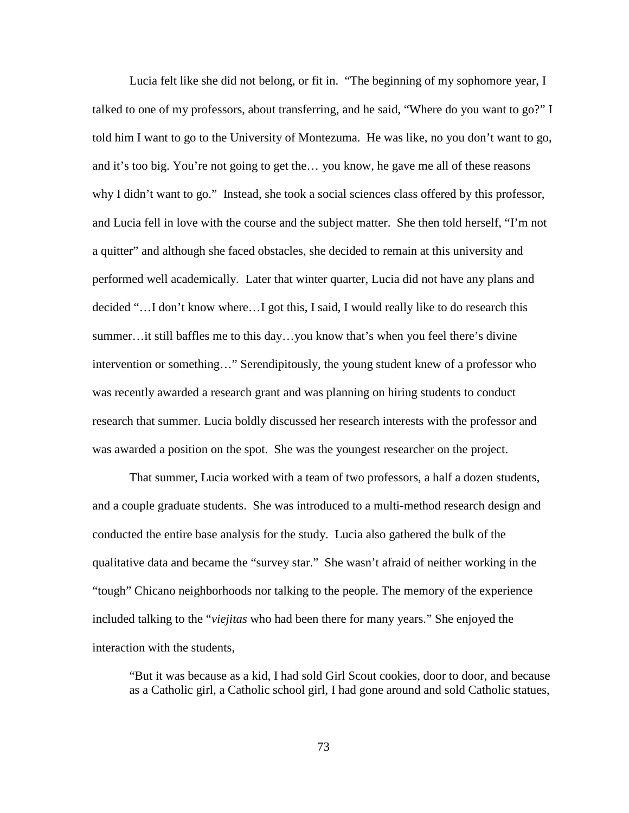Lucia felt like she did not belong, or fit in. "The beginning of my sophomore year, I talked to one of my professors, about transferring, and he said, "Where do you want to go?" I told him I want to go to the University of Montezuma. He was like, no you don't want to go, and it's too big. You're not going to get the… you know, he gave me all of these reasons why I didn't want to go." Instead, she took a social sciences class offered by this professor, and Lucia fell in love with the course and the subject matter. She then told herself, "I'm not a quitter" and although she faced obstacles, she decided to remain at this university and performed well academically. Later that winter quarter, Lucia did not have any plans and decided "…I don't know where…I got this, I said, I would really like to do research this summer…it still baffles me to this day…you know that's when you feel there's divine intervention or something…" Serendipitously, the young student knew of a professor who was recently awarded a research grant and was planning on hiring students to conduct research that summer. Lucia boldly discussed her research interests with the professor and was awarded a position on the spot. She was the youngest researcher on the project.

That summer, Lucia worked with a team of two professors, a half a dozen students, and a couple graduate students. She was introduced to a multi-method research design and conducted the entire base analysis for the study. Lucia also gathered the bulk of the qualitative data and became the "survey star." She wasn't afraid of neither working in the "tough" Chicano neighborhoods nor talking to the people. The memory of the experience included talking to the "*viejitas* who had been there for many years." She enjoyed the interaction with the students,

"But it was because as a kid, I had sold Girl Scout cookies, door to door, and because as a Catholic girl, a Catholic school girl, I had gone around and sold Catholic statues,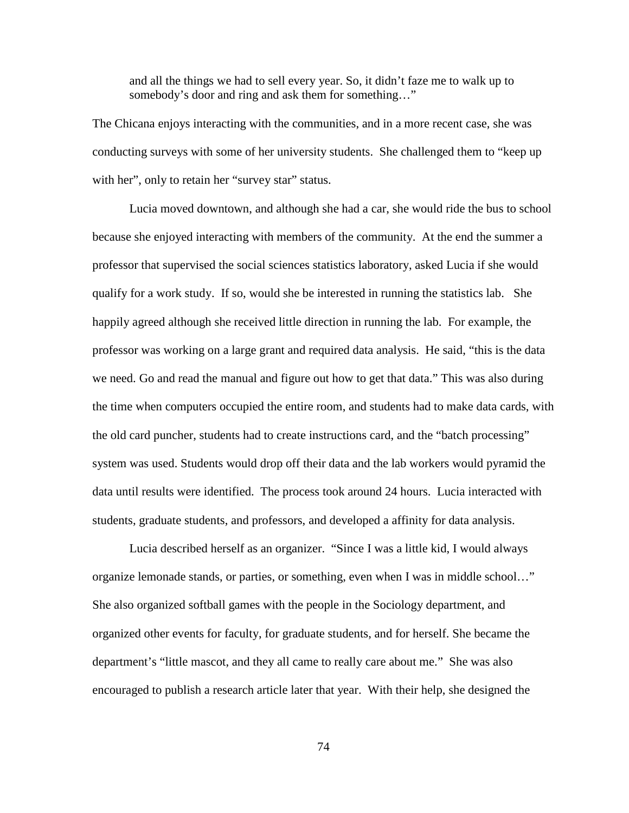and all the things we had to sell every year. So, it didn't faze me to walk up to somebody's door and ring and ask them for something…"

The Chicana enjoys interacting with the communities, and in a more recent case, she was conducting surveys with some of her university students. She challenged them to "keep up with her", only to retain her "survey star" status.

Lucia moved downtown, and although she had a car, she would ride the bus to school because she enjoyed interacting with members of the community. At the end the summer a professor that supervised the social sciences statistics laboratory, asked Lucia if she would qualify for a work study. If so, would she be interested in running the statistics lab. She happily agreed although she received little direction in running the lab. For example, the professor was working on a large grant and required data analysis. He said, "this is the data we need. Go and read the manual and figure out how to get that data." This was also during the time when computers occupied the entire room, and students had to make data cards, with the old card puncher, students had to create instructions card, and the "batch processing" system was used. Students would drop off their data and the lab workers would pyramid the data until results were identified. The process took around 24 hours. Lucia interacted with students, graduate students, and professors, and developed a affinity for data analysis.

Lucia described herself as an organizer. "Since I was a little kid, I would always organize lemonade stands, or parties, or something, even when I was in middle school…" She also organized softball games with the people in the Sociology department, and organized other events for faculty, for graduate students, and for herself. She became the department's "little mascot, and they all came to really care about me." She was also encouraged to publish a research article later that year. With their help, she designed the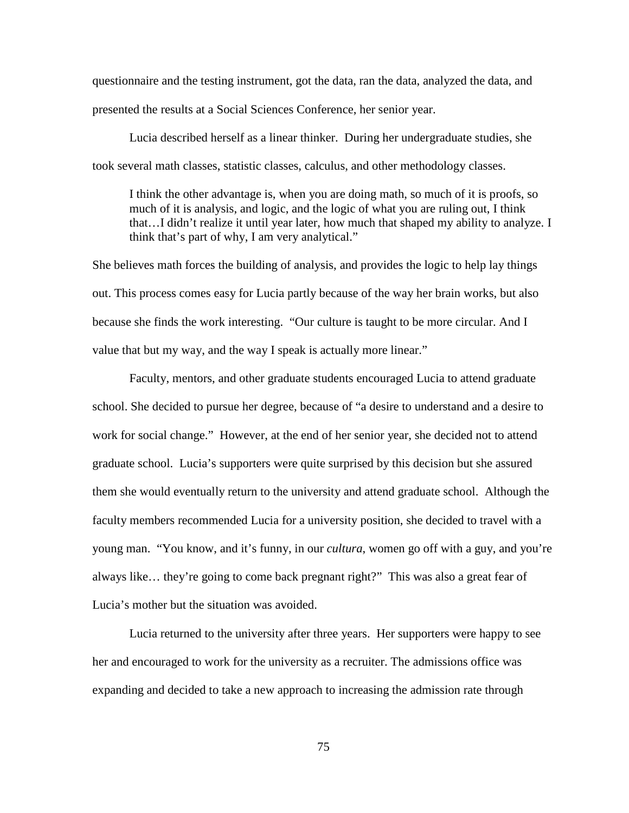questionnaire and the testing instrument, got the data, ran the data, analyzed the data, and presented the results at a Social Sciences Conference, her senior year.

Lucia described herself as a linear thinker. During her undergraduate studies, she took several math classes, statistic classes, calculus, and other methodology classes.

I think the other advantage is, when you are doing math, so much of it is proofs, so much of it is analysis, and logic, and the logic of what you are ruling out, I think that…I didn't realize it until year later, how much that shaped my ability to analyze. I think that's part of why, I am very analytical."

She believes math forces the building of analysis, and provides the logic to help lay things out. This process comes easy for Lucia partly because of the way her brain works, but also because she finds the work interesting. "Our culture is taught to be more circular. And I value that but my way, and the way I speak is actually more linear."

Faculty, mentors, and other graduate students encouraged Lucia to attend graduate school. She decided to pursue her degree, because of "a desire to understand and a desire to work for social change." However, at the end of her senior year, she decided not to attend graduate school. Lucia's supporters were quite surprised by this decision but she assured them she would eventually return to the university and attend graduate school. Although the faculty members recommended Lucia for a university position, she decided to travel with a young man. "You know, and it's funny, in our *cultura*, women go off with a guy, and you're always like… they're going to come back pregnant right?" This was also a great fear of Lucia's mother but the situation was avoided.

Lucia returned to the university after three years. Her supporters were happy to see her and encouraged to work for the university as a recruiter. The admissions office was expanding and decided to take a new approach to increasing the admission rate through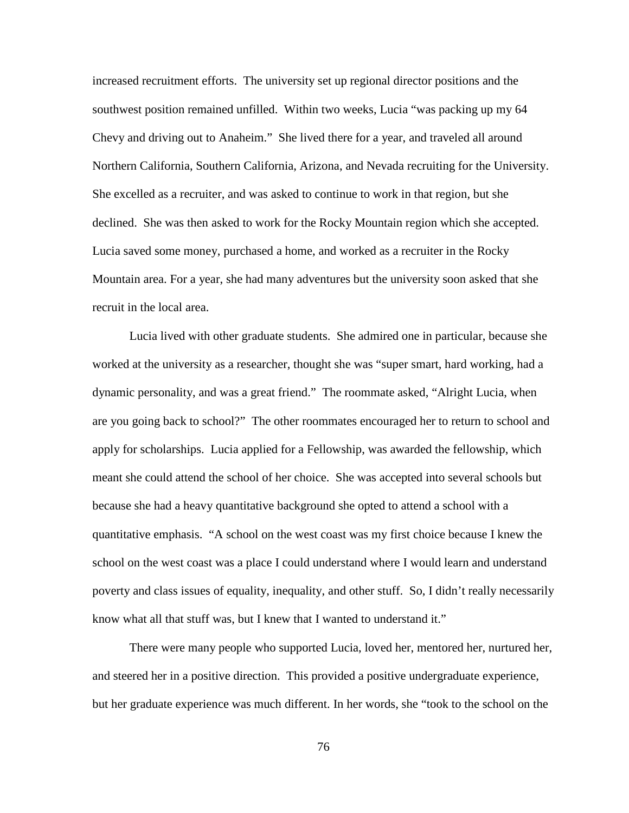increased recruitment efforts. The university set up regional director positions and the southwest position remained unfilled. Within two weeks, Lucia "was packing up my 64 Chevy and driving out to Anaheim." She lived there for a year, and traveled all around Northern California, Southern California, Arizona, and Nevada recruiting for the University. She excelled as a recruiter, and was asked to continue to work in that region, but she declined. She was then asked to work for the Rocky Mountain region which she accepted. Lucia saved some money, purchased a home, and worked as a recruiter in the Rocky Mountain area. For a year, she had many adventures but the university soon asked that she recruit in the local area.

Lucia lived with other graduate students. She admired one in particular, because she worked at the university as a researcher, thought she was "super smart, hard working, had a dynamic personality, and was a great friend." The roommate asked, "Alright Lucia, when are you going back to school?" The other roommates encouraged her to return to school and apply for scholarships. Lucia applied for a Fellowship, was awarded the fellowship, which meant she could attend the school of her choice. She was accepted into several schools but because she had a heavy quantitative background she opted to attend a school with a quantitative emphasis. "A school on the west coast was my first choice because I knew the school on the west coast was a place I could understand where I would learn and understand poverty and class issues of equality, inequality, and other stuff. So, I didn't really necessarily know what all that stuff was, but I knew that I wanted to understand it."

There were many people who supported Lucia, loved her, mentored her, nurtured her, and steered her in a positive direction. This provided a positive undergraduate experience, but her graduate experience was much different. In her words, she "took to the school on the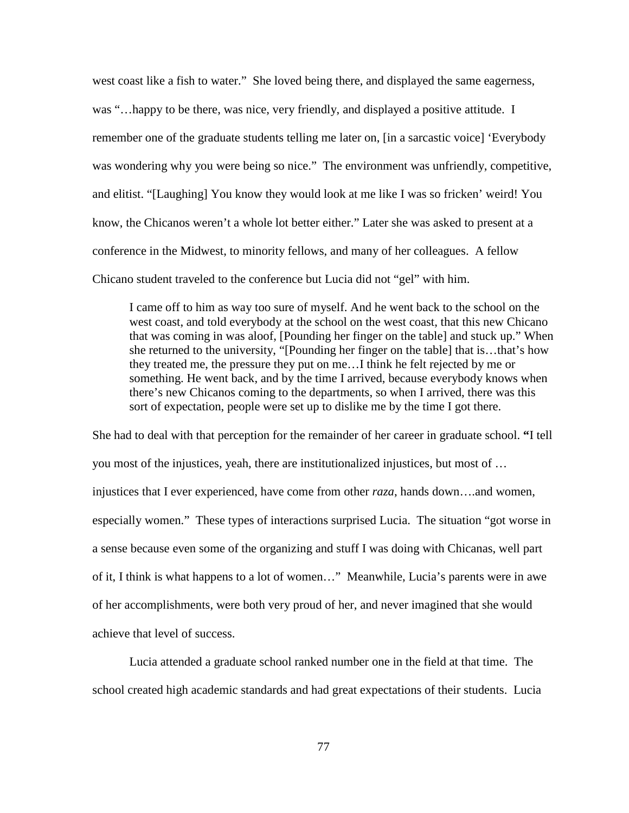west coast like a fish to water." She loved being there, and displayed the same eagerness, was "…happy to be there, was nice, very friendly, and displayed a positive attitude. I remember one of the graduate students telling me later on, [in a sarcastic voice] 'Everybody was wondering why you were being so nice." The environment was unfriendly, competitive, and elitist. "[Laughing] You know they would look at me like I was so fricken' weird! You know, the Chicanos weren't a whole lot better either." Later she was asked to present at a conference in the Midwest, to minority fellows, and many of her colleagues. A fellow Chicano student traveled to the conference but Lucia did not "gel" with him.

I came off to him as way too sure of myself. And he went back to the school on the west coast, and told everybody at the school on the west coast, that this new Chicano that was coming in was aloof, [Pounding her finger on the table] and stuck up." When she returned to the university, "[Pounding her finger on the table] that is…that's how they treated me, the pressure they put on me…I think he felt rejected by me or something. He went back, and by the time I arrived, because everybody knows when there's new Chicanos coming to the departments, so when I arrived, there was this sort of expectation, people were set up to dislike me by the time I got there.

She had to deal with that perception for the remainder of her career in graduate school. **"**I tell you most of the injustices, yeah, there are institutionalized injustices, but most of … injustices that I ever experienced, have come from other *raza*, hands down….and women, especially women." These types of interactions surprised Lucia. The situation "got worse in a sense because even some of the organizing and stuff I was doing with Chicanas, well part of it, I think is what happens to a lot of women…" Meanwhile, Lucia's parents were in awe of her accomplishments, were both very proud of her, and never imagined that she would achieve that level of success.

Lucia attended a graduate school ranked number one in the field at that time. The school created high academic standards and had great expectations of their students. Lucia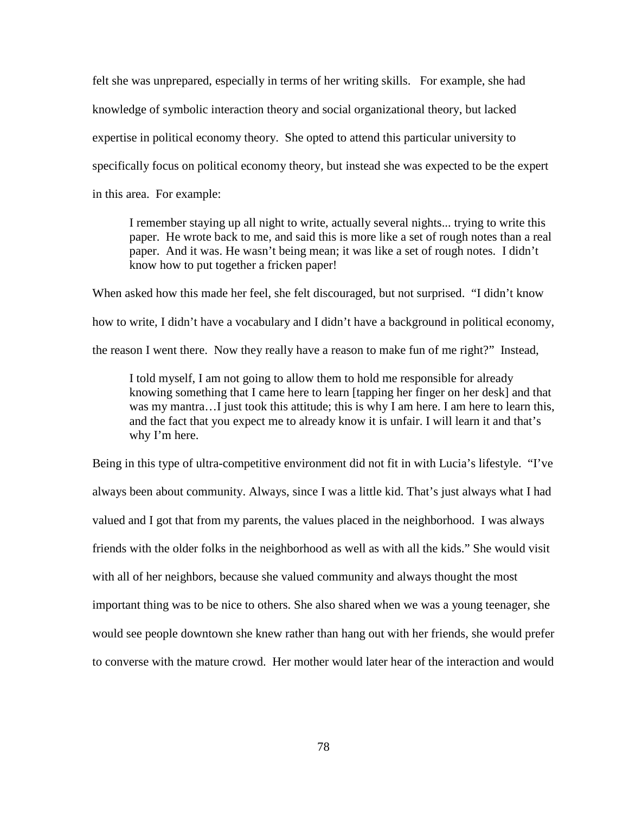felt she was unprepared, especially in terms of her writing skills. For example, she had knowledge of symbolic interaction theory and social organizational theory, but lacked expertise in political economy theory. She opted to attend this particular university to specifically focus on political economy theory, but instead she was expected to be the expert in this area. For example:

I remember staying up all night to write, actually several nights... trying to write this paper. He wrote back to me, and said this is more like a set of rough notes than a real paper. And it was. He wasn't being mean; it was like a set of rough notes. I didn't know how to put together a fricken paper!

When asked how this made her feel, she felt discouraged, but not surprised. "I didn't know how to write, I didn't have a vocabulary and I didn't have a background in political economy, the reason I went there. Now they really have a reason to make fun of me right?" Instead,

I told myself, I am not going to allow them to hold me responsible for already knowing something that I came here to learn [tapping her finger on her desk] and that was my mantra...I just took this attitude; this is why I am here. I am here to learn this, and the fact that you expect me to already know it is unfair. I will learn it and that's why I'm here.

Being in this type of ultra-competitive environment did not fit in with Lucia's lifestyle. "I've always been about community. Always, since I was a little kid. That's just always what I had valued and I got that from my parents, the values placed in the neighborhood. I was always friends with the older folks in the neighborhood as well as with all the kids." She would visit with all of her neighbors, because she valued community and always thought the most important thing was to be nice to others. She also shared when we was a young teenager, she would see people downtown she knew rather than hang out with her friends, she would prefer to converse with the mature crowd. Her mother would later hear of the interaction and would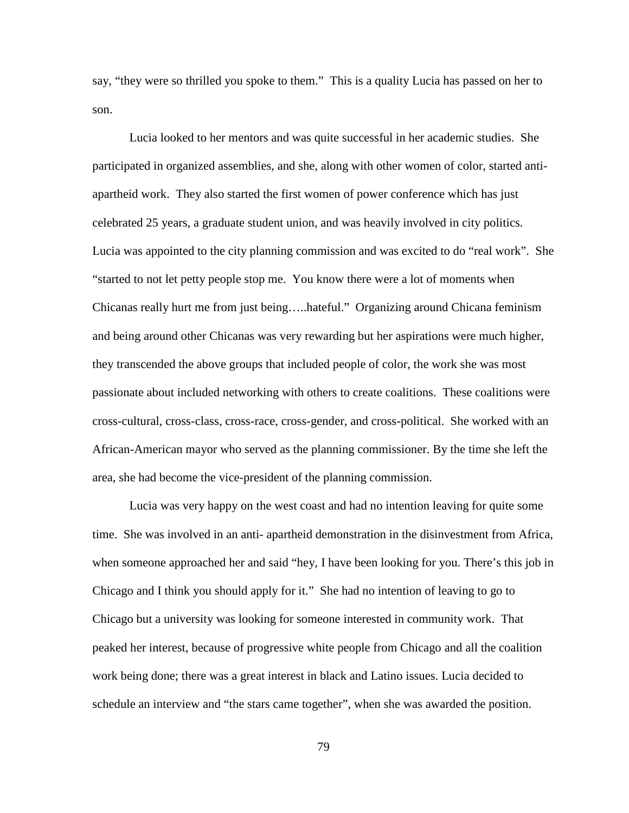say, "they were so thrilled you spoke to them." This is a quality Lucia has passed on her to son.

Lucia looked to her mentors and was quite successful in her academic studies. She participated in organized assemblies, and she, along with other women of color, started antiapartheid work. They also started the first women of power conference which has just celebrated 25 years, a graduate student union, and was heavily involved in city politics. Lucia was appointed to the city planning commission and was excited to do "real work". She "started to not let petty people stop me. You know there were a lot of moments when Chicanas really hurt me from just being…..hateful." Organizing around Chicana feminism and being around other Chicanas was very rewarding but her aspirations were much higher, they transcended the above groups that included people of color, the work she was most passionate about included networking with others to create coalitions. These coalitions were cross-cultural, cross-class, cross-race, cross-gender, and cross-political. She worked with an African-American mayor who served as the planning commissioner. By the time she left the area, she had become the vice-president of the planning commission.

Lucia was very happy on the west coast and had no intention leaving for quite some time. She was involved in an anti- apartheid demonstration in the disinvestment from Africa, when someone approached her and said "hey, I have been looking for you. There's this job in Chicago and I think you should apply for it." She had no intention of leaving to go to Chicago but a university was looking for someone interested in community work. That peaked her interest, because of progressive white people from Chicago and all the coalition work being done; there was a great interest in black and Latino issues. Lucia decided to schedule an interview and "the stars came together", when she was awarded the position.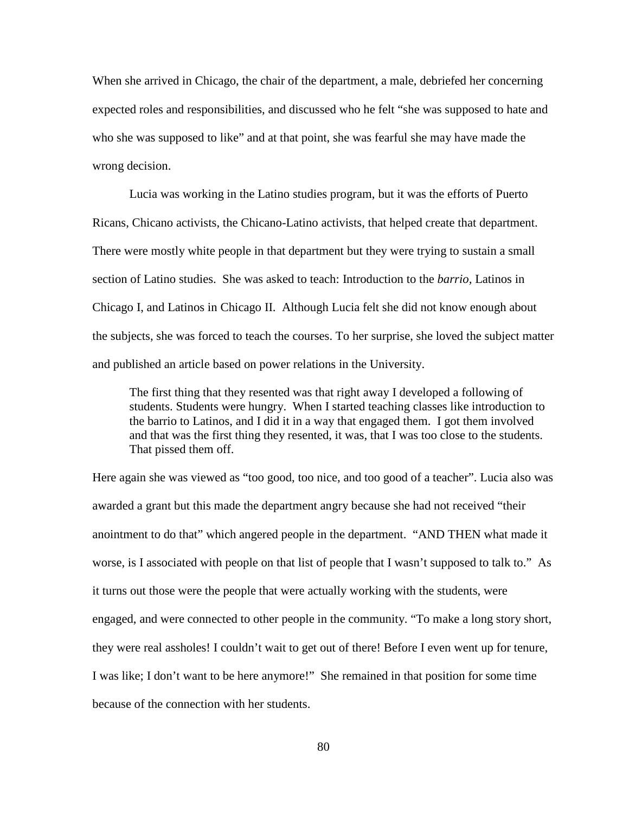When she arrived in Chicago, the chair of the department, a male, debriefed her concerning expected roles and responsibilities, and discussed who he felt "she was supposed to hate and who she was supposed to like" and at that point, she was fearful she may have made the wrong decision.

Lucia was working in the Latino studies program, but it was the efforts of Puerto Ricans, Chicano activists, the Chicano-Latino activists, that helped create that department. There were mostly white people in that department but they were trying to sustain a small section of Latino studies. She was asked to teach: Introduction to the *barrio,* Latinos in Chicago I, and Latinos in Chicago II. Although Lucia felt she did not know enough about the subjects, she was forced to teach the courses. To her surprise, she loved the subject matter and published an article based on power relations in the University.

The first thing that they resented was that right away I developed a following of students. Students were hungry. When I started teaching classes like introduction to the barrio to Latinos, and I did it in a way that engaged them. I got them involved and that was the first thing they resented, it was, that I was too close to the students. That pissed them off.

Here again she was viewed as "too good, too nice, and too good of a teacher". Lucia also was awarded a grant but this made the department angry because she had not received "their anointment to do that" which angered people in the department. "AND THEN what made it worse, is I associated with people on that list of people that I wasn't supposed to talk to." As it turns out those were the people that were actually working with the students, were engaged, and were connected to other people in the community. "To make a long story short, they were real assholes! I couldn't wait to get out of there! Before I even went up for tenure, I was like; I don't want to be here anymore!" She remained in that position for some time because of the connection with her students.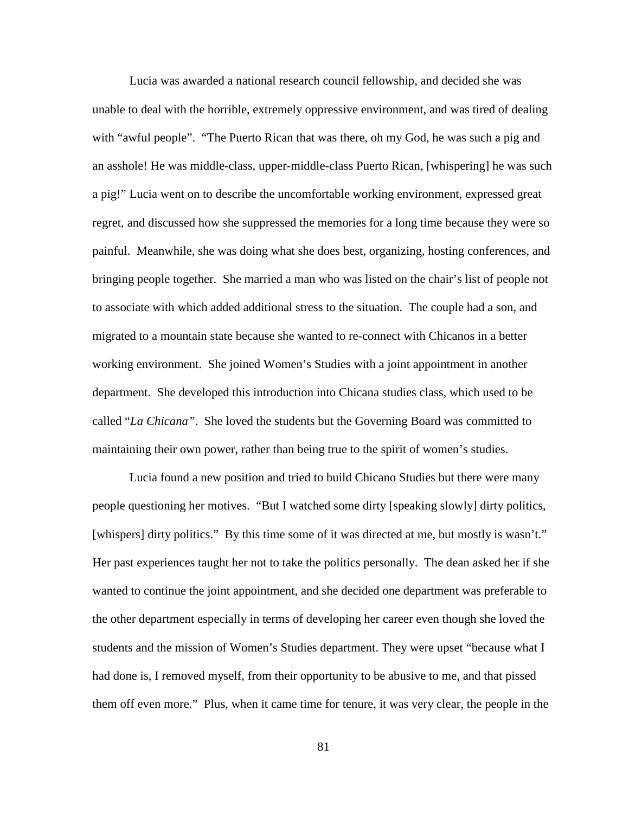Lucia was awarded a national research council fellowship, and decided she was unable to deal with the horrible, extremely oppressive environment, and was tired of dealing with "awful people". "The Puerto Rican that was there, oh my God, he was such a pig and an asshole! He was middle-class, upper-middle-class Puerto Rican, [whispering] he was such a pig!" Lucia went on to describe the uncomfortable working environment, expressed great regret, and discussed how she suppressed the memories for a long time because they were so painful. Meanwhile, she was doing what she does best, organizing, hosting conferences, and bringing people together. She married a man who was listed on the chair's list of people not to associate with which added additional stress to the situation. The couple had a son, and migrated to a mountain state because she wanted to re-connect with Chicanos in a better working environment. She joined Women's Studies with a joint appointment in another department. She developed this introduction into Chicana studies class, which used to be called "*La Chicana"*. She loved the students but the Governing Board was committed to maintaining their own power, rather than being true to the spirit of women's studies.

Lucia found a new position and tried to build Chicano Studies but there were many people questioning her motives. "But I watched some dirty [speaking slowly] dirty politics, [whispers] dirty politics." By this time some of it was directed at me, but mostly is wasn't." Her past experiences taught her not to take the politics personally. The dean asked her if she wanted to continue the joint appointment, and she decided one department was preferable to the other department especially in terms of developing her career even though she loved the students and the mission of Women's Studies department. They were upset "because what I had done is, I removed myself, from their opportunity to be abusive to me, and that pissed them off even more." Plus, when it came time for tenure, it was very clear, the people in the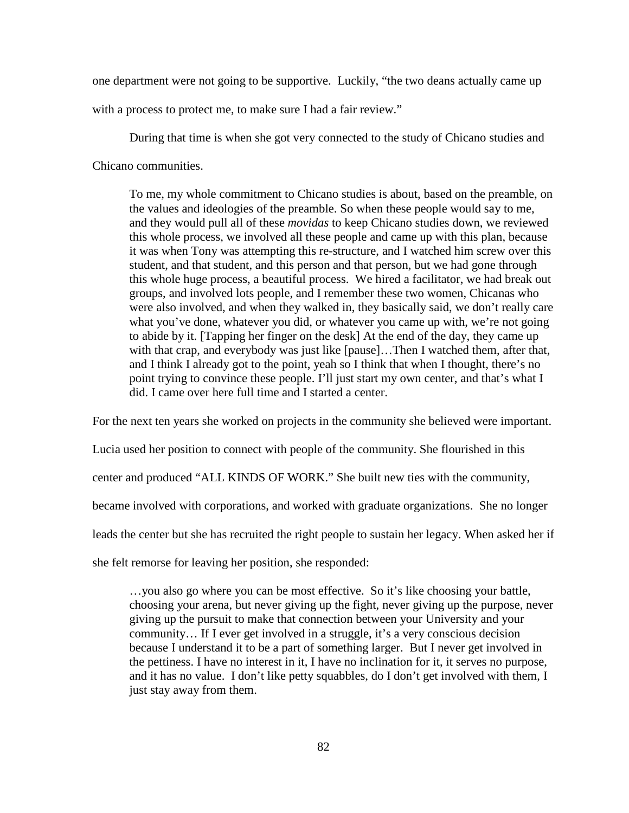one department were not going to be supportive. Luckily, "the two deans actually came up

with a process to protect me, to make sure I had a fair review."

During that time is when she got very connected to the study of Chicano studies and Chicano communities.

To me, my whole commitment to Chicano studies is about, based on the preamble, on the values and ideologies of the preamble. So when these people would say to me, and they would pull all of these *movidas* to keep Chicano studies down, we reviewed this whole process, we involved all these people and came up with this plan, because it was when Tony was attempting this re-structure, and I watched him screw over this student, and that student, and this person and that person, but we had gone through this whole huge process, a beautiful process. We hired a facilitator, we had break out groups, and involved lots people, and I remember these two women, Chicanas who were also involved, and when they walked in, they basically said, we don't really care what you've done, whatever you did, or whatever you came up with, we're not going to abide by it. [Tapping her finger on the desk] At the end of the day, they came up with that crap, and everybody was just like [pause]...Then I watched them, after that, and I think I already got to the point, yeah so I think that when I thought, there's no point trying to convince these people. I'll just start my own center, and that's what I did. I came over here full time and I started a center.

For the next ten years she worked on projects in the community she believed were important.

Lucia used her position to connect with people of the community. She flourished in this

center and produced "ALL KINDS OF WORK." She built new ties with the community,

became involved with corporations, and worked with graduate organizations. She no longer

leads the center but she has recruited the right people to sustain her legacy. When asked her if

she felt remorse for leaving her position, she responded:

…you also go where you can be most effective. So it's like choosing your battle, choosing your arena, but never giving up the fight, never giving up the purpose, never giving up the pursuit to make that connection between your University and your community… If I ever get involved in a struggle, it's a very conscious decision because I understand it to be a part of something larger. But I never get involved in the pettiness. I have no interest in it, I have no inclination for it, it serves no purpose, and it has no value. I don't like petty squabbles, do I don't get involved with them, I just stay away from them.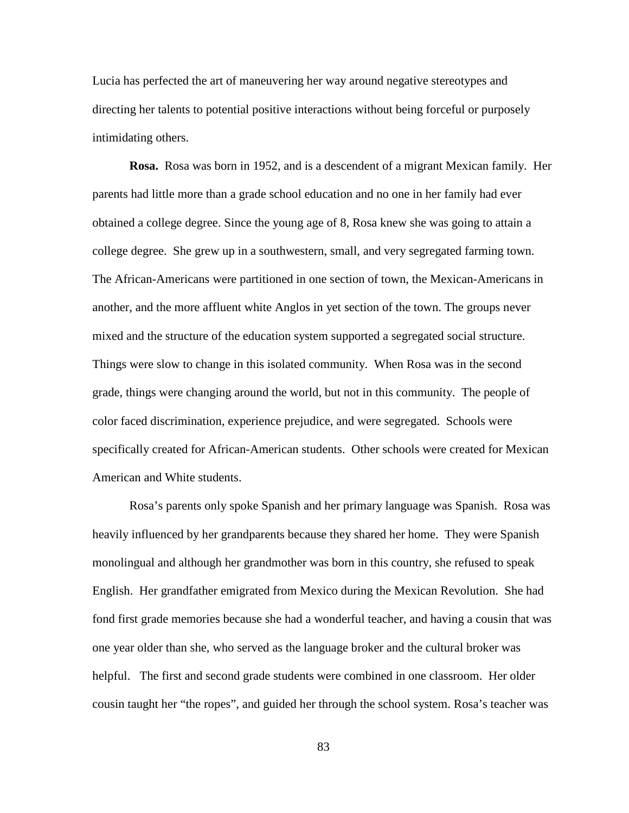Lucia has perfected the art of maneuvering her way around negative stereotypes and directing her talents to potential positive interactions without being forceful or purposely intimidating others.

**Rosa.** Rosa was born in 1952, and is a descendent of a migrant Mexican family. Her parents had little more than a grade school education and no one in her family had ever obtained a college degree. Since the young age of 8, Rosa knew she was going to attain a college degree. She grew up in a southwestern, small, and very segregated farming town. The African-Americans were partitioned in one section of town, the Mexican-Americans in another, and the more affluent white Anglos in yet section of the town. The groups never mixed and the structure of the education system supported a segregated social structure. Things were slow to change in this isolated community. When Rosa was in the second grade, things were changing around the world, but not in this community. The people of color faced discrimination, experience prejudice, and were segregated. Schools were specifically created for African-American students. Other schools were created for Mexican American and White students.

Rosa's parents only spoke Spanish and her primary language was Spanish. Rosa was heavily influenced by her grandparents because they shared her home. They were Spanish monolingual and although her grandmother was born in this country, she refused to speak English. Her grandfather emigrated from Mexico during the Mexican Revolution. She had fond first grade memories because she had a wonderful teacher, and having a cousin that was one year older than she, who served as the language broker and the cultural broker was helpful. The first and second grade students were combined in one classroom. Her older cousin taught her "the ropes", and guided her through the school system. Rosa's teacher was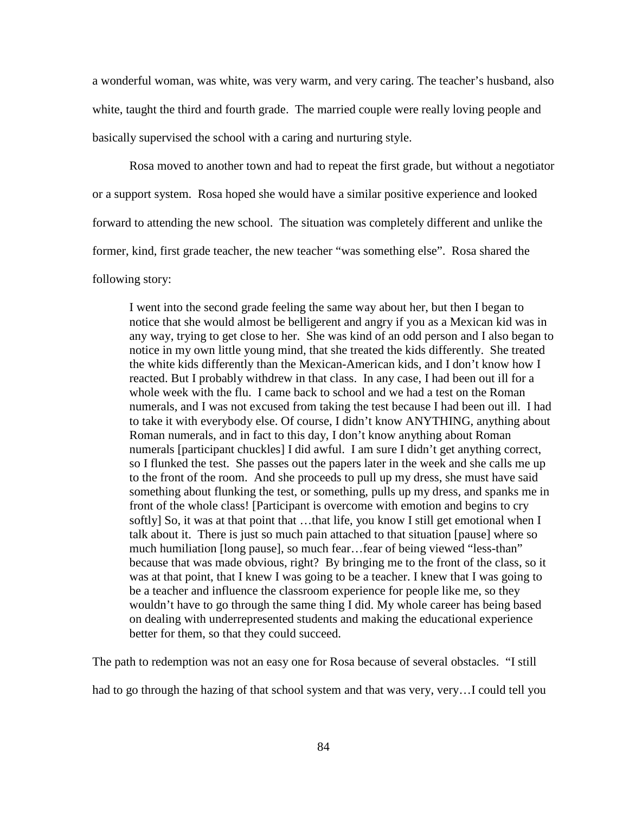a wonderful woman, was white, was very warm, and very caring. The teacher's husband, also white, taught the third and fourth grade. The married couple were really loving people and basically supervised the school with a caring and nurturing style.

Rosa moved to another town and had to repeat the first grade, but without a negotiator or a support system. Rosa hoped she would have a similar positive experience and looked forward to attending the new school. The situation was completely different and unlike the former, kind, first grade teacher, the new teacher "was something else". Rosa shared the following story:

I went into the second grade feeling the same way about her, but then I began to notice that she would almost be belligerent and angry if you as a Mexican kid was in any way, trying to get close to her. She was kind of an odd person and I also began to notice in my own little young mind, that she treated the kids differently. She treated the white kids differently than the Mexican-American kids, and I don't know how I reacted. But I probably withdrew in that class. In any case, I had been out ill for a whole week with the flu. I came back to school and we had a test on the Roman numerals, and I was not excused from taking the test because I had been out ill. I had to take it with everybody else. Of course, I didn't know ANYTHING, anything about Roman numerals, and in fact to this day, I don't know anything about Roman numerals [participant chuckles] I did awful. I am sure I didn't get anything correct, so I flunked the test. She passes out the papers later in the week and she calls me up to the front of the room. And she proceeds to pull up my dress, she must have said something about flunking the test, or something, pulls up my dress, and spanks me in front of the whole class! [Participant is overcome with emotion and begins to cry softly] So, it was at that point that …that life, you know I still get emotional when I talk about it. There is just so much pain attached to that situation [pause] where so much humiliation [long pause], so much fear…fear of being viewed "less-than" because that was made obvious, right? By bringing me to the front of the class, so it was at that point, that I knew I was going to be a teacher. I knew that I was going to be a teacher and influence the classroom experience for people like me, so they wouldn't have to go through the same thing I did. My whole career has being based on dealing with underrepresented students and making the educational experience better for them, so that they could succeed.

The path to redemption was not an easy one for Rosa because of several obstacles. "I still

had to go through the hazing of that school system and that was very, very…I could tell you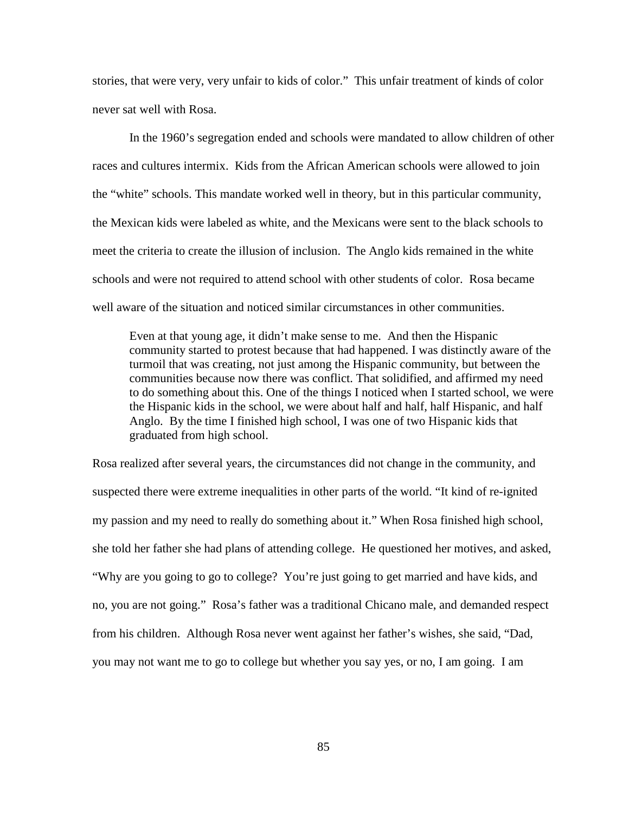stories, that were very, very unfair to kids of color." This unfair treatment of kinds of color never sat well with Rosa.

 In the 1960's segregation ended and schools were mandated to allow children of other races and cultures intermix. Kids from the African American schools were allowed to join the "white" schools. This mandate worked well in theory, but in this particular community, the Mexican kids were labeled as white, and the Mexicans were sent to the black schools to meet the criteria to create the illusion of inclusion. The Anglo kids remained in the white schools and were not required to attend school with other students of color. Rosa became well aware of the situation and noticed similar circumstances in other communities.

Even at that young age, it didn't make sense to me. And then the Hispanic community started to protest because that had happened. I was distinctly aware of the turmoil that was creating, not just among the Hispanic community, but between the communities because now there was conflict. That solidified, and affirmed my need to do something about this. One of the things I noticed when I started school, we were the Hispanic kids in the school, we were about half and half, half Hispanic, and half Anglo. By the time I finished high school, I was one of two Hispanic kids that graduated from high school.

Rosa realized after several years, the circumstances did not change in the community, and suspected there were extreme inequalities in other parts of the world. "It kind of re-ignited my passion and my need to really do something about it." When Rosa finished high school, she told her father she had plans of attending college. He questioned her motives, and asked, "Why are you going to go to college? You're just going to get married and have kids, and no, you are not going." Rosa's father was a traditional Chicano male, and demanded respect from his children. Although Rosa never went against her father's wishes, she said, "Dad, you may not want me to go to college but whether you say yes, or no, I am going. I am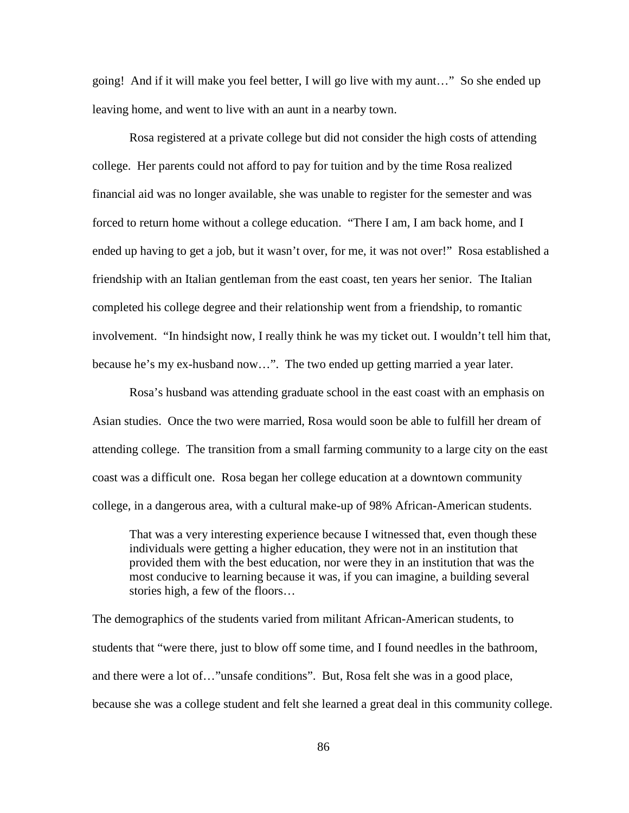going! And if it will make you feel better, I will go live with my aunt…" So she ended up leaving home, and went to live with an aunt in a nearby town.

Rosa registered at a private college but did not consider the high costs of attending college. Her parents could not afford to pay for tuition and by the time Rosa realized financial aid was no longer available, she was unable to register for the semester and was forced to return home without a college education. "There I am, I am back home, and I ended up having to get a job, but it wasn't over, for me, it was not over!" Rosa established a friendship with an Italian gentleman from the east coast, ten years her senior. The Italian completed his college degree and their relationship went from a friendship, to romantic involvement. "In hindsight now, I really think he was my ticket out. I wouldn't tell him that, because he's my ex-husband now…". The two ended up getting married a year later.

Rosa's husband was attending graduate school in the east coast with an emphasis on Asian studies. Once the two were married, Rosa would soon be able to fulfill her dream of attending college. The transition from a small farming community to a large city on the east coast was a difficult one. Rosa began her college education at a downtown community college, in a dangerous area, with a cultural make-up of 98% African-American students.

That was a very interesting experience because I witnessed that, even though these individuals were getting a higher education, they were not in an institution that provided them with the best education, nor were they in an institution that was the most conducive to learning because it was, if you can imagine, a building several stories high, a few of the floors…

The demographics of the students varied from militant African-American students, to students that "were there, just to blow off some time, and I found needles in the bathroom, and there were a lot of…"unsafe conditions". But, Rosa felt she was in a good place, because she was a college student and felt she learned a great deal in this community college.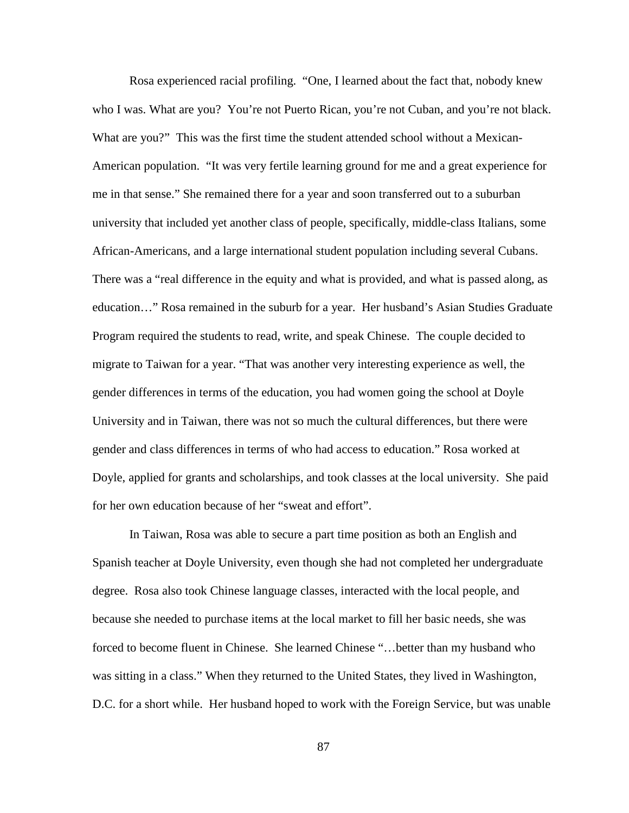Rosa experienced racial profiling. "One, I learned about the fact that, nobody knew who I was. What are you? You're not Puerto Rican, you're not Cuban, and you're not black. What are you?" This was the first time the student attended school without a Mexican-American population. "It was very fertile learning ground for me and a great experience for me in that sense." She remained there for a year and soon transferred out to a suburban university that included yet another class of people, specifically, middle-class Italians, some African-Americans, and a large international student population including several Cubans. There was a "real difference in the equity and what is provided, and what is passed along, as education…" Rosa remained in the suburb for a year. Her husband's Asian Studies Graduate Program required the students to read, write, and speak Chinese. The couple decided to migrate to Taiwan for a year. "That was another very interesting experience as well, the gender differences in terms of the education, you had women going the school at Doyle University and in Taiwan, there was not so much the cultural differences, but there were gender and class differences in terms of who had access to education." Rosa worked at Doyle, applied for grants and scholarships, and took classes at the local university. She paid for her own education because of her "sweat and effort".

In Taiwan, Rosa was able to secure a part time position as both an English and Spanish teacher at Doyle University, even though she had not completed her undergraduate degree. Rosa also took Chinese language classes, interacted with the local people, and because she needed to purchase items at the local market to fill her basic needs, she was forced to become fluent in Chinese. She learned Chinese "…better than my husband who was sitting in a class." When they returned to the United States, they lived in Washington, D.C. for a short while. Her husband hoped to work with the Foreign Service, but was unable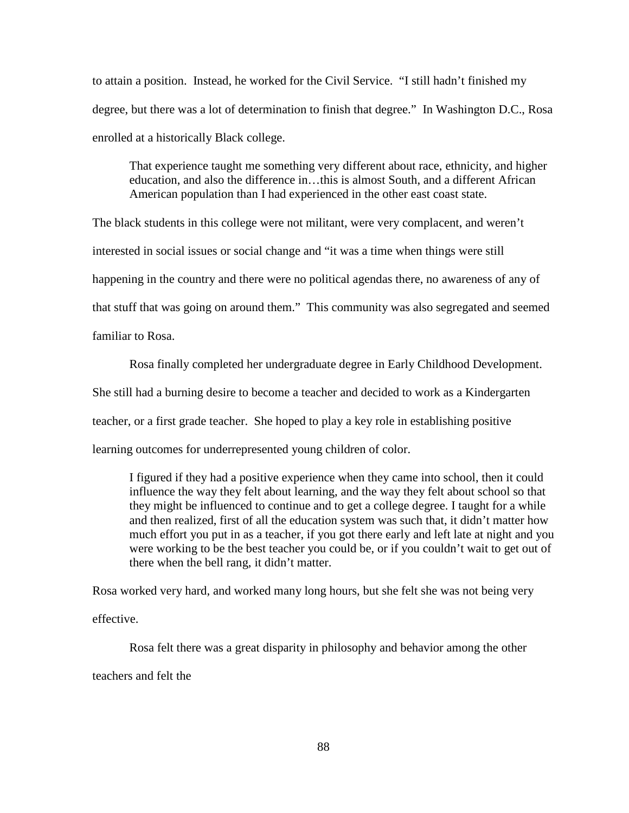to attain a position. Instead, he worked for the Civil Service. "I still hadn't finished my degree, but there was a lot of determination to finish that degree." In Washington D.C., Rosa enrolled at a historically Black college.

That experience taught me something very different about race, ethnicity, and higher education, and also the difference in…this is almost South, and a different African American population than I had experienced in the other east coast state.

The black students in this college were not militant, were very complacent, and weren't interested in social issues or social change and "it was a time when things were still happening in the country and there were no political agendas there, no awareness of any of that stuff that was going on around them." This community was also segregated and seemed familiar to Rosa.

Rosa finally completed her undergraduate degree in Early Childhood Development. She still had a burning desire to become a teacher and decided to work as a Kindergarten teacher, or a first grade teacher. She hoped to play a key role in establishing positive learning outcomes for underrepresented young children of color.

I figured if they had a positive experience when they came into school, then it could influence the way they felt about learning, and the way they felt about school so that they might be influenced to continue and to get a college degree. I taught for a while and then realized, first of all the education system was such that, it didn't matter how much effort you put in as a teacher, if you got there early and left late at night and you were working to be the best teacher you could be, or if you couldn't wait to get out of there when the bell rang, it didn't matter.

Rosa worked very hard, and worked many long hours, but she felt she was not being very effective.

Rosa felt there was a great disparity in philosophy and behavior among the other teachers and felt the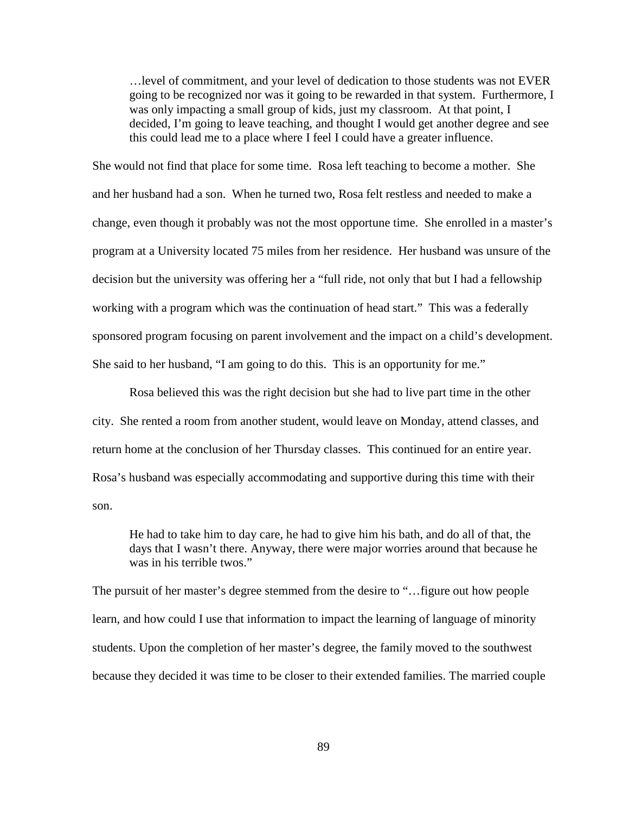…level of commitment, and your level of dedication to those students was not EVER going to be recognized nor was it going to be rewarded in that system. Furthermore, I was only impacting a small group of kids, just my classroom. At that point, I decided, I'm going to leave teaching, and thought I would get another degree and see this could lead me to a place where I feel I could have a greater influence.

She would not find that place for some time. Rosa left teaching to become a mother. She and her husband had a son. When he turned two, Rosa felt restless and needed to make a change, even though it probably was not the most opportune time. She enrolled in a master's program at a University located 75 miles from her residence. Her husband was unsure of the decision but the university was offering her a "full ride, not only that but I had a fellowship working with a program which was the continuation of head start." This was a federally sponsored program focusing on parent involvement and the impact on a child's development. She said to her husband, "I am going to do this. This is an opportunity for me."

Rosa believed this was the right decision but she had to live part time in the other city. She rented a room from another student, would leave on Monday, attend classes, and return home at the conclusion of her Thursday classes. This continued for an entire year. Rosa's husband was especially accommodating and supportive during this time with their son.

He had to take him to day care, he had to give him his bath, and do all of that, the days that I wasn't there. Anyway, there were major worries around that because he was in his terrible twos."

The pursuit of her master's degree stemmed from the desire to "…figure out how people learn, and how could I use that information to impact the learning of language of minority students. Upon the completion of her master's degree, the family moved to the southwest because they decided it was time to be closer to their extended families. The married couple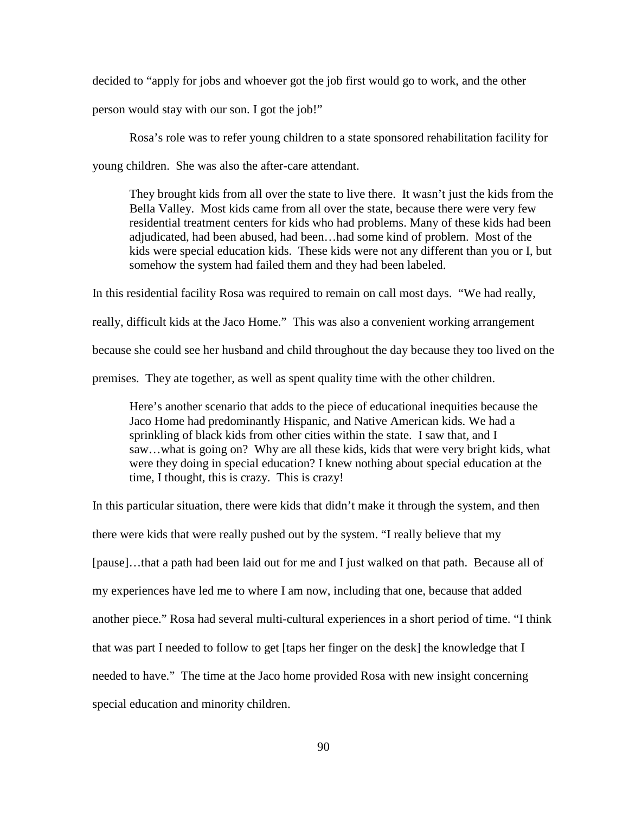decided to "apply for jobs and whoever got the job first would go to work, and the other

person would stay with our son. I got the job!"

Rosa's role was to refer young children to a state sponsored rehabilitation facility for

young children. She was also the after-care attendant.

They brought kids from all over the state to live there. It wasn't just the kids from the Bella Valley. Most kids came from all over the state, because there were very few residential treatment centers for kids who had problems. Many of these kids had been adjudicated, had been abused, had been…had some kind of problem. Most of the kids were special education kids. These kids were not any different than you or I, but somehow the system had failed them and they had been labeled.

In this residential facility Rosa was required to remain on call most days. "We had really, really, difficult kids at the Jaco Home." This was also a convenient working arrangement because she could see her husband and child throughout the day because they too lived on the premises. They ate together, as well as spent quality time with the other children.

Here's another scenario that adds to the piece of educational inequities because the Jaco Home had predominantly Hispanic, and Native American kids. We had a sprinkling of black kids from other cities within the state. I saw that, and I saw…what is going on? Why are all these kids, kids that were very bright kids, what were they doing in special education? I knew nothing about special education at the time, I thought, this is crazy. This is crazy!

In this particular situation, there were kids that didn't make it through the system, and then there were kids that were really pushed out by the system. "I really believe that my [pause]…that a path had been laid out for me and I just walked on that path. Because all of my experiences have led me to where I am now, including that one, because that added another piece." Rosa had several multi-cultural experiences in a short period of time. "I think that was part I needed to follow to get [taps her finger on the desk] the knowledge that I needed to have." The time at the Jaco home provided Rosa with new insight concerning special education and minority children.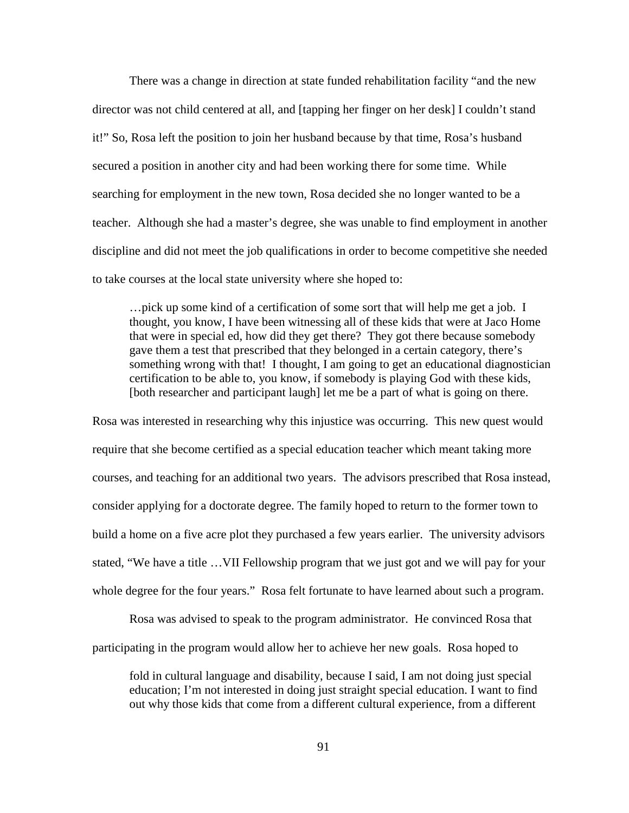There was a change in direction at state funded rehabilitation facility "and the new director was not child centered at all, and [tapping her finger on her desk] I couldn't stand it!" So, Rosa left the position to join her husband because by that time, Rosa's husband secured a position in another city and had been working there for some time. While searching for employment in the new town, Rosa decided she no longer wanted to be a teacher. Although she had a master's degree, she was unable to find employment in another discipline and did not meet the job qualifications in order to become competitive she needed to take courses at the local state university where she hoped to:

…pick up some kind of a certification of some sort that will help me get a job. I thought, you know, I have been witnessing all of these kids that were at Jaco Home that were in special ed, how did they get there? They got there because somebody gave them a test that prescribed that they belonged in a certain category, there's something wrong with that! I thought, I am going to get an educational diagnostician certification to be able to, you know, if somebody is playing God with these kids, [both researcher and participant laugh] let me be a part of what is going on there.

Rosa was interested in researching why this injustice was occurring. This new quest would require that she become certified as a special education teacher which meant taking more courses, and teaching for an additional two years. The advisors prescribed that Rosa instead, consider applying for a doctorate degree. The family hoped to return to the former town to build a home on a five acre plot they purchased a few years earlier. The university advisors stated, "We have a title …VII Fellowship program that we just got and we will pay for your whole degree for the four years." Rosa felt fortunate to have learned about such a program.

Rosa was advised to speak to the program administrator. He convinced Rosa that participating in the program would allow her to achieve her new goals. Rosa hoped to

fold in cultural language and disability, because I said, I am not doing just special education; I'm not interested in doing just straight special education. I want to find out why those kids that come from a different cultural experience, from a different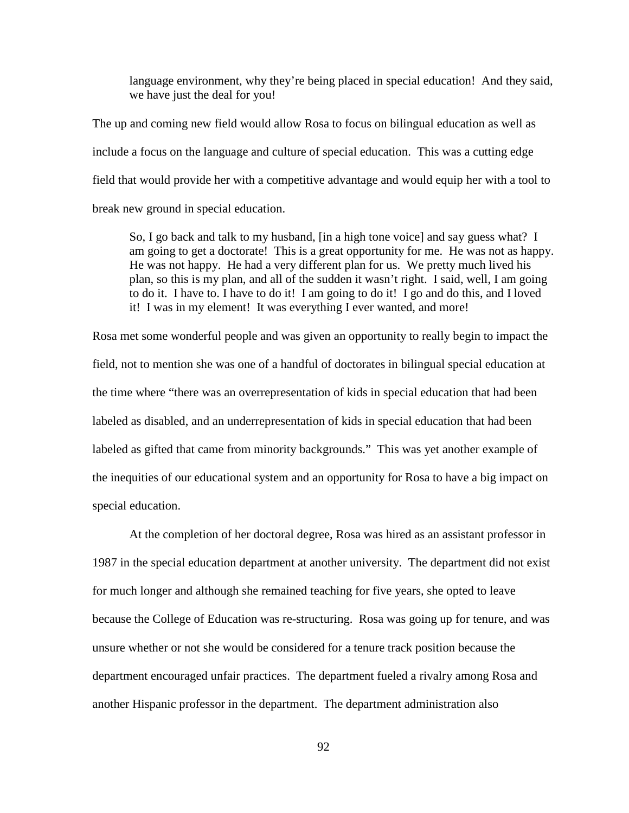language environment, why they're being placed in special education! And they said, we have just the deal for you!

The up and coming new field would allow Rosa to focus on bilingual education as well as include a focus on the language and culture of special education. This was a cutting edge field that would provide her with a competitive advantage and would equip her with a tool to break new ground in special education.

So, I go back and talk to my husband, [in a high tone voice] and say guess what? I am going to get a doctorate! This is a great opportunity for me. He was not as happy. He was not happy. He had a very different plan for us. We pretty much lived his plan, so this is my plan, and all of the sudden it wasn't right. I said, well, I am going to do it. I have to. I have to do it! I am going to do it! I go and do this, and I loved it! I was in my element! It was everything I ever wanted, and more!

Rosa met some wonderful people and was given an opportunity to really begin to impact the field, not to mention she was one of a handful of doctorates in bilingual special education at the time where "there was an overrepresentation of kids in special education that had been labeled as disabled, and an underrepresentation of kids in special education that had been labeled as gifted that came from minority backgrounds." This was yet another example of the inequities of our educational system and an opportunity for Rosa to have a big impact on special education.

At the completion of her doctoral degree, Rosa was hired as an assistant professor in 1987 in the special education department at another university. The department did not exist for much longer and although she remained teaching for five years, she opted to leave because the College of Education was re-structuring. Rosa was going up for tenure, and was unsure whether or not she would be considered for a tenure track position because the department encouraged unfair practices. The department fueled a rivalry among Rosa and another Hispanic professor in the department. The department administration also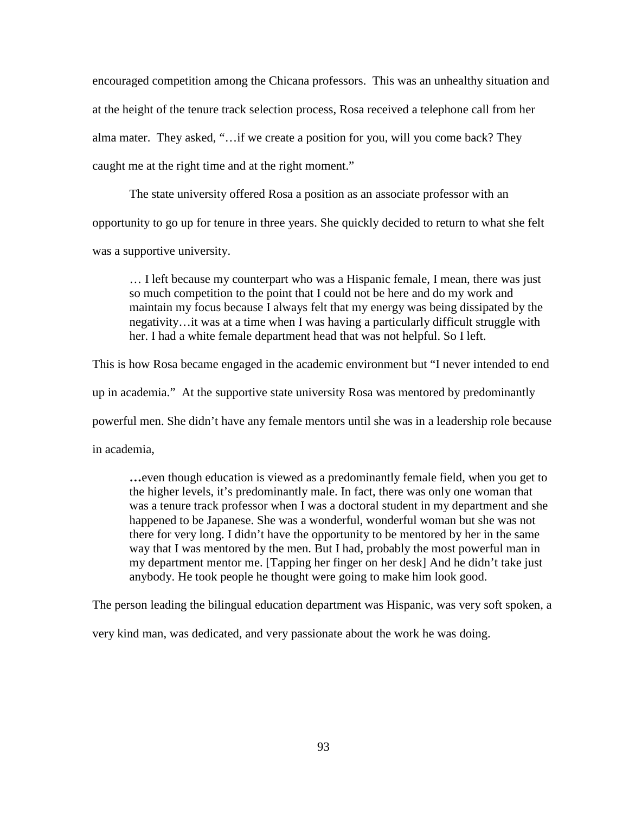encouraged competition among the Chicana professors. This was an unhealthy situation and at the height of the tenure track selection process, Rosa received a telephone call from her alma mater. They asked, "…if we create a position for you, will you come back? They caught me at the right time and at the right moment."

The state university offered Rosa a position as an associate professor with an opportunity to go up for tenure in three years. She quickly decided to return to what she felt was a supportive university.

… I left because my counterpart who was a Hispanic female, I mean, there was just so much competition to the point that I could not be here and do my work and maintain my focus because I always felt that my energy was being dissipated by the negativity…it was at a time when I was having a particularly difficult struggle with her. I had a white female department head that was not helpful. So I left.

This is how Rosa became engaged in the academic environment but "I never intended to end

up in academia." At the supportive state university Rosa was mentored by predominantly

powerful men. She didn't have any female mentors until she was in a leadership role because

in academia,

**…**even though education is viewed as a predominantly female field, when you get to the higher levels, it's predominantly male. In fact, there was only one woman that was a tenure track professor when I was a doctoral student in my department and she happened to be Japanese. She was a wonderful, wonderful woman but she was not there for very long. I didn't have the opportunity to be mentored by her in the same way that I was mentored by the men. But I had, probably the most powerful man in my department mentor me. [Tapping her finger on her desk] And he didn't take just anybody. He took people he thought were going to make him look good.

The person leading the bilingual education department was Hispanic, was very soft spoken, a

very kind man, was dedicated, and very passionate about the work he was doing.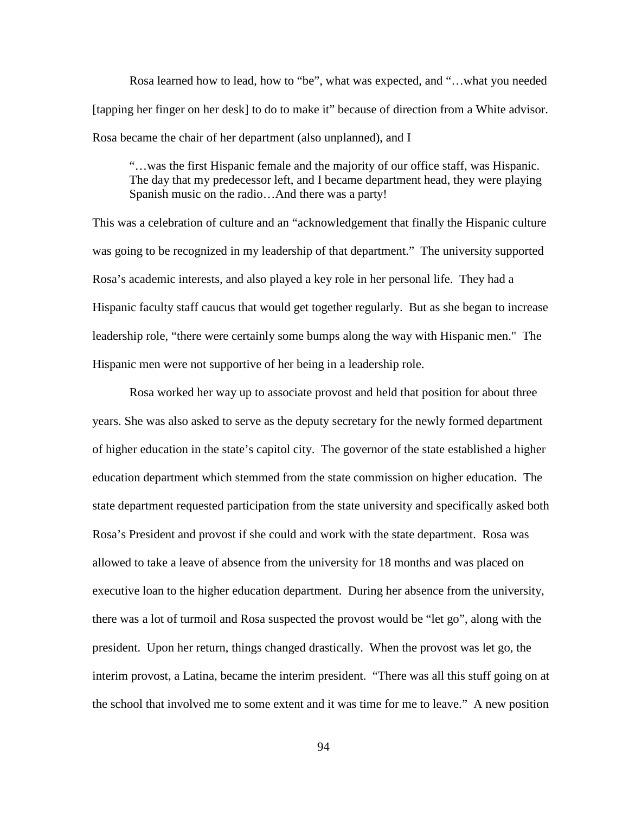Rosa learned how to lead, how to "be", what was expected, and "…what you needed [tapping her finger on her desk] to do to make it" because of direction from a White advisor. Rosa became the chair of her department (also unplanned), and I

"…was the first Hispanic female and the majority of our office staff, was Hispanic. The day that my predecessor left, and I became department head, they were playing Spanish music on the radio…And there was a party!

This was a celebration of culture and an "acknowledgement that finally the Hispanic culture was going to be recognized in my leadership of that department." The university supported Rosa's academic interests, and also played a key role in her personal life. They had a Hispanic faculty staff caucus that would get together regularly. But as she began to increase leadership role, "there were certainly some bumps along the way with Hispanic men." The Hispanic men were not supportive of her being in a leadership role.

Rosa worked her way up to associate provost and held that position for about three years. She was also asked to serve as the deputy secretary for the newly formed department of higher education in the state's capitol city. The governor of the state established a higher education department which stemmed from the state commission on higher education. The state department requested participation from the state university and specifically asked both Rosa's President and provost if she could and work with the state department. Rosa was allowed to take a leave of absence from the university for 18 months and was placed on executive loan to the higher education department. During her absence from the university, there was a lot of turmoil and Rosa suspected the provost would be "let go", along with the president. Upon her return, things changed drastically. When the provost was let go, the interim provost, a Latina, became the interim president. "There was all this stuff going on at the school that involved me to some extent and it was time for me to leave." A new position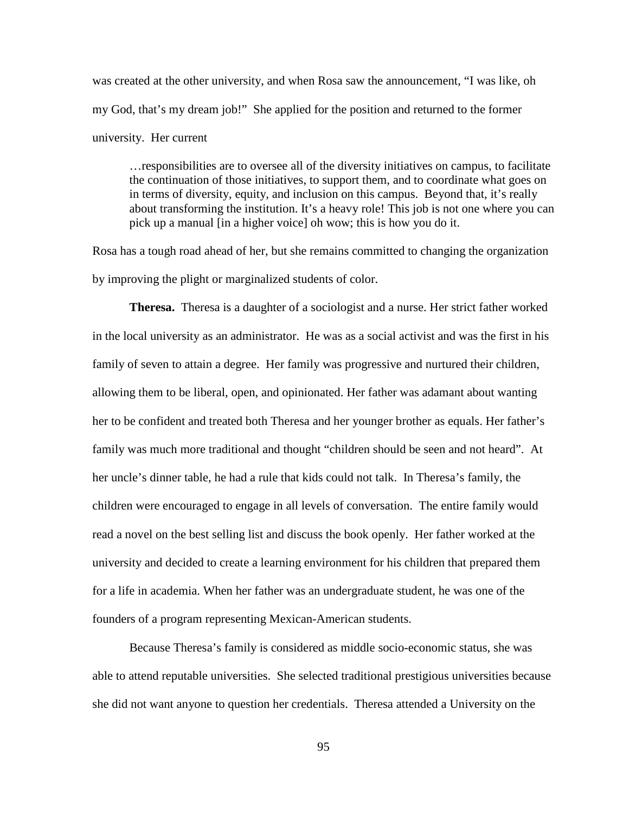was created at the other university, and when Rosa saw the announcement, "I was like, oh my God, that's my dream job!" She applied for the position and returned to the former university. Her current

…responsibilities are to oversee all of the diversity initiatives on campus, to facilitate the continuation of those initiatives, to support them, and to coordinate what goes on in terms of diversity, equity, and inclusion on this campus. Beyond that, it's really about transforming the institution. It's a heavy role! This job is not one where you can pick up a manual [in a higher voice] oh wow; this is how you do it.

Rosa has a tough road ahead of her, but she remains committed to changing the organization by improving the plight or marginalized students of color.

**Theresa.** Theresa is a daughter of a sociologist and a nurse. Her strict father worked in the local university as an administrator. He was as a social activist and was the first in his family of seven to attain a degree. Her family was progressive and nurtured their children, allowing them to be liberal, open, and opinionated. Her father was adamant about wanting her to be confident and treated both Theresa and her younger brother as equals. Her father's family was much more traditional and thought "children should be seen and not heard". At her uncle's dinner table, he had a rule that kids could not talk. In Theresa's family, the children were encouraged to engage in all levels of conversation. The entire family would read a novel on the best selling list and discuss the book openly. Her father worked at the university and decided to create a learning environment for his children that prepared them for a life in academia. When her father was an undergraduate student, he was one of the founders of a program representing Mexican-American students.

Because Theresa's family is considered as middle socio-economic status, she was able to attend reputable universities. She selected traditional prestigious universities because she did not want anyone to question her credentials. Theresa attended a University on the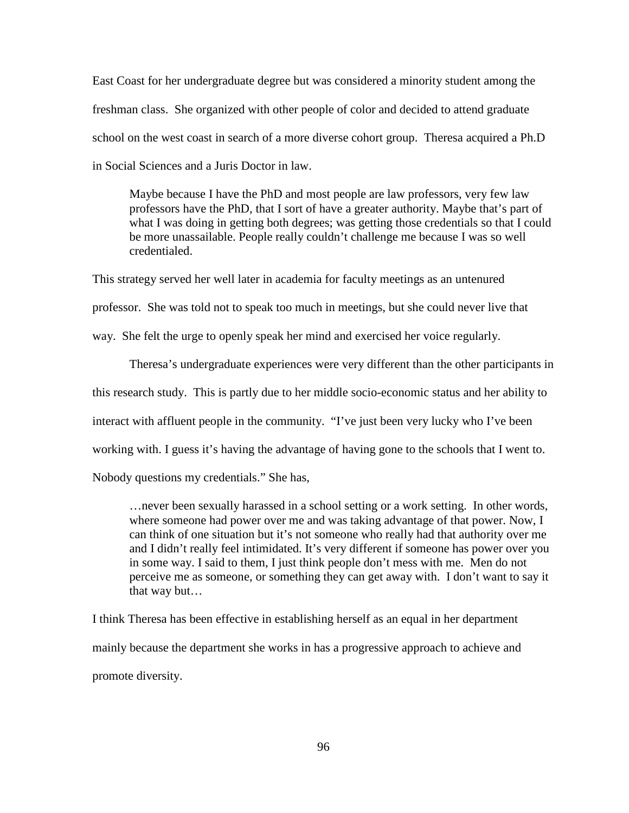East Coast for her undergraduate degree but was considered a minority student among the freshman class. She organized with other people of color and decided to attend graduate school on the west coast in search of a more diverse cohort group. Theresa acquired a Ph.D in Social Sciences and a Juris Doctor in law.

Maybe because I have the PhD and most people are law professors, very few law professors have the PhD, that I sort of have a greater authority. Maybe that's part of what I was doing in getting both degrees; was getting those credentials so that I could be more unassailable. People really couldn't challenge me because I was so well credentialed.

This strategy served her well later in academia for faculty meetings as an untenured professor. She was told not to speak too much in meetings, but she could never live that way. She felt the urge to openly speak her mind and exercised her voice regularly.

Theresa's undergraduate experiences were very different than the other participants in this research study. This is partly due to her middle socio-economic status and her ability to interact with affluent people in the community. "I've just been very lucky who I've been working with. I guess it's having the advantage of having gone to the schools that I went to. Nobody questions my credentials." She has,

…never been sexually harassed in a school setting or a work setting. In other words, where someone had power over me and was taking advantage of that power. Now, I can think of one situation but it's not someone who really had that authority over me and I didn't really feel intimidated. It's very different if someone has power over you in some way. I said to them, I just think people don't mess with me. Men do not perceive me as someone, or something they can get away with. I don't want to say it that way but…

I think Theresa has been effective in establishing herself as an equal in her department mainly because the department she works in has a progressive approach to achieve and promote diversity.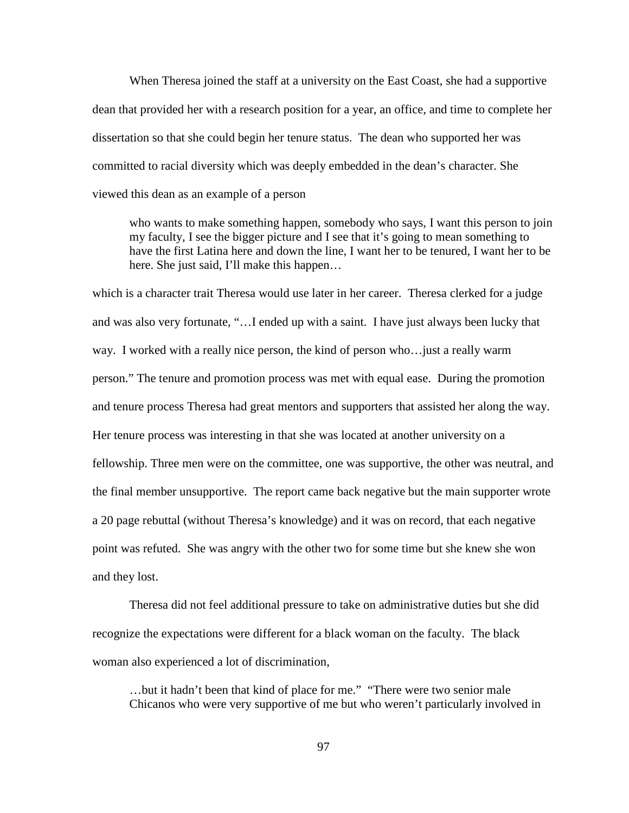When Theresa joined the staff at a university on the East Coast, she had a supportive dean that provided her with a research position for a year, an office, and time to complete her dissertation so that she could begin her tenure status. The dean who supported her was committed to racial diversity which was deeply embedded in the dean's character. She viewed this dean as an example of a person

who wants to make something happen, somebody who says, I want this person to join my faculty, I see the bigger picture and I see that it's going to mean something to have the first Latina here and down the line, I want her to be tenured, I want her to be here. She just said, I'll make this happen...

which is a character trait Theresa would use later in her career. Theresa clerked for a judge and was also very fortunate, "…I ended up with a saint. I have just always been lucky that way. I worked with a really nice person, the kind of person who…just a really warm person." The tenure and promotion process was met with equal ease. During the promotion and tenure process Theresa had great mentors and supporters that assisted her along the way. Her tenure process was interesting in that she was located at another university on a fellowship. Three men were on the committee, one was supportive, the other was neutral, and the final member unsupportive. The report came back negative but the main supporter wrote a 20 page rebuttal (without Theresa's knowledge) and it was on record, that each negative point was refuted. She was angry with the other two for some time but she knew she won and they lost.

Theresa did not feel additional pressure to take on administrative duties but she did recognize the expectations were different for a black woman on the faculty. The black woman also experienced a lot of discrimination,

…but it hadn't been that kind of place for me." "There were two senior male Chicanos who were very supportive of me but who weren't particularly involved in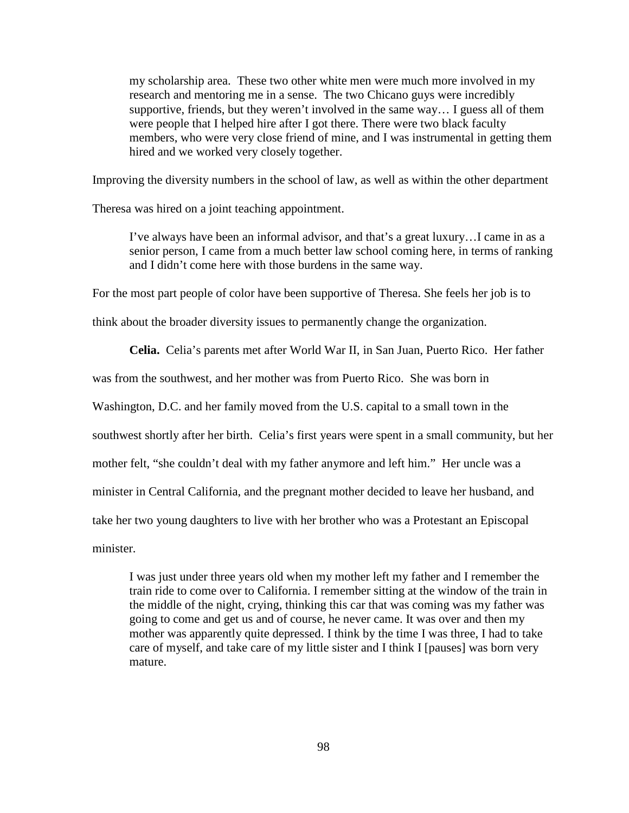my scholarship area. These two other white men were much more involved in my research and mentoring me in a sense. The two Chicano guys were incredibly supportive, friends, but they weren't involved in the same way… I guess all of them were people that I helped hire after I got there. There were two black faculty members, who were very close friend of mine, and I was instrumental in getting them hired and we worked very closely together.

Improving the diversity numbers in the school of law, as well as within the other department

Theresa was hired on a joint teaching appointment.

I've always have been an informal advisor, and that's a great luxury…I came in as a senior person, I came from a much better law school coming here, in terms of ranking and I didn't come here with those burdens in the same way.

For the most part people of color have been supportive of Theresa. She feels her job is to

think about the broader diversity issues to permanently change the organization.

**Celia.** Celia's parents met after World War II, in San Juan, Puerto Rico. Her father

was from the southwest, and her mother was from Puerto Rico. She was born in

Washington, D.C. and her family moved from the U.S. capital to a small town in the

southwest shortly after her birth. Celia's first years were spent in a small community, but her

mother felt, "she couldn't deal with my father anymore and left him." Her uncle was a

minister in Central California, and the pregnant mother decided to leave her husband, and

take her two young daughters to live with her brother who was a Protestant an Episcopal

minister.

I was just under three years old when my mother left my father and I remember the train ride to come over to California. I remember sitting at the window of the train in the middle of the night, crying, thinking this car that was coming was my father was going to come and get us and of course, he never came. It was over and then my mother was apparently quite depressed. I think by the time I was three, I had to take care of myself, and take care of my little sister and I think I [pauses] was born very mature.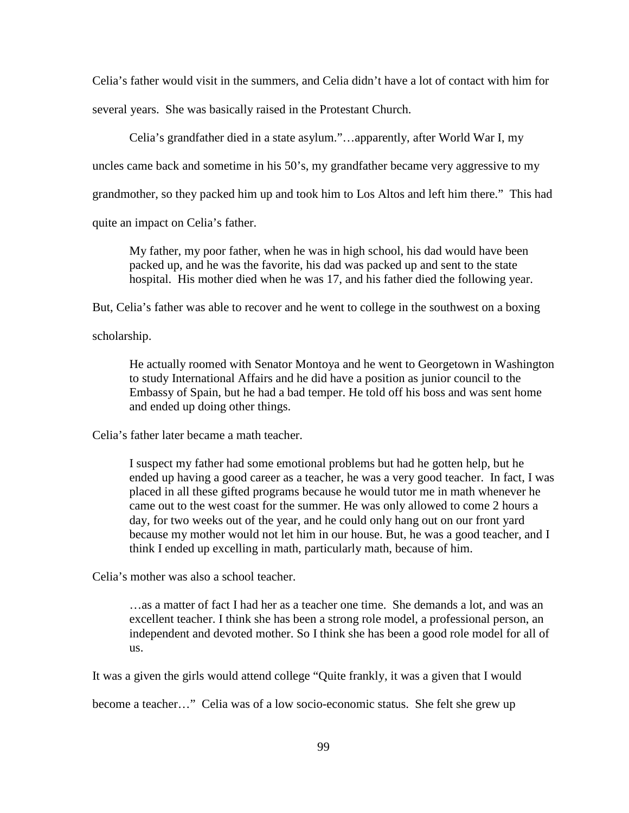Celia's father would visit in the summers, and Celia didn't have a lot of contact with him for several years. She was basically raised in the Protestant Church.

Celia's grandfather died in a state asylum."…apparently, after World War I, my uncles came back and sometime in his 50's, my grandfather became very aggressive to my grandmother, so they packed him up and took him to Los Altos and left him there." This had quite an impact on Celia's father.

My father, my poor father, when he was in high school, his dad would have been packed up, and he was the favorite, his dad was packed up and sent to the state hospital. His mother died when he was 17, and his father died the following year.

But, Celia's father was able to recover and he went to college in the southwest on a boxing

scholarship.

He actually roomed with Senator Montoya and he went to Georgetown in Washington to study International Affairs and he did have a position as junior council to the Embassy of Spain, but he had a bad temper. He told off his boss and was sent home and ended up doing other things.

Celia's father later became a math teacher.

I suspect my father had some emotional problems but had he gotten help, but he ended up having a good career as a teacher, he was a very good teacher. In fact, I was placed in all these gifted programs because he would tutor me in math whenever he came out to the west coast for the summer. He was only allowed to come 2 hours a day, for two weeks out of the year, and he could only hang out on our front yard because my mother would not let him in our house. But, he was a good teacher, and I think I ended up excelling in math, particularly math, because of him.

Celia's mother was also a school teacher.

…as a matter of fact I had her as a teacher one time. She demands a lot, and was an excellent teacher. I think she has been a strong role model, a professional person, an independent and devoted mother. So I think she has been a good role model for all of us.

It was a given the girls would attend college "Quite frankly, it was a given that I would

become a teacher…" Celia was of a low socio-economic status. She felt she grew up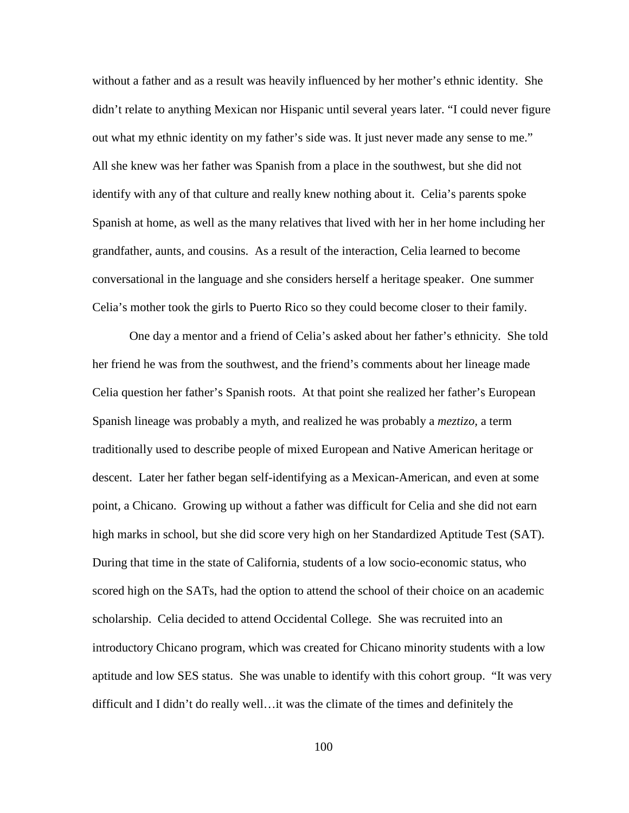without a father and as a result was heavily influenced by her mother's ethnic identity. She didn't relate to anything Mexican nor Hispanic until several years later. "I could never figure out what my ethnic identity on my father's side was. It just never made any sense to me." All she knew was her father was Spanish from a place in the southwest, but she did not identify with any of that culture and really knew nothing about it. Celia's parents spoke Spanish at home, as well as the many relatives that lived with her in her home including her grandfather, aunts, and cousins. As a result of the interaction, Celia learned to become conversational in the language and she considers herself a heritage speaker. One summer Celia's mother took the girls to Puerto Rico so they could become closer to their family.

One day a mentor and a friend of Celia's asked about her father's ethnicity. She told her friend he was from the southwest, and the friend's comments about her lineage made Celia question her father's Spanish roots. At that point she realized her father's European Spanish lineage was probably a myth, and realized he was probably a *meztizo,* a term traditionally used to describe people of mixed European and Native American heritage or descent. Later her father began self-identifying as a Mexican-American, and even at some point, a Chicano. Growing up without a father was difficult for Celia and she did not earn high marks in school, but she did score very high on her Standardized Aptitude Test (SAT). During that time in the state of California, students of a low socio-economic status, who scored high on the SATs, had the option to attend the school of their choice on an academic scholarship. Celia decided to attend Occidental College. She was recruited into an introductory Chicano program, which was created for Chicano minority students with a low aptitude and low SES status. She was unable to identify with this cohort group. "It was very difficult and I didn't do really well…it was the climate of the times and definitely the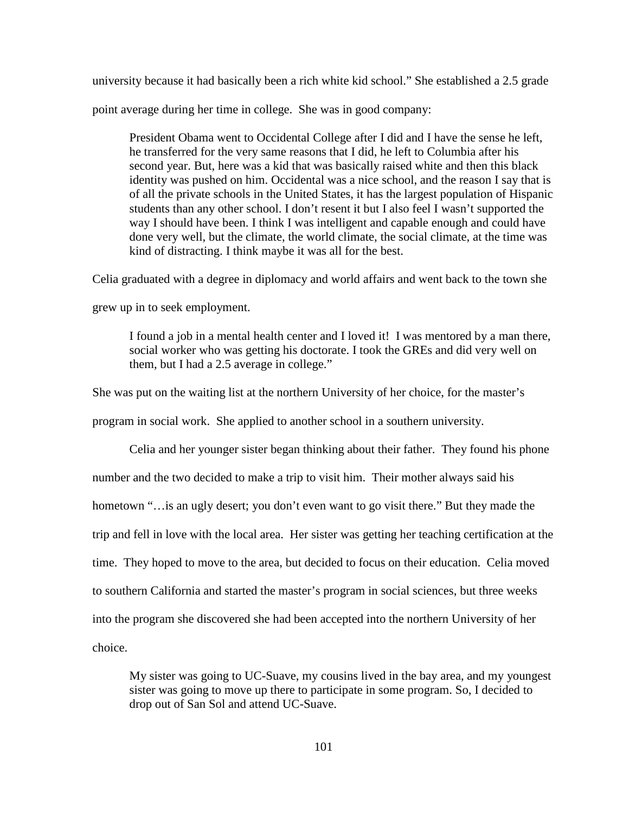university because it had basically been a rich white kid school." She established a 2.5 grade point average during her time in college. She was in good company:

President Obama went to Occidental College after I did and I have the sense he left, he transferred for the very same reasons that I did, he left to Columbia after his second year. But, here was a kid that was basically raised white and then this black identity was pushed on him. Occidental was a nice school, and the reason I say that is of all the private schools in the United States, it has the largest population of Hispanic students than any other school. I don't resent it but I also feel I wasn't supported the way I should have been. I think I was intelligent and capable enough and could have done very well, but the climate, the world climate, the social climate, at the time was kind of distracting. I think maybe it was all for the best.

Celia graduated with a degree in diplomacy and world affairs and went back to the town she

grew up in to seek employment.

I found a job in a mental health center and I loved it! I was mentored by a man there, social worker who was getting his doctorate. I took the GREs and did very well on them, but I had a 2.5 average in college."

She was put on the waiting list at the northern University of her choice, for the master's

program in social work. She applied to another school in a southern university.

Celia and her younger sister began thinking about their father. They found his phone number and the two decided to make a trip to visit him. Their mother always said his hometown "…is an ugly desert; you don't even want to go visit there." But they made the trip and fell in love with the local area. Her sister was getting her teaching certification at the time. They hoped to move to the area, but decided to focus on their education. Celia moved to southern California and started the master's program in social sciences, but three weeks into the program she discovered she had been accepted into the northern University of her choice.

My sister was going to UC-Suave, my cousins lived in the bay area, and my youngest sister was going to move up there to participate in some program. So, I decided to drop out of San Sol and attend UC-Suave.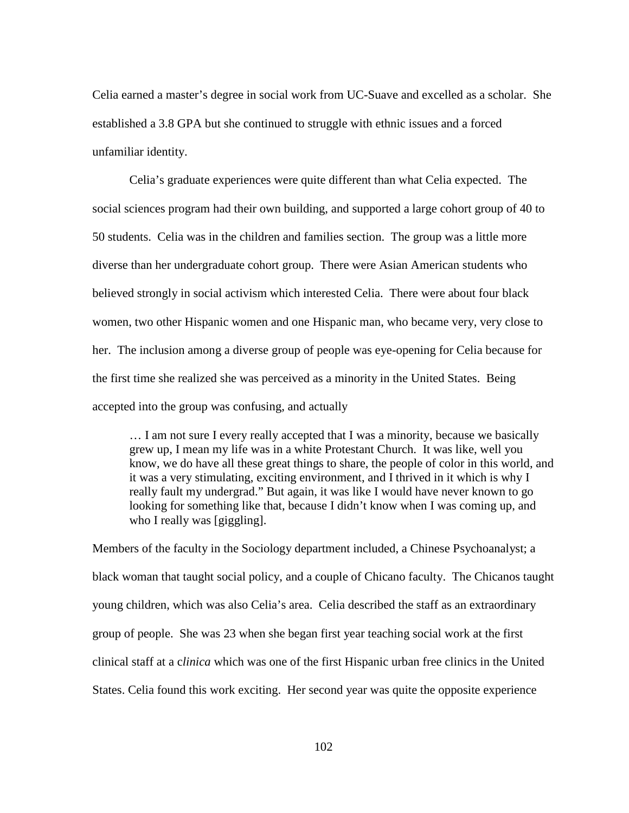Celia earned a master's degree in social work from UC-Suave and excelled as a scholar. She established a 3.8 GPA but she continued to struggle with ethnic issues and a forced unfamiliar identity.

Celia's graduate experiences were quite different than what Celia expected. The social sciences program had their own building, and supported a large cohort group of 40 to 50 students. Celia was in the children and families section. The group was a little more diverse than her undergraduate cohort group. There were Asian American students who believed strongly in social activism which interested Celia. There were about four black women, two other Hispanic women and one Hispanic man, who became very, very close to her. The inclusion among a diverse group of people was eye-opening for Celia because for the first time she realized she was perceived as a minority in the United States. Being accepted into the group was confusing, and actually

… I am not sure I every really accepted that I was a minority, because we basically grew up, I mean my life was in a white Protestant Church. It was like, well you know, we do have all these great things to share, the people of color in this world, and it was a very stimulating, exciting environment, and I thrived in it which is why I really fault my undergrad." But again, it was like I would have never known to go looking for something like that, because I didn't know when I was coming up, and who I really was [giggling].

Members of the faculty in the Sociology department included, a Chinese Psychoanalyst; a black woman that taught social policy, and a couple of Chicano faculty. The Chicanos taught young children, which was also Celia's area. Celia described the staff as an extraordinary group of people. She was 23 when she began first year teaching social work at the first clinical staff at a c*linica* which was one of the first Hispanic urban free clinics in the United States. Celia found this work exciting. Her second year was quite the opposite experience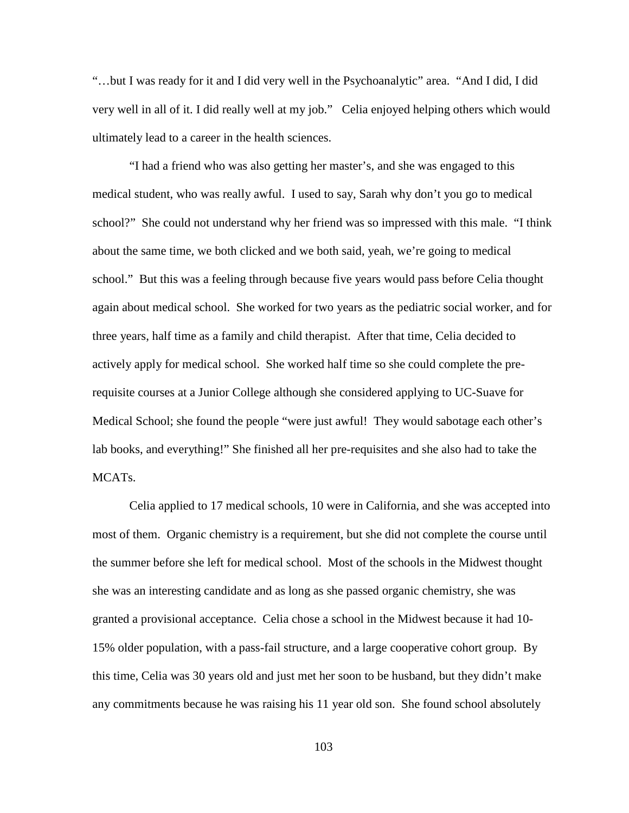"…but I was ready for it and I did very well in the Psychoanalytic" area. "And I did, I did very well in all of it. I did really well at my job." Celia enjoyed helping others which would ultimately lead to a career in the health sciences.

"I had a friend who was also getting her master's, and she was engaged to this medical student, who was really awful. I used to say, Sarah why don't you go to medical school?" She could not understand why her friend was so impressed with this male. "I think about the same time, we both clicked and we both said, yeah, we're going to medical school." But this was a feeling through because five years would pass before Celia thought again about medical school. She worked for two years as the pediatric social worker, and for three years, half time as a family and child therapist. After that time, Celia decided to actively apply for medical school. She worked half time so she could complete the prerequisite courses at a Junior College although she considered applying to UC-Suave for Medical School; she found the people "were just awful! They would sabotage each other's lab books, and everything!" She finished all her pre-requisites and she also had to take the MCATs.

Celia applied to 17 medical schools, 10 were in California, and she was accepted into most of them. Organic chemistry is a requirement, but she did not complete the course until the summer before she left for medical school. Most of the schools in the Midwest thought she was an interesting candidate and as long as she passed organic chemistry, she was granted a provisional acceptance. Celia chose a school in the Midwest because it had 10- 15% older population, with a pass-fail structure, and a large cooperative cohort group. By this time, Celia was 30 years old and just met her soon to be husband, but they didn't make any commitments because he was raising his 11 year old son. She found school absolutely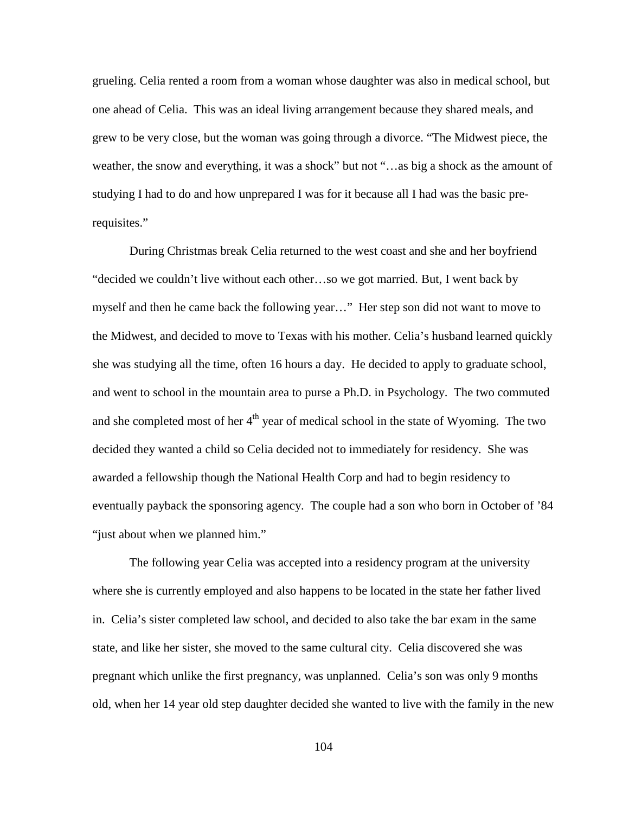grueling. Celia rented a room from a woman whose daughter was also in medical school, but one ahead of Celia. This was an ideal living arrangement because they shared meals, and grew to be very close, but the woman was going through a divorce. "The Midwest piece, the weather, the snow and everything, it was a shock" but not "…as big a shock as the amount of studying I had to do and how unprepared I was for it because all I had was the basic prerequisites."

During Christmas break Celia returned to the west coast and she and her boyfriend "decided we couldn't live without each other…so we got married. But, I went back by myself and then he came back the following year…" Her step son did not want to move to the Midwest, and decided to move to Texas with his mother. Celia's husband learned quickly she was studying all the time, often 16 hours a day. He decided to apply to graduate school, and went to school in the mountain area to purse a Ph.D. in Psychology. The two commuted and she completed most of her  $4<sup>th</sup>$  year of medical school in the state of Wyoming. The two decided they wanted a child so Celia decided not to immediately for residency. She was awarded a fellowship though the National Health Corp and had to begin residency to eventually payback the sponsoring agency. The couple had a son who born in October of '84 "just about when we planned him."

The following year Celia was accepted into a residency program at the university where she is currently employed and also happens to be located in the state her father lived in. Celia's sister completed law school, and decided to also take the bar exam in the same state, and like her sister, she moved to the same cultural city. Celia discovered she was pregnant which unlike the first pregnancy, was unplanned. Celia's son was only 9 months old, when her 14 year old step daughter decided she wanted to live with the family in the new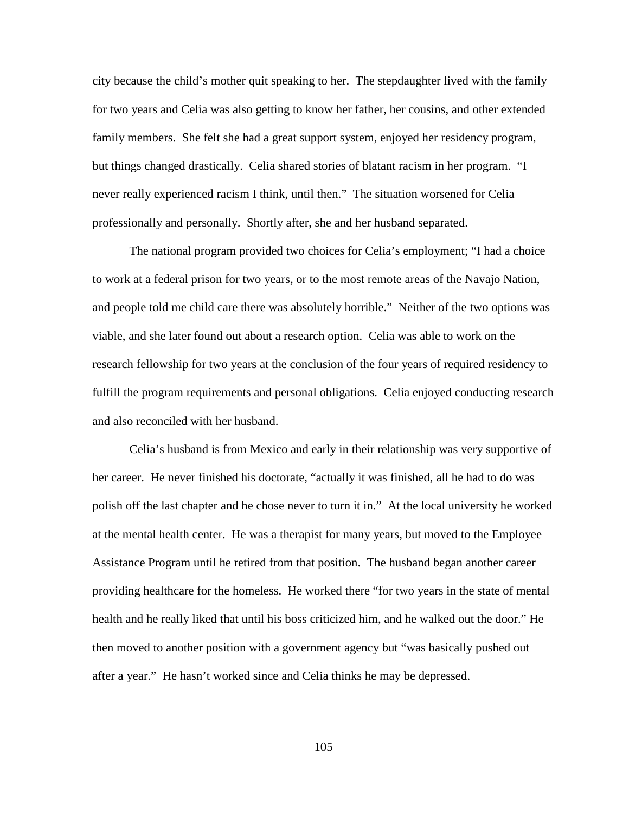city because the child's mother quit speaking to her. The stepdaughter lived with the family for two years and Celia was also getting to know her father, her cousins, and other extended family members. She felt she had a great support system, enjoyed her residency program, but things changed drastically. Celia shared stories of blatant racism in her program. "I never really experienced racism I think, until then." The situation worsened for Celia professionally and personally. Shortly after, she and her husband separated.

The national program provided two choices for Celia's employment; "I had a choice to work at a federal prison for two years, or to the most remote areas of the Navajo Nation, and people told me child care there was absolutely horrible." Neither of the two options was viable, and she later found out about a research option. Celia was able to work on the research fellowship for two years at the conclusion of the four years of required residency to fulfill the program requirements and personal obligations. Celia enjoyed conducting research and also reconciled with her husband.

Celia's husband is from Mexico and early in their relationship was very supportive of her career. He never finished his doctorate, "actually it was finished, all he had to do was polish off the last chapter and he chose never to turn it in." At the local university he worked at the mental health center. He was a therapist for many years, but moved to the Employee Assistance Program until he retired from that position. The husband began another career providing healthcare for the homeless. He worked there "for two years in the state of mental health and he really liked that until his boss criticized him, and he walked out the door." He then moved to another position with a government agency but "was basically pushed out after a year." He hasn't worked since and Celia thinks he may be depressed.

105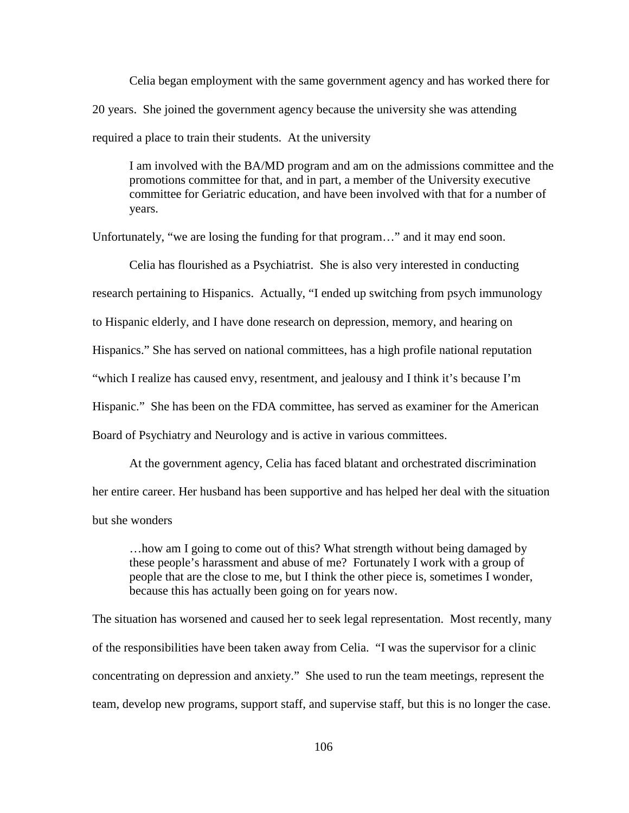Celia began employment with the same government agency and has worked there for 20 years. She joined the government agency because the university she was attending required a place to train their students. At the university

I am involved with the BA/MD program and am on the admissions committee and the promotions committee for that, and in part, a member of the University executive committee for Geriatric education, and have been involved with that for a number of years.

Unfortunately, "we are losing the funding for that program…" and it may end soon.

Celia has flourished as a Psychiatrist. She is also very interested in conducting research pertaining to Hispanics. Actually, "I ended up switching from psych immunology to Hispanic elderly, and I have done research on depression, memory, and hearing on Hispanics." She has served on national committees, has a high profile national reputation "which I realize has caused envy, resentment, and jealousy and I think it's because I'm Hispanic." She has been on the FDA committee, has served as examiner for the American Board of Psychiatry and Neurology and is active in various committees.

At the government agency, Celia has faced blatant and orchestrated discrimination her entire career. Her husband has been supportive and has helped her deal with the situation but she wonders

…how am I going to come out of this? What strength without being damaged by these people's harassment and abuse of me? Fortunately I work with a group of people that are the close to me, but I think the other piece is, sometimes I wonder, because this has actually been going on for years now.

The situation has worsened and caused her to seek legal representation. Most recently, many of the responsibilities have been taken away from Celia. "I was the supervisor for a clinic concentrating on depression and anxiety." She used to run the team meetings, represent the team, develop new programs, support staff, and supervise staff, but this is no longer the case.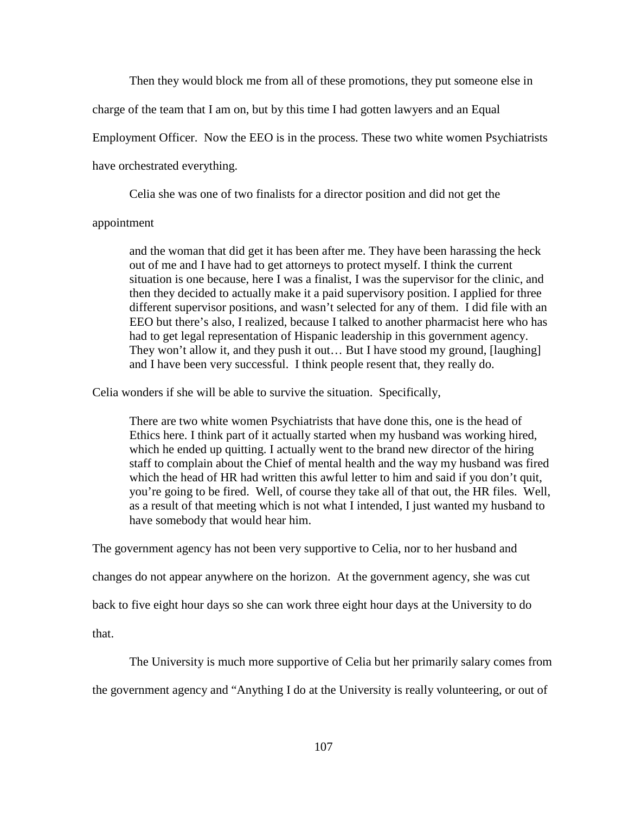Then they would block me from all of these promotions, they put someone else in

charge of the team that I am on, but by this time I had gotten lawyers and an Equal

Employment Officer. Now the EEO is in the process. These two white women Psychiatrists

have orchestrated everything.

Celia she was one of two finalists for a director position and did not get the

#### appointment

and the woman that did get it has been after me. They have been harassing the heck out of me and I have had to get attorneys to protect myself. I think the current situation is one because, here I was a finalist, I was the supervisor for the clinic, and then they decided to actually make it a paid supervisory position. I applied for three different supervisor positions, and wasn't selected for any of them. I did file with an EEO but there's also, I realized, because I talked to another pharmacist here who has had to get legal representation of Hispanic leadership in this government agency. They won't allow it, and they push it out… But I have stood my ground, [laughing] and I have been very successful. I think people resent that, they really do.

Celia wonders if she will be able to survive the situation. Specifically,

There are two white women Psychiatrists that have done this, one is the head of Ethics here. I think part of it actually started when my husband was working hired, which he ended up quitting. I actually went to the brand new director of the hiring staff to complain about the Chief of mental health and the way my husband was fired which the head of HR had written this awful letter to him and said if you don't quit, you're going to be fired. Well, of course they take all of that out, the HR files. Well, as a result of that meeting which is not what I intended, I just wanted my husband to have somebody that would hear him.

The government agency has not been very supportive to Celia, nor to her husband and

changes do not appear anywhere on the horizon. At the government agency, she was cut

back to five eight hour days so she can work three eight hour days at the University to do

that.

The University is much more supportive of Celia but her primarily salary comes from

the government agency and "Anything I do at the University is really volunteering, or out of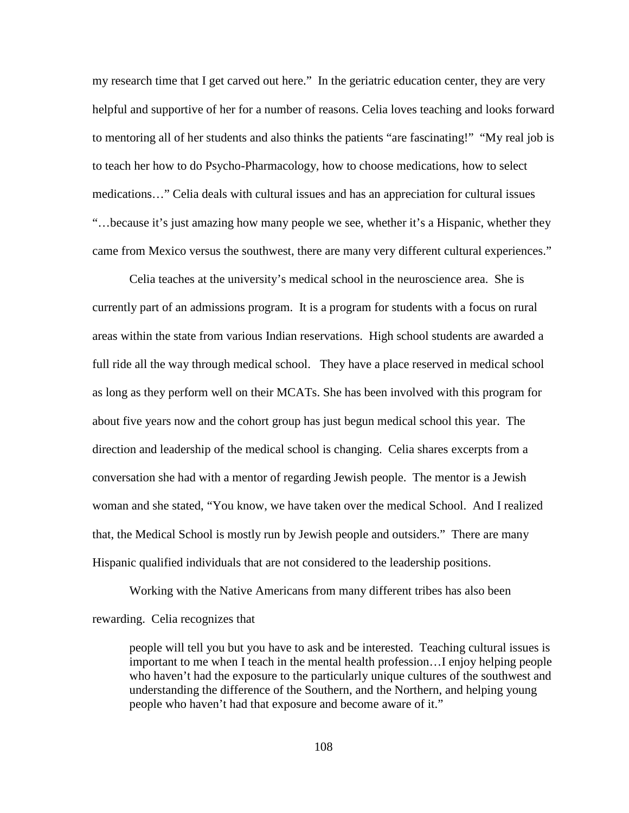my research time that I get carved out here." In the geriatric education center, they are very helpful and supportive of her for a number of reasons. Celia loves teaching and looks forward to mentoring all of her students and also thinks the patients "are fascinating!" "My real job is to teach her how to do Psycho-Pharmacology, how to choose medications, how to select medications…" Celia deals with cultural issues and has an appreciation for cultural issues "…because it's just amazing how many people we see, whether it's a Hispanic, whether they came from Mexico versus the southwest, there are many very different cultural experiences."

Celia teaches at the university's medical school in the neuroscience area. She is currently part of an admissions program. It is a program for students with a focus on rural areas within the state from various Indian reservations. High school students are awarded a full ride all the way through medical school. They have a place reserved in medical school as long as they perform well on their MCATs. She has been involved with this program for about five years now and the cohort group has just begun medical school this year. The direction and leadership of the medical school is changing. Celia shares excerpts from a conversation she had with a mentor of regarding Jewish people. The mentor is a Jewish woman and she stated, "You know, we have taken over the medical School. And I realized that, the Medical School is mostly run by Jewish people and outsiders." There are many Hispanic qualified individuals that are not considered to the leadership positions.

Working with the Native Americans from many different tribes has also been rewarding. Celia recognizes that

people will tell you but you have to ask and be interested. Teaching cultural issues is important to me when I teach in the mental health profession…I enjoy helping people who haven't had the exposure to the particularly unique cultures of the southwest and understanding the difference of the Southern, and the Northern, and helping young people who haven't had that exposure and become aware of it."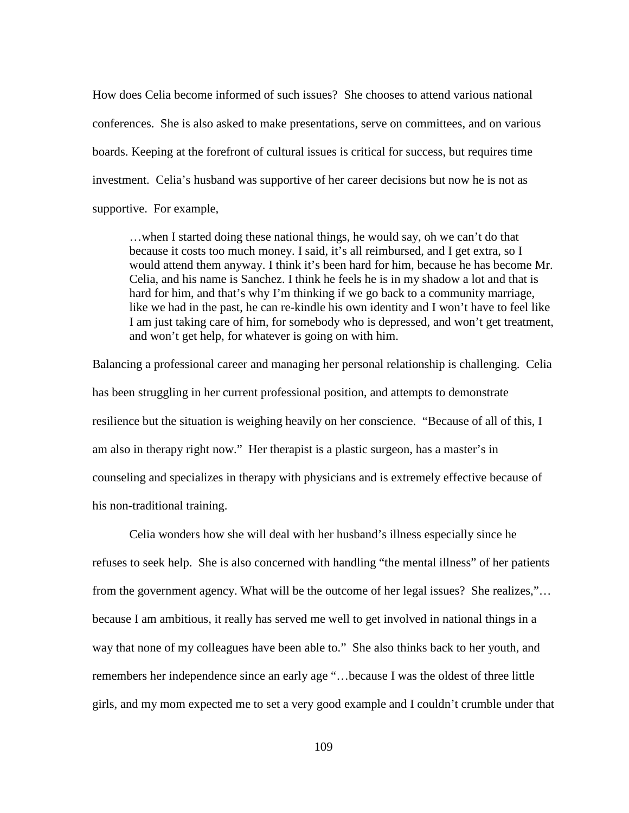How does Celia become informed of such issues? She chooses to attend various national conferences. She is also asked to make presentations, serve on committees, and on various boards. Keeping at the forefront of cultural issues is critical for success, but requires time investment. Celia's husband was supportive of her career decisions but now he is not as supportive. For example,

…when I started doing these national things, he would say, oh we can't do that because it costs too much money. I said, it's all reimbursed, and I get extra, so I would attend them anyway. I think it's been hard for him, because he has become Mr. Celia, and his name is Sanchez. I think he feels he is in my shadow a lot and that is hard for him, and that's why I'm thinking if we go back to a community marriage, like we had in the past, he can re-kindle his own identity and I won't have to feel like I am just taking care of him, for somebody who is depressed, and won't get treatment, and won't get help, for whatever is going on with him.

Balancing a professional career and managing her personal relationship is challenging. Celia has been struggling in her current professional position, and attempts to demonstrate resilience but the situation is weighing heavily on her conscience. "Because of all of this, I am also in therapy right now." Her therapist is a plastic surgeon, has a master's in counseling and specializes in therapy with physicians and is extremely effective because of his non-traditional training.

Celia wonders how she will deal with her husband's illness especially since he refuses to seek help. She is also concerned with handling "the mental illness" of her patients from the government agency. What will be the outcome of her legal issues? She realizes,"… because I am ambitious, it really has served me well to get involved in national things in a way that none of my colleagues have been able to." She also thinks back to her youth, and remembers her independence since an early age "…because I was the oldest of three little girls, and my mom expected me to set a very good example and I couldn't crumble under that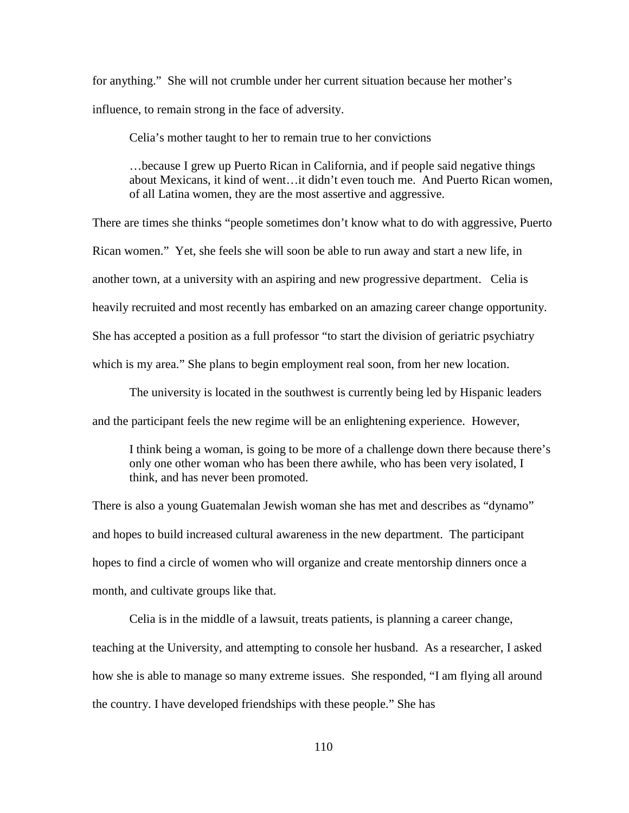for anything." She will not crumble under her current situation because her mother's influence, to remain strong in the face of adversity.

Celia's mother taught to her to remain true to her convictions

…because I grew up Puerto Rican in California, and if people said negative things about Mexicans, it kind of went…it didn't even touch me. And Puerto Rican women, of all Latina women, they are the most assertive and aggressive.

There are times she thinks "people sometimes don't know what to do with aggressive, Puerto Rican women." Yet, she feels she will soon be able to run away and start a new life, in another town, at a university with an aspiring and new progressive department. Celia is heavily recruited and most recently has embarked on an amazing career change opportunity. She has accepted a position as a full professor "to start the division of geriatric psychiatry which is my area." She plans to begin employment real soon, from her new location.

The university is located in the southwest is currently being led by Hispanic leaders and the participant feels the new regime will be an enlightening experience. However,

I think being a woman, is going to be more of a challenge down there because there's only one other woman who has been there awhile, who has been very isolated, I think, and has never been promoted.

There is also a young Guatemalan Jewish woman she has met and describes as "dynamo" and hopes to build increased cultural awareness in the new department. The participant hopes to find a circle of women who will organize and create mentorship dinners once a month, and cultivate groups like that.

Celia is in the middle of a lawsuit, treats patients, is planning a career change, teaching at the University, and attempting to console her husband. As a researcher, I asked how she is able to manage so many extreme issues. She responded, "I am flying all around the country. I have developed friendships with these people." She has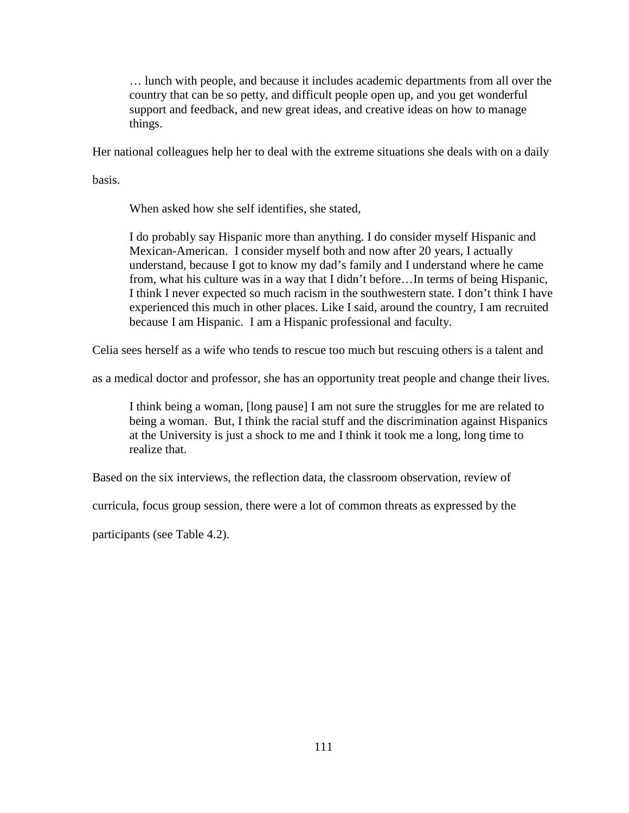… lunch with people, and because it includes academic departments from all over the country that can be so petty, and difficult people open up, and you get wonderful support and feedback, and new great ideas, and creative ideas on how to manage things.

Her national colleagues help her to deal with the extreme situations she deals with on a daily

basis.

When asked how she self identifies, she stated,

I do probably say Hispanic more than anything. I do consider myself Hispanic and Mexican-American. I consider myself both and now after 20 years, I actually understand, because I got to know my dad's family and I understand where he came from, what his culture was in a way that I didn't before…In terms of being Hispanic, I think I never expected so much racism in the southwestern state. I don't think I have experienced this much in other places. Like I said, around the country, I am recruited because I am Hispanic. I am a Hispanic professional and faculty.

Celia sees herself as a wife who tends to rescue too much but rescuing others is a talent and

as a medical doctor and professor, she has an opportunity treat people and change their lives.

I think being a woman, [long pause] I am not sure the struggles for me are related to being a woman. But, I think the racial stuff and the discrimination against Hispanics at the University is just a shock to me and I think it took me a long, long time to realize that.

Based on the six interviews, the reflection data, the classroom observation, review of

curricula, focus group session, there were a lot of common threats as expressed by the

participants (see Table 4.2).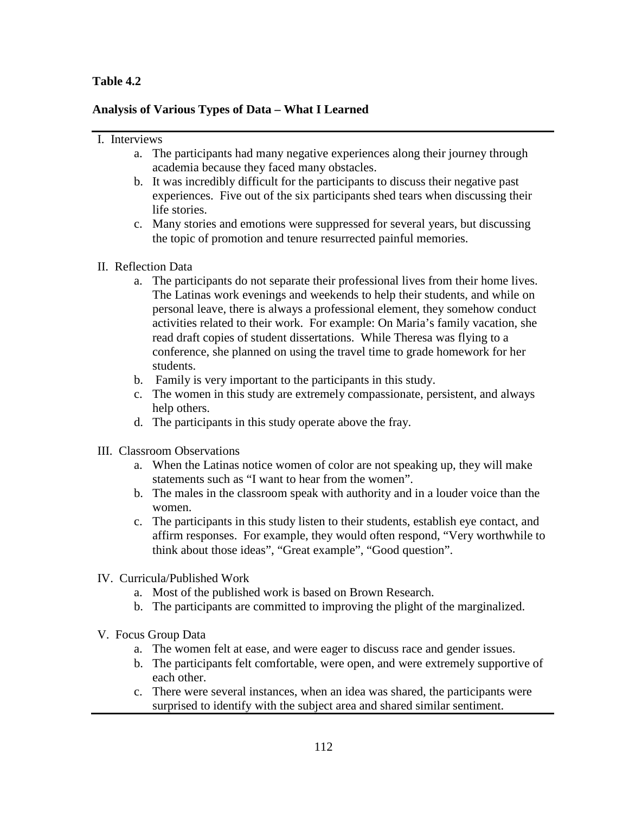# **Table 4.2**

# **Analysis of Various Types of Data – What I Learned**

#### I. Interviews

- a. The participants had many negative experiences along their journey through academia because they faced many obstacles.
- b. It was incredibly difficult for the participants to discuss their negative past experiences. Five out of the six participants shed tears when discussing their life stories.
- c. Many stories and emotions were suppressed for several years, but discussing the topic of promotion and tenure resurrected painful memories.

# II. Reflection Data

- a. The participants do not separate their professional lives from their home lives. The Latinas work evenings and weekends to help their students, and while on personal leave, there is always a professional element, they somehow conduct activities related to their work. For example: On Maria's family vacation, she read draft copies of student dissertations. While Theresa was flying to a conference, she planned on using the travel time to grade homework for her students.
- b. Family is very important to the participants in this study.
- c. The women in this study are extremely compassionate, persistent, and always help others.
- d. The participants in this study operate above the fray.
- III. Classroom Observations
	- a. When the Latinas notice women of color are not speaking up, they will make statements such as "I want to hear from the women".
	- b. The males in the classroom speak with authority and in a louder voice than the women.
	- c. The participants in this study listen to their students, establish eye contact, and affirm responses. For example, they would often respond, "Very worthwhile to think about those ideas", "Great example", "Good question".
- IV. Curricula/Published Work
	- a. Most of the published work is based on Brown Research.
	- b. The participants are committed to improving the plight of the marginalized.
- V. Focus Group Data
	- a. The women felt at ease, and were eager to discuss race and gender issues.
	- b. The participants felt comfortable, were open, and were extremely supportive of each other.
	- c. There were several instances, when an idea was shared, the participants were surprised to identify with the subject area and shared similar sentiment.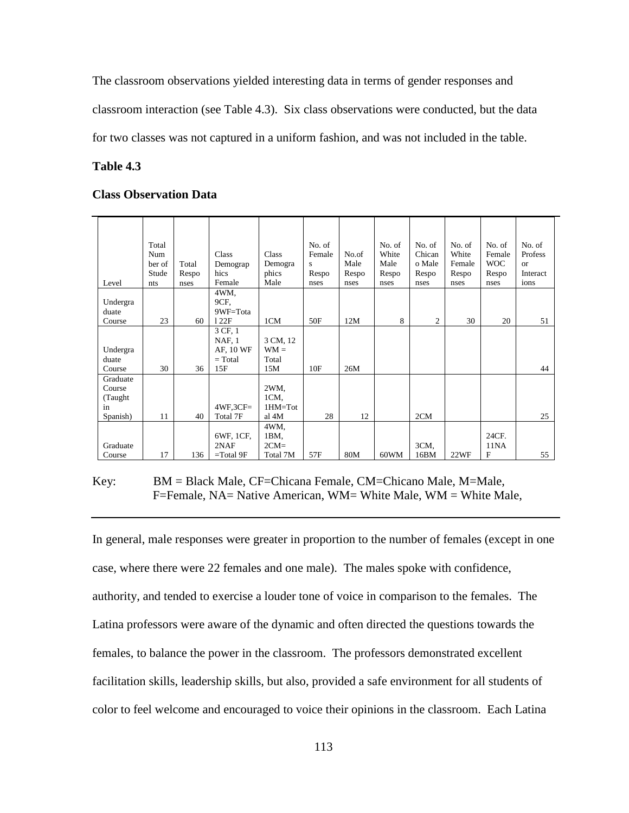The classroom observations yielded interesting data in terms of gender responses and

classroom interaction (see Table 4.3). Six class observations were conducted, but the data

for two classes was not captured in a uniform fashion, and was not included in the table.

#### **Table 4.3**

#### **Class Observation Data**

|          | Total<br>Num |       | Class         | Class            | No. of<br>Female | No.of | No. of<br>White | No. of<br>Chican | No. of<br>White | No. of<br>Female | No. of<br>Profess |
|----------|--------------|-------|---------------|------------------|------------------|-------|-----------------|------------------|-----------------|------------------|-------------------|
|          | ber of       | Total | Demograp      |                  |                  | Male  | Male            | o Male           | Female          | <b>WOC</b>       | <b>or</b>         |
|          | Stude        | Respo | hics          | Demogra<br>phics | s<br>Respo       | Respo | Respo           | Respo            | Respo           | Respo            | Interact          |
| Level    | nts          | nses  | Female        | Male             | nses             | nses  | nses            | nses             | nses            | nses             | ions              |
|          |              |       | 4WM,          |                  |                  |       |                 |                  |                 |                  |                   |
| Undergra |              |       | 9CF.          |                  |                  |       |                 |                  |                 |                  |                   |
| duate    |              |       | 9WF=Tota      |                  |                  |       |                 |                  |                 |                  |                   |
| Course   | 23           | 60    | 122F          | 1CM              | 50F              | 12M   | 8               | $\overline{c}$   | 30              | 20               | 51                |
|          |              |       | 3 CF, 1       |                  |                  |       |                 |                  |                 |                  |                   |
|          |              |       | <b>NAF, 1</b> | 3 CM, 12         |                  |       |                 |                  |                 |                  |                   |
| Undergra |              |       | AF, 10 WF     | $WM =$           |                  |       |                 |                  |                 |                  |                   |
| duate    |              |       | $= Total$     | Total            |                  |       |                 |                  |                 |                  |                   |
| Course   | 30           | 36    | 15F           | 15M              | 10F              | 26M   |                 |                  |                 |                  | 44                |
| Graduate |              |       |               |                  |                  |       |                 |                  |                 |                  |                   |
| Course   |              |       |               | 2WM,             |                  |       |                 |                  |                 |                  |                   |
| (Taught  |              |       |               | 1CM,             |                  |       |                 |                  |                 |                  |                   |
| in       |              |       | $4WF, 3CF =$  | $1HM=Tot$        |                  |       |                 |                  |                 |                  |                   |
| Spanish) | 11           | 40    | Total 7F      | al 4M            | 28               | 12    |                 | 2CM              |                 |                  | 25                |
|          |              |       |               | 4WM.             |                  |       |                 |                  |                 |                  |                   |
|          |              |       | 6WF, 1CF,     | 1BM,             |                  |       |                 |                  |                 | 24CF.            |                   |
| Graduate |              |       | 2NAF          | $2CM=$           |                  |       |                 | 3CM,             |                 | 11NA             |                   |
| Course   | 17           | 136   | $=$ Total 9F  | Total 7M         | 57F              | 80M   | 60WM            | 16BM             | 22WF            | $\mathbf{F}$     | 55                |

Key: BM = Black Male, CF=Chicana Female, CM=Chicano Male, M=Male, F=Female, NA= Native American, WM= White Male, WM = White Male,

In general, male responses were greater in proportion to the number of females (except in one case, where there were 22 females and one male). The males spoke with confidence, authority, and tended to exercise a louder tone of voice in comparison to the females. The Latina professors were aware of the dynamic and often directed the questions towards the females, to balance the power in the classroom. The professors demonstrated excellent facilitation skills, leadership skills, but also, provided a safe environment for all students of color to feel welcome and encouraged to voice their opinions in the classroom. Each Latina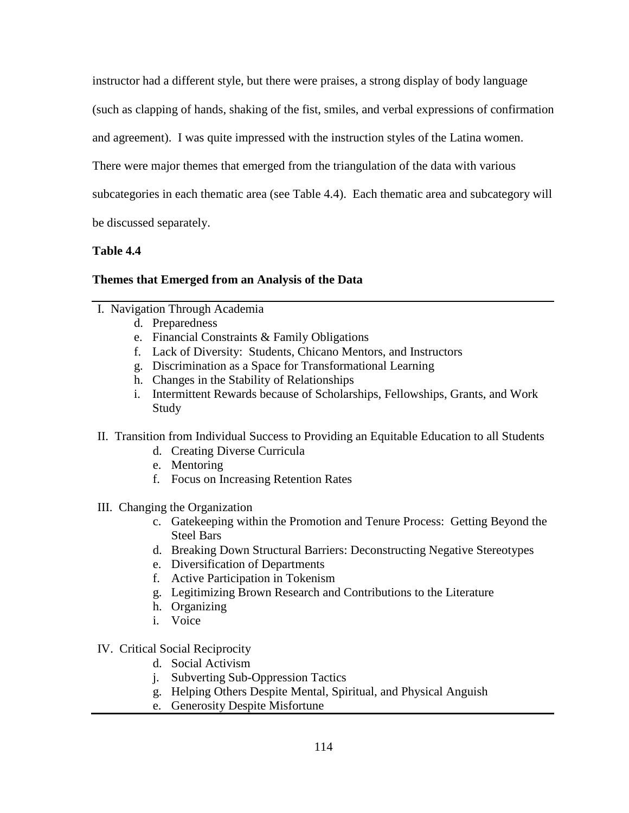instructor had a different style, but there were praises, a strong display of body language

(such as clapping of hands, shaking of the fist, smiles, and verbal expressions of confirmation

and agreement). I was quite impressed with the instruction styles of the Latina women.

There were major themes that emerged from the triangulation of the data with various

subcategories in each thematic area (see Table 4.4). Each thematic area and subcategory will

be discussed separately.

## **Table 4.4**

# **Themes that Emerged from an Analysis of the Data**

- I. Navigation Through Academia
	- d. Preparedness
	- e. Financial Constraints & Family Obligations
	- f. Lack of Diversity: Students, Chicano Mentors, and Instructors
	- g. Discrimination as a Space for Transformational Learning
	- h. Changes in the Stability of Relationships
	- i. Intermittent Rewards because of Scholarships, Fellowships, Grants, and Work Study
- II. Transition from Individual Success to Providing an Equitable Education to all Students
	- d. Creating Diverse Curricula
	- e. Mentoring
	- f. Focus on Increasing Retention Rates
- III. Changing the Organization
	- c. Gatekeeping within the Promotion and Tenure Process: Getting Beyond the Steel Bars
	- d. Breaking Down Structural Barriers: Deconstructing Negative Stereotypes
	- e. Diversification of Departments
	- f. Active Participation in Tokenism
	- g. Legitimizing Brown Research and Contributions to the Literature
	- h. Organizing
	- i. Voice
- IV. Critical Social Reciprocity
	- d. Social Activism
	- j. Subverting Sub-Oppression Tactics
	- g. Helping Others Despite Mental, Spiritual, and Physical Anguish
	- e. Generosity Despite Misfortune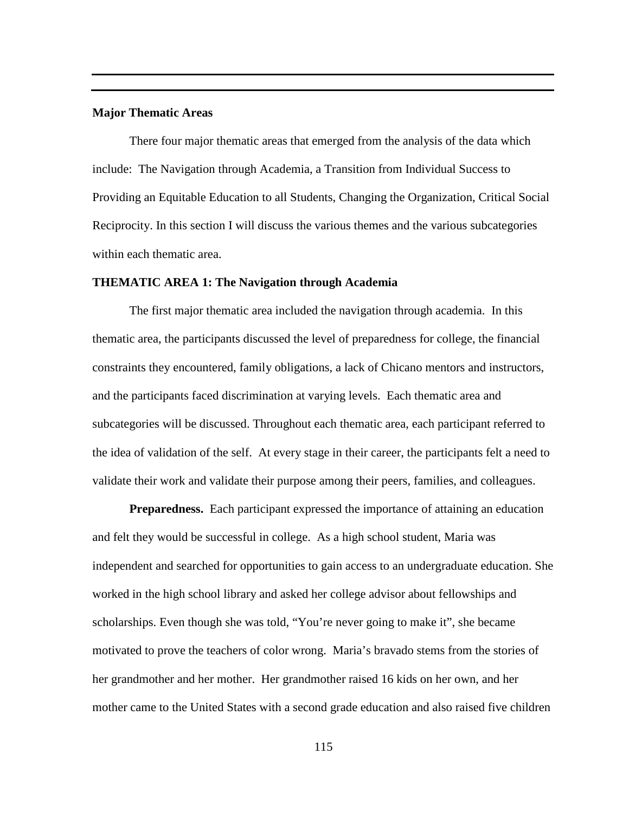## **Major Thematic Areas**

There four major thematic areas that emerged from the analysis of the data which include: The Navigation through Academia, a Transition from Individual Success to Providing an Equitable Education to all Students, Changing the Organization, Critical Social Reciprocity. In this section I will discuss the various themes and the various subcategories within each thematic area.

#### **THEMATIC AREA 1: The Navigation through Academia**

The first major thematic area included the navigation through academia. In this thematic area, the participants discussed the level of preparedness for college, the financial constraints they encountered, family obligations, a lack of Chicano mentors and instructors, and the participants faced discrimination at varying levels. Each thematic area and subcategories will be discussed. Throughout each thematic area, each participant referred to the idea of validation of the self. At every stage in their career, the participants felt a need to validate their work and validate their purpose among their peers, families, and colleagues.

**Preparedness.** Each participant expressed the importance of attaining an education and felt they would be successful in college. As a high school student, Maria was independent and searched for opportunities to gain access to an undergraduate education. She worked in the high school library and asked her college advisor about fellowships and scholarships. Even though she was told, "You're never going to make it", she became motivated to prove the teachers of color wrong. Maria's bravado stems from the stories of her grandmother and her mother. Her grandmother raised 16 kids on her own, and her mother came to the United States with a second grade education and also raised five children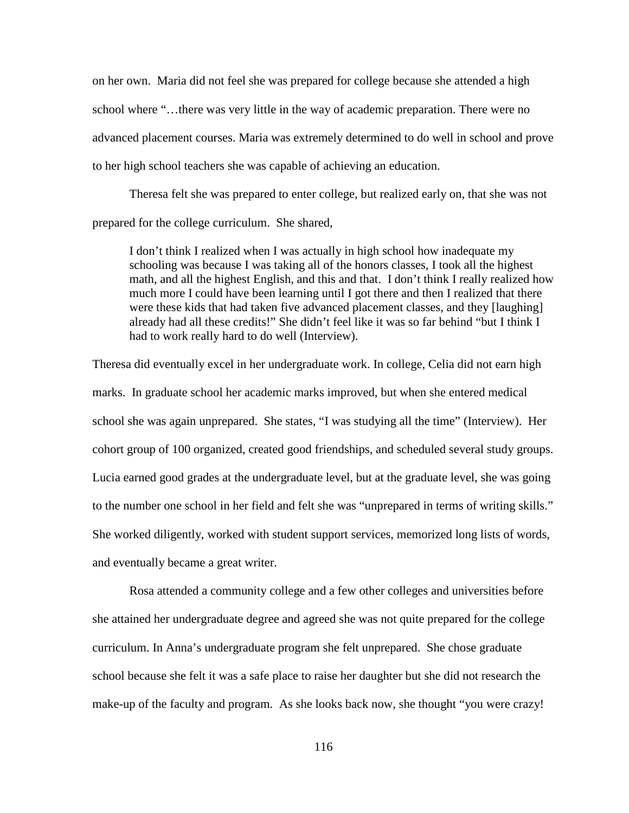on her own. Maria did not feel she was prepared for college because she attended a high school where "…there was very little in the way of academic preparation. There were no advanced placement courses. Maria was extremely determined to do well in school and prove to her high school teachers she was capable of achieving an education.

Theresa felt she was prepared to enter college, but realized early on, that she was not prepared for the college curriculum. She shared,

I don't think I realized when I was actually in high school how inadequate my schooling was because I was taking all of the honors classes, I took all the highest math, and all the highest English, and this and that. I don't think I really realized how much more I could have been learning until I got there and then I realized that there were these kids that had taken five advanced placement classes, and they [laughing] already had all these credits!" She didn't feel like it was so far behind "but I think I had to work really hard to do well (Interview).

Theresa did eventually excel in her undergraduate work. In college, Celia did not earn high marks. In graduate school her academic marks improved, but when she entered medical school she was again unprepared. She states, "I was studying all the time" (Interview). Her cohort group of 100 organized, created good friendships, and scheduled several study groups. Lucia earned good grades at the undergraduate level, but at the graduate level, she was going to the number one school in her field and felt she was "unprepared in terms of writing skills." She worked diligently, worked with student support services, memorized long lists of words, and eventually became a great writer.

Rosa attended a community college and a few other colleges and universities before she attained her undergraduate degree and agreed she was not quite prepared for the college curriculum. In Anna's undergraduate program she felt unprepared. She chose graduate school because she felt it was a safe place to raise her daughter but she did not research the make-up of the faculty and program. As she looks back now, she thought "you were crazy!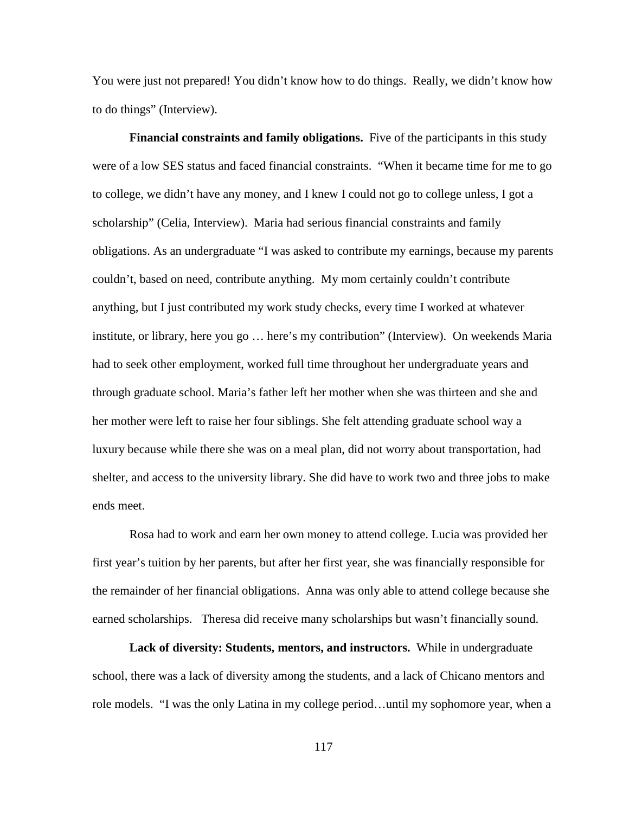You were just not prepared! You didn't know how to do things. Really, we didn't know how to do things" (Interview).

**Financial constraints and family obligations.** Five of the participants in this study were of a low SES status and faced financial constraints. "When it became time for me to go to college, we didn't have any money, and I knew I could not go to college unless, I got a scholarship" (Celia, Interview). Maria had serious financial constraints and family obligations. As an undergraduate "I was asked to contribute my earnings, because my parents couldn't, based on need, contribute anything. My mom certainly couldn't contribute anything, but I just contributed my work study checks, every time I worked at whatever institute, or library, here you go … here's my contribution" (Interview). On weekends Maria had to seek other employment, worked full time throughout her undergraduate years and through graduate school. Maria's father left her mother when she was thirteen and she and her mother were left to raise her four siblings. She felt attending graduate school way a luxury because while there she was on a meal plan, did not worry about transportation, had shelter, and access to the university library. She did have to work two and three jobs to make ends meet.

Rosa had to work and earn her own money to attend college. Lucia was provided her first year's tuition by her parents, but after her first year, she was financially responsible for the remainder of her financial obligations. Anna was only able to attend college because she earned scholarships. Theresa did receive many scholarships but wasn't financially sound.

**Lack of diversity: Students, mentors, and instructors.** While in undergraduate school, there was a lack of diversity among the students, and a lack of Chicano mentors and role models. "I was the only Latina in my college period…until my sophomore year, when a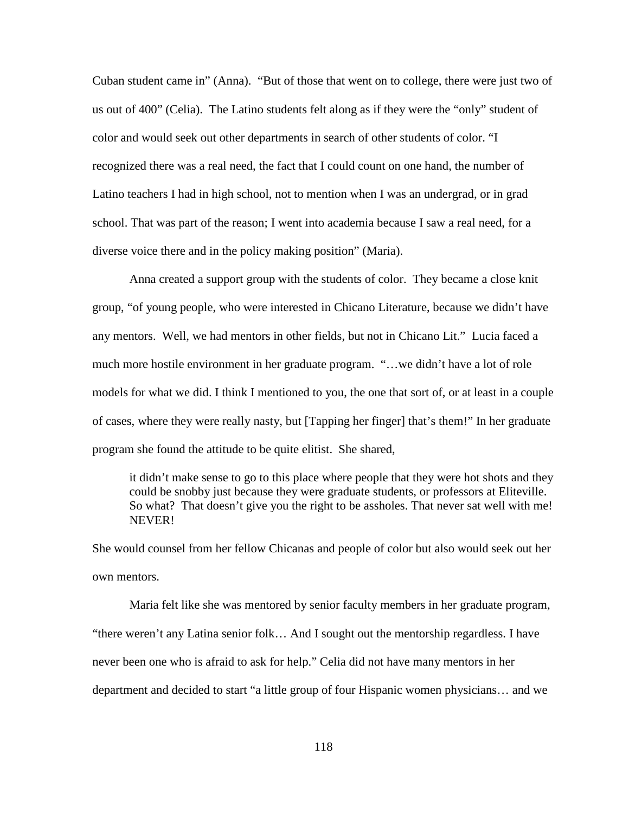Cuban student came in" (Anna). "But of those that went on to college, there were just two of us out of 400" (Celia). The Latino students felt along as if they were the "only" student of color and would seek out other departments in search of other students of color. "I recognized there was a real need, the fact that I could count on one hand, the number of Latino teachers I had in high school, not to mention when I was an undergrad, or in grad school. That was part of the reason; I went into academia because I saw a real need, for a diverse voice there and in the policy making position" (Maria).

Anna created a support group with the students of color. They became a close knit group, "of young people, who were interested in Chicano Literature, because we didn't have any mentors. Well, we had mentors in other fields, but not in Chicano Lit." Lucia faced a much more hostile environment in her graduate program. "…we didn't have a lot of role models for what we did. I think I mentioned to you, the one that sort of, or at least in a couple of cases, where they were really nasty, but [Tapping her finger] that's them!" In her graduate program she found the attitude to be quite elitist. She shared,

it didn't make sense to go to this place where people that they were hot shots and they could be snobby just because they were graduate students, or professors at Eliteville. So what? That doesn't give you the right to be assholes. That never sat well with me! NEVER!

She would counsel from her fellow Chicanas and people of color but also would seek out her own mentors.

Maria felt like she was mentored by senior faculty members in her graduate program, "there weren't any Latina senior folk… And I sought out the mentorship regardless. I have never been one who is afraid to ask for help." Celia did not have many mentors in her department and decided to start "a little group of four Hispanic women physicians… and we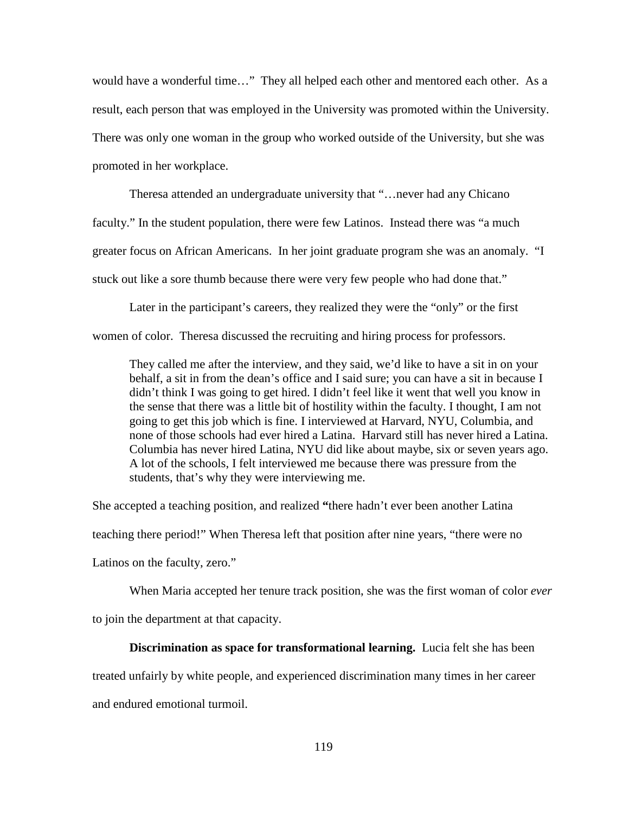would have a wonderful time…" They all helped each other and mentored each other. As a result, each person that was employed in the University was promoted within the University. There was only one woman in the group who worked outside of the University, but she was promoted in her workplace.

Theresa attended an undergraduate university that "…never had any Chicano faculty." In the student population, there were few Latinos. Instead there was "a much greater focus on African Americans. In her joint graduate program she was an anomaly. "I stuck out like a sore thumb because there were very few people who had done that."

Later in the participant's careers, they realized they were the "only" or the first

women of color. Theresa discussed the recruiting and hiring process for professors.

They called me after the interview, and they said, we'd like to have a sit in on your behalf, a sit in from the dean's office and I said sure; you can have a sit in because I didn't think I was going to get hired. I didn't feel like it went that well you know in the sense that there was a little bit of hostility within the faculty. I thought, I am not going to get this job which is fine. I interviewed at Harvard, NYU, Columbia, and none of those schools had ever hired a Latina. Harvard still has never hired a Latina. Columbia has never hired Latina, NYU did like about maybe, six or seven years ago. A lot of the schools, I felt interviewed me because there was pressure from the students, that's why they were interviewing me.

She accepted a teaching position, and realized **"**there hadn't ever been another Latina teaching there period!" When Theresa left that position after nine years, "there were no Latinos on the faculty, zero."

When Maria accepted her tenure track position, she was the first woman of color *ever* to join the department at that capacity.

#### **Discrimination as space for transformational learning.** Lucia felt she has been

treated unfairly by white people, and experienced discrimination many times in her career and endured emotional turmoil.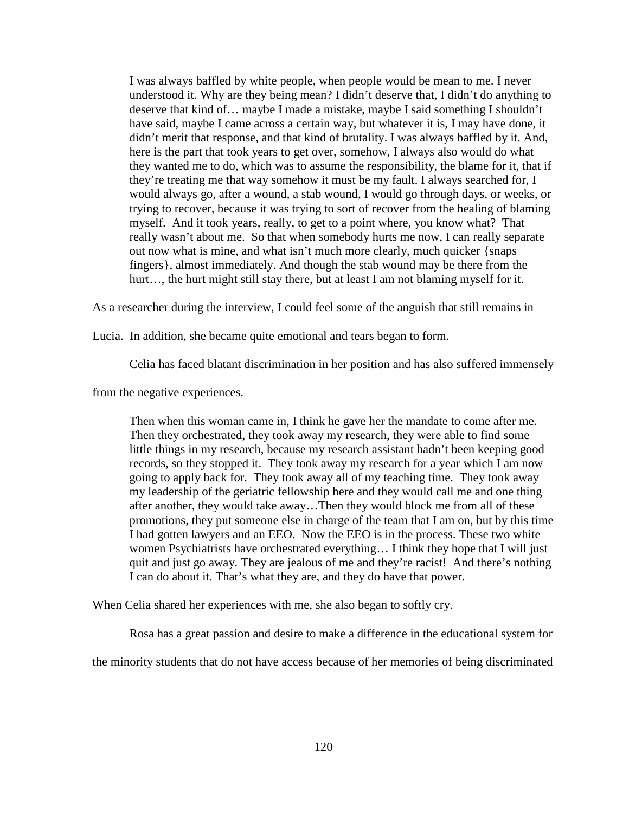I was always baffled by white people, when people would be mean to me. I never understood it. Why are they being mean? I didn't deserve that, I didn't do anything to deserve that kind of… maybe I made a mistake, maybe I said something I shouldn't have said, maybe I came across a certain way, but whatever it is, I may have done, it didn't merit that response, and that kind of brutality. I was always baffled by it. And, here is the part that took years to get over, somehow, I always also would do what they wanted me to do, which was to assume the responsibility, the blame for it, that if they're treating me that way somehow it must be my fault. I always searched for, I would always go, after a wound, a stab wound, I would go through days, or weeks, or trying to recover, because it was trying to sort of recover from the healing of blaming myself. And it took years, really, to get to a point where, you know what? That really wasn't about me. So that when somebody hurts me now, I can really separate out now what is mine, and what isn't much more clearly, much quicker {snaps fingers}, almost immediately. And though the stab wound may be there from the hurt..., the hurt might still stay there, but at least I am not blaming myself for it.

As a researcher during the interview, I could feel some of the anguish that still remains in

Lucia. In addition, she became quite emotional and tears began to form.

Celia has faced blatant discrimination in her position and has also suffered immensely

from the negative experiences.

Then when this woman came in, I think he gave her the mandate to come after me. Then they orchestrated, they took away my research, they were able to find some little things in my research, because my research assistant hadn't been keeping good records, so they stopped it. They took away my research for a year which I am now going to apply back for. They took away all of my teaching time. They took away my leadership of the geriatric fellowship here and they would call me and one thing after another, they would take away…Then they would block me from all of these promotions, they put someone else in charge of the team that I am on, but by this time I had gotten lawyers and an EEO. Now the EEO is in the process. These two white women Psychiatrists have orchestrated everything… I think they hope that I will just quit and just go away. They are jealous of me and they're racist! And there's nothing I can do about it. That's what they are, and they do have that power.

When Celia shared her experiences with me, she also began to softly cry.

Rosa has a great passion and desire to make a difference in the educational system for

the minority students that do not have access because of her memories of being discriminated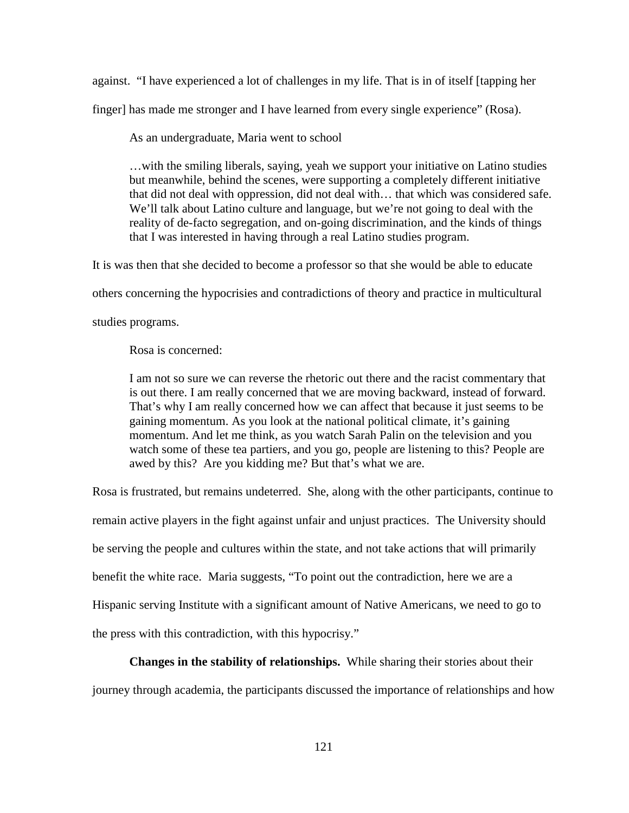against. "I have experienced a lot of challenges in my life. That is in of itself [tapping her finger] has made me stronger and I have learned from every single experience" (Rosa).

As an undergraduate, Maria went to school

…with the smiling liberals, saying, yeah we support your initiative on Latino studies but meanwhile, behind the scenes, were supporting a completely different initiative that did not deal with oppression, did not deal with… that which was considered safe. We'll talk about Latino culture and language, but we're not going to deal with the reality of de-facto segregation, and on-going discrimination, and the kinds of things that I was interested in having through a real Latino studies program.

It is was then that she decided to become a professor so that she would be able to educate others concerning the hypocrisies and contradictions of theory and practice in multicultural

studies programs.

Rosa is concerned:

I am not so sure we can reverse the rhetoric out there and the racist commentary that is out there. I am really concerned that we are moving backward, instead of forward. That's why I am really concerned how we can affect that because it just seems to be gaining momentum. As you look at the national political climate, it's gaining momentum. And let me think, as you watch Sarah Palin on the television and you watch some of these tea partiers, and you go, people are listening to this? People are awed by this? Are you kidding me? But that's what we are.

Rosa is frustrated, but remains undeterred. She, along with the other participants, continue to remain active players in the fight against unfair and unjust practices. The University should be serving the people and cultures within the state, and not take actions that will primarily benefit the white race. Maria suggests, "To point out the contradiction, here we are a Hispanic serving Institute with a significant amount of Native Americans, we need to go to the press with this contradiction, with this hypocrisy."

# **Changes in the stability of relationships.** While sharing their stories about their journey through academia, the participants discussed the importance of relationships and how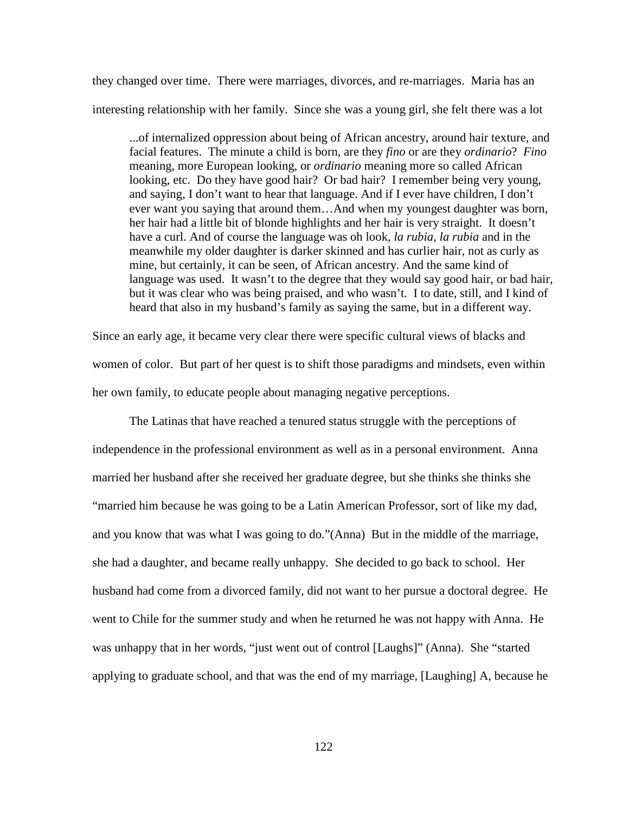they changed over time. There were marriages, divorces, and re-marriages. Maria has an interesting relationship with her family. Since she was a young girl, she felt there was a lot

...of internalized oppression about being of African ancestry, around hair texture, and facial features. The minute a child is born, are they *fino* or are they *ordinario*? *Fino*  meaning, more European looking, or *ordinario* meaning more so called African looking, etc. Do they have good hair? Or bad hair? I remember being very young, and saying, I don't want to hear that language. And if I ever have children, I don't ever want you saying that around them…And when my youngest daughter was born, her hair had a little bit of blonde highlights and her hair is very straight. It doesn't have a curl. And of course the language was oh look, *la rubia, la rubia* and in the meanwhile my older daughter is darker skinned and has curlier hair, not as curly as mine, but certainly, it can be seen, of African ancestry. And the same kind of language was used. It wasn't to the degree that they would say good hair, or bad hair, but it was clear who was being praised, and who wasn't. I to date, still, and I kind of heard that also in my husband's family as saying the same, but in a different way.

Since an early age, it became very clear there were specific cultural views of blacks and women of color. But part of her quest is to shift those paradigms and mindsets, even within her own family, to educate people about managing negative perceptions.

The Latinas that have reached a tenured status struggle with the perceptions of independence in the professional environment as well as in a personal environment. Anna married her husband after she received her graduate degree, but she thinks she thinks she "married him because he was going to be a Latin American Professor, sort of like my dad, and you know that was what I was going to do."(Anna) But in the middle of the marriage, she had a daughter, and became really unhappy. She decided to go back to school. Her husband had come from a divorced family, did not want to her pursue a doctoral degree. He went to Chile for the summer study and when he returned he was not happy with Anna. He was unhappy that in her words, "just went out of control [Laughs]" (Anna). She "started applying to graduate school, and that was the end of my marriage, [Laughing] A, because he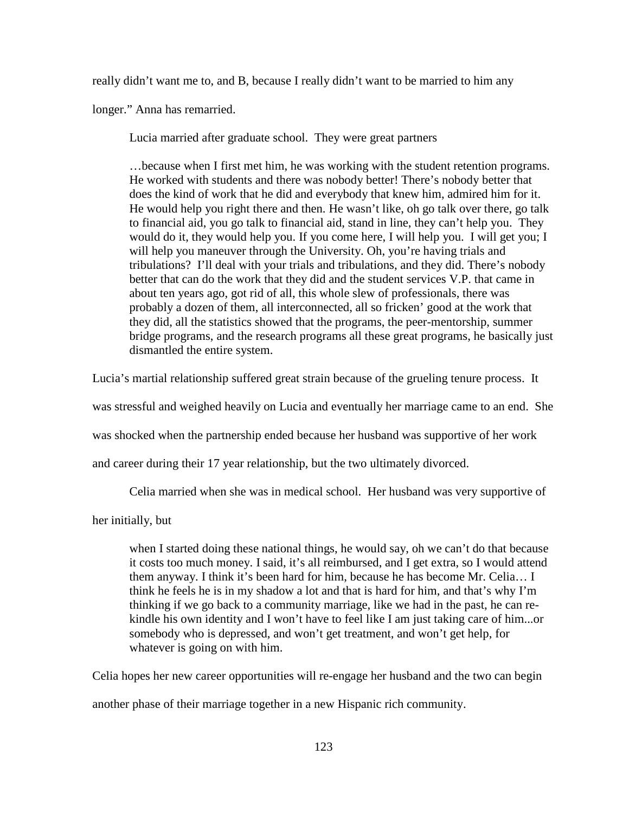really didn't want me to, and B, because I really didn't want to be married to him any

longer." Anna has remarried.

Lucia married after graduate school. They were great partners

…because when I first met him, he was working with the student retention programs. He worked with students and there was nobody better! There's nobody better that does the kind of work that he did and everybody that knew him, admired him for it. He would help you right there and then. He wasn't like, oh go talk over there, go talk to financial aid, you go talk to financial aid, stand in line, they can't help you. They would do it, they would help you. If you come here, I will help you. I will get you; I will help you maneuver through the University. Oh, you're having trials and tribulations? I'll deal with your trials and tribulations, and they did. There's nobody better that can do the work that they did and the student services V.P. that came in about ten years ago, got rid of all, this whole slew of professionals, there was probably a dozen of them, all interconnected, all so fricken' good at the work that they did, all the statistics showed that the programs, the peer-mentorship, summer bridge programs, and the research programs all these great programs, he basically just dismantled the entire system.

Lucia's martial relationship suffered great strain because of the grueling tenure process. It

was stressful and weighed heavily on Lucia and eventually her marriage came to an end. She

was shocked when the partnership ended because her husband was supportive of her work

and career during their 17 year relationship, but the two ultimately divorced.

Celia married when she was in medical school. Her husband was very supportive of

her initially, but

when I started doing these national things, he would say, oh we can't do that because it costs too much money. I said, it's all reimbursed, and I get extra, so I would attend them anyway. I think it's been hard for him, because he has become Mr. Celia… I think he feels he is in my shadow a lot and that is hard for him, and that's why I'm thinking if we go back to a community marriage, like we had in the past, he can rekindle his own identity and I won't have to feel like I am just taking care of him...or somebody who is depressed, and won't get treatment, and won't get help, for whatever is going on with him.

Celia hopes her new career opportunities will re-engage her husband and the two can begin

another phase of their marriage together in a new Hispanic rich community.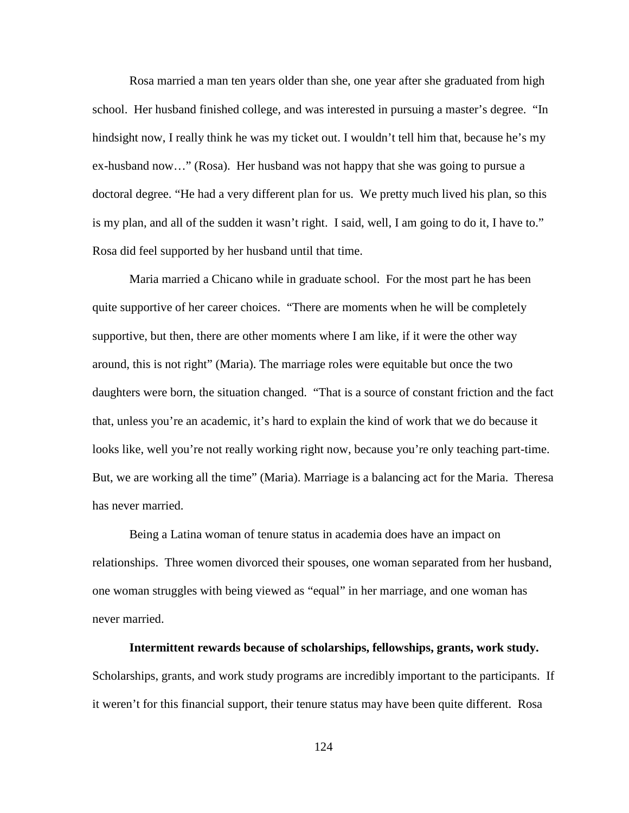Rosa married a man ten years older than she, one year after she graduated from high school. Her husband finished college, and was interested in pursuing a master's degree. "In hindsight now, I really think he was my ticket out. I wouldn't tell him that, because he's my ex-husband now…" (Rosa). Her husband was not happy that she was going to pursue a doctoral degree. "He had a very different plan for us. We pretty much lived his plan, so this is my plan, and all of the sudden it wasn't right. I said, well, I am going to do it, I have to." Rosa did feel supported by her husband until that time.

Maria married a Chicano while in graduate school. For the most part he has been quite supportive of her career choices. "There are moments when he will be completely supportive, but then, there are other moments where I am like, if it were the other way around, this is not right" (Maria). The marriage roles were equitable but once the two daughters were born, the situation changed. "That is a source of constant friction and the fact that, unless you're an academic, it's hard to explain the kind of work that we do because it looks like, well you're not really working right now, because you're only teaching part-time. But, we are working all the time" (Maria). Marriage is a balancing act for the Maria. Theresa has never married.

Being a Latina woman of tenure status in academia does have an impact on relationships. Three women divorced their spouses, one woman separated from her husband, one woman struggles with being viewed as "equal" in her marriage, and one woman has never married.

# **Intermittent rewards because of scholarships, fellowships, grants, work study.**  Scholarships, grants, and work study programs are incredibly important to the participants. If it weren't for this financial support, their tenure status may have been quite different. Rosa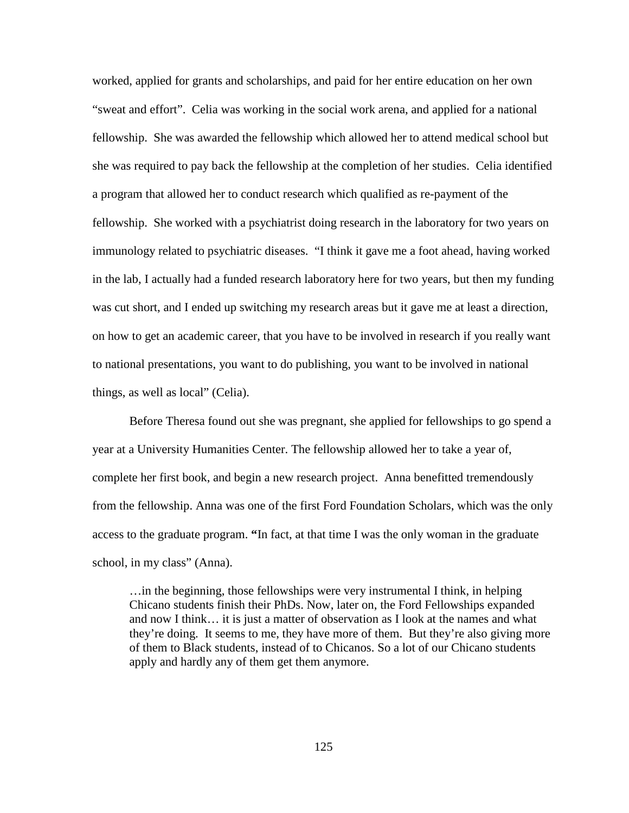worked, applied for grants and scholarships, and paid for her entire education on her own "sweat and effort". Celia was working in the social work arena, and applied for a national fellowship. She was awarded the fellowship which allowed her to attend medical school but she was required to pay back the fellowship at the completion of her studies. Celia identified a program that allowed her to conduct research which qualified as re-payment of the fellowship. She worked with a psychiatrist doing research in the laboratory for two years on immunology related to psychiatric diseases. "I think it gave me a foot ahead, having worked in the lab, I actually had a funded research laboratory here for two years, but then my funding was cut short, and I ended up switching my research areas but it gave me at least a direction, on how to get an academic career, that you have to be involved in research if you really want to national presentations, you want to do publishing, you want to be involved in national things, as well as local" (Celia).

Before Theresa found out she was pregnant, she applied for fellowships to go spend a year at a University Humanities Center. The fellowship allowed her to take a year of, complete her first book, and begin a new research project. Anna benefitted tremendously from the fellowship. Anna was one of the first Ford Foundation Scholars, which was the only access to the graduate program. **"**In fact, at that time I was the only woman in the graduate school, in my class" (Anna).

…in the beginning, those fellowships were very instrumental I think, in helping Chicano students finish their PhDs. Now, later on, the Ford Fellowships expanded and now I think… it is just a matter of observation as I look at the names and what they're doing. It seems to me, they have more of them. But they're also giving more of them to Black students, instead of to Chicanos. So a lot of our Chicano students apply and hardly any of them get them anymore.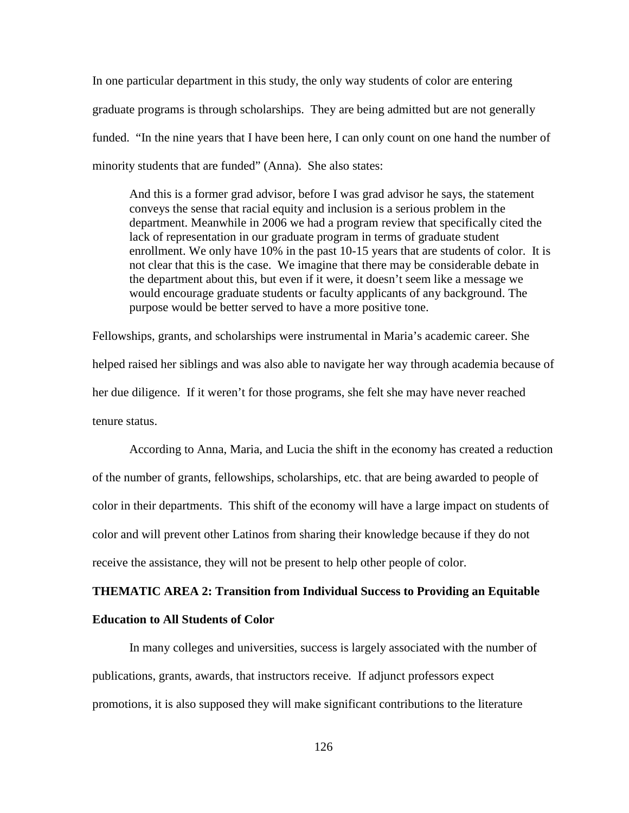In one particular department in this study, the only way students of color are entering graduate programs is through scholarships. They are being admitted but are not generally funded. "In the nine years that I have been here, I can only count on one hand the number of minority students that are funded" (Anna). She also states:

And this is a former grad advisor, before I was grad advisor he says, the statement conveys the sense that racial equity and inclusion is a serious problem in the department. Meanwhile in 2006 we had a program review that specifically cited the lack of representation in our graduate program in terms of graduate student enrollment. We only have 10% in the past 10-15 years that are students of color. It is not clear that this is the case. We imagine that there may be considerable debate in the department about this, but even if it were, it doesn't seem like a message we would encourage graduate students or faculty applicants of any background. The purpose would be better served to have a more positive tone.

Fellowships, grants, and scholarships were instrumental in Maria's academic career. She helped raised her siblings and was also able to navigate her way through academia because of her due diligence. If it weren't for those programs, she felt she may have never reached tenure status.

According to Anna, Maria, and Lucia the shift in the economy has created a reduction of the number of grants, fellowships, scholarships, etc. that are being awarded to people of color in their departments. This shift of the economy will have a large impact on students of color and will prevent other Latinos from sharing their knowledge because if they do not receive the assistance, they will not be present to help other people of color.

# **THEMATIC AREA 2: Transition from Individual Success to Providing an Equitable Education to All Students of Color**

In many colleges and universities, success is largely associated with the number of publications, grants, awards, that instructors receive. If adjunct professors expect promotions, it is also supposed they will make significant contributions to the literature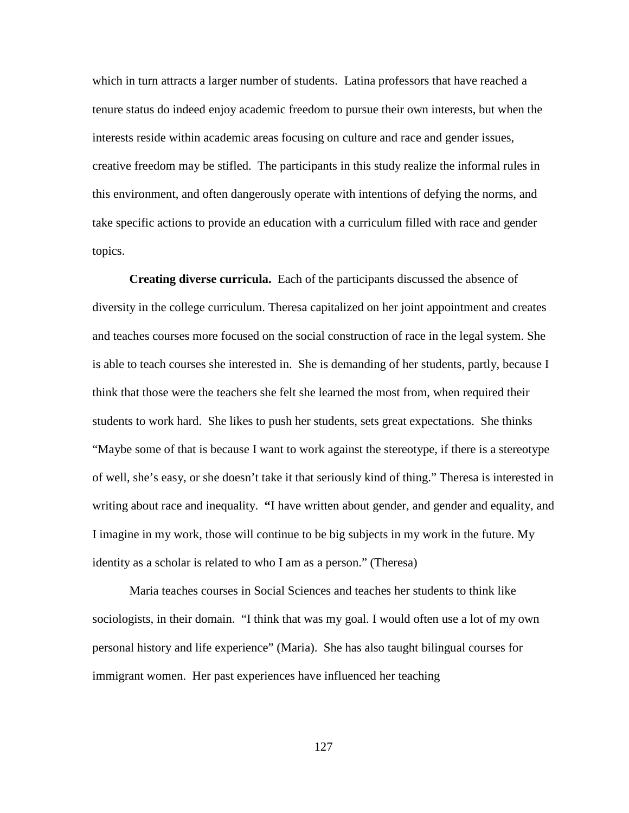which in turn attracts a larger number of students. Latina professors that have reached a tenure status do indeed enjoy academic freedom to pursue their own interests, but when the interests reside within academic areas focusing on culture and race and gender issues, creative freedom may be stifled. The participants in this study realize the informal rules in this environment, and often dangerously operate with intentions of defying the norms, and take specific actions to provide an education with a curriculum filled with race and gender topics.

**Creating diverse curricula.** Each of the participants discussed the absence of diversity in the college curriculum. Theresa capitalized on her joint appointment and creates and teaches courses more focused on the social construction of race in the legal system. She is able to teach courses she interested in. She is demanding of her students, partly, because I think that those were the teachers she felt she learned the most from, when required their students to work hard. She likes to push her students, sets great expectations. She thinks "Maybe some of that is because I want to work against the stereotype, if there is a stereotype of well, she's easy, or she doesn't take it that seriously kind of thing." Theresa is interested in writing about race and inequality. **"**I have written about gender, and gender and equality, and I imagine in my work, those will continue to be big subjects in my work in the future. My identity as a scholar is related to who I am as a person." (Theresa)

Maria teaches courses in Social Sciences and teaches her students to think like sociologists, in their domain. "I think that was my goal. I would often use a lot of my own personal history and life experience" (Maria). She has also taught bilingual courses for immigrant women. Her past experiences have influenced her teaching

127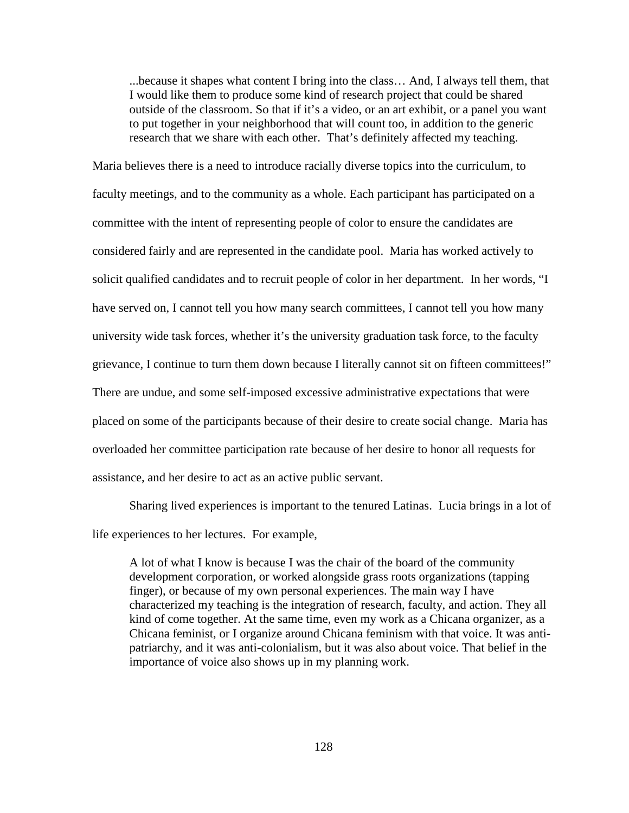...because it shapes what content I bring into the class… And, I always tell them, that I would like them to produce some kind of research project that could be shared outside of the classroom. So that if it's a video, or an art exhibit, or a panel you want to put together in your neighborhood that will count too, in addition to the generic research that we share with each other. That's definitely affected my teaching.

Maria believes there is a need to introduce racially diverse topics into the curriculum, to faculty meetings, and to the community as a whole. Each participant has participated on a committee with the intent of representing people of color to ensure the candidates are considered fairly and are represented in the candidate pool. Maria has worked actively to solicit qualified candidates and to recruit people of color in her department. In her words, "I have served on, I cannot tell you how many search committees, I cannot tell you how many university wide task forces, whether it's the university graduation task force, to the faculty grievance, I continue to turn them down because I literally cannot sit on fifteen committees!" There are undue, and some self-imposed excessive administrative expectations that were placed on some of the participants because of their desire to create social change. Maria has overloaded her committee participation rate because of her desire to honor all requests for assistance, and her desire to act as an active public servant.

Sharing lived experiences is important to the tenured Latinas. Lucia brings in a lot of life experiences to her lectures. For example,

A lot of what I know is because I was the chair of the board of the community development corporation, or worked alongside grass roots organizations (tapping finger), or because of my own personal experiences. The main way I have characterized my teaching is the integration of research, faculty, and action. They all kind of come together. At the same time, even my work as a Chicana organizer, as a Chicana feminist, or I organize around Chicana feminism with that voice. It was antipatriarchy, and it was anti-colonialism, but it was also about voice. That belief in the importance of voice also shows up in my planning work.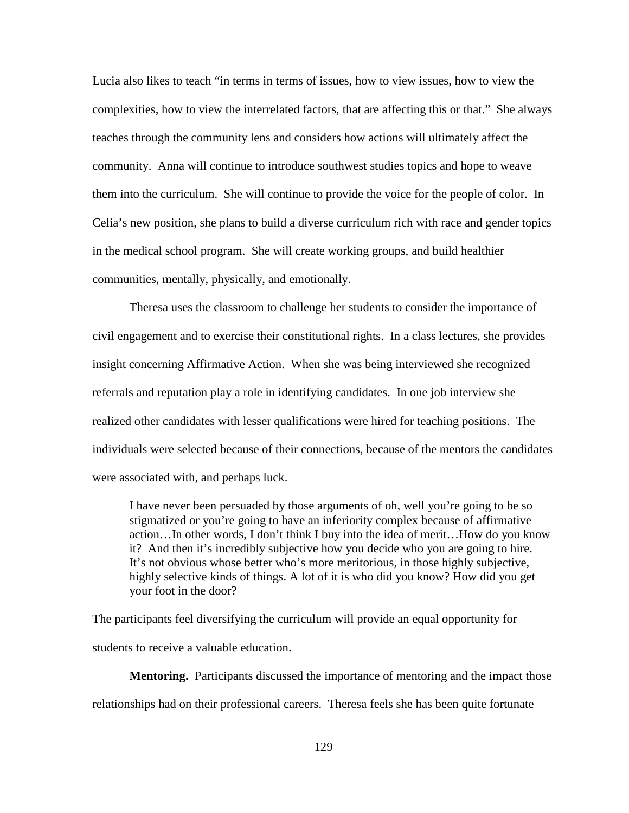Lucia also likes to teach "in terms in terms of issues, how to view issues, how to view the complexities, how to view the interrelated factors, that are affecting this or that." She always teaches through the community lens and considers how actions will ultimately affect the community. Anna will continue to introduce southwest studies topics and hope to weave them into the curriculum. She will continue to provide the voice for the people of color. In Celia's new position, she plans to build a diverse curriculum rich with race and gender topics in the medical school program. She will create working groups, and build healthier communities, mentally, physically, and emotionally.

Theresa uses the classroom to challenge her students to consider the importance of civil engagement and to exercise their constitutional rights. In a class lectures, she provides insight concerning Affirmative Action. When she was being interviewed she recognized referrals and reputation play a role in identifying candidates. In one job interview she realized other candidates with lesser qualifications were hired for teaching positions. The individuals were selected because of their connections, because of the mentors the candidates were associated with, and perhaps luck.

I have never been persuaded by those arguments of oh, well you're going to be so stigmatized or you're going to have an inferiority complex because of affirmative action…In other words, I don't think I buy into the idea of merit…How do you know it? And then it's incredibly subjective how you decide who you are going to hire. It's not obvious whose better who's more meritorious, in those highly subjective, highly selective kinds of things. A lot of it is who did you know? How did you get your foot in the door?

The participants feel diversifying the curriculum will provide an equal opportunity for students to receive a valuable education.

**Mentoring.** Participants discussed the importance of mentoring and the impact those relationships had on their professional careers. Theresa feels she has been quite fortunate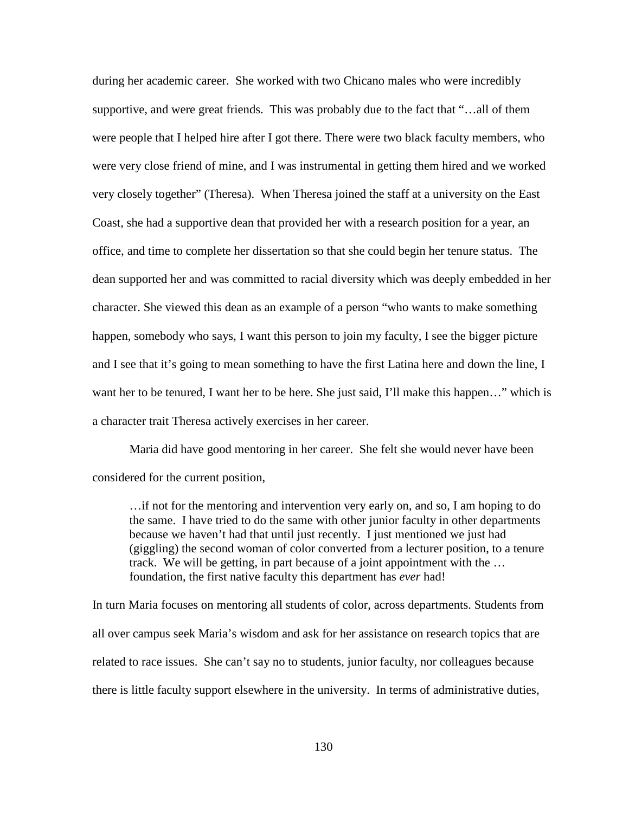during her academic career. She worked with two Chicano males who were incredibly supportive, and were great friends. This was probably due to the fact that "…all of them were people that I helped hire after I got there. There were two black faculty members, who were very close friend of mine, and I was instrumental in getting them hired and we worked very closely together" (Theresa).When Theresa joined the staff at a university on the East Coast, she had a supportive dean that provided her with a research position for a year, an office, and time to complete her dissertation so that she could begin her tenure status. The dean supported her and was committed to racial diversity which was deeply embedded in her character. She viewed this dean as an example of a person "who wants to make something happen, somebody who says, I want this person to join my faculty, I see the bigger picture and I see that it's going to mean something to have the first Latina here and down the line, I want her to be tenured, I want her to be here. She just said, I'll make this happen…" which is a character trait Theresa actively exercises in her career.

Maria did have good mentoring in her career. She felt she would never have been considered for the current position,

…if not for the mentoring and intervention very early on, and so, I am hoping to do the same. I have tried to do the same with other junior faculty in other departments because we haven't had that until just recently. I just mentioned we just had (giggling) the second woman of color converted from a lecturer position, to a tenure track. We will be getting, in part because of a joint appointment with the … foundation, the first native faculty this department has *ever* had!

In turn Maria focuses on mentoring all students of color, across departments. Students from all over campus seek Maria's wisdom and ask for her assistance on research topics that are related to race issues. She can't say no to students, junior faculty, nor colleagues because there is little faculty support elsewhere in the university. In terms of administrative duties,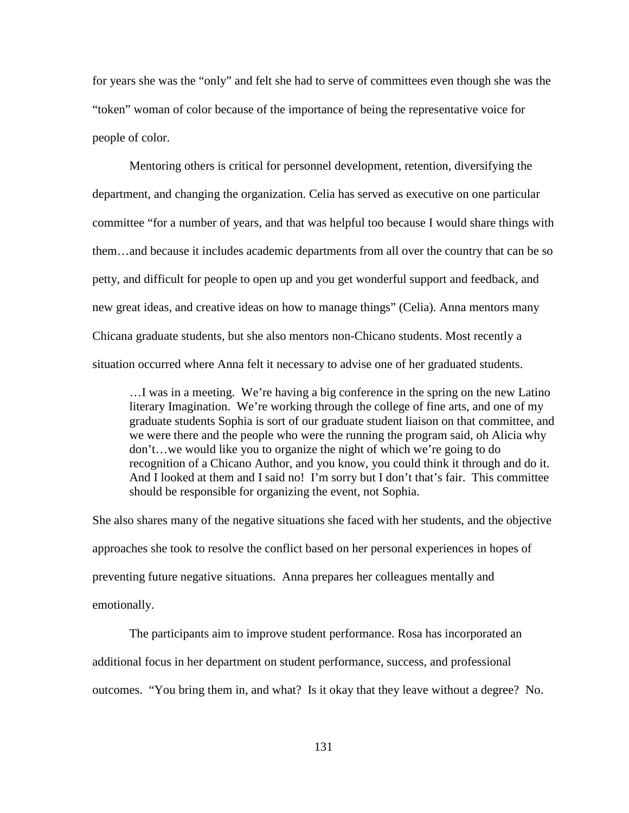for years she was the "only" and felt she had to serve of committees even though she was the "token" woman of color because of the importance of being the representative voice for people of color.

Mentoring others is critical for personnel development, retention, diversifying the department, and changing the organization. Celia has served as executive on one particular committee "for a number of years, and that was helpful too because I would share things with them…and because it includes academic departments from all over the country that can be so petty, and difficult for people to open up and you get wonderful support and feedback, and new great ideas, and creative ideas on how to manage things" (Celia). Anna mentors many Chicana graduate students, but she also mentors non-Chicano students. Most recently a situation occurred where Anna felt it necessary to advise one of her graduated students.

…I was in a meeting. We're having a big conference in the spring on the new Latino literary Imagination. We're working through the college of fine arts, and one of my graduate students Sophia is sort of our graduate student liaison on that committee, and we were there and the people who were the running the program said, oh Alicia why don't…we would like you to organize the night of which we're going to do recognition of a Chicano Author, and you know, you could think it through and do it. And I looked at them and I said no! I'm sorry but I don't that's fair. This committee should be responsible for organizing the event, not Sophia.

She also shares many of the negative situations she faced with her students, and the objective approaches she took to resolve the conflict based on her personal experiences in hopes of preventing future negative situations. Anna prepares her colleagues mentally and emotionally.

The participants aim to improve student performance. Rosa has incorporated an additional focus in her department on student performance, success, and professional outcomes. "You bring them in, and what? Is it okay that they leave without a degree? No.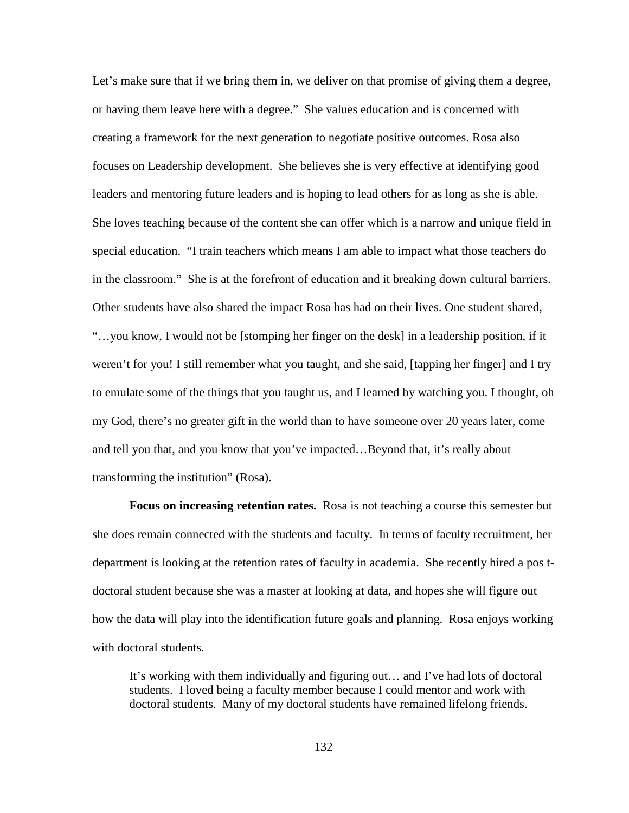Let's make sure that if we bring them in, we deliver on that promise of giving them a degree, or having them leave here with a degree." She values education and is concerned with creating a framework for the next generation to negotiate positive outcomes. Rosa also focuses on Leadership development. She believes she is very effective at identifying good leaders and mentoring future leaders and is hoping to lead others for as long as she is able. She loves teaching because of the content she can offer which is a narrow and unique field in special education. "I train teachers which means I am able to impact what those teachers do in the classroom." She is at the forefront of education and it breaking down cultural barriers. Other students have also shared the impact Rosa has had on their lives. One student shared, "…you know, I would not be [stomping her finger on the desk] in a leadership position, if it weren't for you! I still remember what you taught, and she said, [tapping her finger] and I try to emulate some of the things that you taught us, and I learned by watching you. I thought, oh my God, there's no greater gift in the world than to have someone over 20 years later, come and tell you that, and you know that you've impacted…Beyond that, it's really about transforming the institution" (Rosa).

**Focus on increasing retention rates.** Rosa is not teaching a course this semester but she does remain connected with the students and faculty. In terms of faculty recruitment, her department is looking at the retention rates of faculty in academia. She recently hired a pos tdoctoral student because she was a master at looking at data, and hopes she will figure out how the data will play into the identification future goals and planning. Rosa enjoys working with doctoral students.

It's working with them individually and figuring out… and I've had lots of doctoral students. I loved being a faculty member because I could mentor and work with doctoral students. Many of my doctoral students have remained lifelong friends.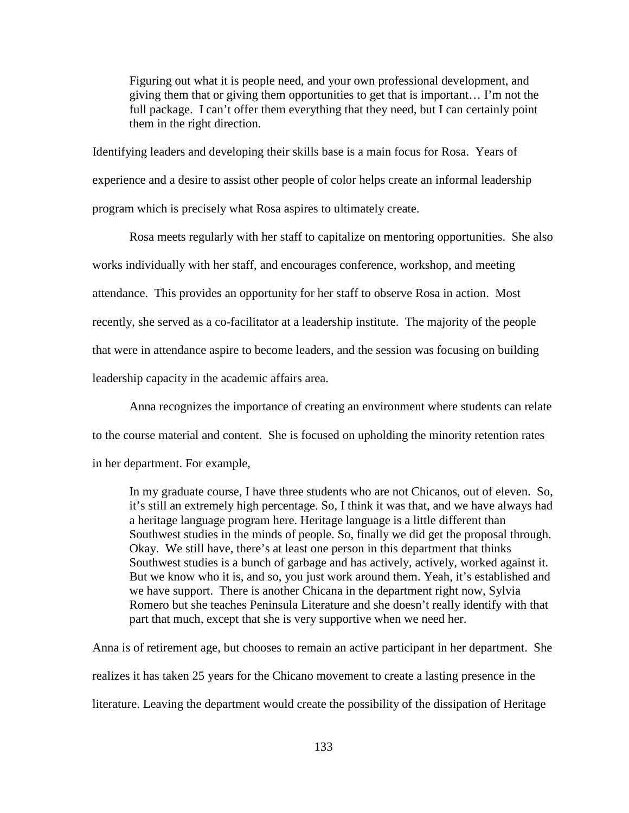Figuring out what it is people need, and your own professional development, and giving them that or giving them opportunities to get that is important… I'm not the full package. I can't offer them everything that they need, but I can certainly point them in the right direction.

Identifying leaders and developing their skills base is a main focus for Rosa. Years of experience and a desire to assist other people of color helps create an informal leadership program which is precisely what Rosa aspires to ultimately create.

Rosa meets regularly with her staff to capitalize on mentoring opportunities. She also works individually with her staff, and encourages conference, workshop, and meeting attendance. This provides an opportunity for her staff to observe Rosa in action. Most recently, she served as a co-facilitator at a leadership institute. The majority of the people that were in attendance aspire to become leaders, and the session was focusing on building leadership capacity in the academic affairs area.

Anna recognizes the importance of creating an environment where students can relate to the course material and content. She is focused on upholding the minority retention rates in her department. For example,

In my graduate course, I have three students who are not Chicanos, out of eleven. So, it's still an extremely high percentage. So, I think it was that, and we have always had a heritage language program here. Heritage language is a little different than Southwest studies in the minds of people. So, finally we did get the proposal through. Okay. We still have, there's at least one person in this department that thinks Southwest studies is a bunch of garbage and has actively, actively, worked against it. But we know who it is, and so, you just work around them. Yeah, it's established and we have support. There is another Chicana in the department right now, Sylvia Romero but she teaches Peninsula Literature and she doesn't really identify with that part that much, except that she is very supportive when we need her.

Anna is of retirement age, but chooses to remain an active participant in her department. She realizes it has taken 25 years for the Chicano movement to create a lasting presence in the literature. Leaving the department would create the possibility of the dissipation of Heritage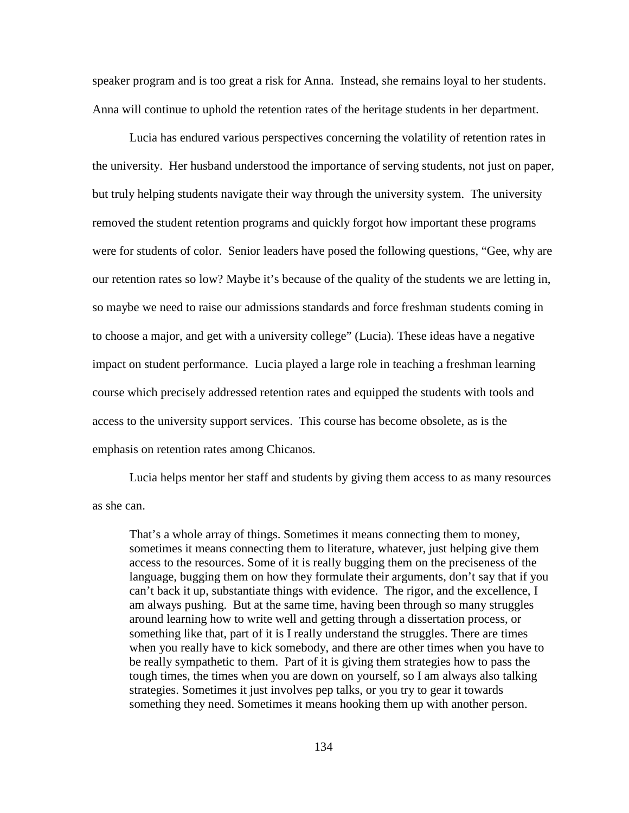speaker program and is too great a risk for Anna. Instead, she remains loyal to her students. Anna will continue to uphold the retention rates of the heritage students in her department.

Lucia has endured various perspectives concerning the volatility of retention rates in the university. Her husband understood the importance of serving students, not just on paper, but truly helping students navigate their way through the university system. The university removed the student retention programs and quickly forgot how important these programs were for students of color. Senior leaders have posed the following questions, "Gee, why are our retention rates so low? Maybe it's because of the quality of the students we are letting in, so maybe we need to raise our admissions standards and force freshman students coming in to choose a major, and get with a university college" (Lucia). These ideas have a negative impact on student performance. Lucia played a large role in teaching a freshman learning course which precisely addressed retention rates and equipped the students with tools and access to the university support services. This course has become obsolete, as is the emphasis on retention rates among Chicanos.

Lucia helps mentor her staff and students by giving them access to as many resources as she can.

That's a whole array of things. Sometimes it means connecting them to money, sometimes it means connecting them to literature, whatever, just helping give them access to the resources. Some of it is really bugging them on the preciseness of the language, bugging them on how they formulate their arguments, don't say that if you can't back it up, substantiate things with evidence. The rigor, and the excellence, I am always pushing. But at the same time, having been through so many struggles around learning how to write well and getting through a dissertation process, or something like that, part of it is I really understand the struggles. There are times when you really have to kick somebody, and there are other times when you have to be really sympathetic to them. Part of it is giving them strategies how to pass the tough times, the times when you are down on yourself, so I am always also talking strategies. Sometimes it just involves pep talks, or you try to gear it towards something they need. Sometimes it means hooking them up with another person.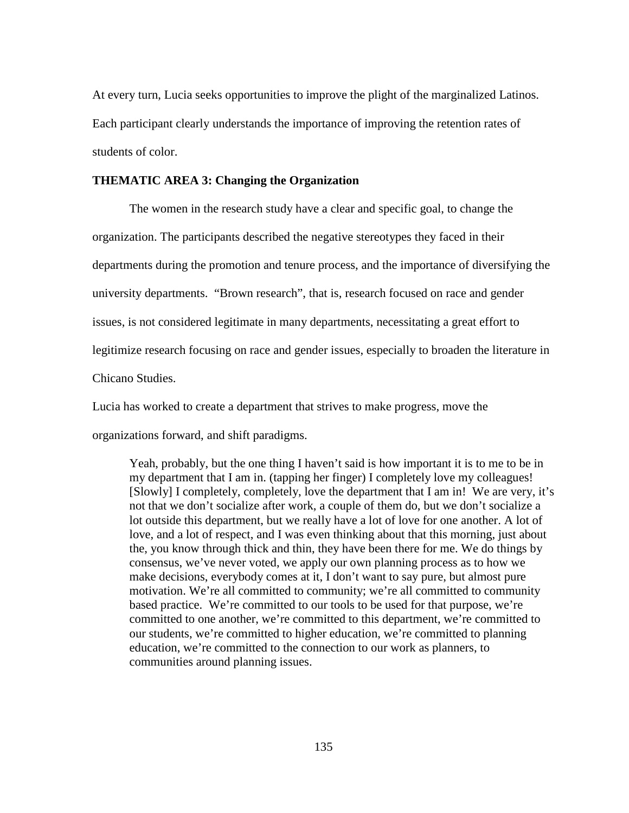At every turn, Lucia seeks opportunities to improve the plight of the marginalized Latinos. Each participant clearly understands the importance of improving the retention rates of students of color.

### **THEMATIC AREA 3: Changing the Organization**

The women in the research study have a clear and specific goal, to change the organization. The participants described the negative stereotypes they faced in their departments during the promotion and tenure process, and the importance of diversifying the university departments. "Brown research", that is, research focused on race and gender issues, is not considered legitimate in many departments, necessitating a great effort to legitimize research focusing on race and gender issues, especially to broaden the literature in Chicano Studies.

Lucia has worked to create a department that strives to make progress, move the

organizations forward, and shift paradigms.

Yeah, probably, but the one thing I haven't said is how important it is to me to be in my department that I am in. (tapping her finger) I completely love my colleagues! [Slowly] I completely, completely, love the department that I am in! We are very, it's not that we don't socialize after work, a couple of them do, but we don't socialize a lot outside this department, but we really have a lot of love for one another. A lot of love, and a lot of respect, and I was even thinking about that this morning, just about the, you know through thick and thin, they have been there for me. We do things by consensus, we've never voted, we apply our own planning process as to how we make decisions, everybody comes at it, I don't want to say pure, but almost pure motivation. We're all committed to community; we're all committed to community based practice. We're committed to our tools to be used for that purpose, we're committed to one another, we're committed to this department, we're committed to our students, we're committed to higher education, we're committed to planning education, we're committed to the connection to our work as planners, to communities around planning issues.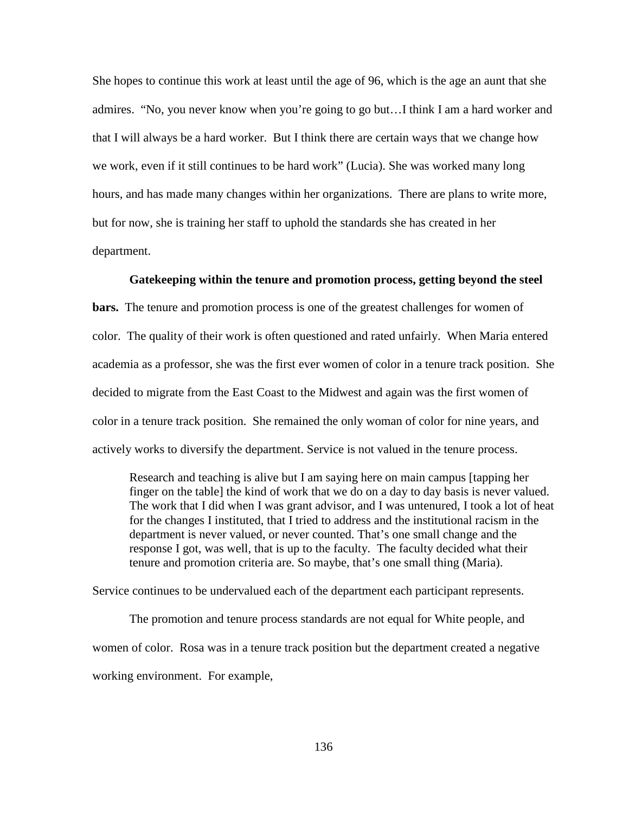She hopes to continue this work at least until the age of 96, which is the age an aunt that she admires. "No, you never know when you're going to go but…I think I am a hard worker and that I will always be a hard worker. But I think there are certain ways that we change how we work, even if it still continues to be hard work" (Lucia). She was worked many long hours, and has made many changes within her organizations. There are plans to write more, but for now, she is training her staff to uphold the standards she has created in her department.

### **Gatekeeping within the tenure and promotion process, getting beyond the steel**

**bars.** The tenure and promotion process is one of the greatest challenges for women of color. The quality of their work is often questioned and rated unfairly. When Maria entered academia as a professor, she was the first ever women of color in a tenure track position. She decided to migrate from the East Coast to the Midwest and again was the first women of color in a tenure track position. She remained the only woman of color for nine years, and actively works to diversify the department. Service is not valued in the tenure process.

Research and teaching is alive but I am saying here on main campus [tapping her finger on the table] the kind of work that we do on a day to day basis is never valued. The work that I did when I was grant advisor, and I was untenured, I took a lot of heat for the changes I instituted, that I tried to address and the institutional racism in the department is never valued, or never counted. That's one small change and the response I got, was well, that is up to the faculty. The faculty decided what their tenure and promotion criteria are. So maybe, that's one small thing (Maria).

Service continues to be undervalued each of the department each participant represents.

The promotion and tenure process standards are not equal for White people, and women of color. Rosa was in a tenure track position but the department created a negative working environment. For example,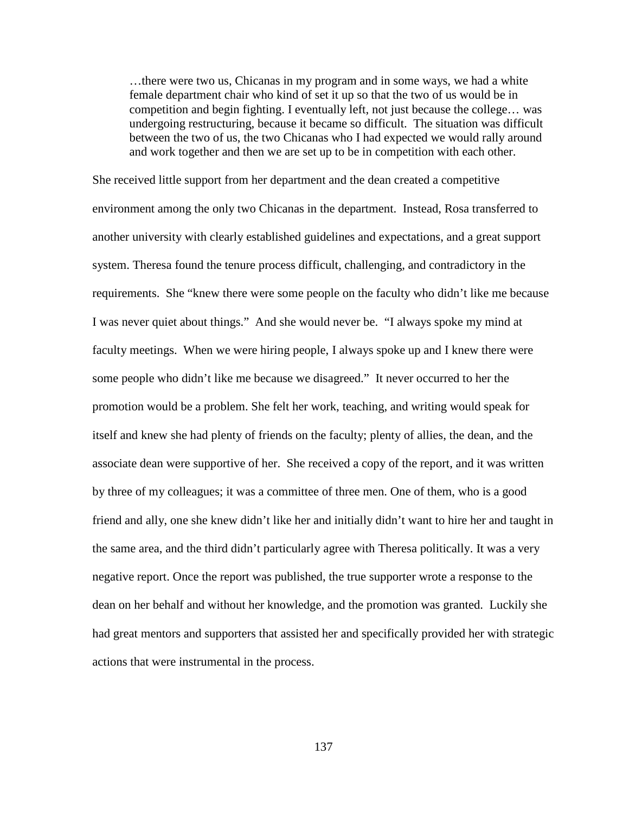…there were two us, Chicanas in my program and in some ways, we had a white female department chair who kind of set it up so that the two of us would be in competition and begin fighting. I eventually left, not just because the college… was undergoing restructuring, because it became so difficult. The situation was difficult between the two of us, the two Chicanas who I had expected we would rally around and work together and then we are set up to be in competition with each other.

She received little support from her department and the dean created a competitive environment among the only two Chicanas in the department. Instead, Rosa transferred to another university with clearly established guidelines and expectations, and a great support system. Theresa found the tenure process difficult, challenging, and contradictory in the requirements. She "knew there were some people on the faculty who didn't like me because I was never quiet about things." And she would never be. "I always spoke my mind at faculty meetings. When we were hiring people, I always spoke up and I knew there were some people who didn't like me because we disagreed." It never occurred to her the promotion would be a problem. She felt her work, teaching, and writing would speak for itself and knew she had plenty of friends on the faculty; plenty of allies, the dean, and the associate dean were supportive of her. She received a copy of the report, and it was written by three of my colleagues; it was a committee of three men. One of them, who is a good friend and ally, one she knew didn't like her and initially didn't want to hire her and taught in the same area, and the third didn't particularly agree with Theresa politically. It was a very negative report. Once the report was published, the true supporter wrote a response to the dean on her behalf and without her knowledge, and the promotion was granted. Luckily she had great mentors and supporters that assisted her and specifically provided her with strategic actions that were instrumental in the process.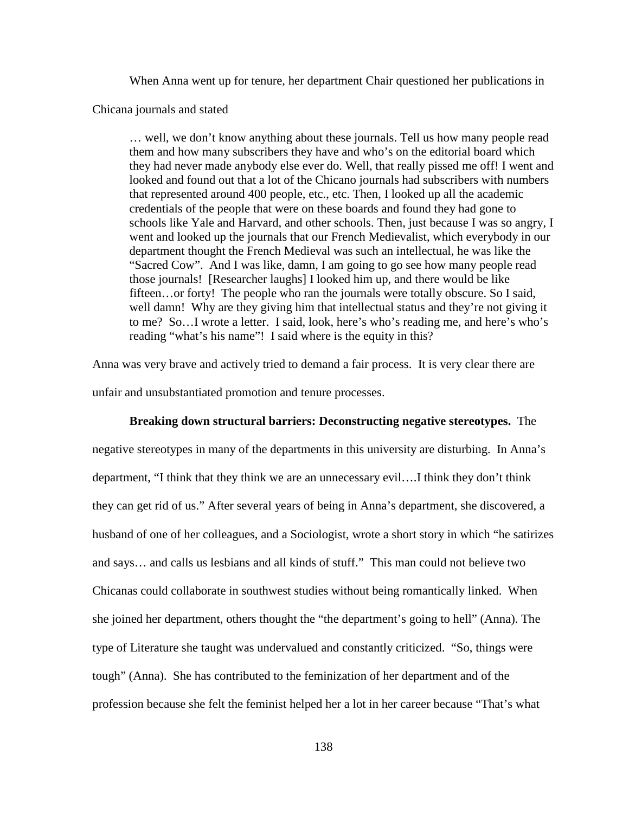When Anna went up for tenure, her department Chair questioned her publications in

Chicana journals and stated

… well, we don't know anything about these journals. Tell us how many people read them and how many subscribers they have and who's on the editorial board which they had never made anybody else ever do. Well, that really pissed me off! I went and looked and found out that a lot of the Chicano journals had subscribers with numbers that represented around 400 people, etc., etc. Then, I looked up all the academic credentials of the people that were on these boards and found they had gone to schools like Yale and Harvard, and other schools. Then, just because I was so angry, I went and looked up the journals that our French Medievalist, which everybody in our department thought the French Medieval was such an intellectual, he was like the "Sacred Cow". And I was like, damn, I am going to go see how many people read those journals! [Researcher laughs] I looked him up, and there would be like fifteen…or forty! The people who ran the journals were totally obscure. So I said, well damn! Why are they giving him that intellectual status and they're not giving it to me? So…I wrote a letter. I said, look, here's who's reading me, and here's who's reading "what's his name"! I said where is the equity in this?

Anna was very brave and actively tried to demand a fair process. It is very clear there are unfair and unsubstantiated promotion and tenure processes.

#### **Breaking down structural barriers: Deconstructing negative stereotypes.** The

negative stereotypes in many of the departments in this university are disturbing. In Anna's department, "I think that they think we are an unnecessary evil….I think they don't think they can get rid of us." After several years of being in Anna's department, she discovered, a husband of one of her colleagues, and a Sociologist, wrote a short story in which "he satirizes and says… and calls us lesbians and all kinds of stuff." This man could not believe two Chicanas could collaborate in southwest studies without being romantically linked. When she joined her department, others thought the "the department's going to hell" (Anna). The type of Literature she taught was undervalued and constantly criticized. "So, things were tough" (Anna). She has contributed to the feminization of her department and of the profession because she felt the feminist helped her a lot in her career because "That's what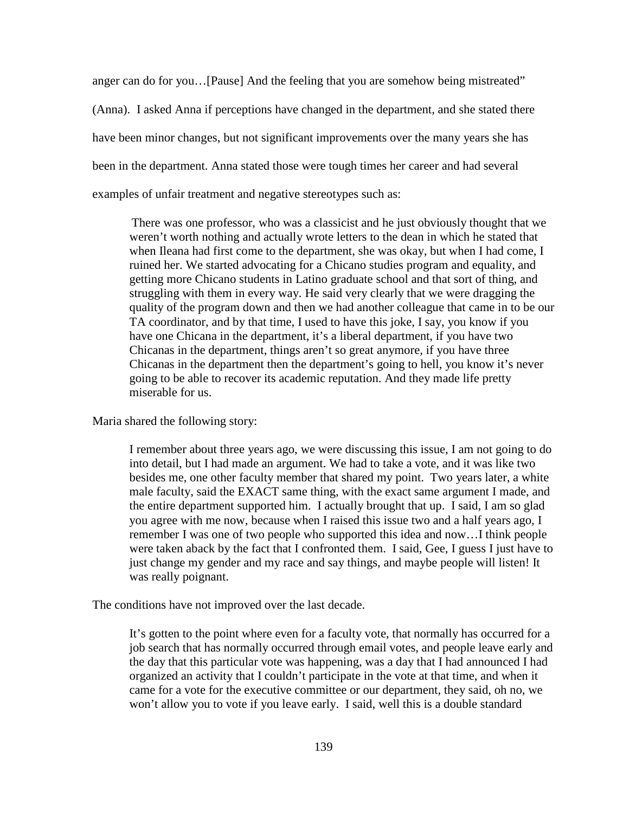anger can do for you…[Pause] And the feeling that you are somehow being mistreated" (Anna). I asked Anna if perceptions have changed in the department, and she stated there have been minor changes, but not significant improvements over the many years she has been in the department. Anna stated those were tough times her career and had several examples of unfair treatment and negative stereotypes such as:

There was one professor, who was a classicist and he just obviously thought that we weren't worth nothing and actually wrote letters to the dean in which he stated that when Ileana had first come to the department, she was okay, but when I had come, I ruined her. We started advocating for a Chicano studies program and equality, and getting more Chicano students in Latino graduate school and that sort of thing, and struggling with them in every way. He said very clearly that we were dragging the quality of the program down and then we had another colleague that came in to be our TA coordinator, and by that time, I used to have this joke, I say, you know if you have one Chicana in the department, it's a liberal department, if you have two Chicanas in the department, things aren't so great anymore, if you have three Chicanas in the department then the department's going to hell, you know it's never going to be able to recover its academic reputation. And they made life pretty miserable for us.

Maria shared the following story:

I remember about three years ago, we were discussing this issue, I am not going to do into detail, but I had made an argument. We had to take a vote, and it was like two besides me, one other faculty member that shared my point. Two years later, a white male faculty, said the EXACT same thing, with the exact same argument I made, and the entire department supported him. I actually brought that up. I said, I am so glad you agree with me now, because when I raised this issue two and a half years ago, I remember I was one of two people who supported this idea and now…I think people were taken aback by the fact that I confronted them. I said, Gee, I guess I just have to just change my gender and my race and say things, and maybe people will listen! It was really poignant.

The conditions have not improved over the last decade.

It's gotten to the point where even for a faculty vote, that normally has occurred for a job search that has normally occurred through email votes, and people leave early and the day that this particular vote was happening, was a day that I had announced I had organized an activity that I couldn't participate in the vote at that time, and when it came for a vote for the executive committee or our department, they said, oh no, we won't allow you to vote if you leave early. I said, well this is a double standard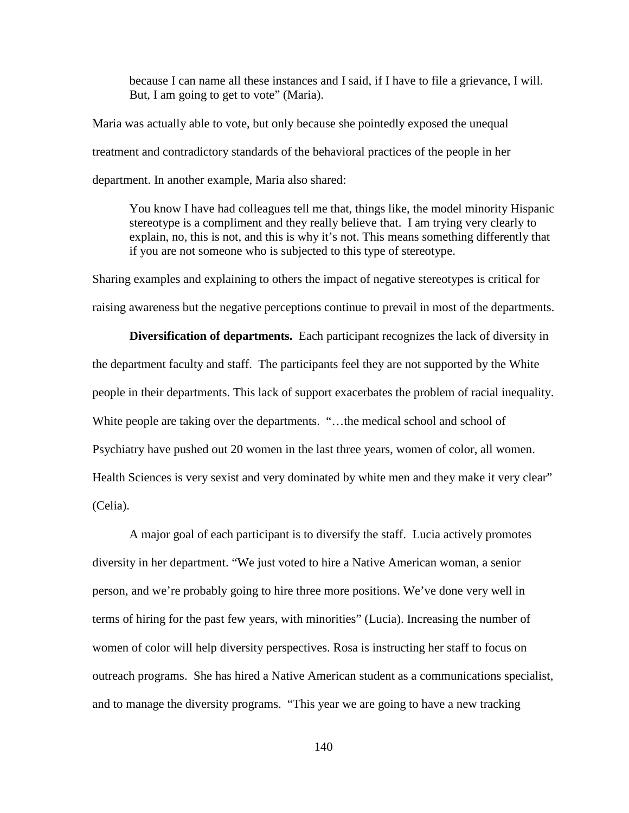because I can name all these instances and I said, if I have to file a grievance, I will. But, I am going to get to vote" (Maria).

Maria was actually able to vote, but only because she pointedly exposed the unequal treatment and contradictory standards of the behavioral practices of the people in her department. In another example, Maria also shared:

You know I have had colleagues tell me that, things like, the model minority Hispanic stereotype is a compliment and they really believe that. I am trying very clearly to explain, no, this is not, and this is why it's not. This means something differently that if you are not someone who is subjected to this type of stereotype.

Sharing examples and explaining to others the impact of negative stereotypes is critical for raising awareness but the negative perceptions continue to prevail in most of the departments.

**Diversification of departments.** Each participant recognizes the lack of diversity in the department faculty and staff. The participants feel they are not supported by the White people in their departments. This lack of support exacerbates the problem of racial inequality. White people are taking over the departments. "...the medical school and school of Psychiatry have pushed out 20 women in the last three years, women of color, all women. Health Sciences is very sexist and very dominated by white men and they make it very clear" (Celia).

A major goal of each participant is to diversify the staff. Lucia actively promotes diversity in her department. "We just voted to hire a Native American woman, a senior person, and we're probably going to hire three more positions. We've done very well in terms of hiring for the past few years, with minorities" (Lucia). Increasing the number of women of color will help diversity perspectives. Rosa is instructing her staff to focus on outreach programs. She has hired a Native American student as a communications specialist, and to manage the diversity programs. "This year we are going to have a new tracking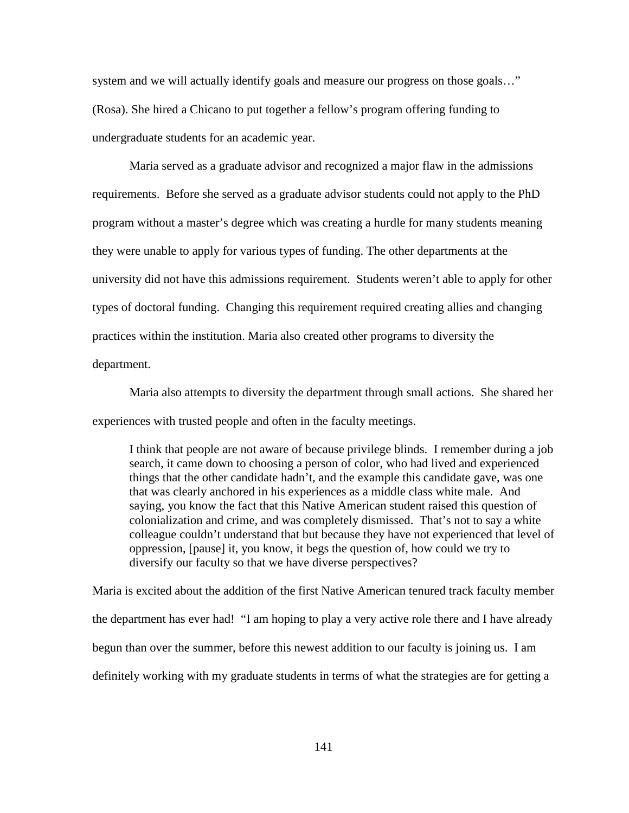system and we will actually identify goals and measure our progress on those goals…" (Rosa). She hired a Chicano to put together a fellow's program offering funding to undergraduate students for an academic year.

Maria served as a graduate advisor and recognized a major flaw in the admissions requirements. Before she served as a graduate advisor students could not apply to the PhD program without a master's degree which was creating a hurdle for many students meaning they were unable to apply for various types of funding. The other departments at the university did not have this admissions requirement. Students weren't able to apply for other types of doctoral funding. Changing this requirement required creating allies and changing practices within the institution. Maria also created other programs to diversity the department.

Maria also attempts to diversity the department through small actions. She shared her experiences with trusted people and often in the faculty meetings.

I think that people are not aware of because privilege blinds. I remember during a job search, it came down to choosing a person of color, who had lived and experienced things that the other candidate hadn't, and the example this candidate gave, was one that was clearly anchored in his experiences as a middle class white male. And saying, you know the fact that this Native American student raised this question of colonialization and crime, and was completely dismissed. That's not to say a white colleague couldn't understand that but because they have not experienced that level of oppression, [pause] it, you know, it begs the question of, how could we try to diversify our faculty so that we have diverse perspectives?

Maria is excited about the addition of the first Native American tenured track faculty member the department has ever had! "I am hoping to play a very active role there and I have already begun than over the summer, before this newest addition to our faculty is joining us. I am definitely working with my graduate students in terms of what the strategies are for getting a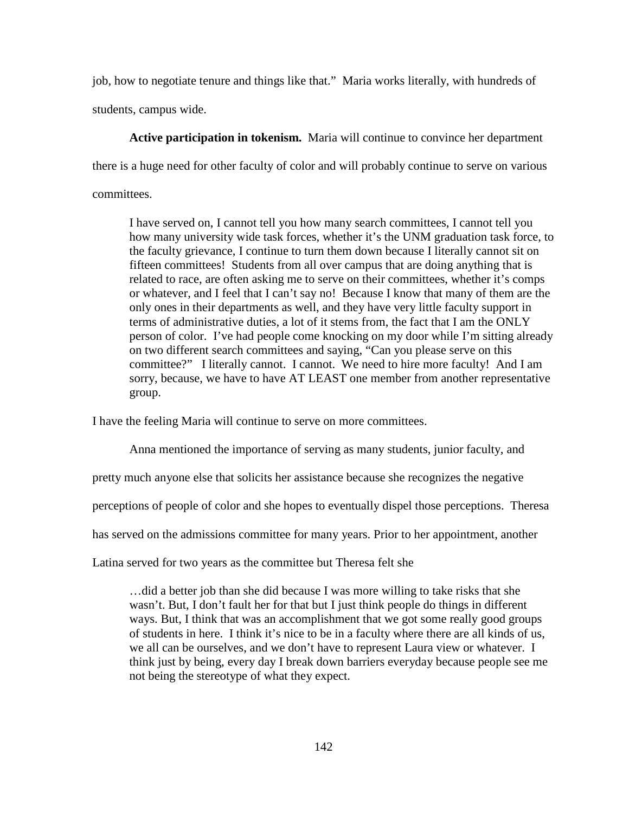job, how to negotiate tenure and things like that." Maria works literally, with hundreds of students, campus wide.

**Active participation in tokenism.** Maria will continue to convince her department there is a huge need for other faculty of color and will probably continue to serve on various committees.

I have served on, I cannot tell you how many search committees, I cannot tell you how many university wide task forces, whether it's the UNM graduation task force, to the faculty grievance, I continue to turn them down because I literally cannot sit on fifteen committees! Students from all over campus that are doing anything that is related to race, are often asking me to serve on their committees, whether it's comps or whatever, and I feel that I can't say no! Because I know that many of them are the only ones in their departments as well, and they have very little faculty support in terms of administrative duties, a lot of it stems from, the fact that I am the ONLY person of color. I've had people come knocking on my door while I'm sitting already on two different search committees and saying, "Can you please serve on this committee?" I literally cannot. I cannot. We need to hire more faculty! And I am sorry, because, we have to have AT LEAST one member from another representative group.

I have the feeling Maria will continue to serve on more committees.

Anna mentioned the importance of serving as many students, junior faculty, and

pretty much anyone else that solicits her assistance because she recognizes the negative

perceptions of people of color and she hopes to eventually dispel those perceptions. Theresa

has served on the admissions committee for many years. Prior to her appointment, another

Latina served for two years as the committee but Theresa felt she

…did a better job than she did because I was more willing to take risks that she wasn't. But, I don't fault her for that but I just think people do things in different ways. But, I think that was an accomplishment that we got some really good groups of students in here. I think it's nice to be in a faculty where there are all kinds of us, we all can be ourselves, and we don't have to represent Laura view or whatever. I think just by being, every day I break down barriers everyday because people see me not being the stereotype of what they expect.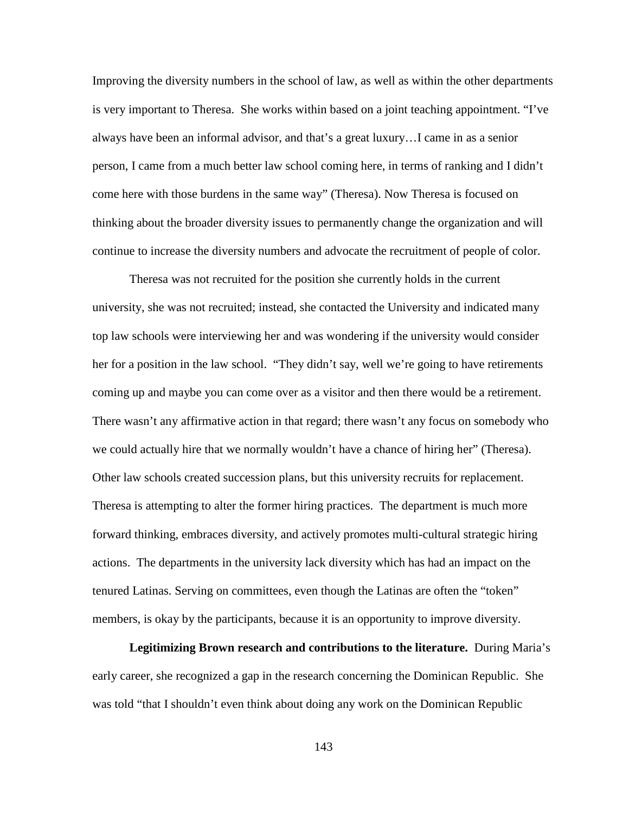Improving the diversity numbers in the school of law, as well as within the other departments is very important to Theresa. She works within based on a joint teaching appointment. "I've always have been an informal advisor, and that's a great luxury…I came in as a senior person, I came from a much better law school coming here, in terms of ranking and I didn't come here with those burdens in the same way" (Theresa). Now Theresa is focused on thinking about the broader diversity issues to permanently change the organization and will continue to increase the diversity numbers and advocate the recruitment of people of color.

Theresa was not recruited for the position she currently holds in the current university, she was not recruited; instead, she contacted the University and indicated many top law schools were interviewing her and was wondering if the university would consider her for a position in the law school. "They didn't say, well we're going to have retirements coming up and maybe you can come over as a visitor and then there would be a retirement. There wasn't any affirmative action in that regard; there wasn't any focus on somebody who we could actually hire that we normally wouldn't have a chance of hiring her" (Theresa). Other law schools created succession plans, but this university recruits for replacement. Theresa is attempting to alter the former hiring practices. The department is much more forward thinking, embraces diversity, and actively promotes multi-cultural strategic hiring actions. The departments in the university lack diversity which has had an impact on the tenured Latinas. Serving on committees, even though the Latinas are often the "token" members, is okay by the participants, because it is an opportunity to improve diversity.

**Legitimizing Brown research and contributions to the literature.** During Maria's early career, she recognized a gap in the research concerning the Dominican Republic. She was told "that I shouldn't even think about doing any work on the Dominican Republic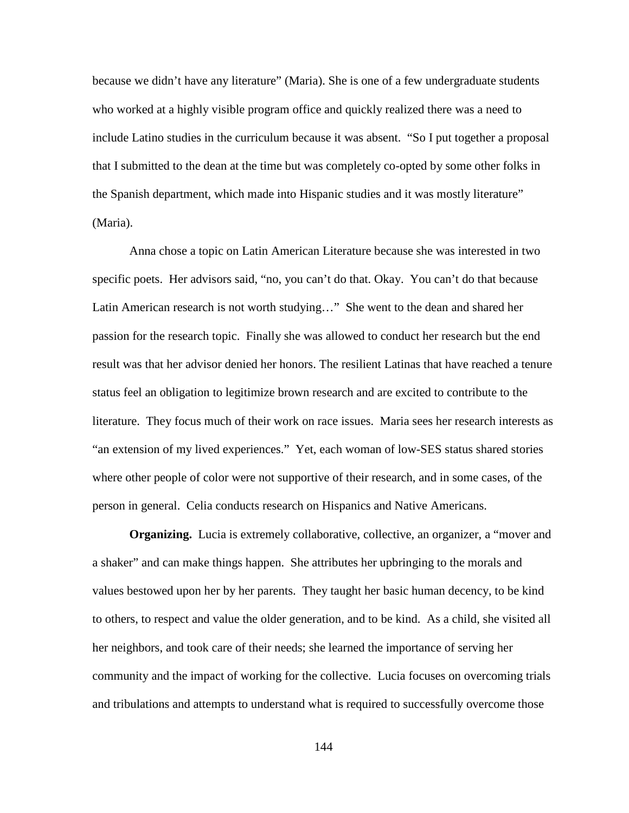because we didn't have any literature" (Maria). She is one of a few undergraduate students who worked at a highly visible program office and quickly realized there was a need to include Latino studies in the curriculum because it was absent. "So I put together a proposal that I submitted to the dean at the time but was completely co-opted by some other folks in the Spanish department, which made into Hispanic studies and it was mostly literature" (Maria).

Anna chose a topic on Latin American Literature because she was interested in two specific poets. Her advisors said, "no, you can't do that. Okay. You can't do that because Latin American research is not worth studying…" She went to the dean and shared her passion for the research topic. Finally she was allowed to conduct her research but the end result was that her advisor denied her honors. The resilient Latinas that have reached a tenure status feel an obligation to legitimize brown research and are excited to contribute to the literature. They focus much of their work on race issues. Maria sees her research interests as "an extension of my lived experiences." Yet, each woman of low-SES status shared stories where other people of color were not supportive of their research, and in some cases, of the person in general. Celia conducts research on Hispanics and Native Americans.

**Organizing.** Lucia is extremely collaborative, collective, an organizer, a "mover and a shaker" and can make things happen. She attributes her upbringing to the morals and values bestowed upon her by her parents. They taught her basic human decency, to be kind to others, to respect and value the older generation, and to be kind. As a child, she visited all her neighbors, and took care of their needs; she learned the importance of serving her community and the impact of working for the collective. Lucia focuses on overcoming trials and tribulations and attempts to understand what is required to successfully overcome those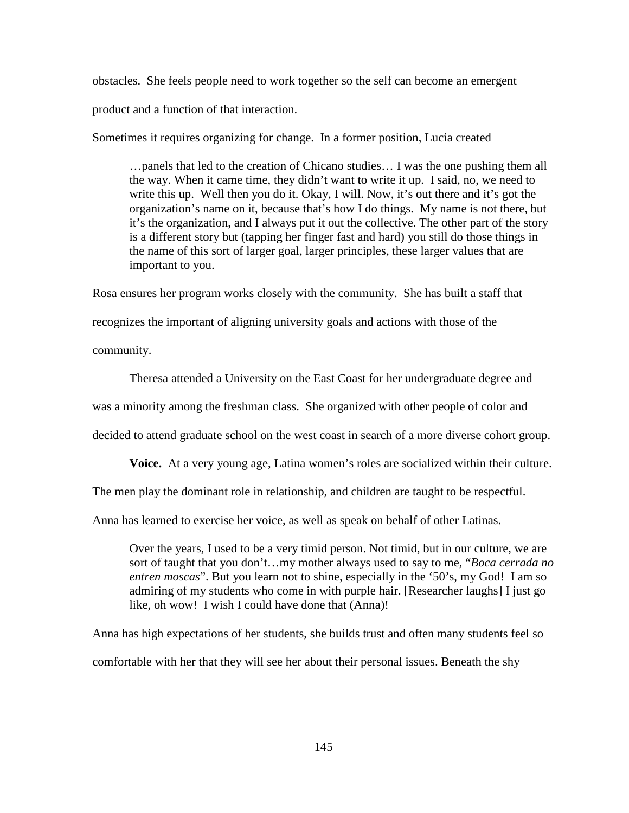obstacles. She feels people need to work together so the self can become an emergent product and a function of that interaction.

Sometimes it requires organizing for change. In a former position, Lucia created

…panels that led to the creation of Chicano studies… I was the one pushing them all the way. When it came time, they didn't want to write it up. I said, no, we need to write this up. Well then you do it. Okay, I will. Now, it's out there and it's got the organization's name on it, because that's how I do things. My name is not there, but it's the organization, and I always put it out the collective. The other part of the story is a different story but (tapping her finger fast and hard) you still do those things in the name of this sort of larger goal, larger principles, these larger values that are important to you.

Rosa ensures her program works closely with the community. She has built a staff that recognizes the important of aligning university goals and actions with those of the community.

Theresa attended a University on the East Coast for her undergraduate degree and was a minority among the freshman class. She organized with other people of color and decided to attend graduate school on the west coast in search of a more diverse cohort group.

**Voice.** At a very young age, Latina women's roles are socialized within their culture.

The men play the dominant role in relationship, and children are taught to be respectful.

Anna has learned to exercise her voice, as well as speak on behalf of other Latinas.

Over the years, I used to be a very timid person. Not timid, but in our culture, we are sort of taught that you don't…my mother always used to say to me, "*Boca cerrada no entren moscas*". But you learn not to shine, especially in the '50's, my God! I am so admiring of my students who come in with purple hair. [Researcher laughs] I just go like, oh wow! I wish I could have done that (Anna)!

Anna has high expectations of her students, she builds trust and often many students feel so comfortable with her that they will see her about their personal issues. Beneath the shy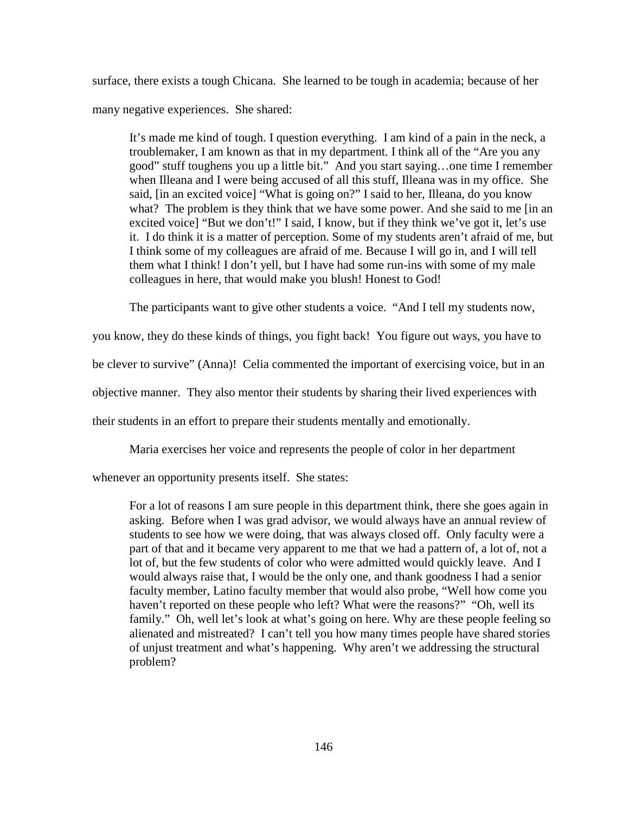surface, there exists a tough Chicana. She learned to be tough in academia; because of her many negative experiences. She shared:

It's made me kind of tough. I question everything. I am kind of a pain in the neck, a troublemaker, I am known as that in my department. I think all of the "Are you any good" stuff toughens you up a little bit." And you start saying…one time I remember when Illeana and I were being accused of all this stuff, Illeana was in my office. She said, [in an excited voice] "What is going on?" I said to her, Illeana, do you know what? The problem is they think that we have some power. And she said to me [in an excited voice] "But we don't!" I said, I know, but if they think we've got it, let's use it. I do think it is a matter of perception. Some of my students aren't afraid of me, but I think some of my colleagues are afraid of me. Because I will go in, and I will tell them what I think! I don't yell, but I have had some run-ins with some of my male colleagues in here, that would make you blush! Honest to God!

The participants want to give other students a voice. "And I tell my students now,

you know, they do these kinds of things, you fight back! You figure out ways, you have to

be clever to survive" (Anna)! Celia commented the important of exercising voice, but in an

objective manner. They also mentor their students by sharing their lived experiences with

their students in an effort to prepare their students mentally and emotionally.

Maria exercises her voice and represents the people of color in her department

whenever an opportunity presents itself. She states:

For a lot of reasons I am sure people in this department think, there she goes again in asking. Before when I was grad advisor, we would always have an annual review of students to see how we were doing, that was always closed off. Only faculty were a part of that and it became very apparent to me that we had a pattern of, a lot of, not a lot of, but the few students of color who were admitted would quickly leave. And I would always raise that, I would be the only one, and thank goodness I had a senior faculty member, Latino faculty member that would also probe, "Well how come you haven't reported on these people who left? What were the reasons?" "Oh, well its family." Oh, well let's look at what's going on here. Why are these people feeling so alienated and mistreated? I can't tell you how many times people have shared stories of unjust treatment and what's happening. Why aren't we addressing the structural problem?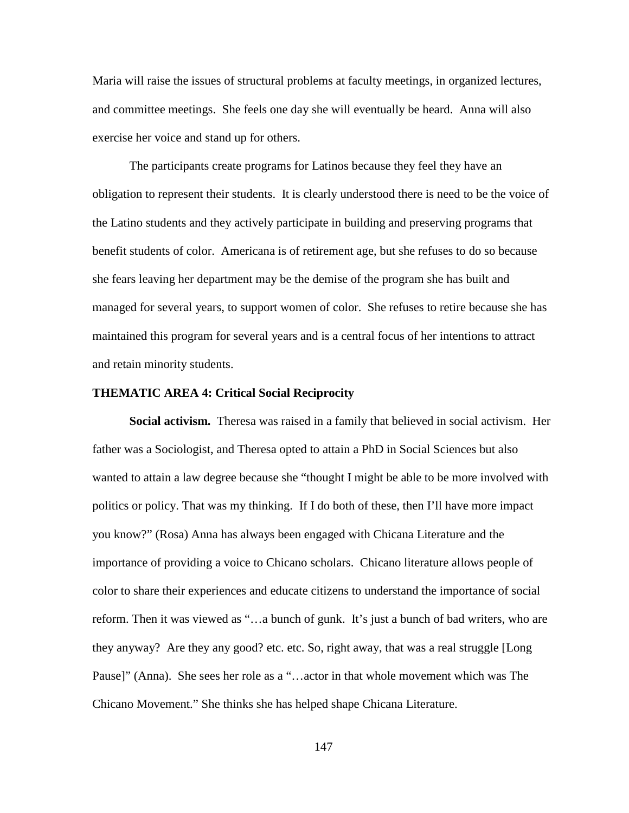Maria will raise the issues of structural problems at faculty meetings, in organized lectures, and committee meetings. She feels one day she will eventually be heard. Anna will also exercise her voice and stand up for others.

The participants create programs for Latinos because they feel they have an obligation to represent their students. It is clearly understood there is need to be the voice of the Latino students and they actively participate in building and preserving programs that benefit students of color. Americana is of retirement age, but she refuses to do so because she fears leaving her department may be the demise of the program she has built and managed for several years, to support women of color. She refuses to retire because she has maintained this program for several years and is a central focus of her intentions to attract and retain minority students.

#### **THEMATIC AREA 4: Critical Social Reciprocity**

**Social activism.** Theresa was raised in a family that believed in social activism. Her father was a Sociologist, and Theresa opted to attain a PhD in Social Sciences but also wanted to attain a law degree because she "thought I might be able to be more involved with politics or policy. That was my thinking. If I do both of these, then I'll have more impact you know?" (Rosa) Anna has always been engaged with Chicana Literature and the importance of providing a voice to Chicano scholars. Chicano literature allows people of color to share their experiences and educate citizens to understand the importance of social reform. Then it was viewed as "…a bunch of gunk. It's just a bunch of bad writers, who are they anyway? Are they any good? etc. etc. So, right away, that was a real struggle [Long Pause]" (Anna). She sees her role as a "…actor in that whole movement which was The Chicano Movement." She thinks she has helped shape Chicana Literature.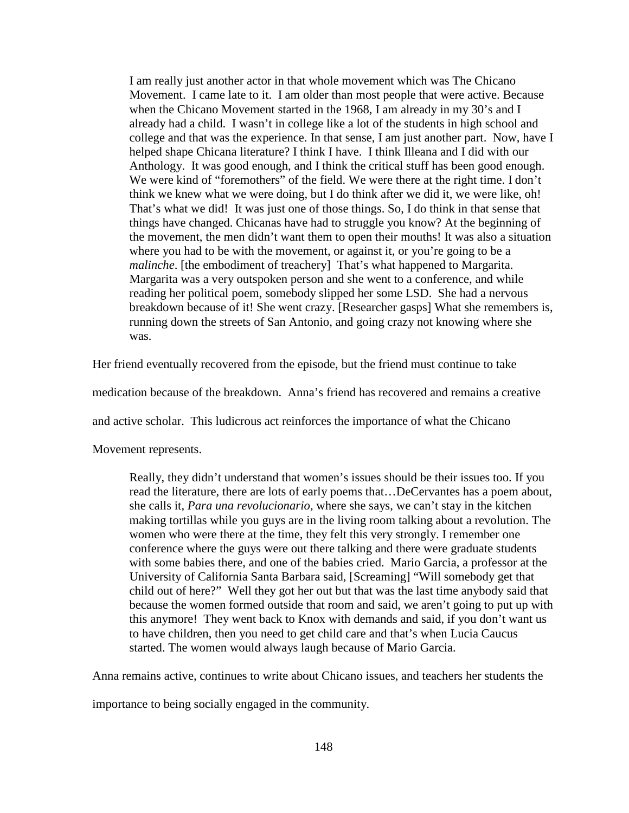I am really just another actor in that whole movement which was The Chicano Movement. I came late to it. I am older than most people that were active. Because when the Chicano Movement started in the 1968, I am already in my 30's and I already had a child. I wasn't in college like a lot of the students in high school and college and that was the experience. In that sense, I am just another part. Now, have I helped shape Chicana literature? I think I have. I think Illeana and I did with our Anthology. It was good enough, and I think the critical stuff has been good enough. We were kind of "foremothers" of the field. We were there at the right time. I don't think we knew what we were doing, but I do think after we did it, we were like, oh! That's what we did! It was just one of those things. So, I do think in that sense that things have changed. Chicanas have had to struggle you know? At the beginning of the movement, the men didn't want them to open their mouths! It was also a situation where you had to be with the movement, or against it, or you're going to be a *malinche*. [the embodiment of treachery] That's what happened to Margarita. Margarita was a very outspoken person and she went to a conference, and while reading her political poem, somebody slipped her some LSD. She had a nervous breakdown because of it! She went crazy. [Researcher gasps] What she remembers is, running down the streets of San Antonio, and going crazy not knowing where she was.

Her friend eventually recovered from the episode, but the friend must continue to take

medication because of the breakdown. Anna's friend has recovered and remains a creative

and active scholar. This ludicrous act reinforces the importance of what the Chicano

Movement represents.

Really, they didn't understand that women's issues should be their issues too. If you read the literature, there are lots of early poems that…DeCervantes has a poem about, she calls it, *Para una revolucionario,* where she says, we can't stay in the kitchen making tortillas while you guys are in the living room talking about a revolution. The women who were there at the time, they felt this very strongly. I remember one conference where the guys were out there talking and there were graduate students with some babies there, and one of the babies cried. Mario Garcia, a professor at the University of California Santa Barbara said, [Screaming] "Will somebody get that child out of here?" Well they got her out but that was the last time anybody said that because the women formed outside that room and said, we aren't going to put up with this anymore! They went back to Knox with demands and said, if you don't want us to have children, then you need to get child care and that's when Lucia Caucus started. The women would always laugh because of Mario Garcia.

Anna remains active, continues to write about Chicano issues, and teachers her students the

importance to being socially engaged in the community.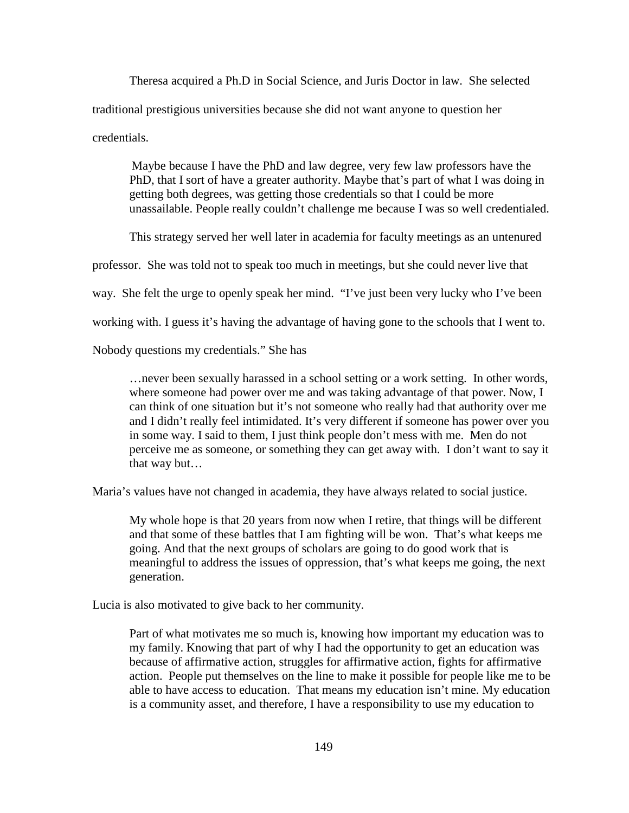Theresa acquired a Ph.D in Social Science, and Juris Doctor in law. She selected traditional prestigious universities because she did not want anyone to question her credentials.

Maybe because I have the PhD and law degree, very few law professors have the PhD, that I sort of have a greater authority. Maybe that's part of what I was doing in getting both degrees, was getting those credentials so that I could be more unassailable. People really couldn't challenge me because I was so well credentialed.

This strategy served her well later in academia for faculty meetings as an untenured

professor. She was told not to speak too much in meetings, but she could never live that

way. She felt the urge to openly speak her mind. "I've just been very lucky who I've been

working with. I guess it's having the advantage of having gone to the schools that I went to.

Nobody questions my credentials." She has

…never been sexually harassed in a school setting or a work setting. In other words, where someone had power over me and was taking advantage of that power. Now, I can think of one situation but it's not someone who really had that authority over me and I didn't really feel intimidated. It's very different if someone has power over you in some way. I said to them, I just think people don't mess with me. Men do not perceive me as someone, or something they can get away with. I don't want to say it that way but…

Maria's values have not changed in academia, they have always related to social justice.

My whole hope is that 20 years from now when I retire, that things will be different and that some of these battles that I am fighting will be won. That's what keeps me going. And that the next groups of scholars are going to do good work that is meaningful to address the issues of oppression, that's what keeps me going, the next generation.

Lucia is also motivated to give back to her community.

Part of what motivates me so much is, knowing how important my education was to my family. Knowing that part of why I had the opportunity to get an education was because of affirmative action, struggles for affirmative action, fights for affirmative action. People put themselves on the line to make it possible for people like me to be able to have access to education. That means my education isn't mine. My education is a community asset, and therefore, I have a responsibility to use my education to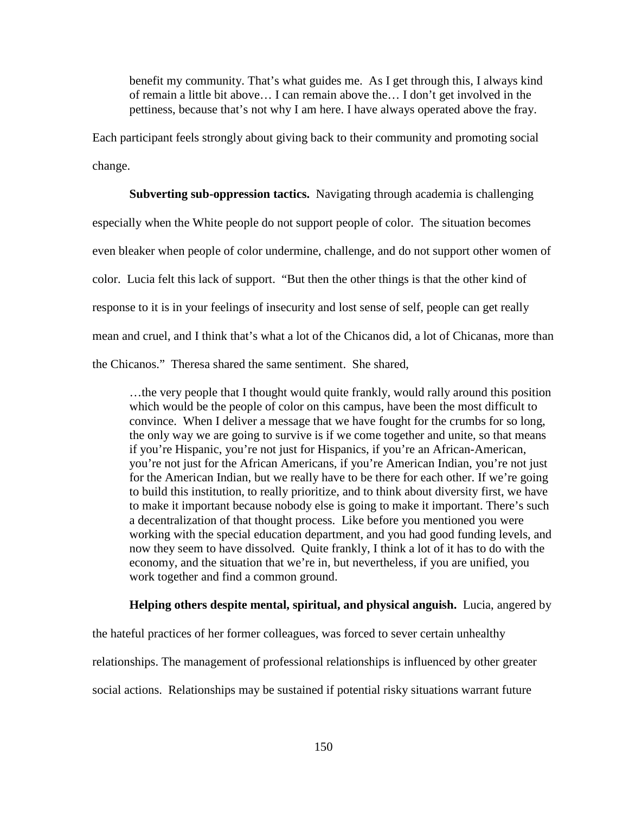benefit my community. That's what guides me. As I get through this, I always kind of remain a little bit above… I can remain above the… I don't get involved in the pettiness, because that's not why I am here. I have always operated above the fray.

Each participant feels strongly about giving back to their community and promoting social change.

**Subverting sub-oppression tactics.** Navigating through academia is challenging

especially when the White people do not support people of color. The situation becomes

even bleaker when people of color undermine, challenge, and do not support other women of

color. Lucia felt this lack of support. "But then the other things is that the other kind of

response to it is in your feelings of insecurity and lost sense of self, people can get really

mean and cruel, and I think that's what a lot of the Chicanos did, a lot of Chicanas, more than

the Chicanos." Theresa shared the same sentiment. She shared,

…the very people that I thought would quite frankly, would rally around this position which would be the people of color on this campus, have been the most difficult to convince. When I deliver a message that we have fought for the crumbs for so long, the only way we are going to survive is if we come together and unite, so that means if you're Hispanic, you're not just for Hispanics, if you're an African-American, you're not just for the African Americans, if you're American Indian, you're not just for the American Indian, but we really have to be there for each other. If we're going to build this institution, to really prioritize, and to think about diversity first, we have to make it important because nobody else is going to make it important. There's such a decentralization of that thought process. Like before you mentioned you were working with the special education department, and you had good funding levels, and now they seem to have dissolved. Quite frankly, I think a lot of it has to do with the economy, and the situation that we're in, but nevertheless, if you are unified, you work together and find a common ground.

#### **Helping others despite mental, spiritual, and physical anguish.** Lucia, angered by

the hateful practices of her former colleagues, was forced to sever certain unhealthy relationships. The management of professional relationships is influenced by other greater social actions. Relationships may be sustained if potential risky situations warrant future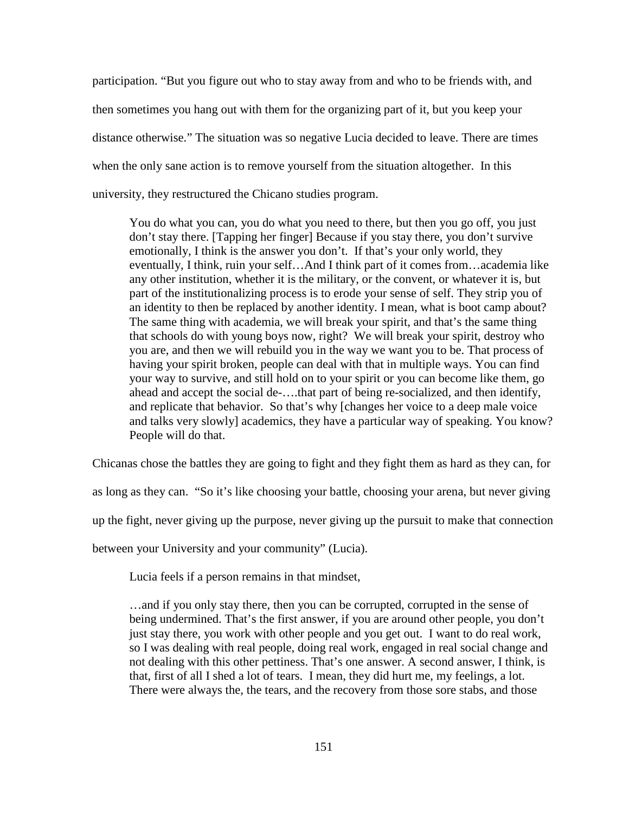participation. "But you figure out who to stay away from and who to be friends with, and then sometimes you hang out with them for the organizing part of it, but you keep your distance otherwise." The situation was so negative Lucia decided to leave. There are times when the only sane action is to remove yourself from the situation altogether. In this university, they restructured the Chicano studies program.

You do what you can, you do what you need to there, but then you go off, you just don't stay there. [Tapping her finger] Because if you stay there, you don't survive emotionally, I think is the answer you don't. If that's your only world, they eventually, I think, ruin your self…And I think part of it comes from…academia like any other institution, whether it is the military, or the convent, or whatever it is, but part of the institutionalizing process is to erode your sense of self. They strip you of an identity to then be replaced by another identity. I mean, what is boot camp about? The same thing with academia, we will break your spirit, and that's the same thing that schools do with young boys now, right? We will break your spirit, destroy who you are, and then we will rebuild you in the way we want you to be. That process of having your spirit broken, people can deal with that in multiple ways. You can find your way to survive, and still hold on to your spirit or you can become like them, go ahead and accept the social de-….that part of being re-socialized, and then identify, and replicate that behavior. So that's why [changes her voice to a deep male voice and talks very slowly] academics, they have a particular way of speaking. You know? People will do that.

Chicanas chose the battles they are going to fight and they fight them as hard as they can, for

as long as they can. "So it's like choosing your battle, choosing your arena, but never giving

up the fight, never giving up the purpose, never giving up the pursuit to make that connection

between your University and your community" (Lucia).

Lucia feels if a person remains in that mindset,

…and if you only stay there, then you can be corrupted, corrupted in the sense of being undermined. That's the first answer, if you are around other people, you don't just stay there, you work with other people and you get out. I want to do real work, so I was dealing with real people, doing real work, engaged in real social change and not dealing with this other pettiness. That's one answer. A second answer, I think, is that, first of all I shed a lot of tears. I mean, they did hurt me, my feelings, a lot. There were always the, the tears, and the recovery from those sore stabs, and those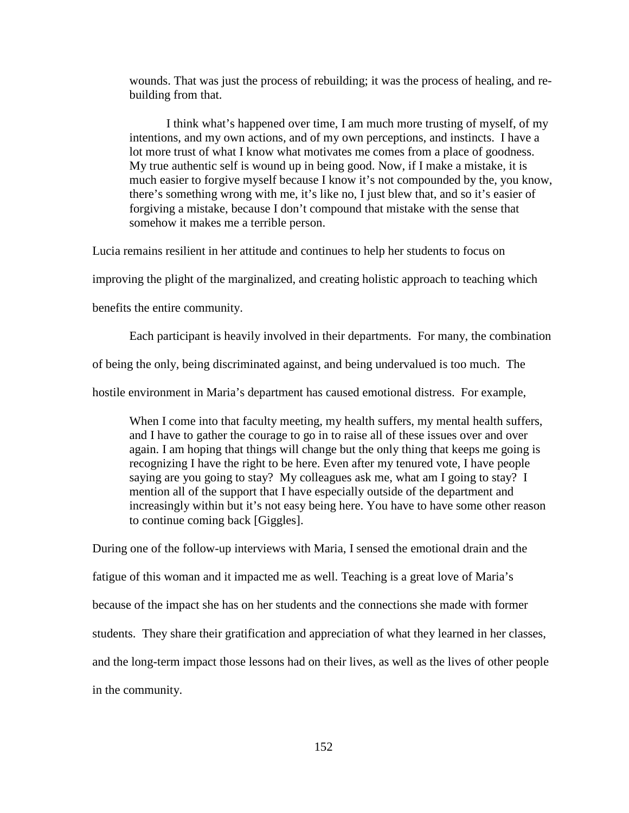wounds. That was just the process of rebuilding; it was the process of healing, and rebuilding from that.

I think what's happened over time, I am much more trusting of myself, of my intentions, and my own actions, and of my own perceptions, and instincts. I have a lot more trust of what I know what motivates me comes from a place of goodness. My true authentic self is wound up in being good. Now, if I make a mistake, it is much easier to forgive myself because I know it's not compounded by the, you know, there's something wrong with me, it's like no, I just blew that, and so it's easier of forgiving a mistake, because I don't compound that mistake with the sense that somehow it makes me a terrible person.

Lucia remains resilient in her attitude and continues to help her students to focus on

improving the plight of the marginalized, and creating holistic approach to teaching which

benefits the entire community.

Each participant is heavily involved in their departments. For many, the combination

of being the only, being discriminated against, and being undervalued is too much. The

hostile environment in Maria's department has caused emotional distress. For example,

When I come into that faculty meeting, my health suffers, my mental health suffers, and I have to gather the courage to go in to raise all of these issues over and over again. I am hoping that things will change but the only thing that keeps me going is recognizing I have the right to be here. Even after my tenured vote, I have people saying are you going to stay? My colleagues ask me, what am I going to stay? I mention all of the support that I have especially outside of the department and increasingly within but it's not easy being here. You have to have some other reason to continue coming back [Giggles].

During one of the follow-up interviews with Maria, I sensed the emotional drain and the fatigue of this woman and it impacted me as well. Teaching is a great love of Maria's because of the impact she has on her students and the connections she made with former students. They share their gratification and appreciation of what they learned in her classes, and the long-term impact those lessons had on their lives, as well as the lives of other people in the community.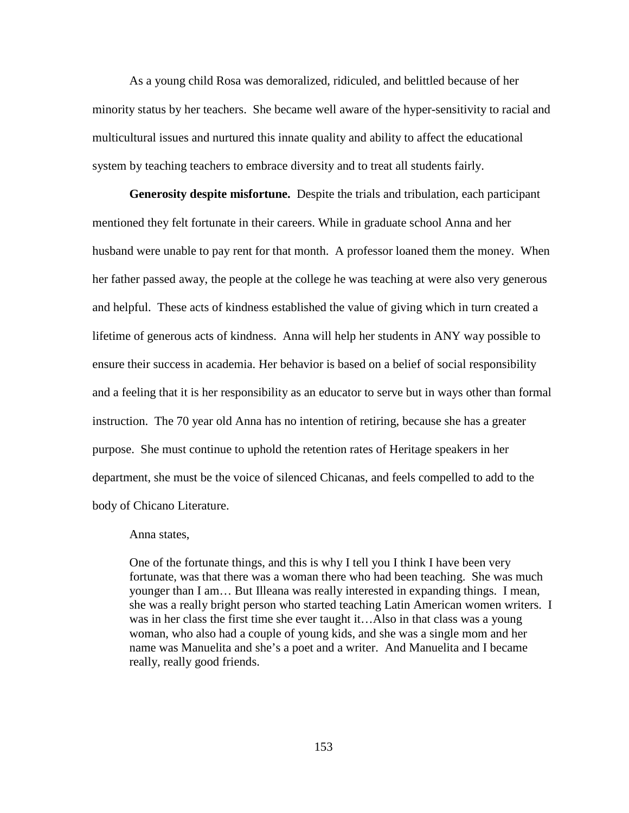As a young child Rosa was demoralized, ridiculed, and belittled because of her minority status by her teachers. She became well aware of the hyper-sensitivity to racial and multicultural issues and nurtured this innate quality and ability to affect the educational system by teaching teachers to embrace diversity and to treat all students fairly.

**Generosity despite misfortune.** Despite the trials and tribulation, each participant mentioned they felt fortunate in their careers. While in graduate school Anna and her husband were unable to pay rent for that month. A professor loaned them the money. When her father passed away, the people at the college he was teaching at were also very generous and helpful. These acts of kindness established the value of giving which in turn created a lifetime of generous acts of kindness. Anna will help her students in ANY way possible to ensure their success in academia. Her behavior is based on a belief of social responsibility and a feeling that it is her responsibility as an educator to serve but in ways other than formal instruction. The 70 year old Anna has no intention of retiring, because she has a greater purpose. She must continue to uphold the retention rates of Heritage speakers in her department, she must be the voice of silenced Chicanas, and feels compelled to add to the body of Chicano Literature.

#### Anna states,

One of the fortunate things, and this is why I tell you I think I have been very fortunate, was that there was a woman there who had been teaching. She was much younger than I am… But Illeana was really interested in expanding things. I mean, she was a really bright person who started teaching Latin American women writers. I was in her class the first time she ever taught it…Also in that class was a young woman, who also had a couple of young kids, and she was a single mom and her name was Manuelita and she's a poet and a writer. And Manuelita and I became really, really good friends.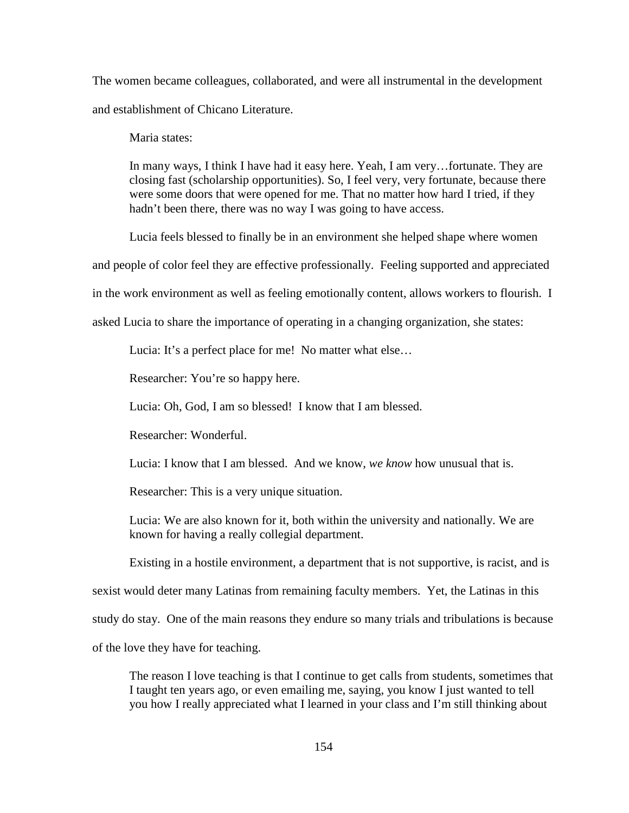The women became colleagues, collaborated, and were all instrumental in the development and establishment of Chicano Literature.

Maria states:

In many ways, I think I have had it easy here. Yeah, I am very…fortunate. They are closing fast (scholarship opportunities). So, I feel very, very fortunate, because there were some doors that were opened for me. That no matter how hard I tried, if they hadn't been there, there was no way I was going to have access.

Lucia feels blessed to finally be in an environment she helped shape where women

and people of color feel they are effective professionally. Feeling supported and appreciated

in the work environment as well as feeling emotionally content, allows workers to flourish. I

asked Lucia to share the importance of operating in a changing organization, she states:

Lucia: It's a perfect place for me! No matter what else…

Researcher: You're so happy here.

Lucia: Oh, God, I am so blessed! I know that I am blessed.

Researcher: Wonderful.

Lucia: I know that I am blessed. And we know, *we know* how unusual that is.

Researcher: This is a very unique situation.

Lucia: We are also known for it, both within the university and nationally. We are known for having a really collegial department.

Existing in a hostile environment, a department that is not supportive, is racist, and is

sexist would deter many Latinas from remaining faculty members. Yet, the Latinas in this

study do stay. One of the main reasons they endure so many trials and tribulations is because

of the love they have for teaching.

The reason I love teaching is that I continue to get calls from students, sometimes that I taught ten years ago, or even emailing me, saying, you know I just wanted to tell you how I really appreciated what I learned in your class and I'm still thinking about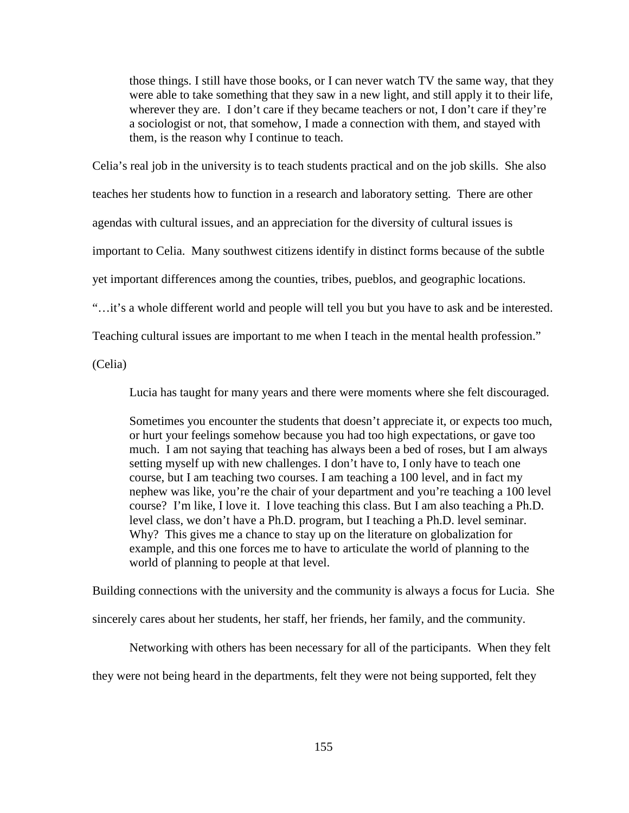those things. I still have those books, or I can never watch TV the same way, that they were able to take something that they saw in a new light, and still apply it to their life, wherever they are. I don't care if they became teachers or not, I don't care if they're a sociologist or not, that somehow, I made a connection with them, and stayed with them, is the reason why I continue to teach.

Celia's real job in the university is to teach students practical and on the job skills. She also teaches her students how to function in a research and laboratory setting. There are other agendas with cultural issues, and an appreciation for the diversity of cultural issues is important to Celia. Many southwest citizens identify in distinct forms because of the subtle yet important differences among the counties, tribes, pueblos, and geographic locations.

"…it's a whole different world and people will tell you but you have to ask and be interested.

Teaching cultural issues are important to me when I teach in the mental health profession."

(Celia)

Lucia has taught for many years and there were moments where she felt discouraged.

Sometimes you encounter the students that doesn't appreciate it, or expects too much, or hurt your feelings somehow because you had too high expectations, or gave too much. I am not saying that teaching has always been a bed of roses, but I am always setting myself up with new challenges. I don't have to, I only have to teach one course, but I am teaching two courses. I am teaching a 100 level, and in fact my nephew was like, you're the chair of your department and you're teaching a 100 level course? I'm like, I love it. I love teaching this class. But I am also teaching a Ph.D. level class, we don't have a Ph.D. program, but I teaching a Ph.D. level seminar. Why? This gives me a chance to stay up on the literature on globalization for example, and this one forces me to have to articulate the world of planning to the world of planning to people at that level.

Building connections with the university and the community is always a focus for Lucia. She sincerely cares about her students, her staff, her friends, her family, and the community.

Networking with others has been necessary for all of the participants. When they felt

they were not being heard in the departments, felt they were not being supported, felt they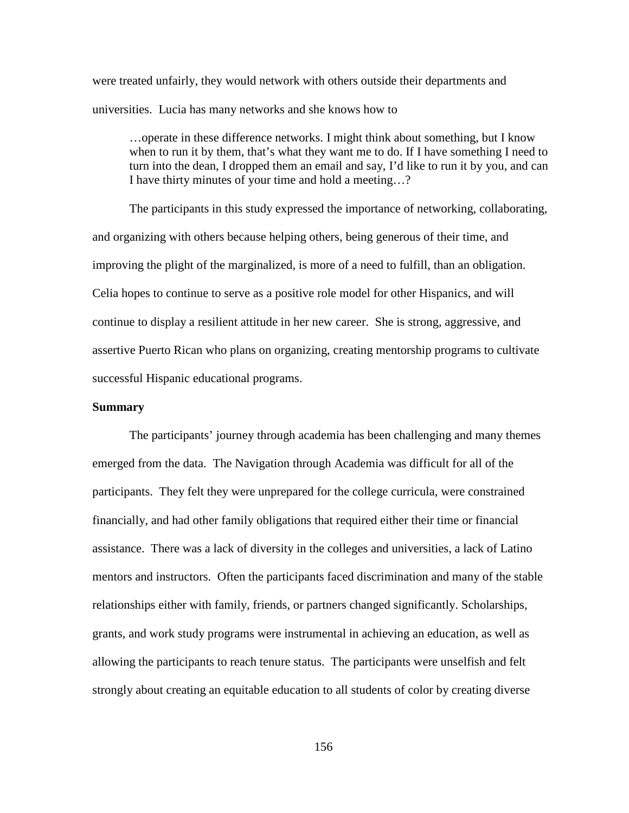were treated unfairly, they would network with others outside their departments and universities. Lucia has many networks and she knows how to

…operate in these difference networks. I might think about something, but I know when to run it by them, that's what they want me to do. If I have something I need to turn into the dean, I dropped them an email and say, I'd like to run it by you, and can I have thirty minutes of your time and hold a meeting…?

The participants in this study expressed the importance of networking, collaborating, and organizing with others because helping others, being generous of their time, and improving the plight of the marginalized, is more of a need to fulfill, than an obligation. Celia hopes to continue to serve as a positive role model for other Hispanics, and will continue to display a resilient attitude in her new career. She is strong, aggressive, and assertive Puerto Rican who plans on organizing, creating mentorship programs to cultivate successful Hispanic educational programs.

#### **Summary**

The participants' journey through academia has been challenging and many themes emerged from the data. The Navigation through Academia was difficult for all of the participants. They felt they were unprepared for the college curricula, were constrained financially, and had other family obligations that required either their time or financial assistance. There was a lack of diversity in the colleges and universities, a lack of Latino mentors and instructors. Often the participants faced discrimination and many of the stable relationships either with family, friends, or partners changed significantly. Scholarships, grants, and work study programs were instrumental in achieving an education, as well as allowing the participants to reach tenure status. The participants were unselfish and felt strongly about creating an equitable education to all students of color by creating diverse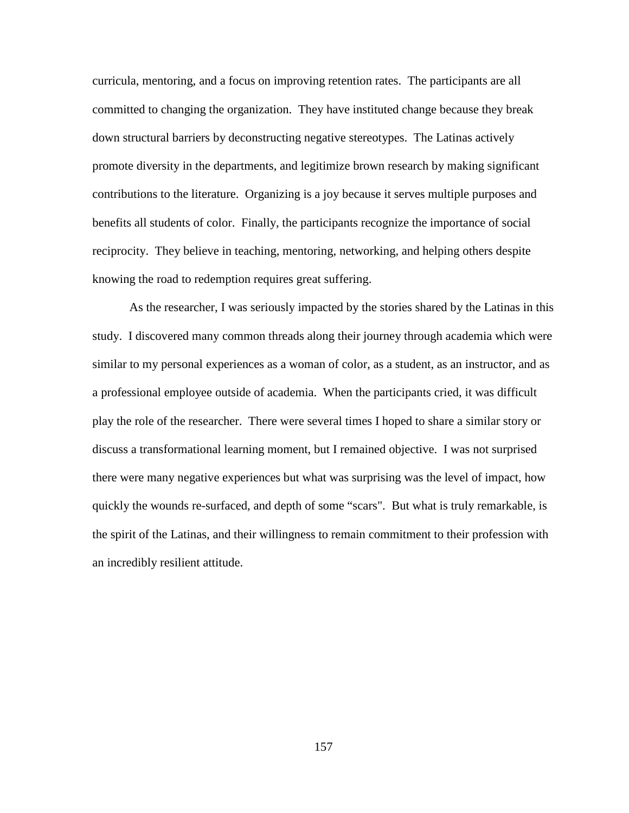curricula, mentoring, and a focus on improving retention rates. The participants are all committed to changing the organization. They have instituted change because they break down structural barriers by deconstructing negative stereotypes. The Latinas actively promote diversity in the departments, and legitimize brown research by making significant contributions to the literature. Organizing is a joy because it serves multiple purposes and benefits all students of color. Finally, the participants recognize the importance of social reciprocity. They believe in teaching, mentoring, networking, and helping others despite knowing the road to redemption requires great suffering.

As the researcher, I was seriously impacted by the stories shared by the Latinas in this study. I discovered many common threads along their journey through academia which were similar to my personal experiences as a woman of color, as a student, as an instructor, and as a professional employee outside of academia. When the participants cried, it was difficult play the role of the researcher. There were several times I hoped to share a similar story or discuss a transformational learning moment, but I remained objective. I was not surprised there were many negative experiences but what was surprising was the level of impact, how quickly the wounds re-surfaced, and depth of some "scars". But what is truly remarkable, is the spirit of the Latinas, and their willingness to remain commitment to their profession with an incredibly resilient attitude.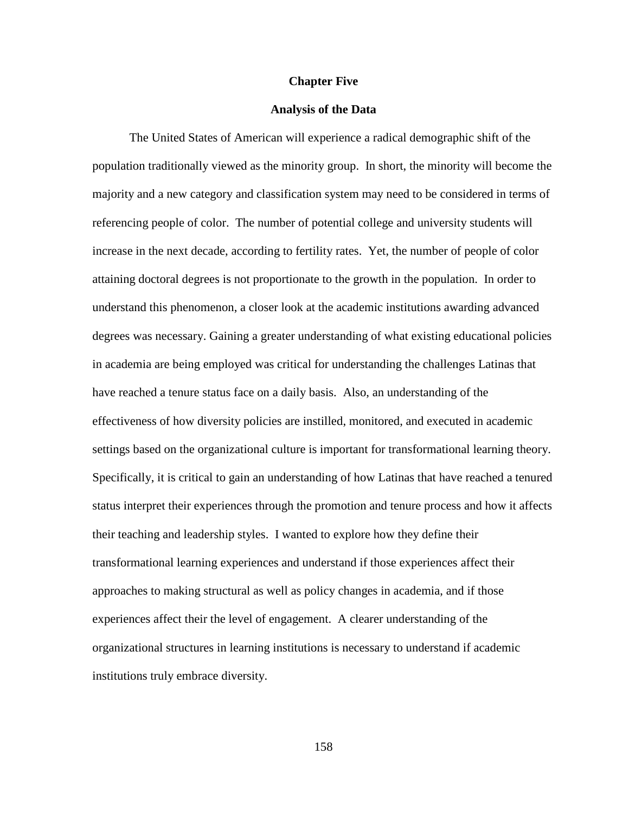#### **Chapter Five**

#### **Analysis of the Data**

The United States of American will experience a radical demographic shift of the population traditionally viewed as the minority group. In short, the minority will become the majority and a new category and classification system may need to be considered in terms of referencing people of color. The number of potential college and university students will increase in the next decade, according to fertility rates. Yet, the number of people of color attaining doctoral degrees is not proportionate to the growth in the population. In order to understand this phenomenon, a closer look at the academic institutions awarding advanced degrees was necessary. Gaining a greater understanding of what existing educational policies in academia are being employed was critical for understanding the challenges Latinas that have reached a tenure status face on a daily basis. Also, an understanding of the effectiveness of how diversity policies are instilled, monitored, and executed in academic settings based on the organizational culture is important for transformational learning theory. Specifically, it is critical to gain an understanding of how Latinas that have reached a tenured status interpret their experiences through the promotion and tenure process and how it affects their teaching and leadership styles. I wanted to explore how they define their transformational learning experiences and understand if those experiences affect their approaches to making structural as well as policy changes in academia, and if those experiences affect their the level of engagement. A clearer understanding of the organizational structures in learning institutions is necessary to understand if academic institutions truly embrace diversity.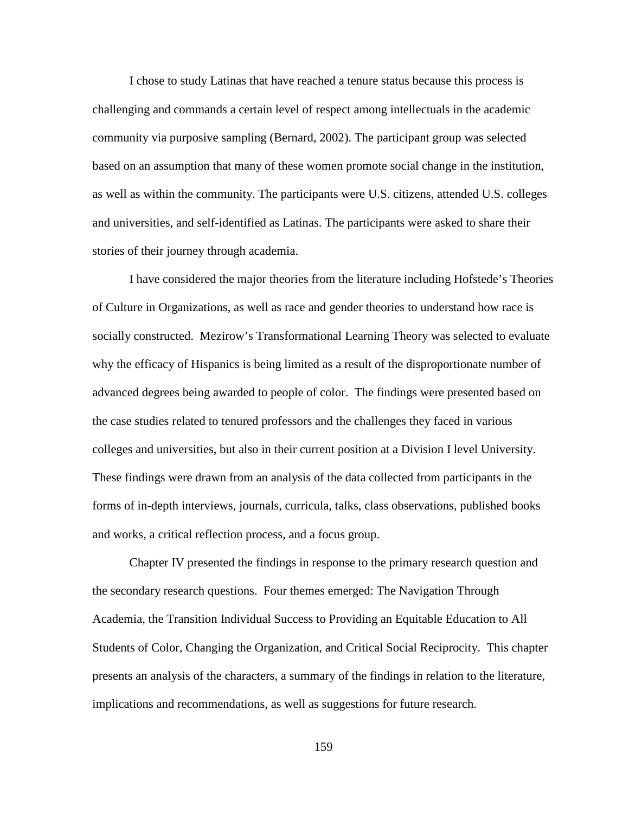I chose to study Latinas that have reached a tenure status because this process is challenging and commands a certain level of respect among intellectuals in the academic community via purposive sampling (Bernard, 2002). The participant group was selected based on an assumption that many of these women promote social change in the institution, as well as within the community. The participants were U.S. citizens, attended U.S. colleges and universities, and self-identified as Latinas. The participants were asked to share their stories of their journey through academia.

I have considered the major theories from the literature including Hofstede's Theories of Culture in Organizations, as well as race and gender theories to understand how race is socially constructed. Mezirow's Transformational Learning Theory was selected to evaluate why the efficacy of Hispanics is being limited as a result of the disproportionate number of advanced degrees being awarded to people of color. The findings were presented based on the case studies related to tenured professors and the challenges they faced in various colleges and universities, but also in their current position at a Division I level University. These findings were drawn from an analysis of the data collected from participants in the forms of in-depth interviews, journals, curricula, talks, class observations, published books and works, a critical reflection process, and a focus group.

Chapter IV presented the findings in response to the primary research question and the secondary research questions. Four themes emerged: The Navigation Through Academia, the Transition Individual Success to Providing an Equitable Education to All Students of Color, Changing the Organization, and Critical Social Reciprocity. This chapter presents an analysis of the characters, a summary of the findings in relation to the literature, implications and recommendations, as well as suggestions for future research.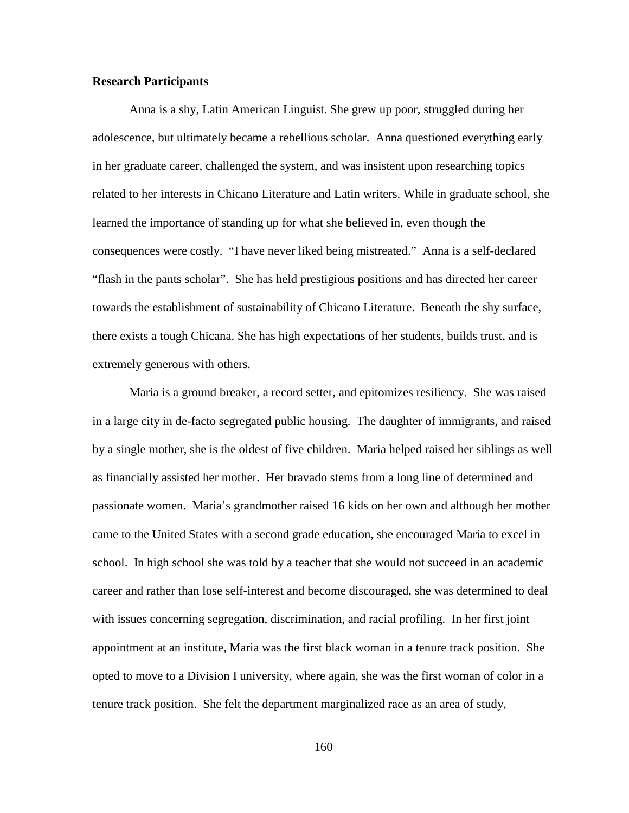## **Research Participants**

Anna is a shy, Latin American Linguist. She grew up poor, struggled during her adolescence, but ultimately became a rebellious scholar. Anna questioned everything early in her graduate career, challenged the system, and was insistent upon researching topics related to her interests in Chicano Literature and Latin writers. While in graduate school, she learned the importance of standing up for what she believed in, even though the consequences were costly. "I have never liked being mistreated." Anna is a self-declared "flash in the pants scholar". She has held prestigious positions and has directed her career towards the establishment of sustainability of Chicano Literature. Beneath the shy surface, there exists a tough Chicana. She has high expectations of her students, builds trust, and is extremely generous with others.

Maria is a ground breaker, a record setter, and epitomizes resiliency. She was raised in a large city in de-facto segregated public housing. The daughter of immigrants, and raised by a single mother, she is the oldest of five children. Maria helped raised her siblings as well as financially assisted her mother. Her bravado stems from a long line of determined and passionate women. Maria's grandmother raised 16 kids on her own and although her mother came to the United States with a second grade education, she encouraged Maria to excel in school. In high school she was told by a teacher that she would not succeed in an academic career and rather than lose self-interest and become discouraged, she was determined to deal with issues concerning segregation, discrimination, and racial profiling. In her first joint appointment at an institute, Maria was the first black woman in a tenure track position. She opted to move to a Division I university, where again, she was the first woman of color in a tenure track position. She felt the department marginalized race as an area of study,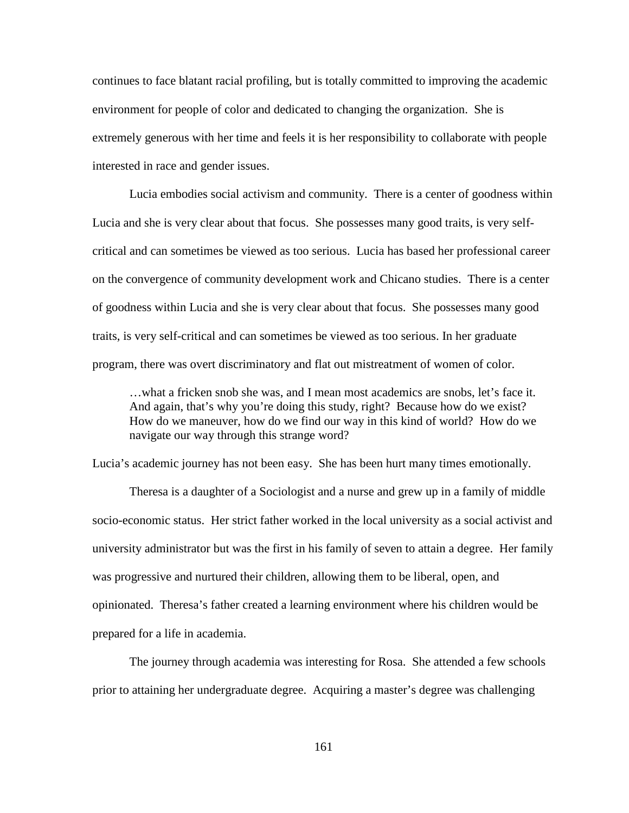continues to face blatant racial profiling, but is totally committed to improving the academic environment for people of color and dedicated to changing the organization. She is extremely generous with her time and feels it is her responsibility to collaborate with people interested in race and gender issues.

Lucia embodies social activism and community. There is a center of goodness within Lucia and she is very clear about that focus. She possesses many good traits, is very selfcritical and can sometimes be viewed as too serious. Lucia has based her professional career on the convergence of community development work and Chicano studies. There is a center of goodness within Lucia and she is very clear about that focus. She possesses many good traits, is very self-critical and can sometimes be viewed as too serious. In her graduate program, there was overt discriminatory and flat out mistreatment of women of color.

…what a fricken snob she was, and I mean most academics are snobs, let's face it. And again, that's why you're doing this study, right? Because how do we exist? How do we maneuver, how do we find our way in this kind of world? How do we navigate our way through this strange word?

Lucia's academic journey has not been easy. She has been hurt many times emotionally.

Theresa is a daughter of a Sociologist and a nurse and grew up in a family of middle socio-economic status. Her strict father worked in the local university as a social activist and university administrator but was the first in his family of seven to attain a degree. Her family was progressive and nurtured their children, allowing them to be liberal, open, and opinionated. Theresa's father created a learning environment where his children would be prepared for a life in academia.

 The journey through academia was interesting for Rosa. She attended a few schools prior to attaining her undergraduate degree. Acquiring a master's degree was challenging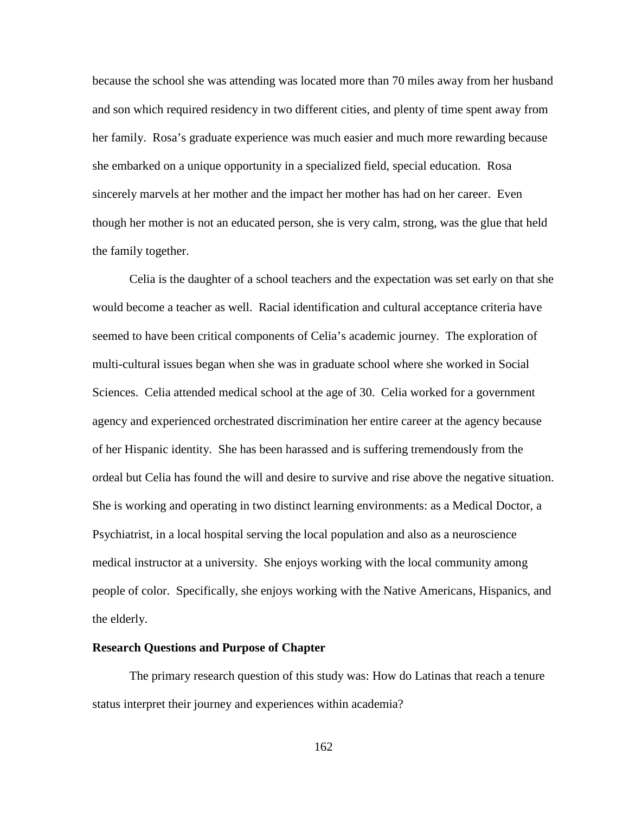because the school she was attending was located more than 70 miles away from her husband and son which required residency in two different cities, and plenty of time spent away from her family. Rosa's graduate experience was much easier and much more rewarding because she embarked on a unique opportunity in a specialized field, special education. Rosa sincerely marvels at her mother and the impact her mother has had on her career. Even though her mother is not an educated person, she is very calm, strong, was the glue that held the family together.

Celia is the daughter of a school teachers and the expectation was set early on that she would become a teacher as well. Racial identification and cultural acceptance criteria have seemed to have been critical components of Celia's academic journey. The exploration of multi-cultural issues began when she was in graduate school where she worked in Social Sciences. Celia attended medical school at the age of 30. Celia worked for a government agency and experienced orchestrated discrimination her entire career at the agency because of her Hispanic identity. She has been harassed and is suffering tremendously from the ordeal but Celia has found the will and desire to survive and rise above the negative situation. She is working and operating in two distinct learning environments: as a Medical Doctor, a Psychiatrist, in a local hospital serving the local population and also as a neuroscience medical instructor at a university. She enjoys working with the local community among people of color. Specifically, she enjoys working with the Native Americans, Hispanics, and the elderly.

#### **Research Questions and Purpose of Chapter**

The primary research question of this study was: How do Latinas that reach a tenure status interpret their journey and experiences within academia?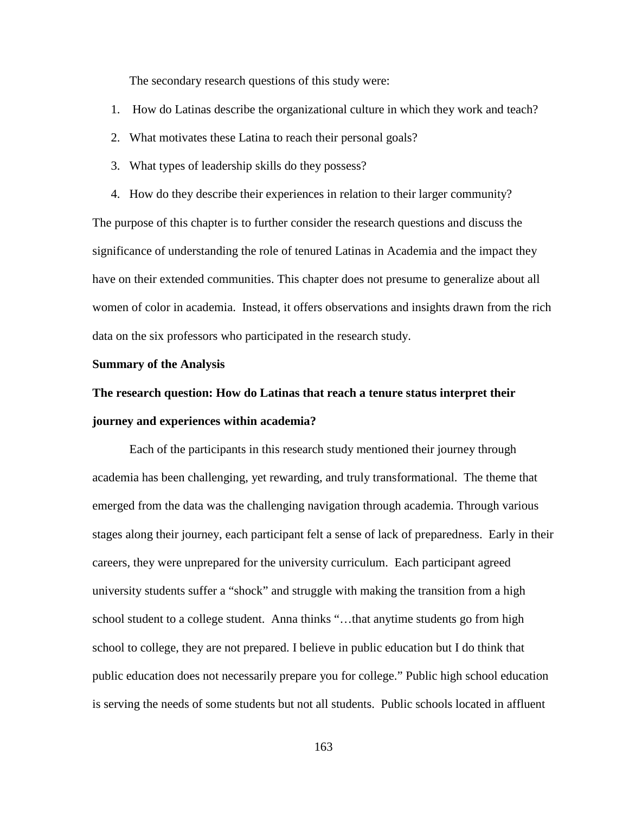The secondary research questions of this study were:

- 1. How do Latinas describe the organizational culture in which they work and teach?
- 2. What motivates these Latina to reach their personal goals?
- 3. What types of leadership skills do they possess?
- 4. How do they describe their experiences in relation to their larger community?

The purpose of this chapter is to further consider the research questions and discuss the significance of understanding the role of tenured Latinas in Academia and the impact they have on their extended communities. This chapter does not presume to generalize about all women of color in academia. Instead, it offers observations and insights drawn from the rich data on the six professors who participated in the research study.

#### **Summary of the Analysis**

# **The research question: How do Latinas that reach a tenure status interpret their journey and experiences within academia?**

Each of the participants in this research study mentioned their journey through academia has been challenging, yet rewarding, and truly transformational. The theme that emerged from the data was the challenging navigation through academia. Through various stages along their journey, each participant felt a sense of lack of preparedness. Early in their careers, they were unprepared for the university curriculum. Each participant agreed university students suffer a "shock" and struggle with making the transition from a high school student to a college student. Anna thinks "…that anytime students go from high school to college, they are not prepared. I believe in public education but I do think that public education does not necessarily prepare you for college." Public high school education is serving the needs of some students but not all students. Public schools located in affluent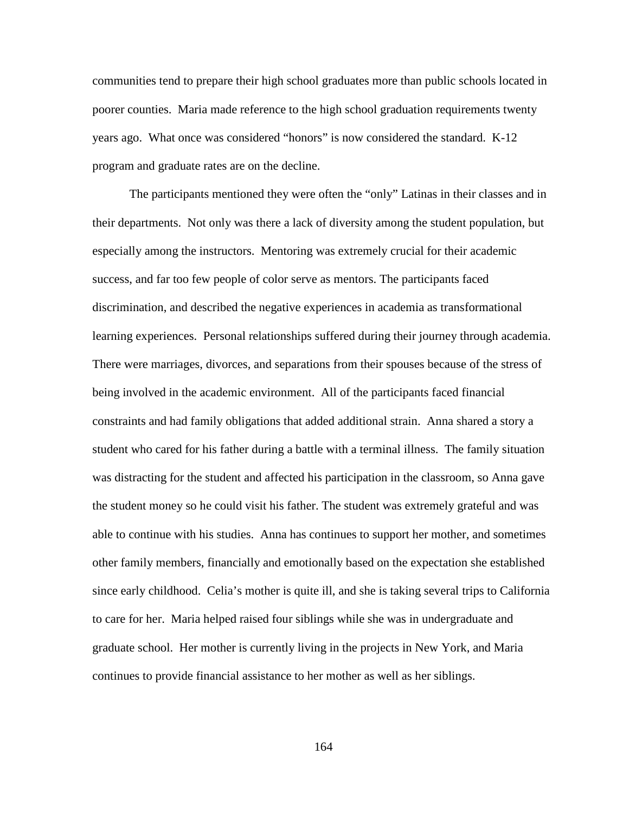communities tend to prepare their high school graduates more than public schools located in poorer counties. Maria made reference to the high school graduation requirements twenty years ago. What once was considered "honors" is now considered the standard. K-12 program and graduate rates are on the decline.

The participants mentioned they were often the "only" Latinas in their classes and in their departments. Not only was there a lack of diversity among the student population, but especially among the instructors. Mentoring was extremely crucial for their academic success, and far too few people of color serve as mentors. The participants faced discrimination, and described the negative experiences in academia as transformational learning experiences. Personal relationships suffered during their journey through academia. There were marriages, divorces, and separations from their spouses because of the stress of being involved in the academic environment. All of the participants faced financial constraints and had family obligations that added additional strain. Anna shared a story a student who cared for his father during a battle with a terminal illness. The family situation was distracting for the student and affected his participation in the classroom, so Anna gave the student money so he could visit his father. The student was extremely grateful and was able to continue with his studies. Anna has continues to support her mother, and sometimes other family members, financially and emotionally based on the expectation she established since early childhood. Celia's mother is quite ill, and she is taking several trips to California to care for her. Maria helped raised four siblings while she was in undergraduate and graduate school. Her mother is currently living in the projects in New York, and Maria continues to provide financial assistance to her mother as well as her siblings.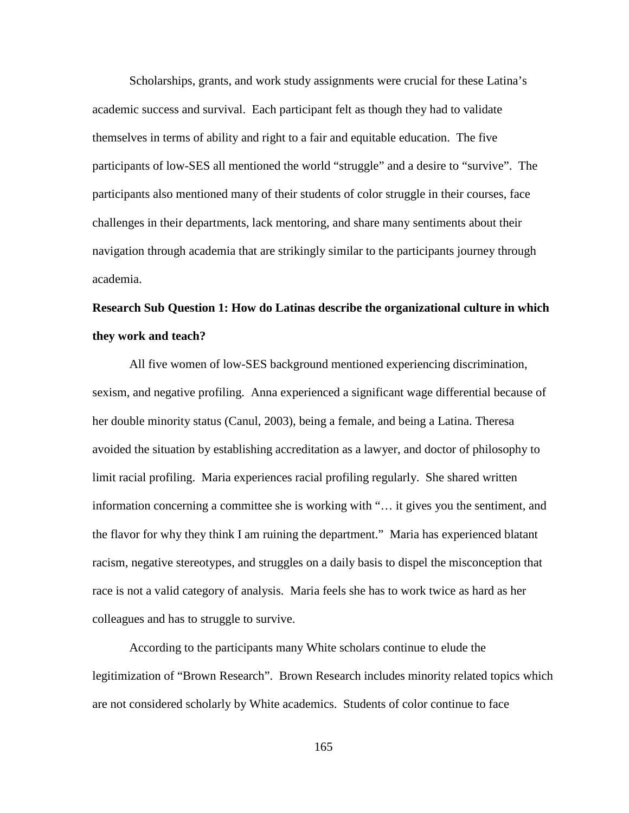Scholarships, grants, and work study assignments were crucial for these Latina's academic success and survival. Each participant felt as though they had to validate themselves in terms of ability and right to a fair and equitable education. The five participants of low-SES all mentioned the world "struggle" and a desire to "survive". The participants also mentioned many of their students of color struggle in their courses, face challenges in their departments, lack mentoring, and share many sentiments about their navigation through academia that are strikingly similar to the participants journey through academia.

# **Research Sub Question 1: How do Latinas describe the organizational culture in which they work and teach?**

All five women of low-SES background mentioned experiencing discrimination, sexism, and negative profiling. Anna experienced a significant wage differential because of her double minority status (Canul, 2003), being a female, and being a Latina. Theresa avoided the situation by establishing accreditation as a lawyer, and doctor of philosophy to limit racial profiling. Maria experiences racial profiling regularly. She shared written information concerning a committee she is working with "… it gives you the sentiment, and the flavor for why they think I am ruining the department." Maria has experienced blatant racism, negative stereotypes, and struggles on a daily basis to dispel the misconception that race is not a valid category of analysis. Maria feels she has to work twice as hard as her colleagues and has to struggle to survive.

According to the participants many White scholars continue to elude the legitimization of "Brown Research". Brown Research includes minority related topics which are not considered scholarly by White academics. Students of color continue to face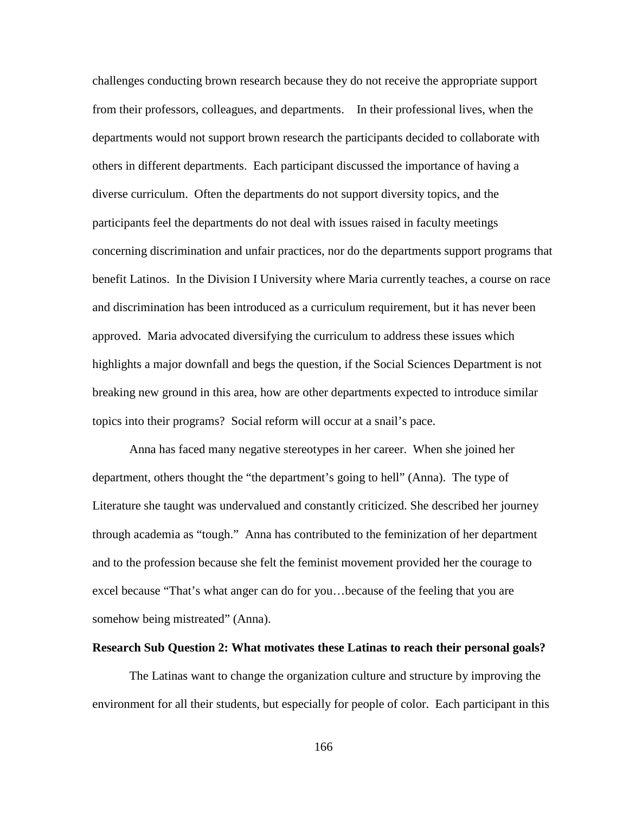challenges conducting brown research because they do not receive the appropriate support from their professors, colleagues, and departments. In their professional lives, when the departments would not support brown research the participants decided to collaborate with others in different departments. Each participant discussed the importance of having a diverse curriculum. Often the departments do not support diversity topics, and the participants feel the departments do not deal with issues raised in faculty meetings concerning discrimination and unfair practices, nor do the departments support programs that benefit Latinos. In the Division I University where Maria currently teaches, a course on race and discrimination has been introduced as a curriculum requirement, but it has never been approved. Maria advocated diversifying the curriculum to address these issues which highlights a major downfall and begs the question, if the Social Sciences Department is not breaking new ground in this area, how are other departments expected to introduce similar topics into their programs? Social reform will occur at a snail's pace.

Anna has faced many negative stereotypes in her career. When she joined her department, others thought the "the department's going to hell" (Anna). The type of Literature she taught was undervalued and constantly criticized. She described her journey through academia as "tough." Anna has contributed to the feminization of her department and to the profession because she felt the feminist movement provided her the courage to excel because "That's what anger can do for you…because of the feeling that you are somehow being mistreated" (Anna).

#### **Research Sub Question 2: What motivates these Latinas to reach their personal goals?**

The Latinas want to change the organization culture and structure by improving the environment for all their students, but especially for people of color. Each participant in this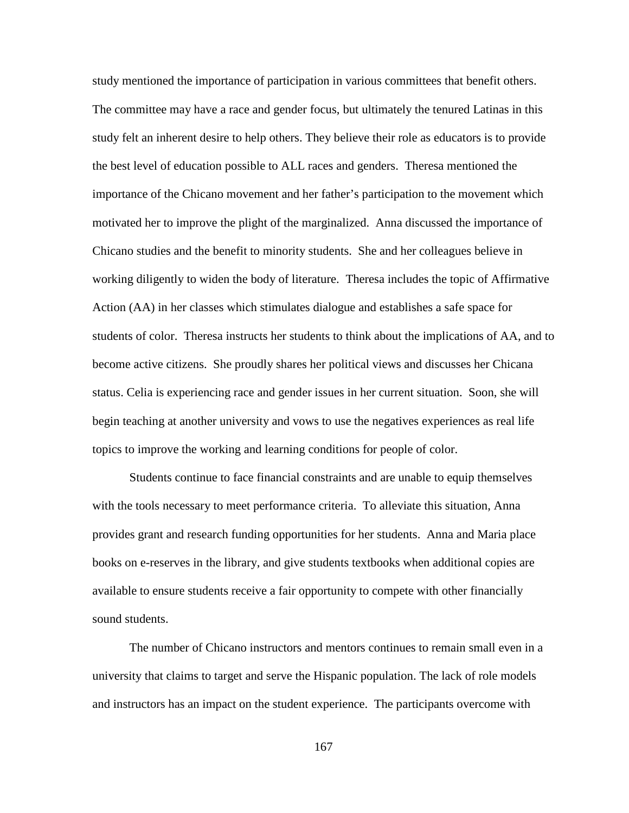study mentioned the importance of participation in various committees that benefit others. The committee may have a race and gender focus, but ultimately the tenured Latinas in this study felt an inherent desire to help others. They believe their role as educators is to provide the best level of education possible to ALL races and genders. Theresa mentioned the importance of the Chicano movement and her father's participation to the movement which motivated her to improve the plight of the marginalized. Anna discussed the importance of Chicano studies and the benefit to minority students. She and her colleagues believe in working diligently to widen the body of literature. Theresa includes the topic of Affirmative Action (AA) in her classes which stimulates dialogue and establishes a safe space for students of color. Theresa instructs her students to think about the implications of AA, and to become active citizens. She proudly shares her political views and discusses her Chicana status. Celia is experiencing race and gender issues in her current situation. Soon, she will begin teaching at another university and vows to use the negatives experiences as real life topics to improve the working and learning conditions for people of color.

Students continue to face financial constraints and are unable to equip themselves with the tools necessary to meet performance criteria. To alleviate this situation, Anna provides grant and research funding opportunities for her students. Anna and Maria place books on e-reserves in the library, and give students textbooks when additional copies are available to ensure students receive a fair opportunity to compete with other financially sound students.

The number of Chicano instructors and mentors continues to remain small even in a university that claims to target and serve the Hispanic population. The lack of role models and instructors has an impact on the student experience. The participants overcome with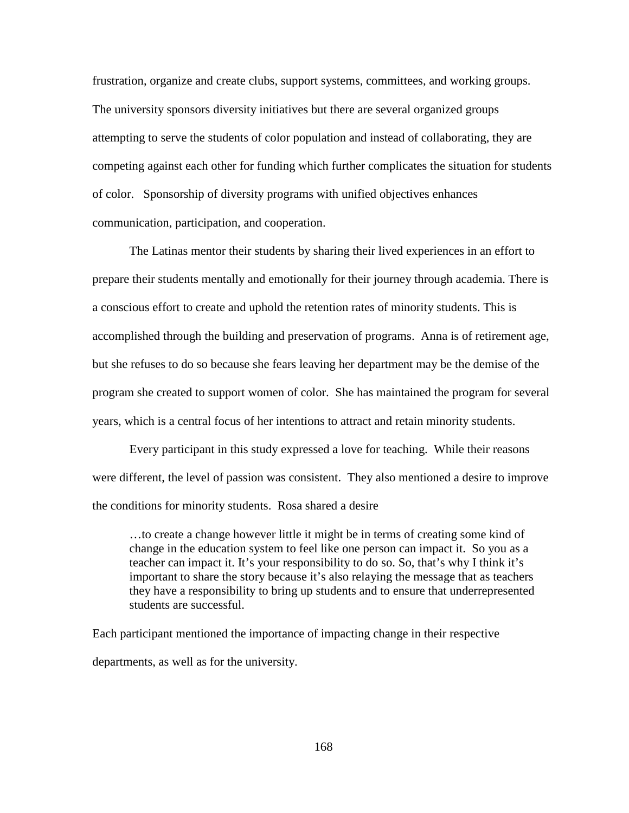frustration, organize and create clubs, support systems, committees, and working groups. The university sponsors diversity initiatives but there are several organized groups attempting to serve the students of color population and instead of collaborating, they are competing against each other for funding which further complicates the situation for students of color. Sponsorship of diversity programs with unified objectives enhances communication, participation, and cooperation.

The Latinas mentor their students by sharing their lived experiences in an effort to prepare their students mentally and emotionally for their journey through academia. There is a conscious effort to create and uphold the retention rates of minority students. This is accomplished through the building and preservation of programs. Anna is of retirement age, but she refuses to do so because she fears leaving her department may be the demise of the program she created to support women of color. She has maintained the program for several years, which is a central focus of her intentions to attract and retain minority students.

Every participant in this study expressed a love for teaching. While their reasons were different, the level of passion was consistent. They also mentioned a desire to improve the conditions for minority students. Rosa shared a desire

…to create a change however little it might be in terms of creating some kind of change in the education system to feel like one person can impact it. So you as a teacher can impact it. It's your responsibility to do so. So, that's why I think it's important to share the story because it's also relaying the message that as teachers they have a responsibility to bring up students and to ensure that underrepresented students are successful.

Each participant mentioned the importance of impacting change in their respective departments, as well as for the university.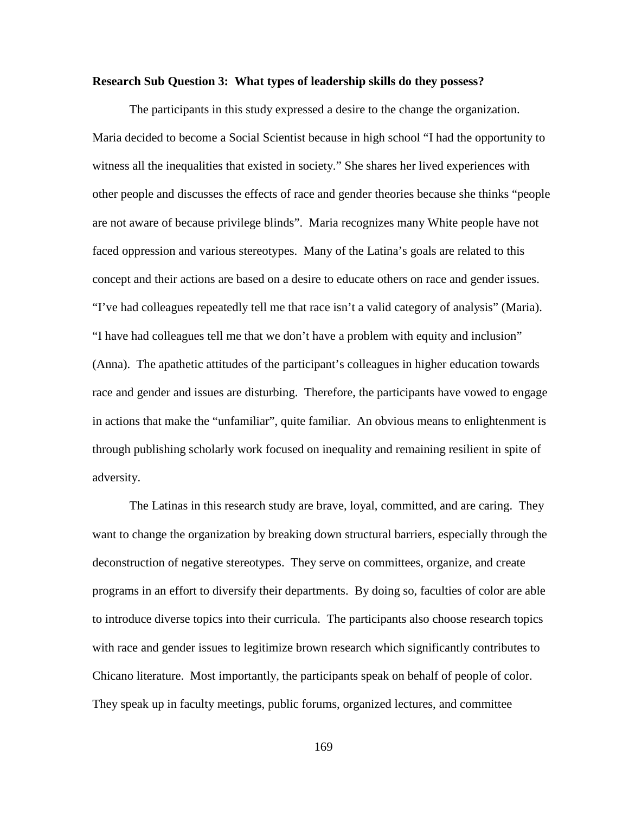## **Research Sub Question 3: What types of leadership skills do they possess?**

The participants in this study expressed a desire to the change the organization. Maria decided to become a Social Scientist because in high school "I had the opportunity to witness all the inequalities that existed in society." She shares her lived experiences with other people and discusses the effects of race and gender theories because she thinks "people are not aware of because privilege blinds". Maria recognizes many White people have not faced oppression and various stereotypes. Many of the Latina's goals are related to this concept and their actions are based on a desire to educate others on race and gender issues. "I've had colleagues repeatedly tell me that race isn't a valid category of analysis" (Maria). "I have had colleagues tell me that we don't have a problem with equity and inclusion" (Anna). The apathetic attitudes of the participant's colleagues in higher education towards race and gender and issues are disturbing. Therefore, the participants have vowed to engage in actions that make the "unfamiliar", quite familiar. An obvious means to enlightenment is through publishing scholarly work focused on inequality and remaining resilient in spite of adversity.

The Latinas in this research study are brave, loyal, committed, and are caring. They want to change the organization by breaking down structural barriers, especially through the deconstruction of negative stereotypes. They serve on committees, organize, and create programs in an effort to diversify their departments. By doing so, faculties of color are able to introduce diverse topics into their curricula. The participants also choose research topics with race and gender issues to legitimize brown research which significantly contributes to Chicano literature. Most importantly, the participants speak on behalf of people of color. They speak up in faculty meetings, public forums, organized lectures, and committee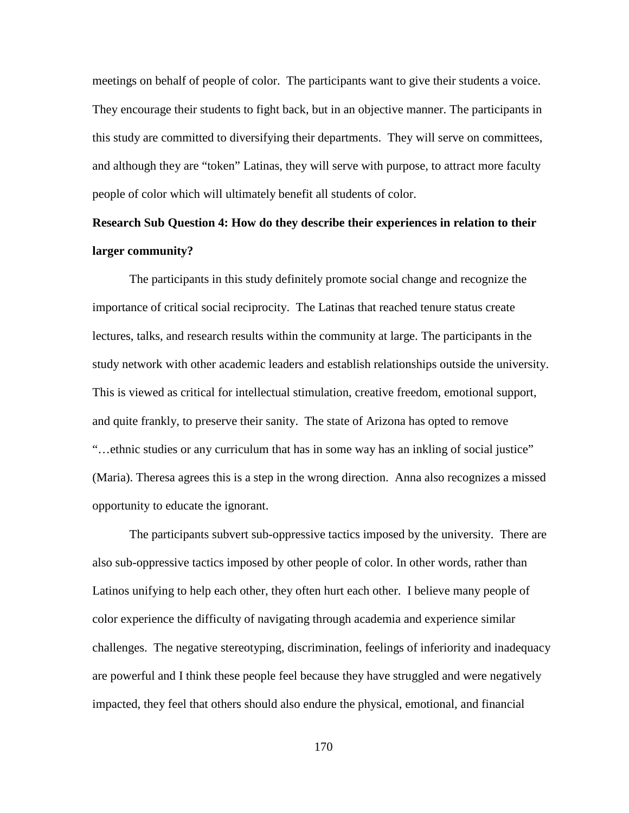meetings on behalf of people of color. The participants want to give their students a voice. They encourage their students to fight back, but in an objective manner. The participants in this study are committed to diversifying their departments. They will serve on committees, and although they are "token" Latinas, they will serve with purpose, to attract more faculty people of color which will ultimately benefit all students of color.

# **Research Sub Question 4: How do they describe their experiences in relation to their larger community?**

The participants in this study definitely promote social change and recognize the importance of critical social reciprocity. The Latinas that reached tenure status create lectures, talks, and research results within the community at large. The participants in the study network with other academic leaders and establish relationships outside the university. This is viewed as critical for intellectual stimulation, creative freedom, emotional support, and quite frankly, to preserve their sanity. The state of Arizona has opted to remove "…ethnic studies or any curriculum that has in some way has an inkling of social justice" (Maria). Theresa agrees this is a step in the wrong direction. Anna also recognizes a missed opportunity to educate the ignorant.

The participants subvert sub-oppressive tactics imposed by the university. There are also sub-oppressive tactics imposed by other people of color. In other words, rather than Latinos unifying to help each other, they often hurt each other. I believe many people of color experience the difficulty of navigating through academia and experience similar challenges. The negative stereotyping, discrimination, feelings of inferiority and inadequacy are powerful and I think these people feel because they have struggled and were negatively impacted, they feel that others should also endure the physical, emotional, and financial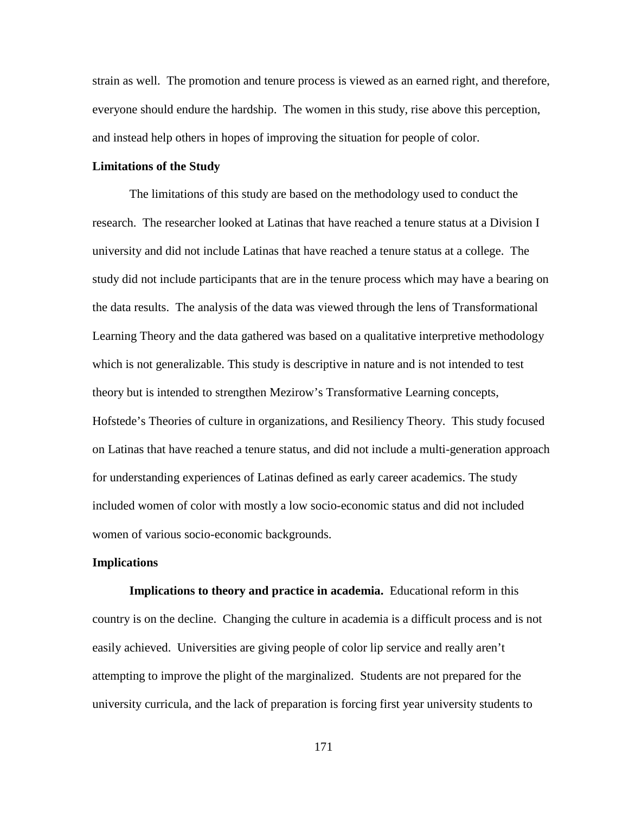strain as well. The promotion and tenure process is viewed as an earned right, and therefore, everyone should endure the hardship. The women in this study, rise above this perception, and instead help others in hopes of improving the situation for people of color.

# **Limitations of the Study**

The limitations of this study are based on the methodology used to conduct the research. The researcher looked at Latinas that have reached a tenure status at a Division I university and did not include Latinas that have reached a tenure status at a college. The study did not include participants that are in the tenure process which may have a bearing on the data results. The analysis of the data was viewed through the lens of Transformational Learning Theory and the data gathered was based on a qualitative interpretive methodology which is not generalizable. This study is descriptive in nature and is not intended to test theory but is intended to strengthen Mezirow's Transformative Learning concepts, Hofstede's Theories of culture in organizations, and Resiliency Theory. This study focused on Latinas that have reached a tenure status, and did not include a multi-generation approach for understanding experiences of Latinas defined as early career academics. The study included women of color with mostly a low socio-economic status and did not included women of various socio-economic backgrounds.

#### **Implications**

**Implications to theory and practice in academia.** Educational reform in this country is on the decline. Changing the culture in academia is a difficult process and is not easily achieved. Universities are giving people of color lip service and really aren't attempting to improve the plight of the marginalized. Students are not prepared for the university curricula, and the lack of preparation is forcing first year university students to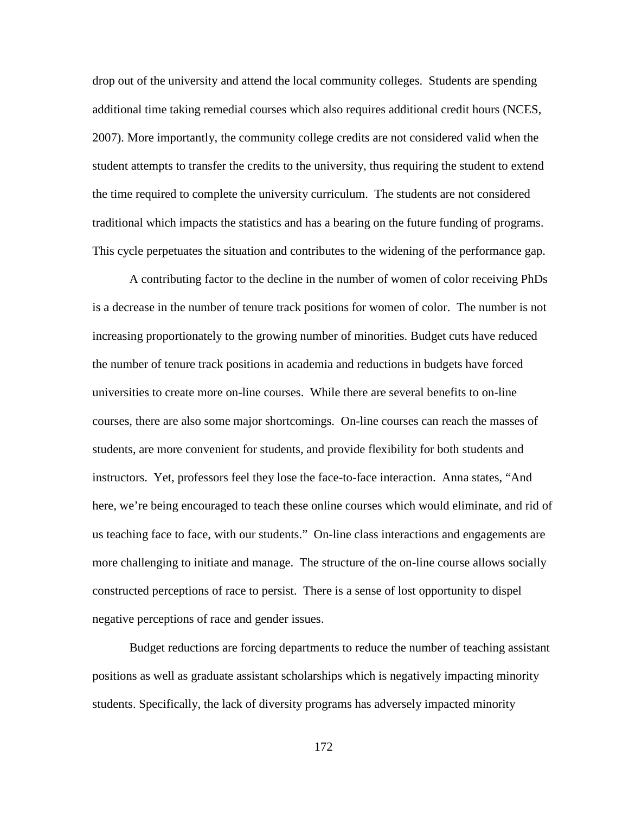drop out of the university and attend the local community colleges. Students are spending additional time taking remedial courses which also requires additional credit hours (NCES, 2007). More importantly, the community college credits are not considered valid when the student attempts to transfer the credits to the university, thus requiring the student to extend the time required to complete the university curriculum. The students are not considered traditional which impacts the statistics and has a bearing on the future funding of programs. This cycle perpetuates the situation and contributes to the widening of the performance gap.

A contributing factor to the decline in the number of women of color receiving PhDs is a decrease in the number of tenure track positions for women of color. The number is not increasing proportionately to the growing number of minorities. Budget cuts have reduced the number of tenure track positions in academia and reductions in budgets have forced universities to create more on-line courses. While there are several benefits to on-line courses, there are also some major shortcomings. On-line courses can reach the masses of students, are more convenient for students, and provide flexibility for both students and instructors. Yet, professors feel they lose the face-to-face interaction. Anna states, "And here, we're being encouraged to teach these online courses which would eliminate, and rid of us teaching face to face, with our students." On-line class interactions and engagements are more challenging to initiate and manage. The structure of the on-line course allows socially constructed perceptions of race to persist. There is a sense of lost opportunity to dispel negative perceptions of race and gender issues.

Budget reductions are forcing departments to reduce the number of teaching assistant positions as well as graduate assistant scholarships which is negatively impacting minority students. Specifically, the lack of diversity programs has adversely impacted minority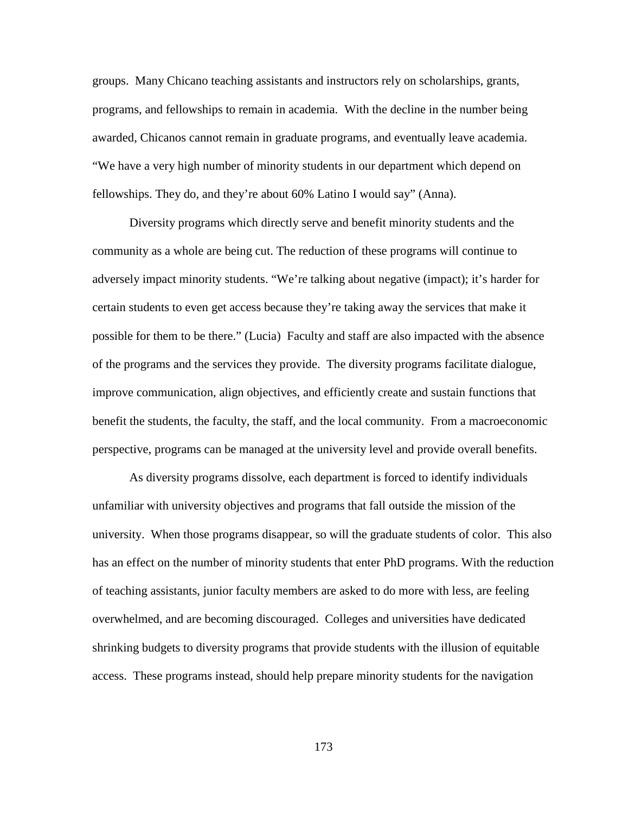groups. Many Chicano teaching assistants and instructors rely on scholarships, grants, programs, and fellowships to remain in academia. With the decline in the number being awarded, Chicanos cannot remain in graduate programs, and eventually leave academia. "We have a very high number of minority students in our department which depend on fellowships. They do, and they're about 60% Latino I would say" (Anna).

Diversity programs which directly serve and benefit minority students and the community as a whole are being cut. The reduction of these programs will continue to adversely impact minority students. "We're talking about negative (impact); it's harder for certain students to even get access because they're taking away the services that make it possible for them to be there." (Lucia) Faculty and staff are also impacted with the absence of the programs and the services they provide. The diversity programs facilitate dialogue, improve communication, align objectives, and efficiently create and sustain functions that benefit the students, the faculty, the staff, and the local community. From a macroeconomic perspective, programs can be managed at the university level and provide overall benefits.

As diversity programs dissolve, each department is forced to identify individuals unfamiliar with university objectives and programs that fall outside the mission of the university. When those programs disappear, so will the graduate students of color. This also has an effect on the number of minority students that enter PhD programs. With the reduction of teaching assistants, junior faculty members are asked to do more with less, are feeling overwhelmed, and are becoming discouraged. Colleges and universities have dedicated shrinking budgets to diversity programs that provide students with the illusion of equitable access. These programs instead, should help prepare minority students for the navigation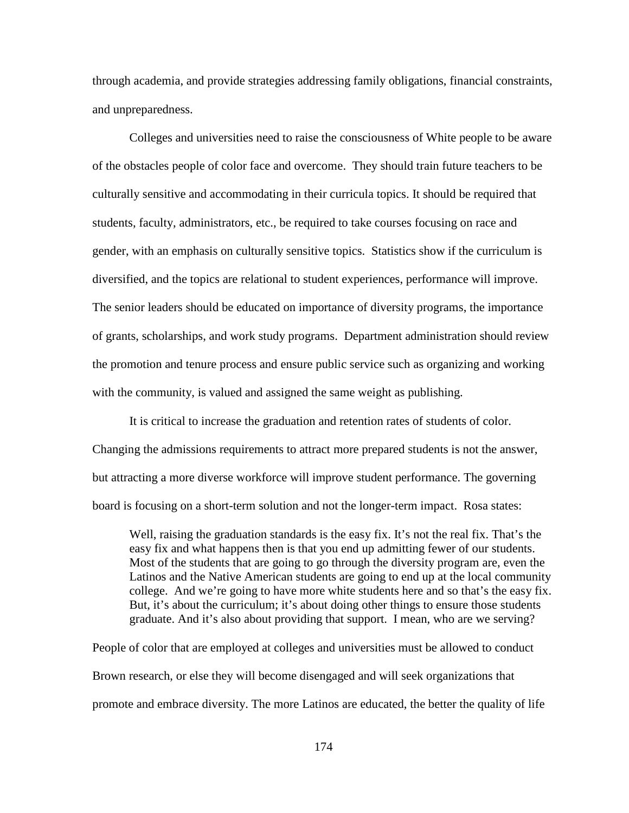through academia, and provide strategies addressing family obligations, financial constraints, and unpreparedness.

Colleges and universities need to raise the consciousness of White people to be aware of the obstacles people of color face and overcome. They should train future teachers to be culturally sensitive and accommodating in their curricula topics. It should be required that students, faculty, administrators, etc., be required to take courses focusing on race and gender, with an emphasis on culturally sensitive topics. Statistics show if the curriculum is diversified, and the topics are relational to student experiences, performance will improve. The senior leaders should be educated on importance of diversity programs, the importance of grants, scholarships, and work study programs. Department administration should review the promotion and tenure process and ensure public service such as organizing and working with the community, is valued and assigned the same weight as publishing.

It is critical to increase the graduation and retention rates of students of color. Changing the admissions requirements to attract more prepared students is not the answer, but attracting a more diverse workforce will improve student performance. The governing board is focusing on a short-term solution and not the longer-term impact. Rosa states:

Well, raising the graduation standards is the easy fix. It's not the real fix. That's the easy fix and what happens then is that you end up admitting fewer of our students. Most of the students that are going to go through the diversity program are, even the Latinos and the Native American students are going to end up at the local community college. And we're going to have more white students here and so that's the easy fix. But, it's about the curriculum; it's about doing other things to ensure those students graduate. And it's also about providing that support. I mean, who are we serving?

People of color that are employed at colleges and universities must be allowed to conduct Brown research, or else they will become disengaged and will seek organizations that promote and embrace diversity. The more Latinos are educated, the better the quality of life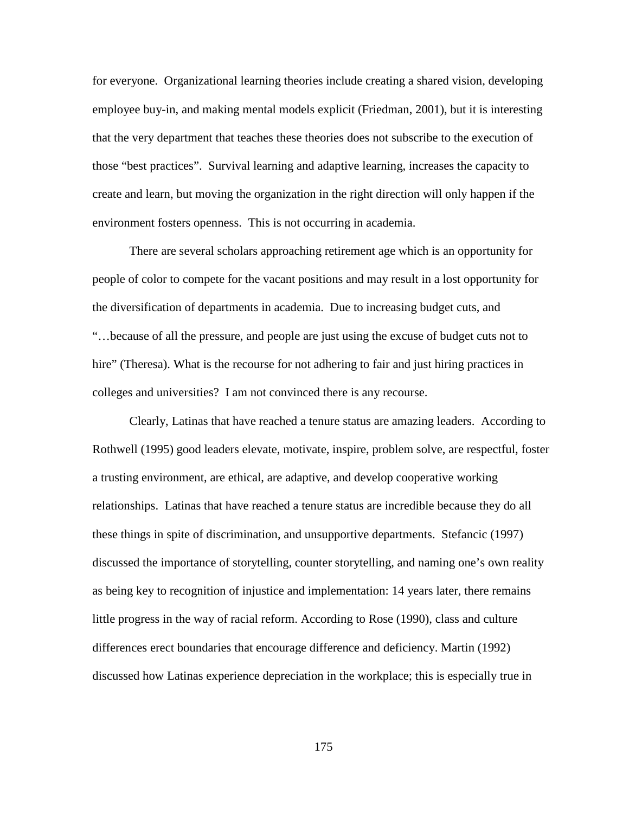for everyone. Organizational learning theories include creating a shared vision, developing employee buy-in, and making mental models explicit (Friedman, 2001), but it is interesting that the very department that teaches these theories does not subscribe to the execution of those "best practices". Survival learning and adaptive learning, increases the capacity to create and learn, but moving the organization in the right direction will only happen if the environment fosters openness. This is not occurring in academia.

There are several scholars approaching retirement age which is an opportunity for people of color to compete for the vacant positions and may result in a lost opportunity for the diversification of departments in academia. Due to increasing budget cuts, and "…because of all the pressure, and people are just using the excuse of budget cuts not to hire" (Theresa). What is the recourse for not adhering to fair and just hiring practices in colleges and universities? I am not convinced there is any recourse.

Clearly, Latinas that have reached a tenure status are amazing leaders. According to Rothwell (1995) good leaders elevate, motivate, inspire, problem solve, are respectful, foster a trusting environment, are ethical, are adaptive, and develop cooperative working relationships. Latinas that have reached a tenure status are incredible because they do all these things in spite of discrimination, and unsupportive departments. Stefancic (1997) discussed the importance of storytelling, counter storytelling, and naming one's own reality as being key to recognition of injustice and implementation: 14 years later, there remains little progress in the way of racial reform. According to Rose (1990), class and culture differences erect boundaries that encourage difference and deficiency. Martin (1992) discussed how Latinas experience depreciation in the workplace; this is especially true in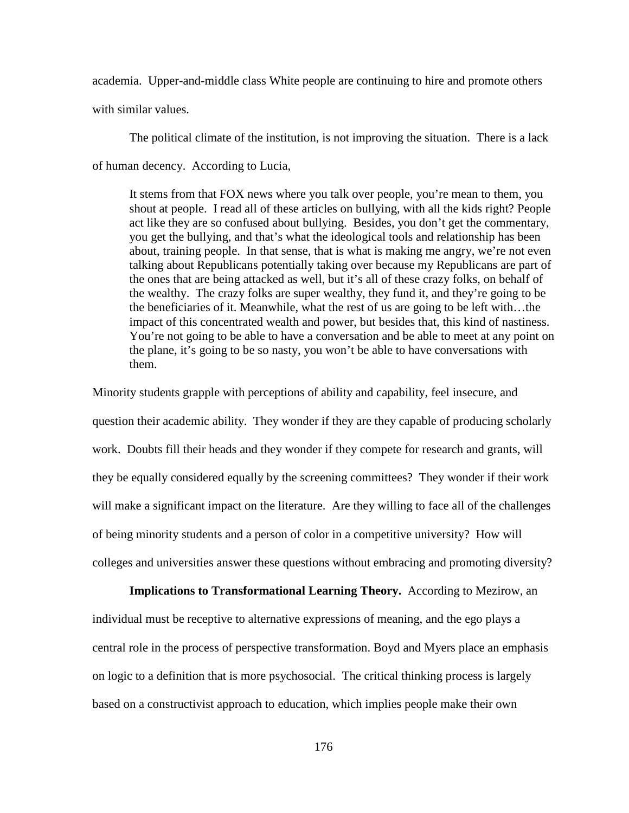academia. Upper-and-middle class White people are continuing to hire and promote others

with similar values.

The political climate of the institution, is not improving the situation. There is a lack of human decency. According to Lucia,

It stems from that FOX news where you talk over people, you're mean to them, you shout at people. I read all of these articles on bullying, with all the kids right? People act like they are so confused about bullying. Besides, you don't get the commentary, you get the bullying, and that's what the ideological tools and relationship has been about, training people. In that sense, that is what is making me angry, we're not even talking about Republicans potentially taking over because my Republicans are part of the ones that are being attacked as well, but it's all of these crazy folks, on behalf of the wealthy. The crazy folks are super wealthy, they fund it, and they're going to be the beneficiaries of it. Meanwhile, what the rest of us are going to be left with…the impact of this concentrated wealth and power, but besides that, this kind of nastiness. You're not going to be able to have a conversation and be able to meet at any point on the plane, it's going to be so nasty, you won't be able to have conversations with them.

Minority students grapple with perceptions of ability and capability, feel insecure, and question their academic ability. They wonder if they are they capable of producing scholarly work. Doubts fill their heads and they wonder if they compete for research and grants, will they be equally considered equally by the screening committees? They wonder if their work will make a significant impact on the literature. Are they willing to face all of the challenges of being minority students and a person of color in a competitive university? How will colleges and universities answer these questions without embracing and promoting diversity?

**Implications to Transformational Learning Theory.** According to Mezirow, an individual must be receptive to alternative expressions of meaning, and the ego plays a central role in the process of perspective transformation. Boyd and Myers place an emphasis on logic to a definition that is more psychosocial. The critical thinking process is largely based on a constructivist approach to education, which implies people make their own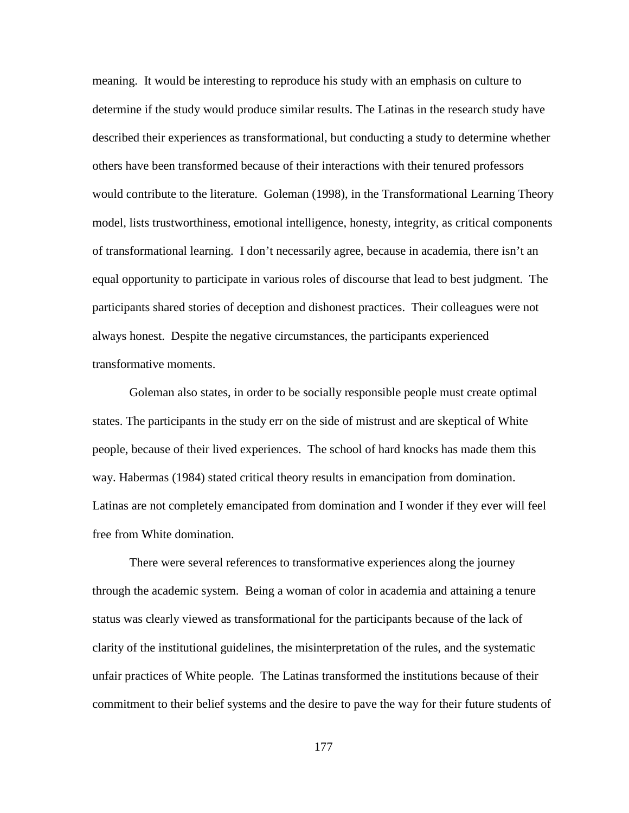meaning. It would be interesting to reproduce his study with an emphasis on culture to determine if the study would produce similar results. The Latinas in the research study have described their experiences as transformational, but conducting a study to determine whether others have been transformed because of their interactions with their tenured professors would contribute to the literature. Goleman (1998), in the Transformational Learning Theory model, lists trustworthiness, emotional intelligence, honesty, integrity, as critical components of transformational learning. I don't necessarily agree, because in academia, there isn't an equal opportunity to participate in various roles of discourse that lead to best judgment. The participants shared stories of deception and dishonest practices. Their colleagues were not always honest. Despite the negative circumstances, the participants experienced transformative moments.

Goleman also states, in order to be socially responsible people must create optimal states. The participants in the study err on the side of mistrust and are skeptical of White people, because of their lived experiences. The school of hard knocks has made them this way. Habermas (1984) stated critical theory results in emancipation from domination. Latinas are not completely emancipated from domination and I wonder if they ever will feel free from White domination.

There were several references to transformative experiences along the journey through the academic system. Being a woman of color in academia and attaining a tenure status was clearly viewed as transformational for the participants because of the lack of clarity of the institutional guidelines, the misinterpretation of the rules, and the systematic unfair practices of White people. The Latinas transformed the institutions because of their commitment to their belief systems and the desire to pave the way for their future students of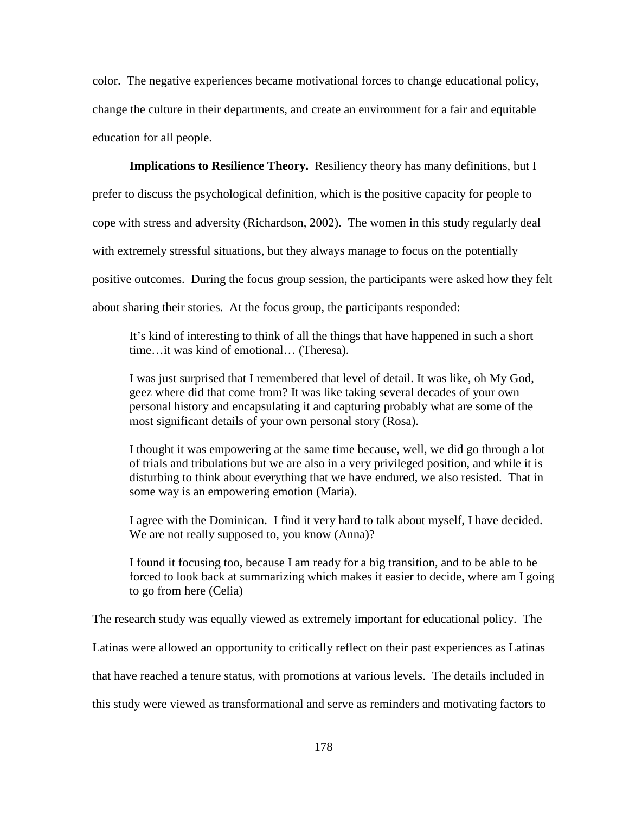color. The negative experiences became motivational forces to change educational policy, change the culture in their departments, and create an environment for a fair and equitable education for all people.

**Implications to Resilience Theory.** Resiliency theory has many definitions, but I prefer to discuss the psychological definition, which is the positive capacity for people to cope with stress and adversity (Richardson, 2002). The women in this study regularly deal with extremely stressful situations, but they always manage to focus on the potentially positive outcomes. During the focus group session, the participants were asked how they felt about sharing their stories. At the focus group, the participants responded:

It's kind of interesting to think of all the things that have happened in such a short time…it was kind of emotional… (Theresa).

I was just surprised that I remembered that level of detail. It was like, oh My God, geez where did that come from? It was like taking several decades of your own personal history and encapsulating it and capturing probably what are some of the most significant details of your own personal story (Rosa).

I thought it was empowering at the same time because, well, we did go through a lot of trials and tribulations but we are also in a very privileged position, and while it is disturbing to think about everything that we have endured, we also resisted. That in some way is an empowering emotion (Maria).

I agree with the Dominican. I find it very hard to talk about myself, I have decided. We are not really supposed to, you know (Anna)?

I found it focusing too, because I am ready for a big transition, and to be able to be forced to look back at summarizing which makes it easier to decide, where am I going to go from here (Celia)

The research study was equally viewed as extremely important for educational policy. The

Latinas were allowed an opportunity to critically reflect on their past experiences as Latinas

that have reached a tenure status, with promotions at various levels. The details included in

this study were viewed as transformational and serve as reminders and motivating factors to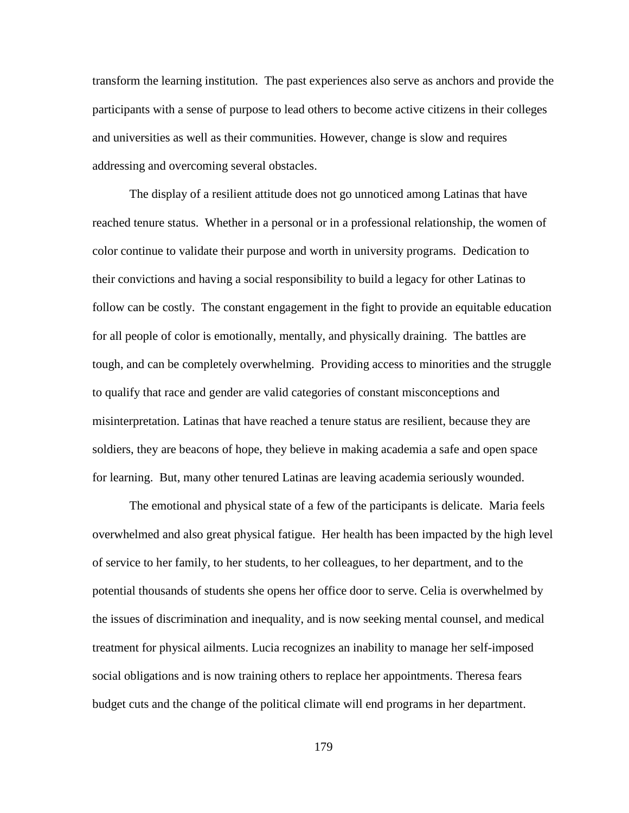transform the learning institution. The past experiences also serve as anchors and provide the participants with a sense of purpose to lead others to become active citizens in their colleges and universities as well as their communities. However, change is slow and requires addressing and overcoming several obstacles.

The display of a resilient attitude does not go unnoticed among Latinas that have reached tenure status. Whether in a personal or in a professional relationship, the women of color continue to validate their purpose and worth in university programs. Dedication to their convictions and having a social responsibility to build a legacy for other Latinas to follow can be costly. The constant engagement in the fight to provide an equitable education for all people of color is emotionally, mentally, and physically draining. The battles are tough, and can be completely overwhelming. Providing access to minorities and the struggle to qualify that race and gender are valid categories of constant misconceptions and misinterpretation. Latinas that have reached a tenure status are resilient, because they are soldiers, they are beacons of hope, they believe in making academia a safe and open space for learning. But, many other tenured Latinas are leaving academia seriously wounded.

The emotional and physical state of a few of the participants is delicate. Maria feels overwhelmed and also great physical fatigue. Her health has been impacted by the high level of service to her family, to her students, to her colleagues, to her department, and to the potential thousands of students she opens her office door to serve. Celia is overwhelmed by the issues of discrimination and inequality, and is now seeking mental counsel, and medical treatment for physical ailments. Lucia recognizes an inability to manage her self-imposed social obligations and is now training others to replace her appointments. Theresa fears budget cuts and the change of the political climate will end programs in her department.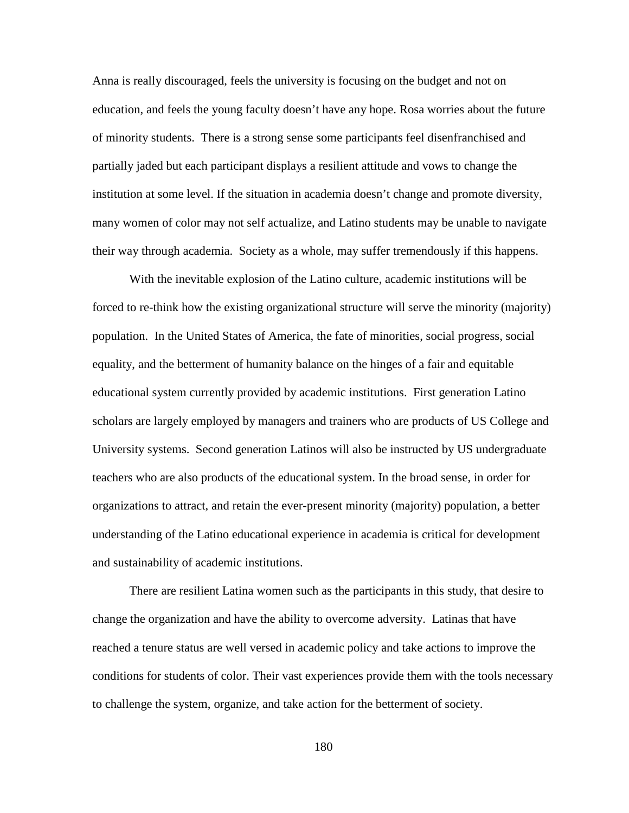Anna is really discouraged, feels the university is focusing on the budget and not on education, and feels the young faculty doesn't have any hope. Rosa worries about the future of minority students. There is a strong sense some participants feel disenfranchised and partially jaded but each participant displays a resilient attitude and vows to change the institution at some level. If the situation in academia doesn't change and promote diversity, many women of color may not self actualize, and Latino students may be unable to navigate their way through academia. Society as a whole, may suffer tremendously if this happens.

With the inevitable explosion of the Latino culture, academic institutions will be forced to re-think how the existing organizational structure will serve the minority (majority) population. In the United States of America, the fate of minorities, social progress, social equality, and the betterment of humanity balance on the hinges of a fair and equitable educational system currently provided by academic institutions. First generation Latino scholars are largely employed by managers and trainers who are products of US College and University systems. Second generation Latinos will also be instructed by US undergraduate teachers who are also products of the educational system. In the broad sense, in order for organizations to attract, and retain the ever-present minority (majority) population, a better understanding of the Latino educational experience in academia is critical for development and sustainability of academic institutions.

There are resilient Latina women such as the participants in this study, that desire to change the organization and have the ability to overcome adversity. Latinas that have reached a tenure status are well versed in academic policy and take actions to improve the conditions for students of color. Their vast experiences provide them with the tools necessary to challenge the system, organize, and take action for the betterment of society.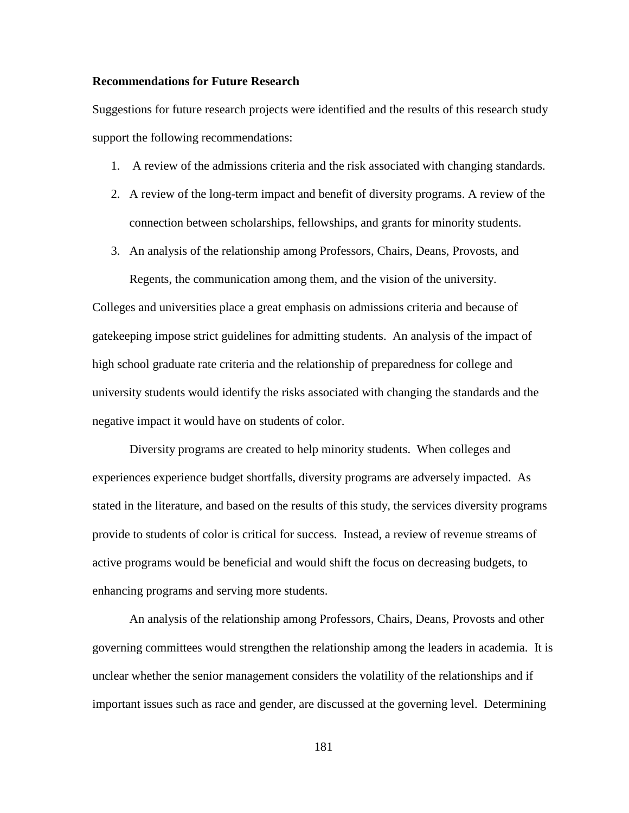# **Recommendations for Future Research**

Suggestions for future research projects were identified and the results of this research study support the following recommendations:

- 1. A review of the admissions criteria and the risk associated with changing standards.
- 2. A review of the long-term impact and benefit of diversity programs. A review of the connection between scholarships, fellowships, and grants for minority students.
- 3. An analysis of the relationship among Professors, Chairs, Deans, Provosts, and

Regents, the communication among them, and the vision of the university. Colleges and universities place a great emphasis on admissions criteria and because of gatekeeping impose strict guidelines for admitting students. An analysis of the impact of high school graduate rate criteria and the relationship of preparedness for college and university students would identify the risks associated with changing the standards and the negative impact it would have on students of color.

Diversity programs are created to help minority students. When colleges and experiences experience budget shortfalls, diversity programs are adversely impacted. As stated in the literature, and based on the results of this study, the services diversity programs provide to students of color is critical for success. Instead, a review of revenue streams of active programs would be beneficial and would shift the focus on decreasing budgets, to enhancing programs and serving more students.

An analysis of the relationship among Professors, Chairs, Deans, Provosts and other governing committees would strengthen the relationship among the leaders in academia. It is unclear whether the senior management considers the volatility of the relationships and if important issues such as race and gender, are discussed at the governing level. Determining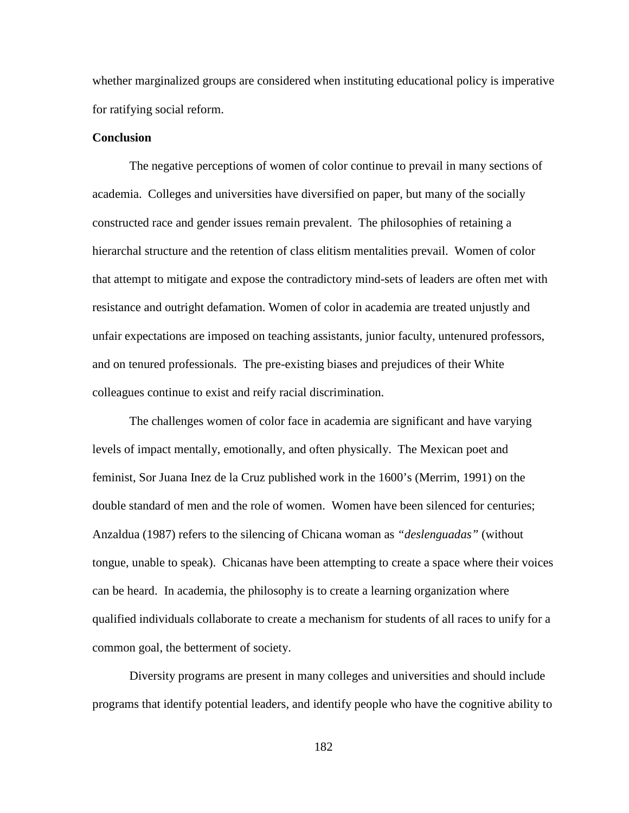whether marginalized groups are considered when instituting educational policy is imperative for ratifying social reform.

# **Conclusion**

The negative perceptions of women of color continue to prevail in many sections of academia. Colleges and universities have diversified on paper, but many of the socially constructed race and gender issues remain prevalent. The philosophies of retaining a hierarchal structure and the retention of class elitism mentalities prevail. Women of color that attempt to mitigate and expose the contradictory mind-sets of leaders are often met with resistance and outright defamation. Women of color in academia are treated unjustly and unfair expectations are imposed on teaching assistants, junior faculty, untenured professors, and on tenured professionals. The pre-existing biases and prejudices of their White colleagues continue to exist and reify racial discrimination.

The challenges women of color face in academia are significant and have varying levels of impact mentally, emotionally, and often physically. The Mexican poet and feminist, Sor Juana Inez de la Cruz published work in the 1600's (Merrim, 1991) on the double standard of men and the role of women. Women have been silenced for centuries; Anzaldua (1987) refers to the silencing of Chicana woman as *"deslenguadas"* (without tongue, unable to speak). Chicanas have been attempting to create a space where their voices can be heard. In academia, the philosophy is to create a learning organization where qualified individuals collaborate to create a mechanism for students of all races to unify for a common goal, the betterment of society.

Diversity programs are present in many colleges and universities and should include programs that identify potential leaders, and identify people who have the cognitive ability to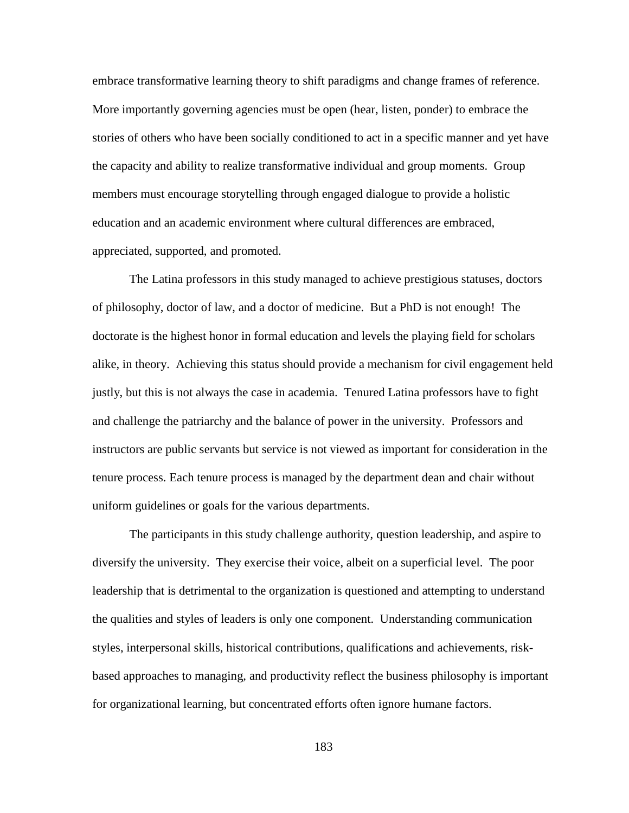embrace transformative learning theory to shift paradigms and change frames of reference. More importantly governing agencies must be open (hear, listen, ponder) to embrace the stories of others who have been socially conditioned to act in a specific manner and yet have the capacity and ability to realize transformative individual and group moments. Group members must encourage storytelling through engaged dialogue to provide a holistic education and an academic environment where cultural differences are embraced, appreciated, supported, and promoted.

The Latina professors in this study managed to achieve prestigious statuses, doctors of philosophy, doctor of law, and a doctor of medicine. But a PhD is not enough! The doctorate is the highest honor in formal education and levels the playing field for scholars alike, in theory. Achieving this status should provide a mechanism for civil engagement held justly, but this is not always the case in academia. Tenured Latina professors have to fight and challenge the patriarchy and the balance of power in the university. Professors and instructors are public servants but service is not viewed as important for consideration in the tenure process. Each tenure process is managed by the department dean and chair without uniform guidelines or goals for the various departments.

The participants in this study challenge authority, question leadership, and aspire to diversify the university. They exercise their voice, albeit on a superficial level. The poor leadership that is detrimental to the organization is questioned and attempting to understand the qualities and styles of leaders is only one component. Understanding communication styles, interpersonal skills, historical contributions, qualifications and achievements, riskbased approaches to managing, and productivity reflect the business philosophy is important for organizational learning, but concentrated efforts often ignore humane factors.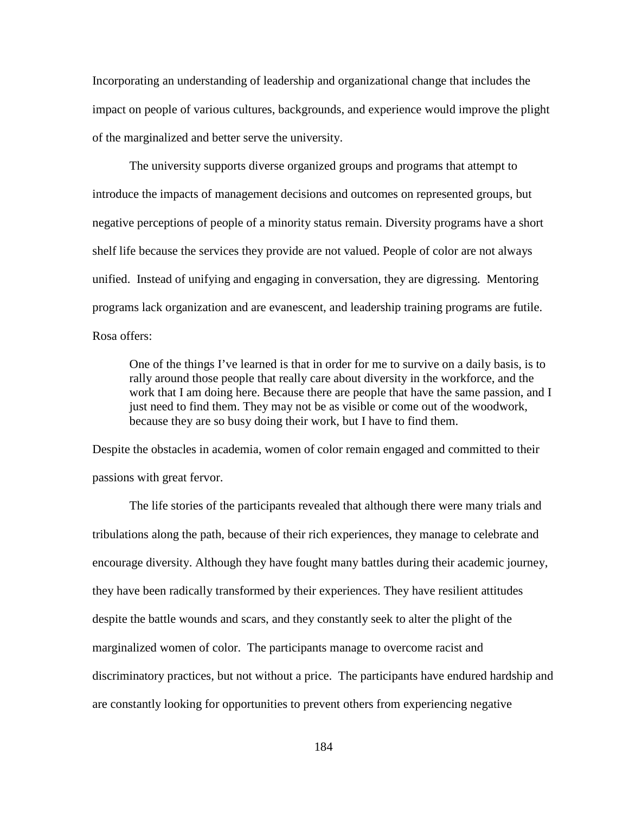Incorporating an understanding of leadership and organizational change that includes the impact on people of various cultures, backgrounds, and experience would improve the plight of the marginalized and better serve the university.

The university supports diverse organized groups and programs that attempt to introduce the impacts of management decisions and outcomes on represented groups, but negative perceptions of people of a minority status remain. Diversity programs have a short shelf life because the services they provide are not valued. People of color are not always unified. Instead of unifying and engaging in conversation, they are digressing. Mentoring programs lack organization and are evanescent, and leadership training programs are futile. Rosa offers:

One of the things I've learned is that in order for me to survive on a daily basis, is to rally around those people that really care about diversity in the workforce, and the work that I am doing here. Because there are people that have the same passion, and I just need to find them. They may not be as visible or come out of the woodwork, because they are so busy doing their work, but I have to find them.

Despite the obstacles in academia, women of color remain engaged and committed to their passions with great fervor.

The life stories of the participants revealed that although there were many trials and tribulations along the path, because of their rich experiences, they manage to celebrate and encourage diversity. Although they have fought many battles during their academic journey, they have been radically transformed by their experiences. They have resilient attitudes despite the battle wounds and scars, and they constantly seek to alter the plight of the marginalized women of color. The participants manage to overcome racist and discriminatory practices, but not without a price. The participants have endured hardship and are constantly looking for opportunities to prevent others from experiencing negative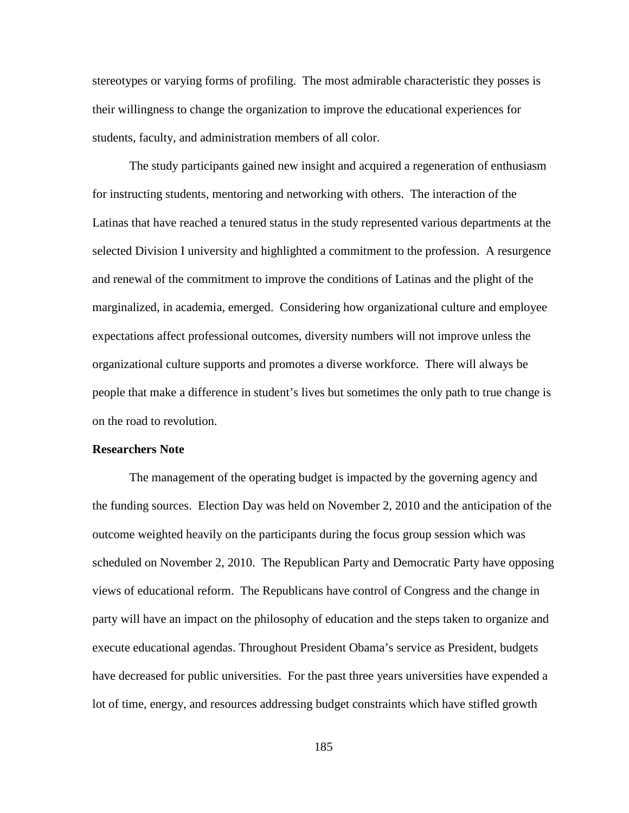stereotypes or varying forms of profiling. The most admirable characteristic they posses is their willingness to change the organization to improve the educational experiences for students, faculty, and administration members of all color.

The study participants gained new insight and acquired a regeneration of enthusiasm for instructing students, mentoring and networking with others. The interaction of the Latinas that have reached a tenured status in the study represented various departments at the selected Division I university and highlighted a commitment to the profession. A resurgence and renewal of the commitment to improve the conditions of Latinas and the plight of the marginalized, in academia, emerged. Considering how organizational culture and employee expectations affect professional outcomes, diversity numbers will not improve unless the organizational culture supports and promotes a diverse workforce. There will always be people that make a difference in student's lives but sometimes the only path to true change is on the road to revolution.

#### **Researchers Note**

The management of the operating budget is impacted by the governing agency and the funding sources. Election Day was held on November 2, 2010 and the anticipation of the outcome weighted heavily on the participants during the focus group session which was scheduled on November 2, 2010. The Republican Party and Democratic Party have opposing views of educational reform. The Republicans have control of Congress and the change in party will have an impact on the philosophy of education and the steps taken to organize and execute educational agendas. Throughout President Obama's service as President, budgets have decreased for public universities. For the past three years universities have expended a lot of time, energy, and resources addressing budget constraints which have stifled growth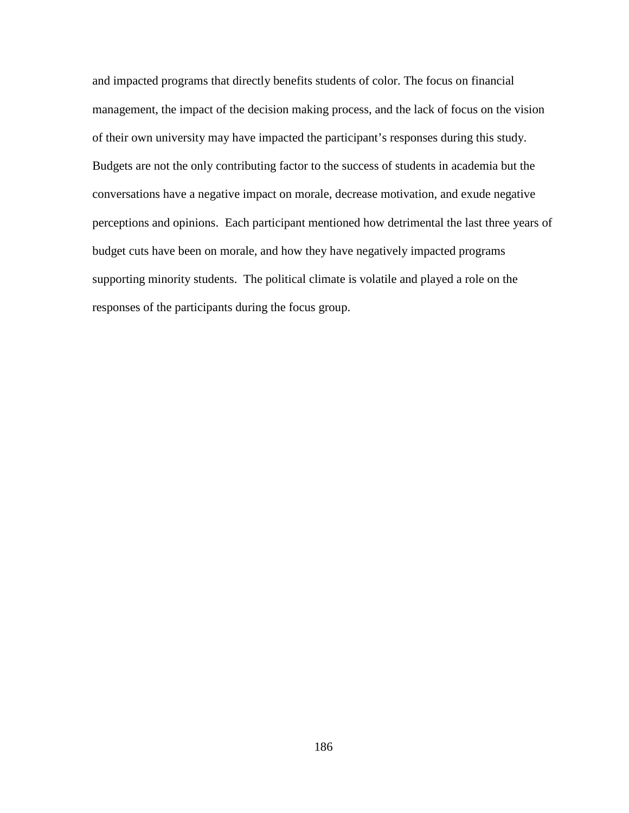and impacted programs that directly benefits students of color. The focus on financial management, the impact of the decision making process, and the lack of focus on the vision of their own university may have impacted the participant's responses during this study. Budgets are not the only contributing factor to the success of students in academia but the conversations have a negative impact on morale, decrease motivation, and exude negative perceptions and opinions. Each participant mentioned how detrimental the last three years of budget cuts have been on morale, and how they have negatively impacted programs supporting minority students. The political climate is volatile and played a role on the responses of the participants during the focus group.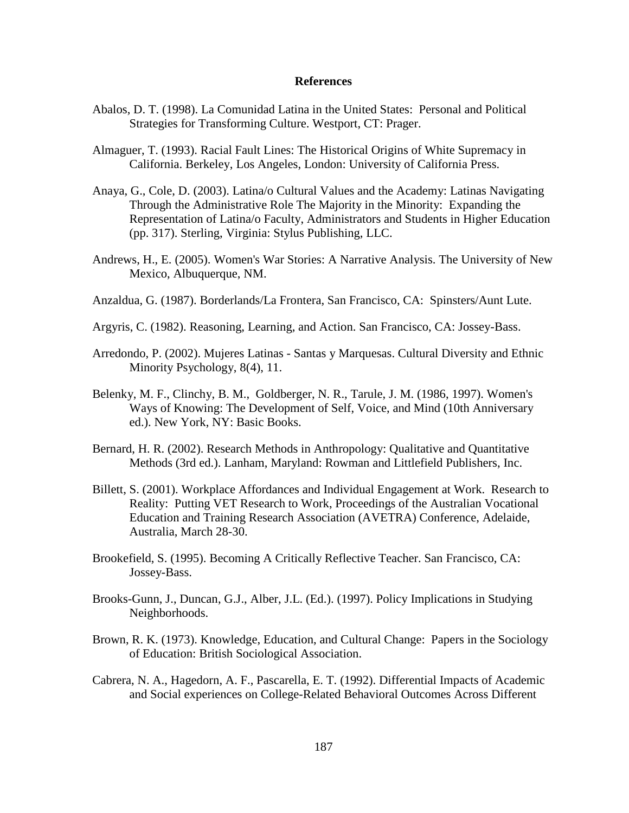# **References**

- Abalos, D. T. (1998). La Comunidad Latina in the United States: Personal and Political Strategies for Transforming Culture. Westport, CT: Prager.
- Almaguer, T. (1993). Racial Fault Lines: The Historical Origins of White Supremacy in California. Berkeley, Los Angeles, London: University of California Press.
- Anaya, G., Cole, D. (2003). Latina/o Cultural Values and the Academy: Latinas Navigating Through the Administrative Role The Majority in the Minority: Expanding the Representation of Latina/o Faculty, Administrators and Students in Higher Education (pp. 317). Sterling, Virginia: Stylus Publishing, LLC.
- Andrews, H., E. (2005). Women's War Stories: A Narrative Analysis. The University of New Mexico, Albuquerque, NM.
- Anzaldua, G. (1987). Borderlands/La Frontera, San Francisco, CA: Spinsters/Aunt Lute.
- Argyris, C. (1982). Reasoning, Learning, and Action. San Francisco, CA: Jossey-Bass.
- Arredondo, P. (2002). Mujeres Latinas Santas y Marquesas. Cultural Diversity and Ethnic Minority Psychology, 8(4), 11.
- Belenky, M. F., Clinchy, B. M., Goldberger, N. R., Tarule, J. M. (1986, 1997). Women's Ways of Knowing: The Development of Self, Voice, and Mind (10th Anniversary ed.). New York, NY: Basic Books.
- Bernard, H. R. (2002). Research Methods in Anthropology: Qualitative and Quantitative Methods (3rd ed.). Lanham, Maryland: Rowman and Littlefield Publishers, Inc.
- Billett, S. (2001). Workplace Affordances and Individual Engagement at Work. Research to Reality: Putting VET Research to Work, Proceedings of the Australian Vocational Education and Training Research Association (AVETRA) Conference, Adelaide, Australia, March 28-30.
- Brookefield, S. (1995). Becoming A Critically Reflective Teacher. San Francisco, CA: Jossey-Bass.
- Brooks-Gunn, J., Duncan, G.J., Alber, J.L. (Ed.). (1997). Policy Implications in Studying Neighborhoods.
- Brown, R. K. (1973). Knowledge, Education, and Cultural Change: Papers in the Sociology of Education: British Sociological Association.
- Cabrera, N. A., Hagedorn, A. F., Pascarella, E. T. (1992). Differential Impacts of Academic and Social experiences on College-Related Behavioral Outcomes Across Different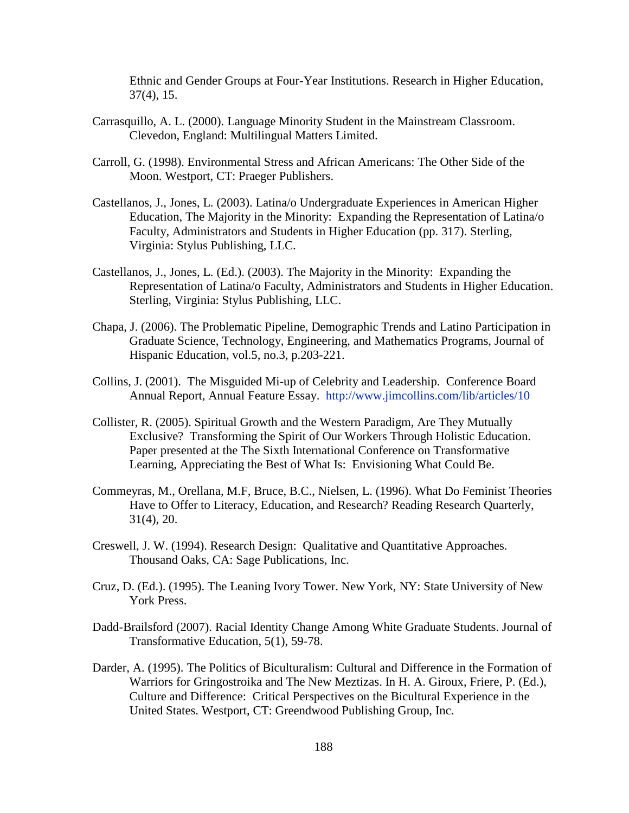Ethnic and Gender Groups at Four-Year Institutions. Research in Higher Education, 37(4), 15.

- Carrasquillo, A. L. (2000). Language Minority Student in the Mainstream Classroom. Clevedon, England: Multilingual Matters Limited.
- Carroll, G. (1998). Environmental Stress and African Americans: The Other Side of the Moon. Westport, CT: Praeger Publishers.
- Castellanos, J., Jones, L. (2003). Latina/o Undergraduate Experiences in American Higher Education, The Majority in the Minority: Expanding the Representation of Latina/o Faculty, Administrators and Students in Higher Education (pp. 317). Sterling, Virginia: Stylus Publishing, LLC.
- Castellanos, J., Jones, L. (Ed.). (2003). The Majority in the Minority: Expanding the Representation of Latina/o Faculty, Administrators and Students in Higher Education. Sterling, Virginia: Stylus Publishing, LLC.
- Chapa, J. (2006). The Problematic Pipeline, Demographic Trends and Latino Participation in Graduate Science, Technology, Engineering, and Mathematics Programs, Journal of Hispanic Education, vol.5, no.3, p.203-221.
- Collins, J. (2001). The Misguided Mi-up of Celebrity and Leadership. Conference Board Annual Report, Annual Feature Essay. <http://www.jimcollins.com/lib/articles/10>
- Collister, R. (2005). Spiritual Growth and the Western Paradigm, Are They Mutually Exclusive? Transforming the Spirit of Our Workers Through Holistic Education. Paper presented at the The Sixth International Conference on Transformative Learning, Appreciating the Best of What Is: Envisioning What Could Be.
- Commeyras, M., Orellana, M.F, Bruce, B.C., Nielsen, L. (1996). What Do Feminist Theories Have to Offer to Literacy, Education, and Research? Reading Research Quarterly, 31(4), 20.
- Creswell, J. W. (1994). Research Design: Qualitative and Quantitative Approaches. Thousand Oaks, CA: Sage Publications, Inc.
- Cruz, D. (Ed.). (1995). The Leaning Ivory Tower. New York, NY: State University of New York Press.
- Dadd-Brailsford (2007). Racial Identity Change Among White Graduate Students. Journal of Transformative Education, 5(1), 59-78.
- Darder, A. (1995). The Politics of Biculturalism: Cultural and Difference in the Formation of Warriors for Gringostroika and The New Meztizas. In H. A. Giroux, Friere, P. (Ed.), Culture and Difference: Critical Perspectives on the Bicultural Experience in the United States. Westport, CT: Greendwood Publishing Group, Inc.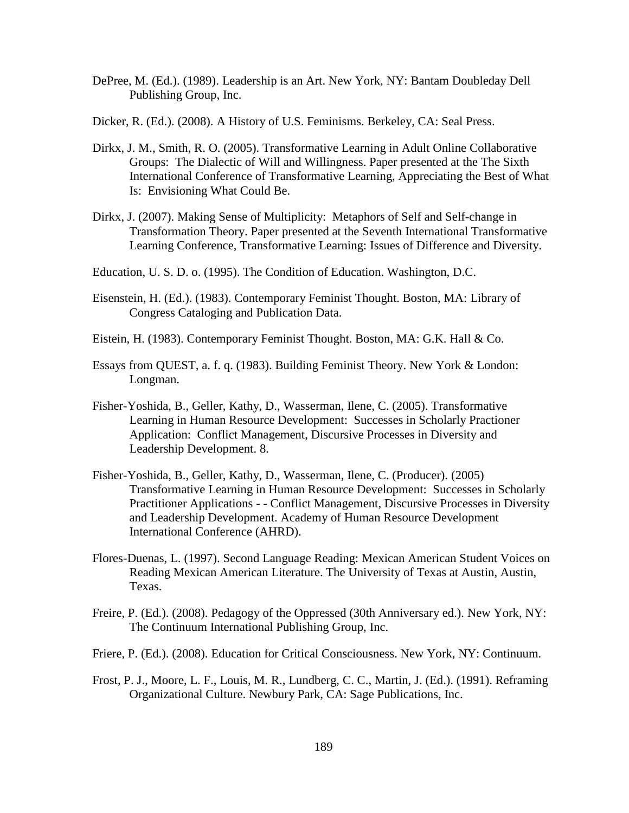- DePree, M. (Ed.). (1989). Leadership is an Art. New York, NY: Bantam Doubleday Dell Publishing Group, Inc.
- Dicker, R. (Ed.). (2008). A History of U.S. Feminisms. Berkeley, CA: Seal Press.
- Dirkx, J. M., Smith, R. O. (2005). Transformative Learning in Adult Online Collaborative Groups: The Dialectic of Will and Willingness. Paper presented at the The Sixth International Conference of Transformative Learning, Appreciating the Best of What Is: Envisioning What Could Be.
- Dirkx, J. (2007). Making Sense of Multiplicity: Metaphors of Self and Self-change in Transformation Theory. Paper presented at the Seventh International Transformative Learning Conference, Transformative Learning: Issues of Difference and Diversity.
- Education, U. S. D. o. (1995). The Condition of Education. Washington, D.C.
- Eisenstein, H. (Ed.). (1983). Contemporary Feminist Thought. Boston, MA: Library of Congress Cataloging and Publication Data.
- Eistein, H. (1983). Contemporary Feminist Thought. Boston, MA: G.K. Hall & Co.
- Essays from QUEST, a. f. q. (1983). Building Feminist Theory. New York & London: Longman.
- Fisher-Yoshida, B., Geller, Kathy, D., Wasserman, Ilene, C. (2005). Transformative Learning in Human Resource Development: Successes in Scholarly Practioner Application: Conflict Management, Discursive Processes in Diversity and Leadership Development. 8.
- Fisher-Yoshida, B., Geller, Kathy, D., Wasserman, Ilene, C. (Producer). (2005) Transformative Learning in Human Resource Development: Successes in Scholarly Practitioner Applications - - Conflict Management, Discursive Processes in Diversity and Leadership Development. Academy of Human Resource Development International Conference (AHRD).
- Flores-Duenas, L. (1997). Second Language Reading: Mexican American Student Voices on Reading Mexican American Literature. The University of Texas at Austin, Austin, Texas.
- Freire, P. (Ed.). (2008). Pedagogy of the Oppressed (30th Anniversary ed.). New York, NY: The Continuum International Publishing Group, Inc.
- Friere, P. (Ed.). (2008). Education for Critical Consciousness. New York, NY: Continuum.
- Frost, P. J., Moore, L. F., Louis, M. R., Lundberg, C. C., Martin, J. (Ed.). (1991). Reframing Organizational Culture. Newbury Park, CA: Sage Publications, Inc.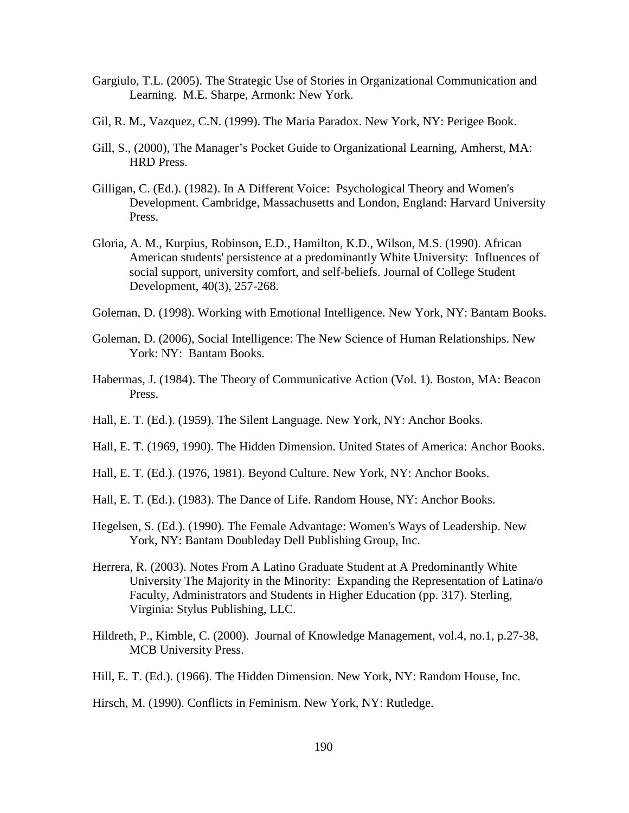- Gargiulo, T.L. (2005). The Strategic Use of Stories in Organizational Communication and Learning. M.E. Sharpe, Armonk: New York.
- Gil, R. M., Vazquez, C.N. (1999). The Maria Paradox. New York, NY: Perigee Book.
- Gill, S., (2000), The Manager's Pocket Guide to Organizational Learning, Amherst, MA: HRD Press.
- Gilligan, C. (Ed.). (1982). In A Different Voice: Psychological Theory and Women's Development. Cambridge, Massachusetts and London, England: Harvard University Press.
- Gloria, A. M., Kurpius, Robinson, E.D., Hamilton, K.D., Wilson, M.S. (1990). African American students' persistence at a predominantly White University: Influences of social support, university comfort, and self-beliefs. Journal of College Student Development, 40(3), 257-268.
- Goleman, D. (1998). Working with Emotional Intelligence. New York, NY: Bantam Books.
- Goleman, D. (2006), Social Intelligence: The New Science of Human Relationships. New York: NY: Bantam Books.
- Habermas, J. (1984). The Theory of Communicative Action (Vol. 1). Boston, MA: Beacon Press.
- Hall, E. T. (Ed.). (1959). The Silent Language. New York, NY: Anchor Books.
- Hall, E. T. (1969, 1990). The Hidden Dimension. United States of America: Anchor Books.
- Hall, E. T. (Ed.). (1976, 1981). Beyond Culture. New York, NY: Anchor Books.
- Hall, E. T. (Ed.). (1983). The Dance of Life. Random House, NY: Anchor Books.
- Hegelsen, S. (Ed.). (1990). The Female Advantage: Women's Ways of Leadership. New York, NY: Bantam Doubleday Dell Publishing Group, Inc.
- Herrera, R. (2003). Notes From A Latino Graduate Student at A Predominantly White University The Majority in the Minority: Expanding the Representation of Latina/o Faculty, Administrators and Students in Higher Education (pp. 317). Sterling, Virginia: Stylus Publishing, LLC.
- Hildreth, P., Kimble, C. (2000). Journal of Knowledge Management, vol.4, no.1, p.27-38, MCB University Press.
- Hill, E. T. (Ed.). (1966). The Hidden Dimension. New York, NY: Random House, Inc.
- Hirsch, M. (1990). Conflicts in Feminism. New York, NY: Rutledge.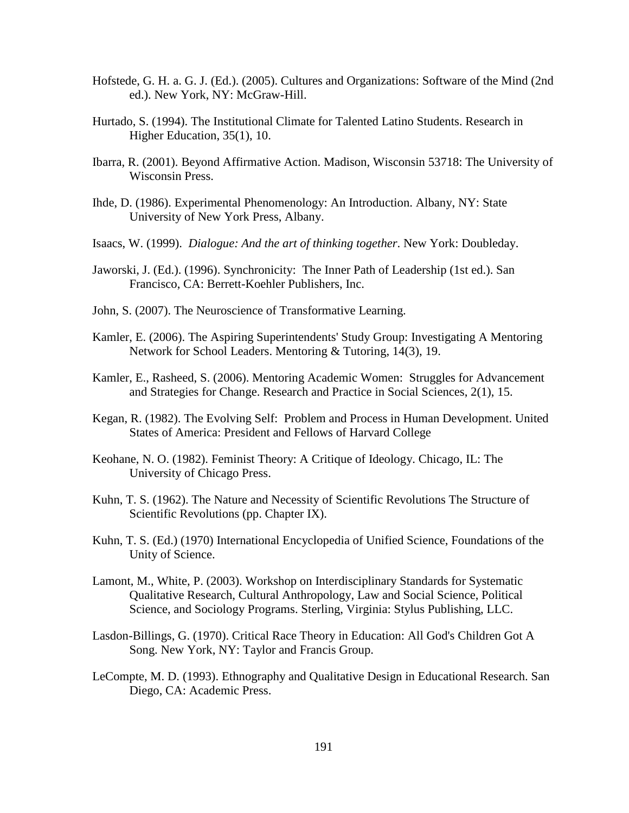- Hofstede, G. H. a. G. J. (Ed.). (2005). Cultures and Organizations: Software of the Mind (2nd ed.). New York, NY: McGraw-Hill.
- Hurtado, S. (1994). The Institutional Climate for Talented Latino Students. Research in Higher Education, 35(1), 10.
- Ibarra, R. (2001). Beyond Affirmative Action. Madison, Wisconsin 53718: The University of Wisconsin Press.
- Ihde, D. (1986). Experimental Phenomenology: An Introduction. Albany, NY: State University of New York Press, Albany.
- Isaacs, W. (1999). *Dialogue: And the art of thinking together*. New York: Doubleday.
- Jaworski, J. (Ed.). (1996). Synchronicity: The Inner Path of Leadership (1st ed.). San Francisco, CA: Berrett-Koehler Publishers, Inc.
- John, S. (2007). The Neuroscience of Transformative Learning.
- Kamler, E. (2006). The Aspiring Superintendents' Study Group: Investigating A Mentoring Network for School Leaders. Mentoring & Tutoring, 14(3), 19.
- Kamler, E., Rasheed, S. (2006). Mentoring Academic Women: Struggles for Advancement and Strategies for Change. Research and Practice in Social Sciences, 2(1), 15.
- Kegan, R. (1982). The Evolving Self: Problem and Process in Human Development. United States of America: President and Fellows of Harvard College
- Keohane, N. O. (1982). Feminist Theory: A Critique of Ideology. Chicago, IL: The University of Chicago Press.
- Kuhn, T. S. (1962). The Nature and Necessity of Scientific Revolutions The Structure of Scientific Revolutions (pp. Chapter IX).
- Kuhn, T. S. (Ed.) (1970) International Encyclopedia of Unified Science, Foundations of the Unity of Science.
- Lamont, M., White, P. (2003). Workshop on Interdisciplinary Standards for Systematic Qualitative Research, Cultural Anthropology, Law and Social Science, Political Science, and Sociology Programs. Sterling, Virginia: Stylus Publishing, LLC.
- Lasdon-Billings, G. (1970). Critical Race Theory in Education: All God's Children Got A Song. New York, NY: Taylor and Francis Group.
- LeCompte, M. D. (1993). Ethnography and Qualitative Design in Educational Research. San Diego, CA: Academic Press.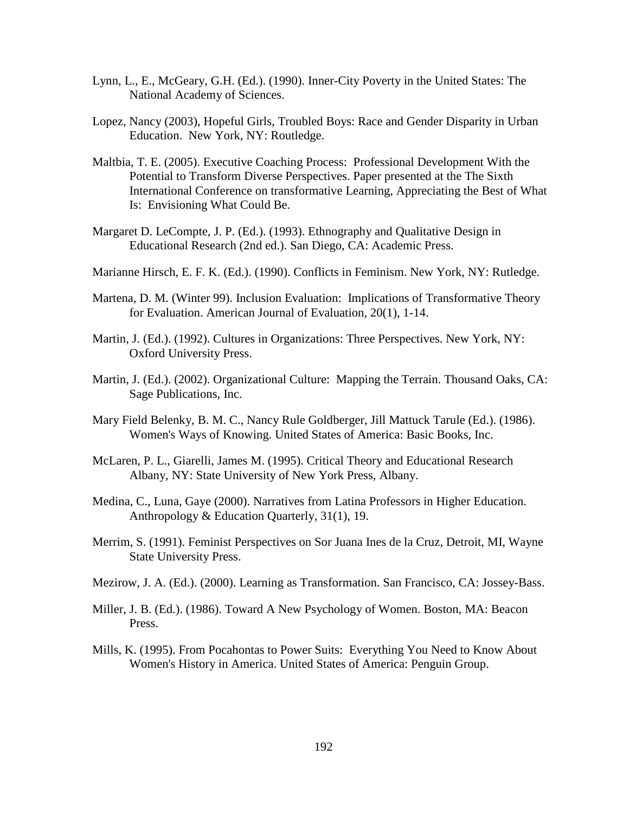- Lynn, L., E., McGeary, G.H. (Ed.). (1990). Inner-City Poverty in the United States: The National Academy of Sciences.
- Lopez, Nancy (2003), Hopeful Girls, Troubled Boys: Race and Gender Disparity in Urban Education. New York, NY: Routledge.
- Maltbia, T. E. (2005). Executive Coaching Process: Professional Development With the Potential to Transform Diverse Perspectives. Paper presented at the The Sixth International Conference on transformative Learning, Appreciating the Best of What Is: Envisioning What Could Be.
- Margaret D. LeCompte, J. P. (Ed.). (1993). Ethnography and Qualitative Design in Educational Research (2nd ed.). San Diego, CA: Academic Press.
- Marianne Hirsch, E. F. K. (Ed.). (1990). Conflicts in Feminism. New York, NY: Rutledge.
- Martena, D. M. (Winter 99). Inclusion Evaluation: Implications of Transformative Theory for Evaluation. American Journal of Evaluation, 20(1), 1-14.
- Martin, J. (Ed.). (1992). Cultures in Organizations: Three Perspectives. New York, NY: Oxford University Press.
- Martin, J. (Ed.). (2002). Organizational Culture: Mapping the Terrain. Thousand Oaks, CA: Sage Publications, Inc.
- Mary Field Belenky, B. M. C., Nancy Rule Goldberger, Jill Mattuck Tarule (Ed.). (1986). Women's Ways of Knowing. United States of America: Basic Books, Inc.
- McLaren, P. L., Giarelli, James M. (1995). Critical Theory and Educational Research Albany, NY: State University of New York Press, Albany.
- Medina, C., Luna, Gaye (2000). Narratives from Latina Professors in Higher Education. Anthropology & Education Quarterly, 31(1), 19.
- Merrim, S. (1991). Feminist Perspectives on Sor Juana Ines de la Cruz, Detroit, MI, Wayne State University Press.
- Mezirow, J. A. (Ed.). (2000). Learning as Transformation. San Francisco, CA: Jossey-Bass.
- Miller, J. B. (Ed.). (1986). Toward A New Psychology of Women. Boston, MA: Beacon Press.
- Mills, K. (1995). From Pocahontas to Power Suits: Everything You Need to Know About Women's History in America. United States of America: Penguin Group.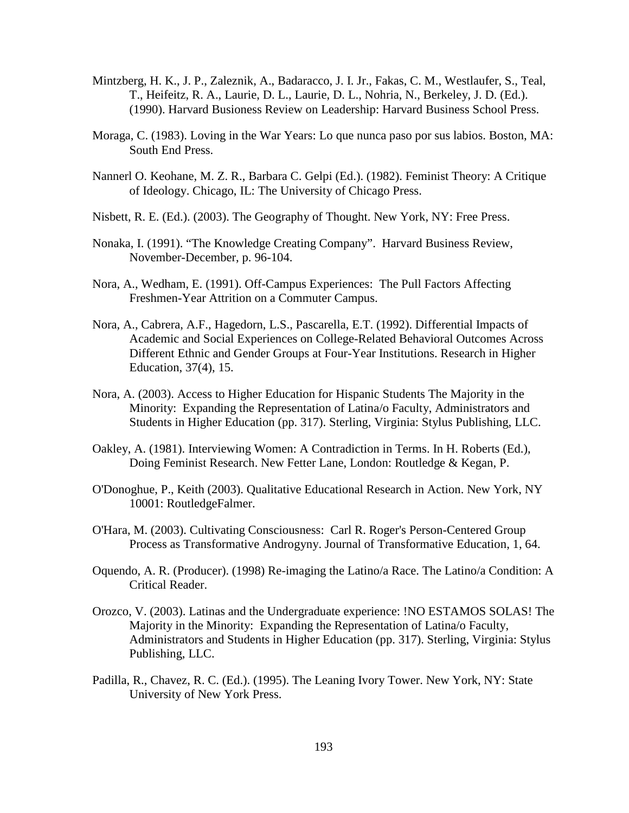- Mintzberg, H. K., J. P., Zaleznik, A., Badaracco, J. I. Jr., Fakas, C. M., Westlaufer, S., Teal, T., Heifeitz, R. A., Laurie, D. L., Laurie, D. L., Nohria, N., Berkeley, J. D. (Ed.). (1990). Harvard Busioness Review on Leadership: Harvard Business School Press.
- Moraga, C. (1983). Loving in the War Years: Lo que nunca paso por sus labios. Boston, MA: South End Press.
- Nannerl O. Keohane, M. Z. R., Barbara C. Gelpi (Ed.). (1982). Feminist Theory: A Critique of Ideology. Chicago, IL: The University of Chicago Press.
- Nisbett, R. E. (Ed.). (2003). The Geography of Thought. New York, NY: Free Press.
- Nonaka, I. (1991). "The Knowledge Creating Company". Harvard Business Review, November-December, p. 96-104.
- Nora, A., Wedham, E. (1991). Off-Campus Experiences: The Pull Factors Affecting Freshmen-Year Attrition on a Commuter Campus.
- Nora, A., Cabrera, A.F., Hagedorn, L.S., Pascarella, E.T. (1992). Differential Impacts of Academic and Social Experiences on College-Related Behavioral Outcomes Across Different Ethnic and Gender Groups at Four-Year Institutions. Research in Higher Education, 37(4), 15.
- Nora, A. (2003). Access to Higher Education for Hispanic Students The Majority in the Minority: Expanding the Representation of Latina/o Faculty, Administrators and Students in Higher Education (pp. 317). Sterling, Virginia: Stylus Publishing, LLC.
- Oakley, A. (1981). Interviewing Women: A Contradiction in Terms. In H. Roberts (Ed.), Doing Feminist Research. New Fetter Lane, London: Routledge & Kegan, P.
- O'Donoghue, P., Keith (2003). Qualitative Educational Research in Action. New York, NY 10001: RoutledgeFalmer.
- O'Hara, M. (2003). Cultivating Consciousness: Carl R. Roger's Person-Centered Group Process as Transformative Androgyny. Journal of Transformative Education, 1, 64.
- Oquendo, A. R. (Producer). (1998) Re-imaging the Latino/a Race. The Latino/a Condition: A Critical Reader.
- Orozco, V. (2003). Latinas and the Undergraduate experience: !NO ESTAMOS SOLAS! The Majority in the Minority: Expanding the Representation of Latina/o Faculty, Administrators and Students in Higher Education (pp. 317). Sterling, Virginia: Stylus Publishing, LLC.
- Padilla, R., Chavez, R. C. (Ed.). (1995). The Leaning Ivory Tower. New York, NY: State University of New York Press.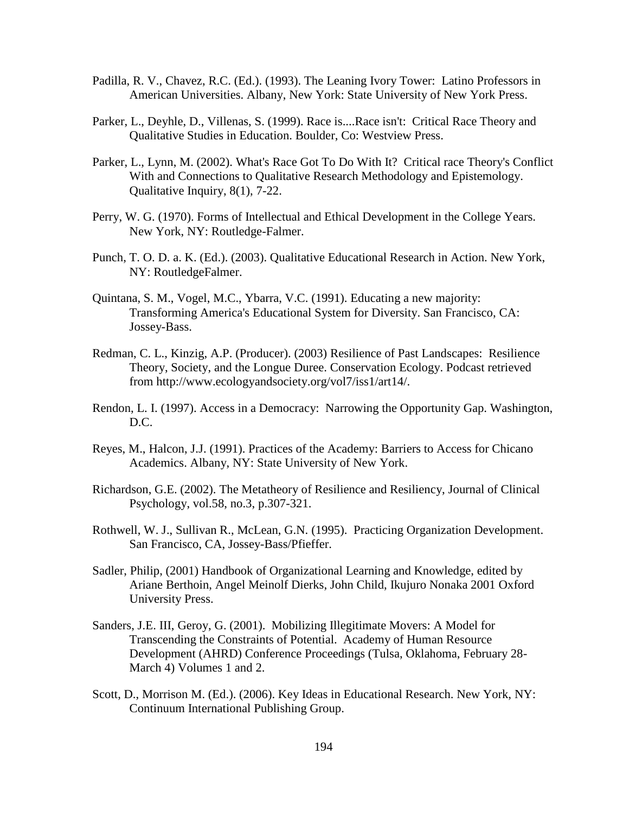- Padilla, R. V., Chavez, R.C. (Ed.). (1993). The Leaning Ivory Tower: Latino Professors in American Universities. Albany, New York: State University of New York Press.
- Parker, L., Deyhle, D., Villenas, S. (1999). Race is....Race isn't: Critical Race Theory and Qualitative Studies in Education. Boulder, Co: Westview Press.
- Parker, L., Lynn, M. (2002). What's Race Got To Do With It? Critical race Theory's Conflict With and Connections to Qualitative Research Methodology and Epistemology. Qualitative Inquiry, 8(1), 7-22.
- Perry, W. G. (1970). Forms of Intellectual and Ethical Development in the College Years. New York, NY: Routledge-Falmer.
- Punch, T. O. D. a. K. (Ed.). (2003). Qualitative Educational Research in Action. New York, NY: RoutledgeFalmer.
- Quintana, S. M., Vogel, M.C., Ybarra, V.C. (1991). Educating a new majority: Transforming America's Educational System for Diversity. San Francisco, CA: Jossey-Bass.
- Redman, C. L., Kinzig, A.P. (Producer). (2003) Resilience of Past Landscapes: Resilience Theory, Society, and the Longue Duree. Conservation Ecology. Podcast retrieved from http://www.ecologyandsociety.org/vol7/iss1/art14/.
- Rendon, L. I. (1997). Access in a Democracy: Narrowing the Opportunity Gap. Washington, D.C.
- Reyes, M., Halcon, J.J. (1991). Practices of the Academy: Barriers to Access for Chicano Academics. Albany, NY: State University of New York.
- Richardson, G.E. (2002). The Metatheory of Resilience and Resiliency, Journal of Clinical Psychology, vol.58, no.3, p.307-321.
- Rothwell, W. J., Sullivan R., McLean, G.N. (1995). Practicing Organization Development. San Francisco, CA, Jossey-Bass/Pfieffer.
- Sadler, Philip, (2001) Handbook of Organizational Learning and Knowledge, edited by Ariane Berthoin, Angel Meinolf Dierks, John Child, Ikujuro Nonaka 2001 Oxford University Press.
- Sanders, J.E. III, Geroy, G. (2001). Mobilizing Illegitimate Movers: A Model for Transcending the Constraints of Potential. Academy of Human Resource Development (AHRD) Conference Proceedings (Tulsa, Oklahoma, February 28- March 4) Volumes 1 and 2.
- Scott, D., Morrison M. (Ed.). (2006). Key Ideas in Educational Research. New York, NY: Continuum International Publishing Group.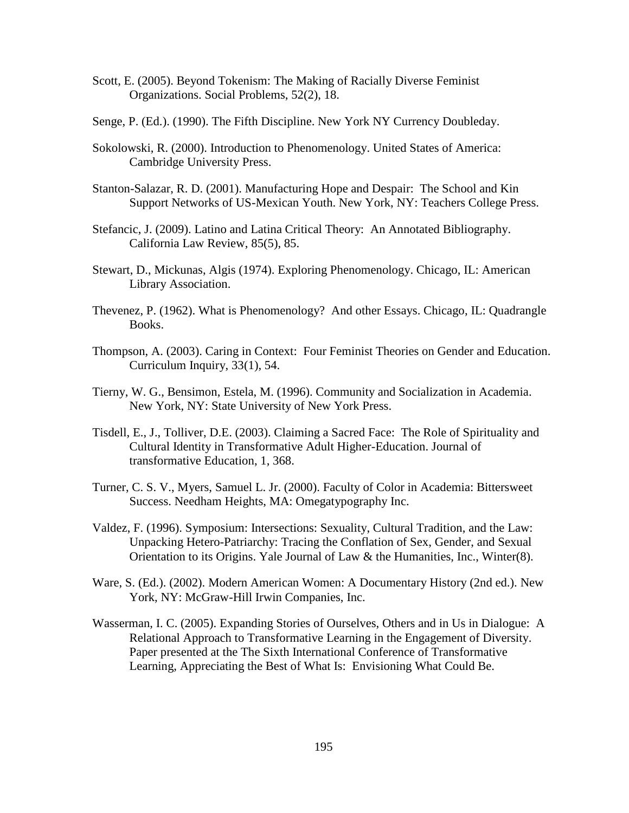- Scott, E. (2005). Beyond Tokenism: The Making of Racially Diverse Feminist Organizations. Social Problems, 52(2), 18.
- Senge, P. (Ed.). (1990). The Fifth Discipline. New York NY Currency Doubleday.
- Sokolowski, R. (2000). Introduction to Phenomenology. United States of America: Cambridge University Press.
- Stanton-Salazar, R. D. (2001). Manufacturing Hope and Despair: The School and Kin Support Networks of US-Mexican Youth. New York, NY: Teachers College Press.
- Stefancic, J. (2009). Latino and Latina Critical Theory: An Annotated Bibliography. California Law Review, 85(5), 85.
- Stewart, D., Mickunas, Algis (1974). Exploring Phenomenology. Chicago, IL: American Library Association.
- Thevenez, P. (1962). What is Phenomenology? And other Essays. Chicago, IL: Quadrangle Books.
- Thompson, A. (2003). Caring in Context: Four Feminist Theories on Gender and Education. Curriculum Inquiry, 33(1), 54.
- Tierny, W. G., Bensimon, Estela, M. (1996). Community and Socialization in Academia. New York, NY: State University of New York Press.
- Tisdell, E., J., Tolliver, D.E. (2003). Claiming a Sacred Face: The Role of Spirituality and Cultural Identity in Transformative Adult Higher-Education. Journal of transformative Education, 1, 368.
- Turner, C. S. V., Myers, Samuel L. Jr. (2000). Faculty of Color in Academia: Bittersweet Success. Needham Heights, MA: Omegatypography Inc.
- Valdez, F. (1996). Symposium: Intersections: Sexuality, Cultural Tradition, and the Law: Unpacking Hetero-Patriarchy: Tracing the Conflation of Sex, Gender, and Sexual Orientation to its Origins. Yale Journal of Law & the Humanities, Inc., Winter(8).
- Ware, S. (Ed.). (2002). Modern American Women: A Documentary History (2nd ed.). New York, NY: McGraw-Hill Irwin Companies, Inc.
- Wasserman, I. C. (2005). Expanding Stories of Ourselves, Others and in Us in Dialogue: A Relational Approach to Transformative Learning in the Engagement of Diversity. Paper presented at the The Sixth International Conference of Transformative Learning, Appreciating the Best of What Is: Envisioning What Could Be.